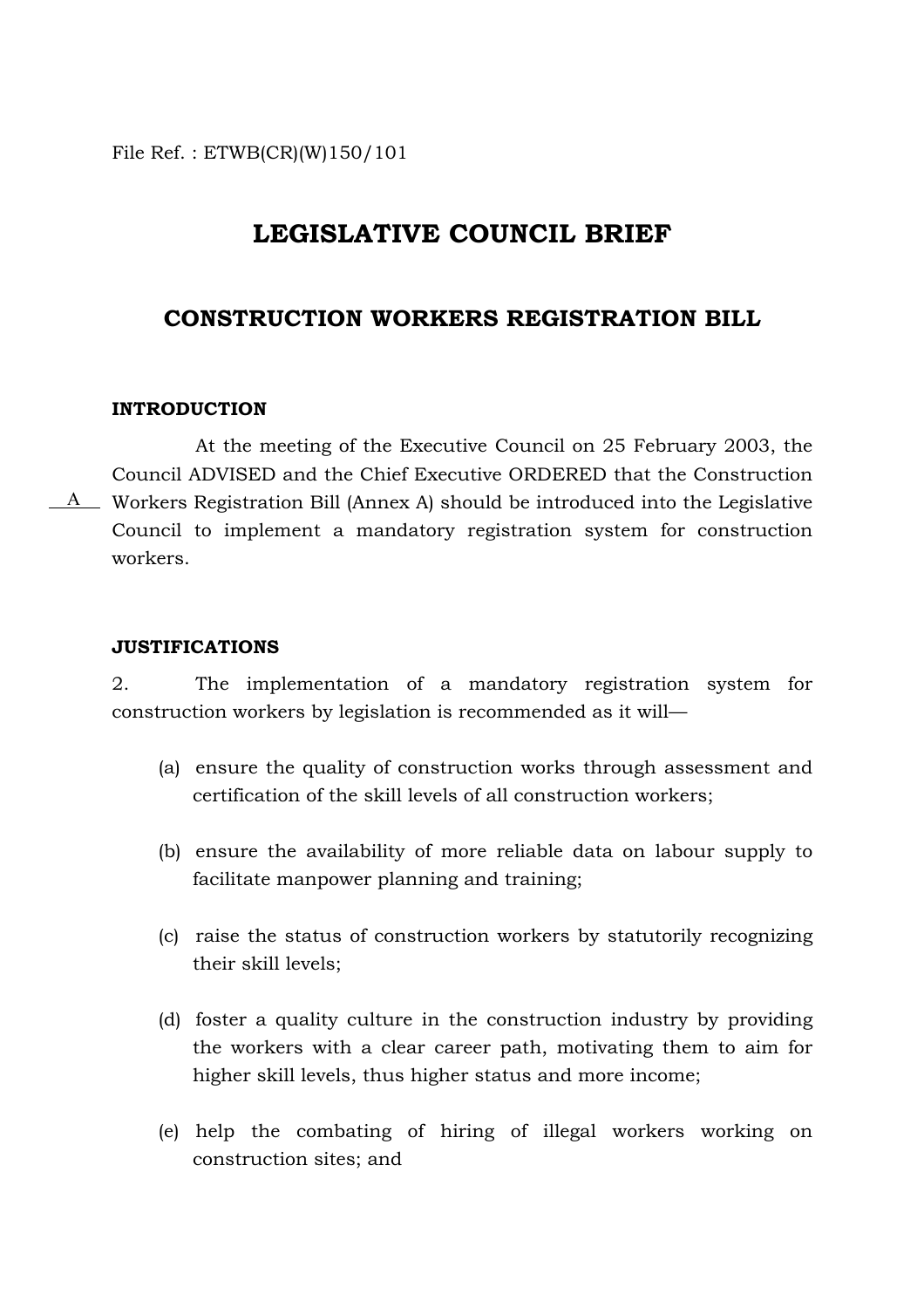File Ref. : ETWB(CR)(W)150/101

# **LEGISLATIVE COUNCIL BRIEF**

## **CONSTRUCTION WORKERS REGISTRATION BILL**

### **INTRODUCTION**

At the meeting of the Executive Council on 25 February 2003, the Council ADVISED and the Chief Executive ORDERED that the Construction  $A$  Workers Registration Bill (Annex A) should be introduced into the Legislative Council to implement a mandatory registration system for construction workers.

#### **JUSTIFICATIONS**

2. The implementation of a mandatory registration system for construction workers by legislation is recommended as it will—

- (a) ensure the quality of construction works through assessment and certification of the skill levels of all construction workers;
- (b) ensure the availability of more reliable data on labour supply to facilitate manpower planning and training;
- (c) raise the status of construction workers by statutorily recognizing their skill levels;
- (d) foster a quality culture in the construction industry by providing the workers with a clear career path, motivating them to aim for higher skill levels, thus higher status and more income;
- (e) help the combating of hiring of illegal workers working on construction sites; and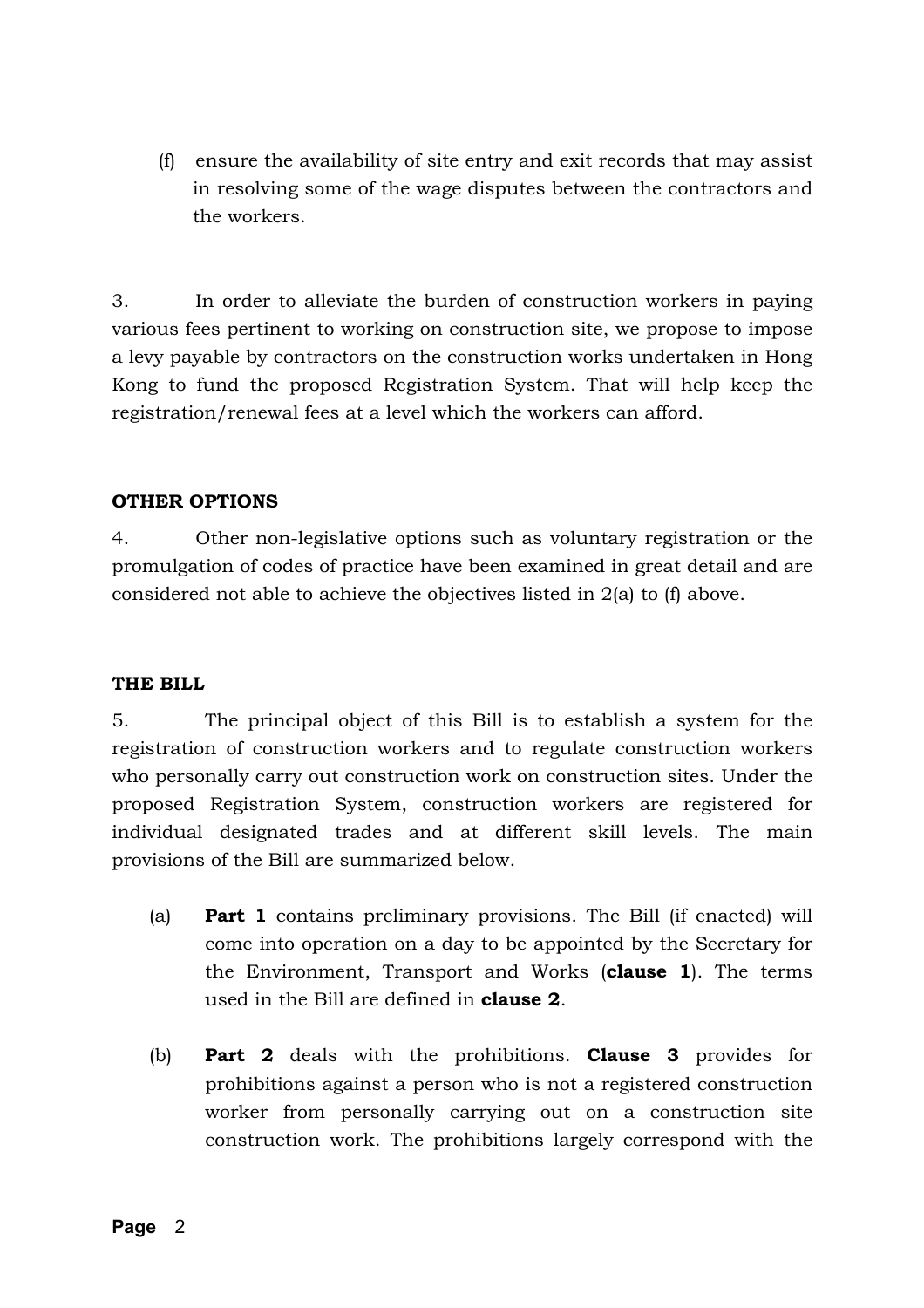(f) ensure the availability of site entry and exit records that may assist in resolving some of the wage disputes between the contractors and the workers.

3. In order to alleviate the burden of construction workers in paying various fees pertinent to working on construction site, we propose to impose a levy payable by contractors on the construction works undertaken in Hong Kong to fund the proposed Registration System. That will help keep the registration/renewal fees at a level which the workers can afford.

### **OTHER OPTIONS**

4. Other non-legislative options such as voluntary registration or the promulgation of codes of practice have been examined in great detail and are considered not able to achieve the objectives listed in 2(a) to (f) above.

### **THE BILL**

5. The principal object of this Bill is to establish a system for the registration of construction workers and to regulate construction workers who personally carry out construction work on construction sites. Under the proposed Registration System, construction workers are registered for individual designated trades and at different skill levels. The main provisions of the Bill are summarized below.

- (a) **Part 1** contains preliminary provisions. The Bill (if enacted) will come into operation on a day to be appointed by the Secretary for the Environment, Transport and Works (**clause 1**). The terms used in the Bill are defined in **clause 2**.
- (b) **Part 2** deals with the prohibitions. **Clause 3** provides for prohibitions against a person who is not a registered construction worker from personally carrying out on a construction site construction work. The prohibitions largely correspond with the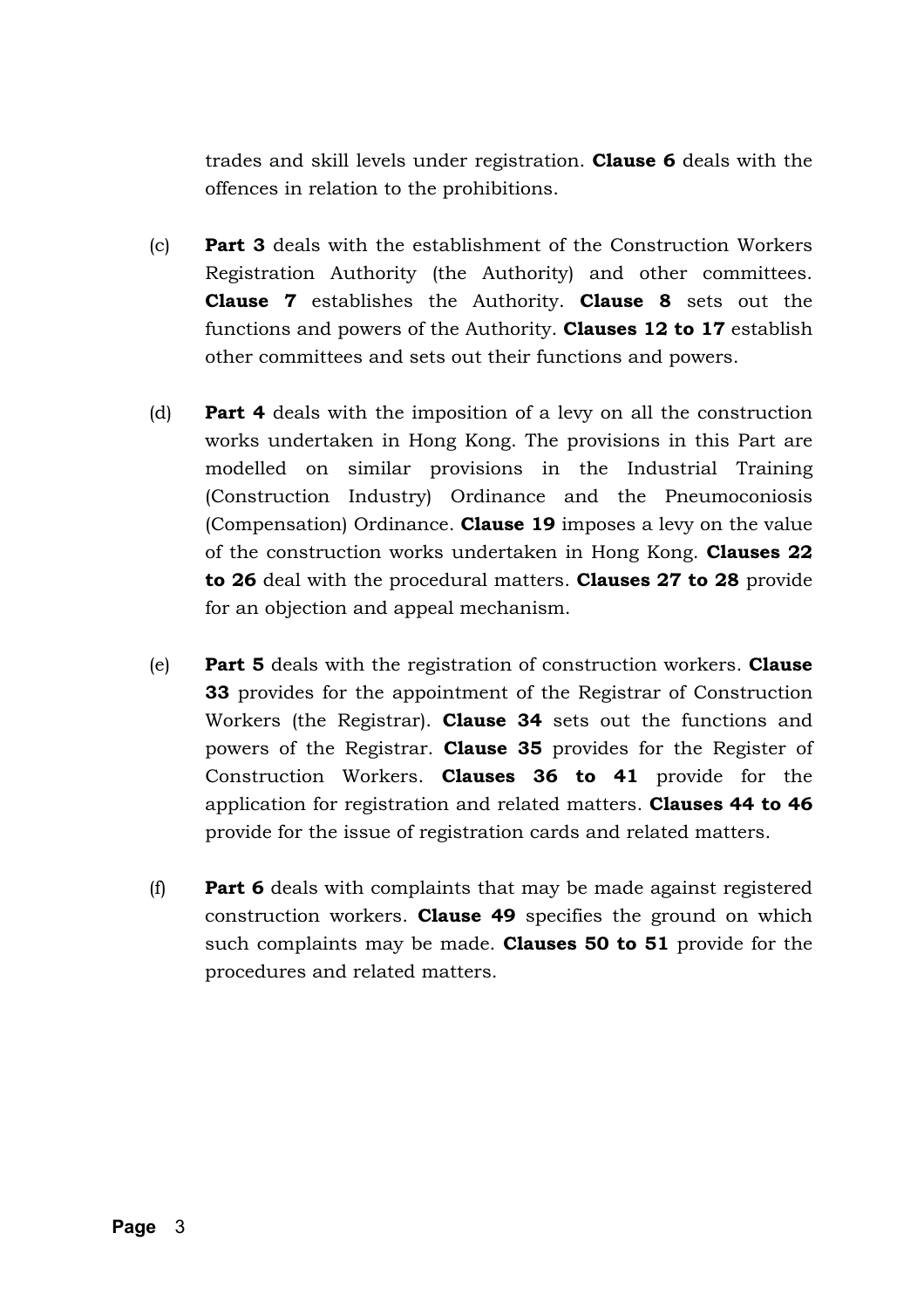trades and skill levels under registration. **Clause 6** deals with the offences in relation to the prohibitions.

- (c) **Part 3** deals with the establishment of the Construction Workers Registration Authority (the Authority) and other committees. **Clause 7** establishes the Authority. **Clause 8** sets out the functions and powers of the Authority. **Clauses 12 to 17** establish other committees and sets out their functions and powers.
- (d) **Part 4** deals with the imposition of a levy on all the construction works undertaken in Hong Kong. The provisions in this Part are modelled on similar provisions in the Industrial Training (Construction Industry) Ordinance and the Pneumoconiosis (Compensation) Ordinance. **Clause 19** imposes a levy on the value of the construction works undertaken in Hong Kong. **Clauses 22 to 26** deal with the procedural matters. **Clauses 27 to 28** provide for an objection and appeal mechanism.
- (e) **Part 5** deals with the registration of construction workers. **Clause 33** provides for the appointment of the Registrar of Construction Workers (the Registrar). **Clause 34** sets out the functions and powers of the Registrar. **Clause 35** provides for the Register of Construction Workers. **Clauses 36 to 41** provide for the application for registration and related matters. **Clauses 44 to 46** provide for the issue of registration cards and related matters.
- (f) **Part 6** deals with complaints that may be made against registered construction workers. **Clause 49** specifies the ground on which such complaints may be made. **Clauses 50 to 51** provide for the procedures and related matters.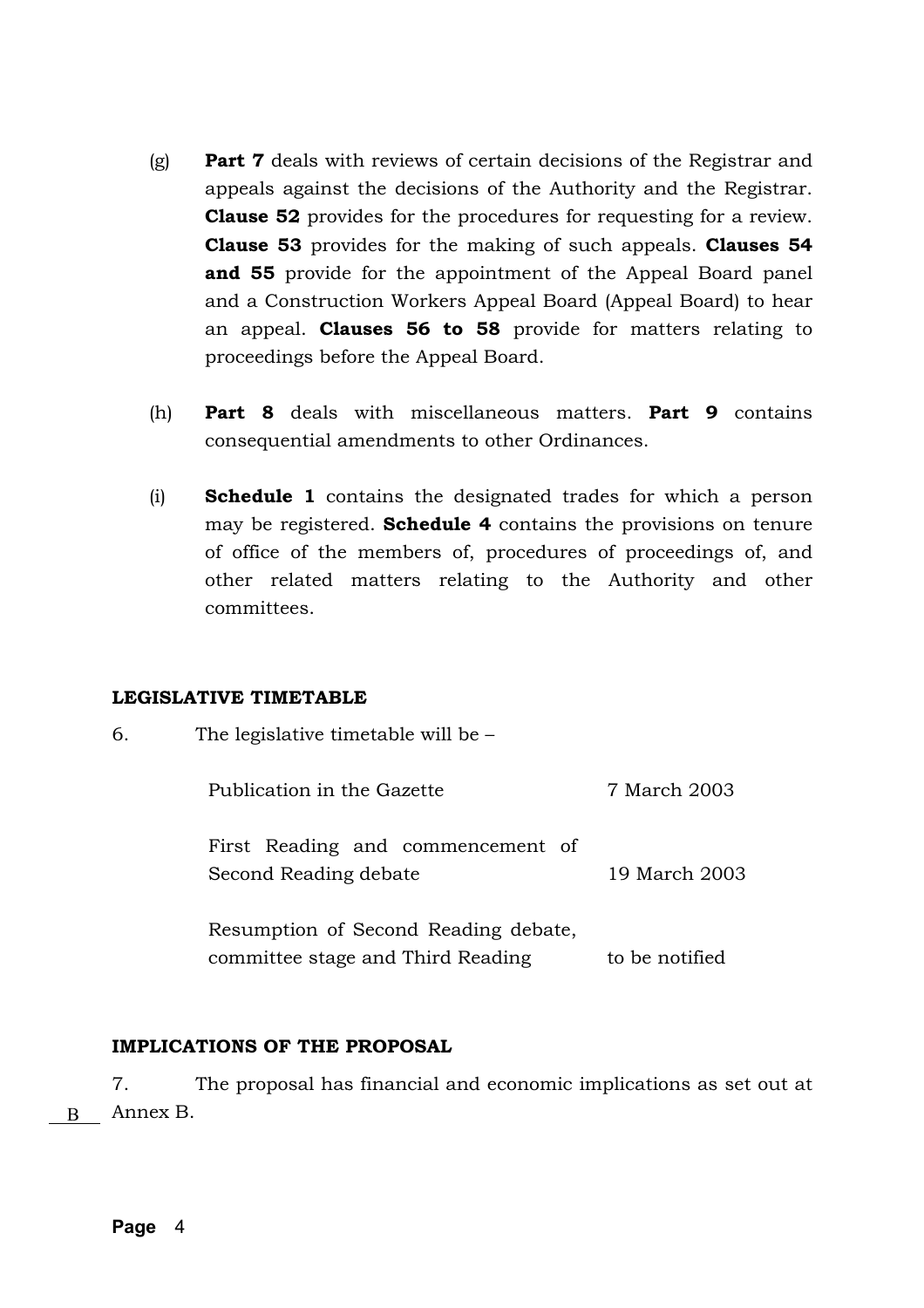- (g) **Part 7** deals with reviews of certain decisions of the Registrar and appeals against the decisions of the Authority and the Registrar. **Clause 52** provides for the procedures for requesting for a review. **Clause 53** provides for the making of such appeals. **Clauses 54 and 55** provide for the appointment of the Appeal Board panel and a Construction Workers Appeal Board (Appeal Board) to hear an appeal. **Clauses 56 to 58** provide for matters relating to proceedings before the Appeal Board.
- (h) **Part 8** deals with miscellaneous matters. **Part 9** contains consequential amendments to other Ordinances.
- (i) **Schedule 1** contains the designated trades for which a person may be registered. **Schedule 4** contains the provisions on tenure of office of the members of, procedures of proceedings of, and other related matters relating to the Authority and other committees.

### **LEGISLATIVE TIMETABLE**

| 6. | The legislative timetable will be $-$                                     |                |
|----|---------------------------------------------------------------------------|----------------|
|    | Publication in the Gazette                                                | 7 March 2003   |
|    | First Reading and commencement of<br>Second Reading debate                | 19 March 2003  |
|    | Resumption of Second Reading debate,<br>committee stage and Third Reading | to be notified |

### **IMPLICATIONS OF THE PROPOSAL**

7. The proposal has financial and economic implications as set out at B Annex B.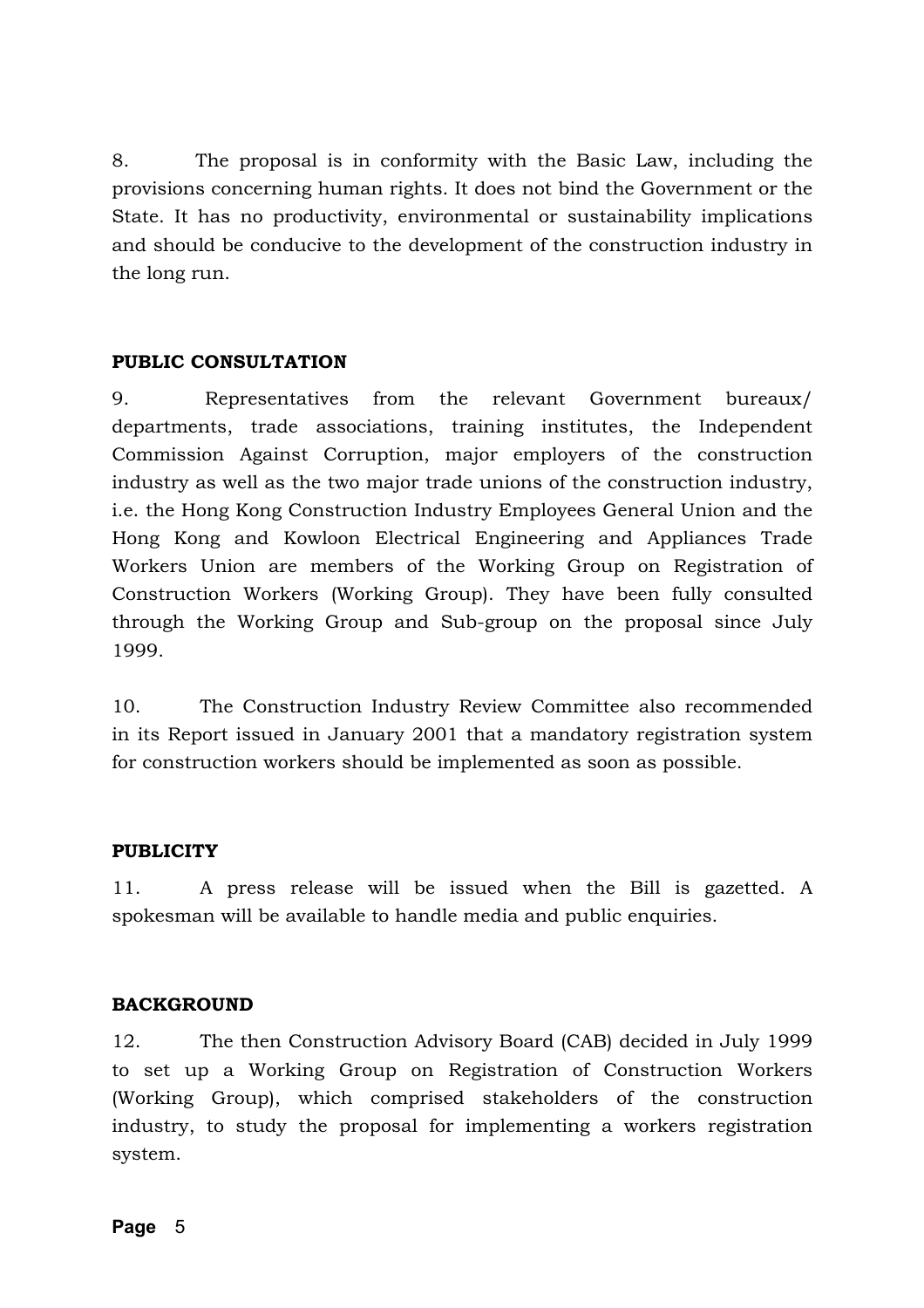8. The proposal is in conformity with the Basic Law, including the provisions concerning human rights. It does not bind the Government or the State. It has no productivity, environmental or sustainability implications and should be conducive to the development of the construction industry in the long run.

### **PUBLIC CONSULTATION**

9. Representatives from the relevant Government bureaux/ departments, trade associations, training institutes, the Independent Commission Against Corruption, major employers of the construction industry as well as the two major trade unions of the construction industry, i.e. the Hong Kong Construction Industry Employees General Union and the Hong Kong and Kowloon Electrical Engineering and Appliances Trade Workers Union are members of the Working Group on Registration of Construction Workers (Working Group). They have been fully consulted through the Working Group and Sub-group on the proposal since July 1999.

10. The Construction Industry Review Committee also recommended in its Report issued in January 2001 that a mandatory registration system for construction workers should be implemented as soon as possible.

### **PUBLICITY**

11. A press release will be issued when the Bill is gazetted. A spokesman will be available to handle media and public enquiries.

### **BACKGROUND**

12. The then Construction Advisory Board (CAB) decided in July 1999 to set up a Working Group on Registration of Construction Workers (Working Group), which comprised stakeholders of the construction industry, to study the proposal for implementing a workers registration system.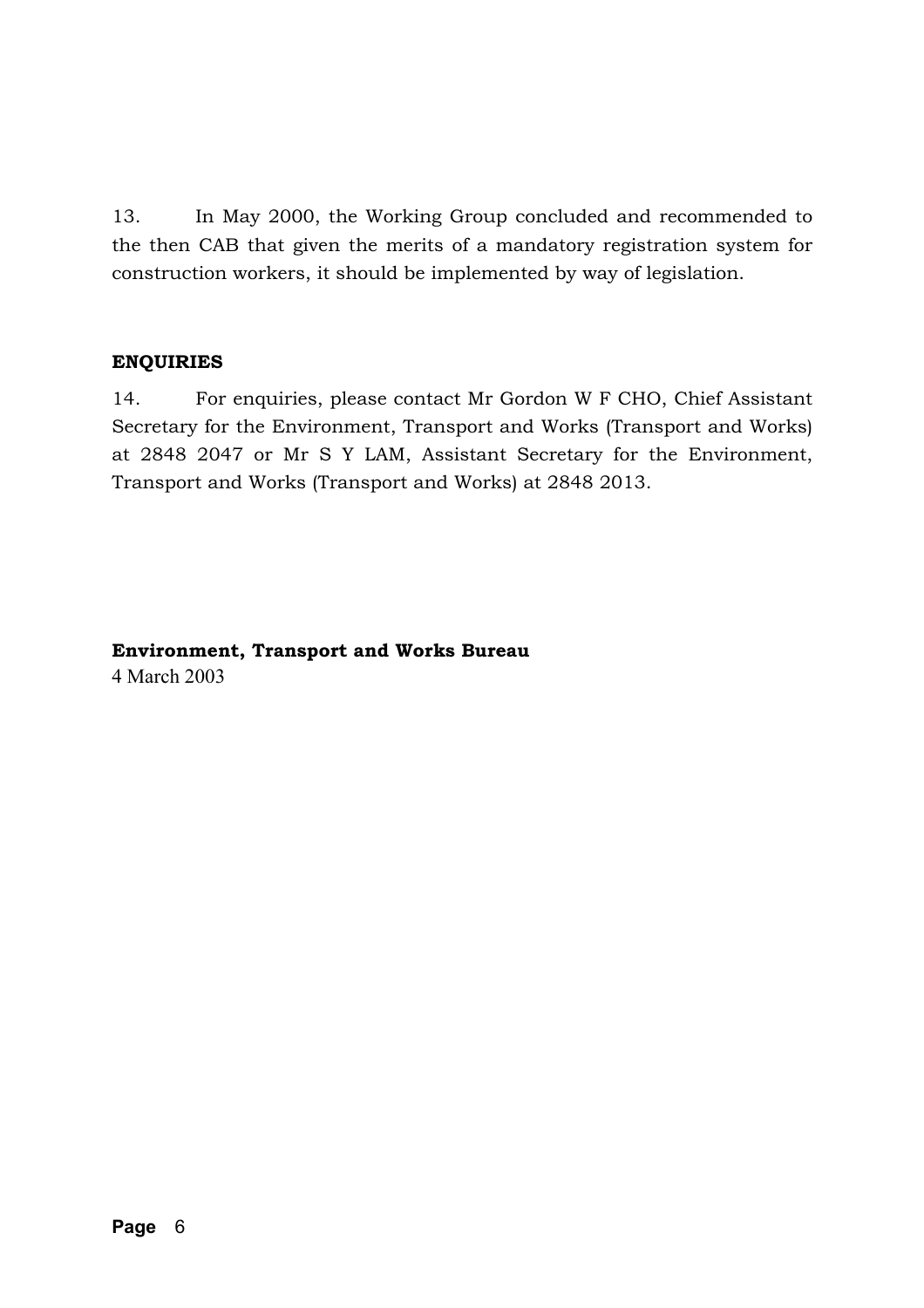13. In May 2000, the Working Group concluded and recommended to the then CAB that given the merits of a mandatory registration system for construction workers, it should be implemented by way of legislation.

### **ENQUIRIES**

14. For enquiries, please contact Mr Gordon W F CHO, Chief Assistant Secretary for the Environment, Transport and Works (Transport and Works) at 2848 2047 or Mr S Y LAM, Assistant Secretary for the Environment, Transport and Works (Transport and Works) at 2848 2013.

### **Environment, Transport and Works Bureau**  4 March 2003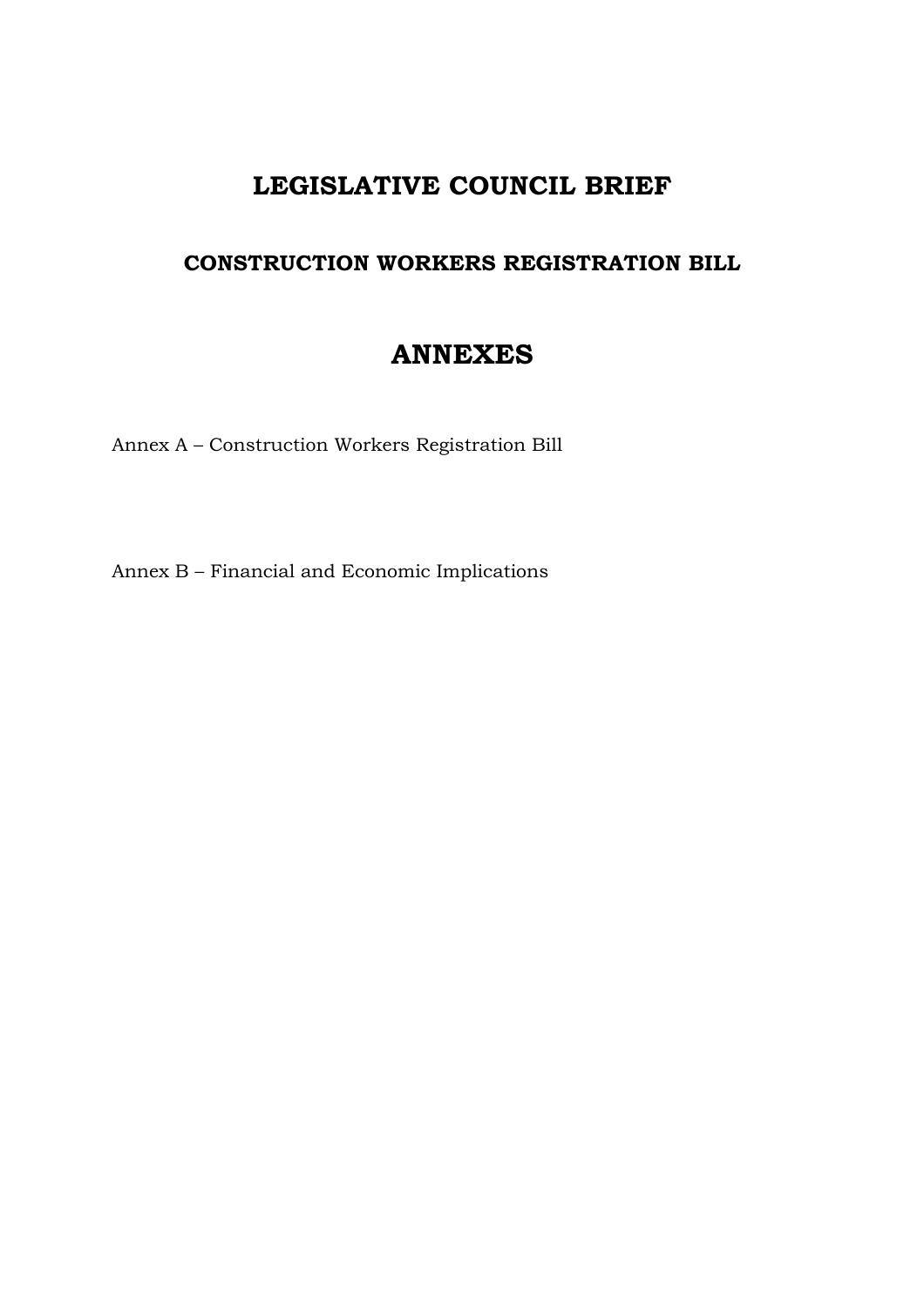# **LEGISLATIVE COUNCIL BRIEF**

# **CONSTRUCTION WORKERS REGISTRATION BILL**

# **ANNEXES**

Annex A – Construction Workers Registration Bill

Annex B – Financial and Economic Implications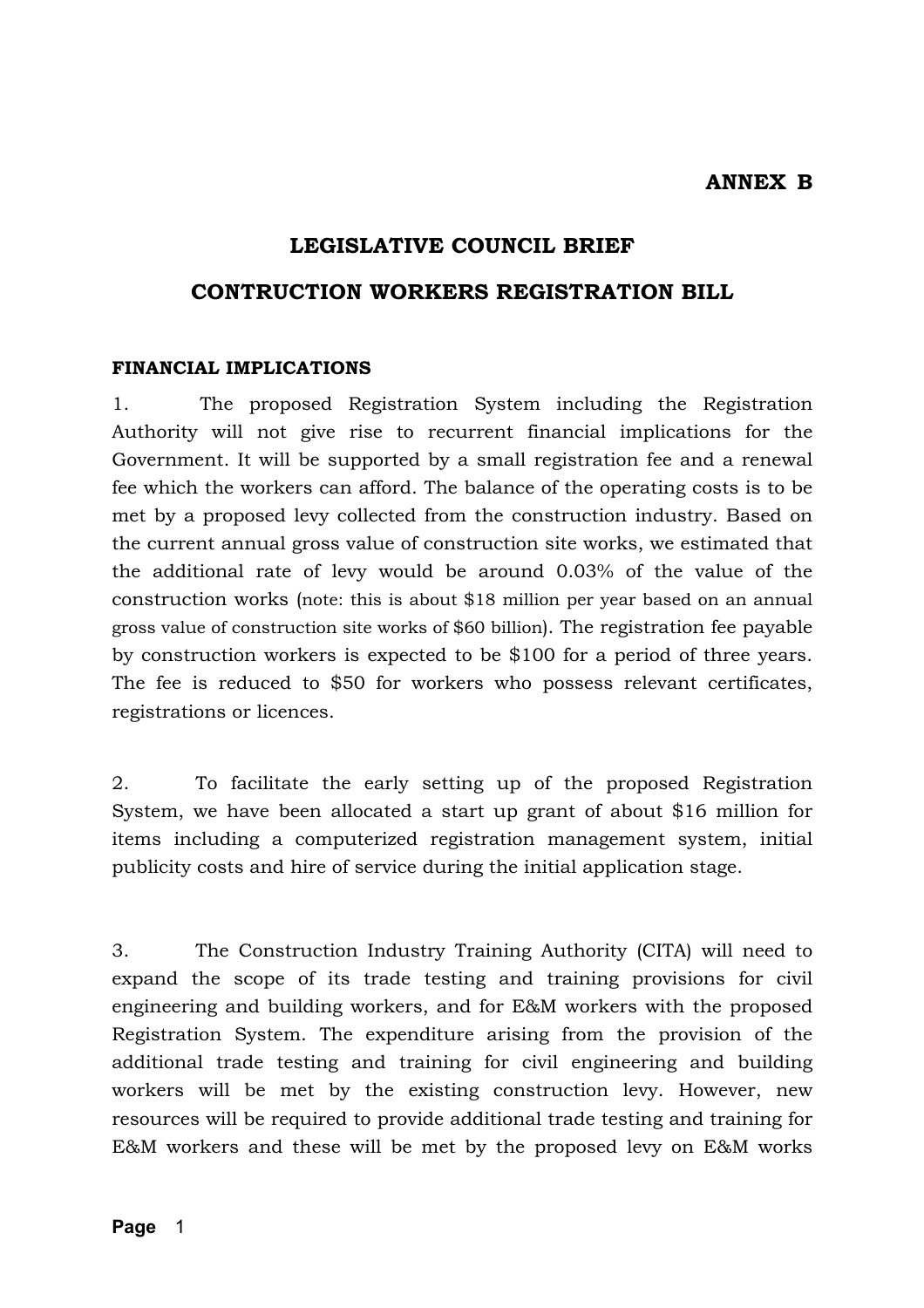**ANNEX B** 

### **LEGISLATIVE COUNCIL BRIEF**

### **CONTRUCTION WORKERS REGISTRATION BILL**

#### **FINANCIAL IMPLICATIONS**

1. The proposed Registration System including the Registration Authority will not give rise to recurrent financial implications for the Government. It will be supported by a small registration fee and a renewal fee which the workers can afford. The balance of the operating costs is to be met by a proposed levy collected from the construction industry. Based on the current annual gross value of construction site works, we estimated that the additional rate of levy would be around 0.03% of the value of the construction works (note: this is about \$18 million per year based on an annual gross value of construction site works of \$60 billion). The registration fee payable by construction workers is expected to be \$100 for a period of three years. The fee is reduced to \$50 for workers who possess relevant certificates, registrations or licences.

2. To facilitate the early setting up of the proposed Registration System, we have been allocated a start up grant of about \$16 million for items including a computerized registration management system, initial publicity costs and hire of service during the initial application stage.

3. The Construction Industry Training Authority (CITA) will need to expand the scope of its trade testing and training provisions for civil engineering and building workers, and for E&M workers with the proposed Registration System. The expenditure arising from the provision of the additional trade testing and training for civil engineering and building workers will be met by the existing construction levy. However, new resources will be required to provide additional trade testing and training for E&M workers and these will be met by the proposed levy on E&M works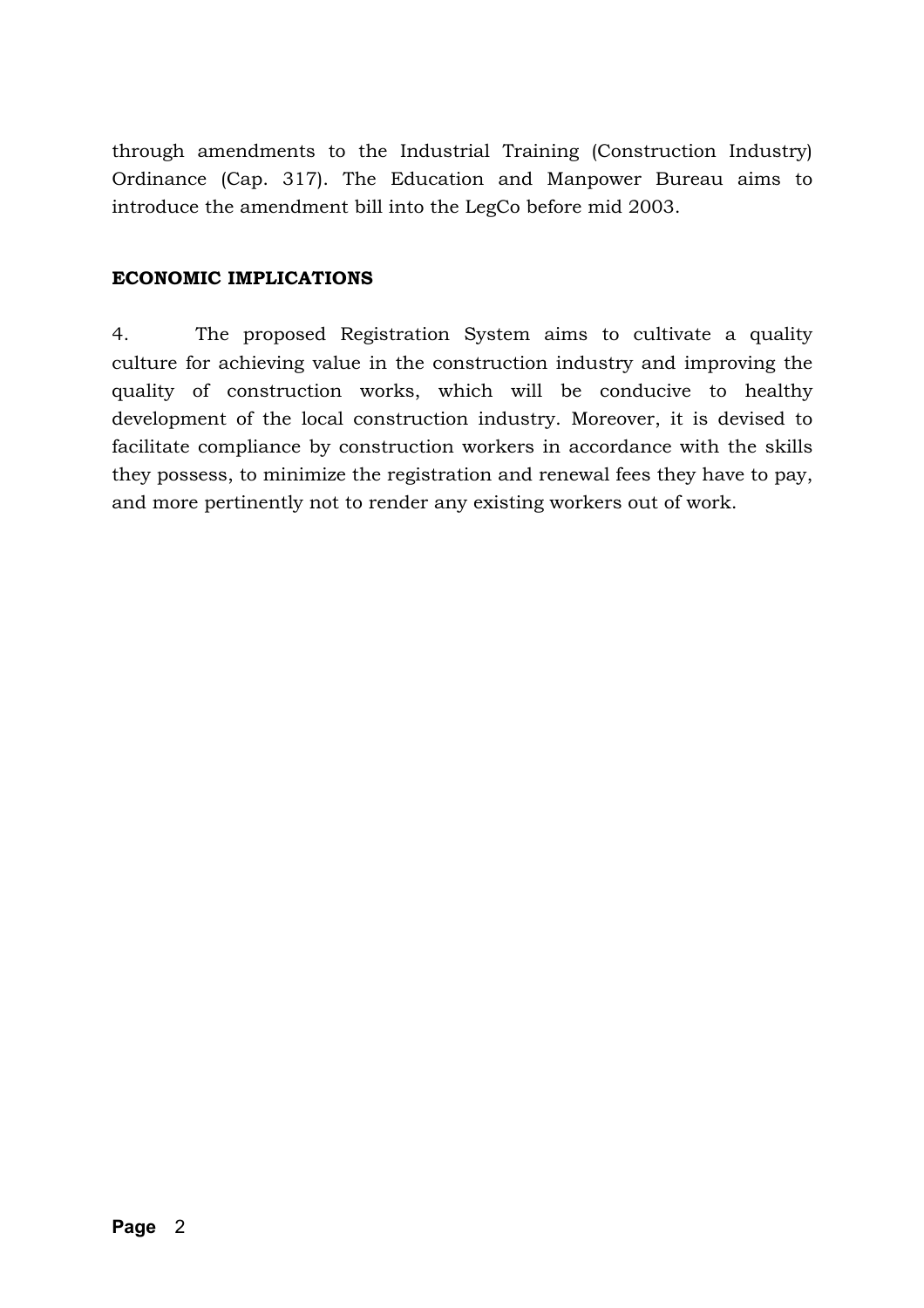through amendments to the Industrial Training (Construction Industry) Ordinance (Cap. 317). The Education and Manpower Bureau aims to introduce the amendment bill into the LegCo before mid 2003.

### **ECONOMIC IMPLICATIONS**

4. The proposed Registration System aims to cultivate a quality culture for achieving value in the construction industry and improving the quality of construction works, which will be conducive to healthy development of the local construction industry. Moreover, it is devised to facilitate compliance by construction workers in accordance with the skills they possess, to minimize the registration and renewal fees they have to pay, and more pertinently not to render any existing workers out of work.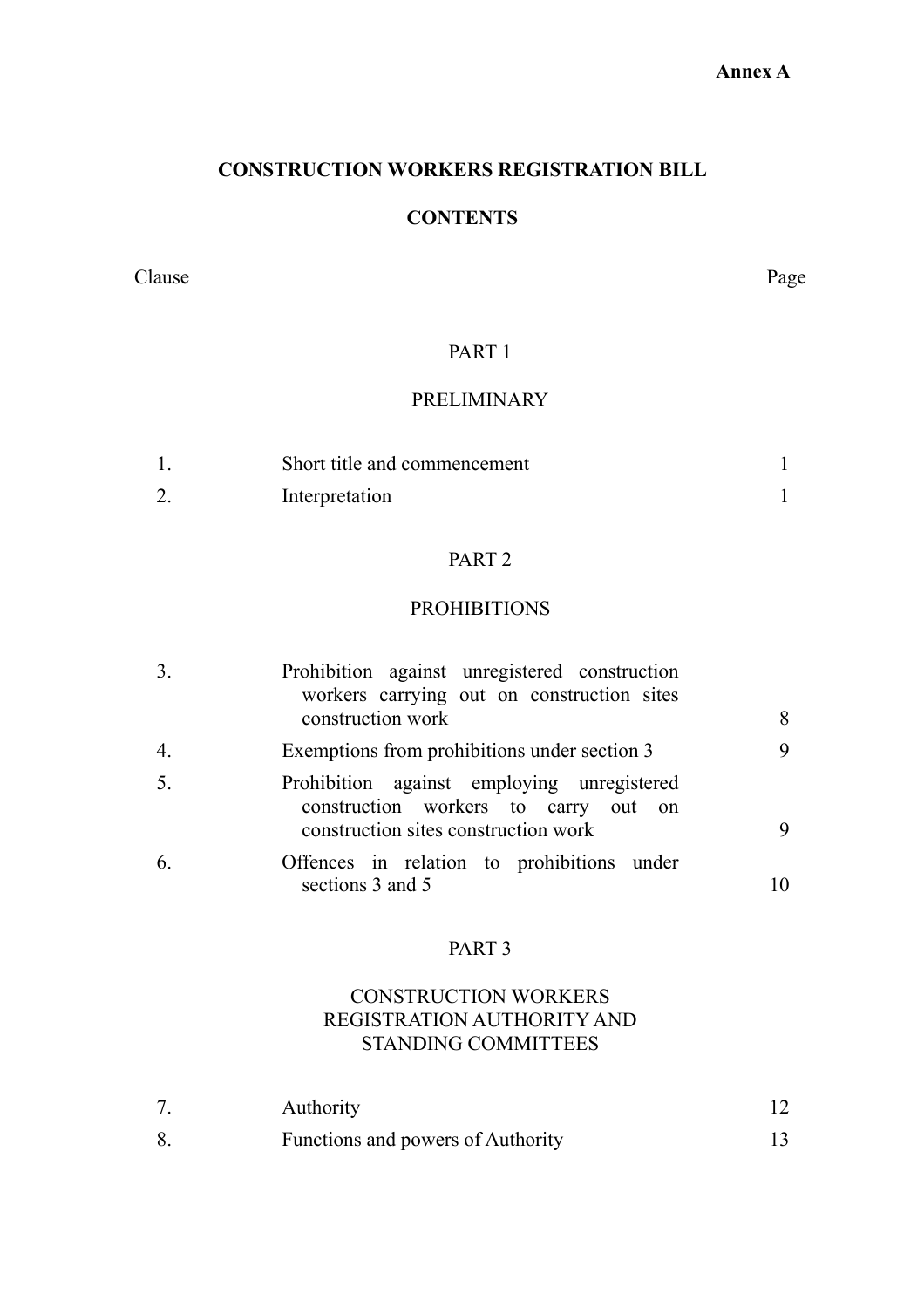### **Annex A**

### **CONSTRUCTION WORKERS REGISTRATION BILL**

# **CONTENTS**

Clause Page

### PART 1

### PRELIMINARY

| Short title and commencement |  |
|------------------------------|--|
| Interpretation               |  |

### PART 2

### PROHIBITIONS

| 3.               | Prohibition against unregistered construction<br>workers carrying out on construction sites |   |
|------------------|---------------------------------------------------------------------------------------------|---|
|                  | construction work                                                                           | 8 |
| $\overline{4}$ . | Exemptions from prohibitions under section 3                                                | 9 |
| 5.               | Prohibition against employing unregistered<br>construction workers to carry out on          |   |
|                  | construction sites construction work                                                        |   |
| 6.               | Offences in relation to prohibitions under<br>sections 3 and 5                              |   |

### PART 3

### CONSTRUCTION WORKERS REGISTRATION AUTHORITY AND STANDING COMMITTEES

| <b>Authority</b>                  |  |
|-----------------------------------|--|
| Functions and powers of Authority |  |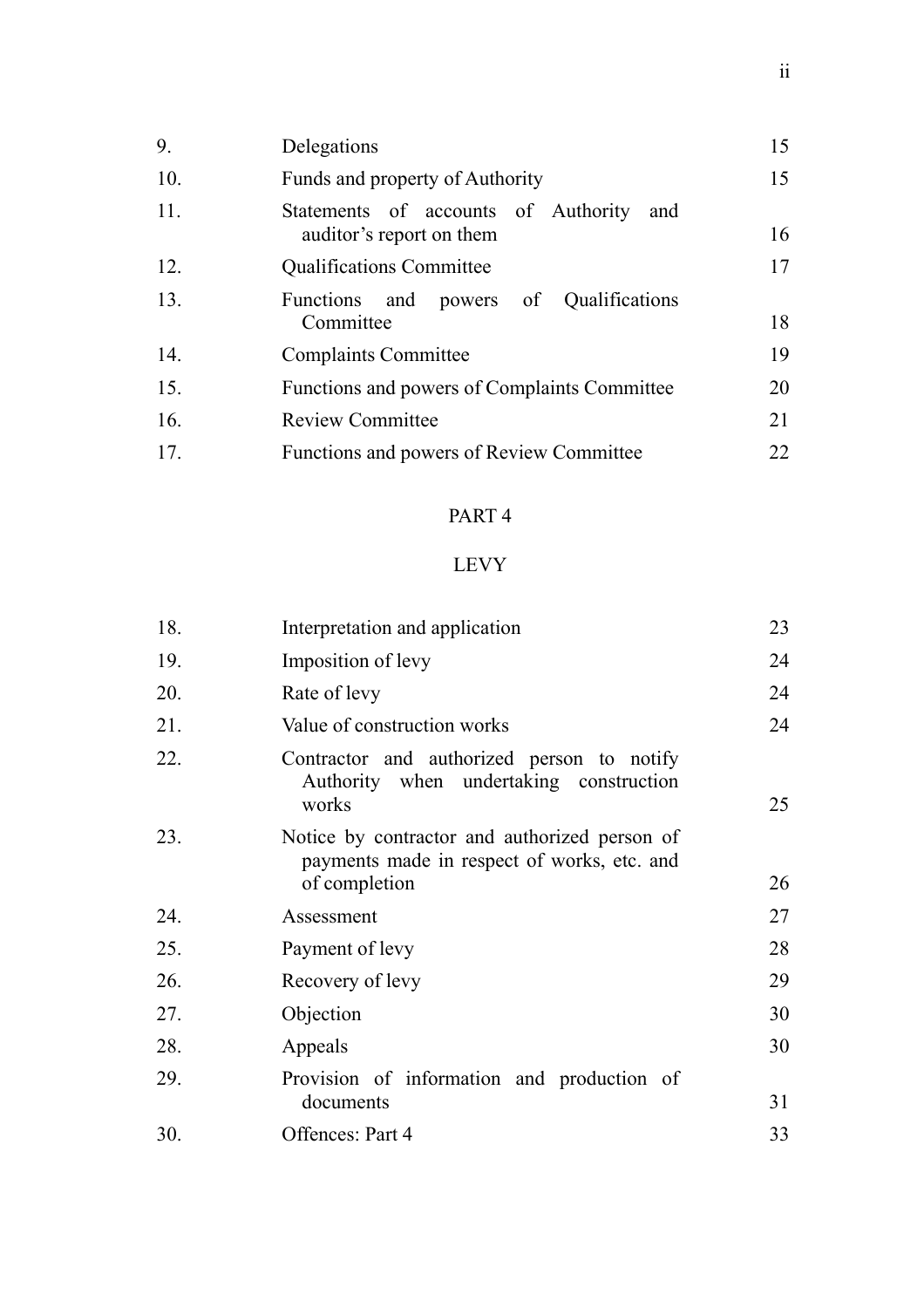| 9.  | Delegations                                                            | 15 |
|-----|------------------------------------------------------------------------|----|
| 10. | Funds and property of Authority                                        | 15 |
| 11. | Statements of accounts of Authority<br>and<br>auditor's report on them | 16 |
| 12. | <b>Qualifications Committee</b>                                        | 17 |
| 13. | Functions and powers of Qualifications<br>Committee                    | 18 |
| 14. | <b>Complaints Committee</b>                                            | 19 |
| 15. | Functions and powers of Complaints Committee                           | 20 |
| 16. | <b>Review Committee</b>                                                | 21 |
| 17. | Functions and powers of Review Committee                               | 22 |

# LEVY

| 18. | Interpretation and application                                                                                | 23 |
|-----|---------------------------------------------------------------------------------------------------------------|----|
| 19. | Imposition of levy                                                                                            | 24 |
| 20. | Rate of levy                                                                                                  | 24 |
| 21. | Value of construction works                                                                                   | 24 |
| 22. | Contractor and authorized person to notify<br>Authority when undertaking construction<br>works                | 25 |
| 23. | Notice by contractor and authorized person of<br>payments made in respect of works, etc. and<br>of completion | 26 |
| 24. | Assessment                                                                                                    | 27 |
| 25. | Payment of levy                                                                                               | 28 |
| 26. | Recovery of levy                                                                                              | 29 |
| 27. | Objection                                                                                                     | 30 |
| 28. | Appeals                                                                                                       | 30 |
| 29. | Provision of information and production of<br>documents                                                       | 31 |
| 30. | Offences: Part 4                                                                                              | 33 |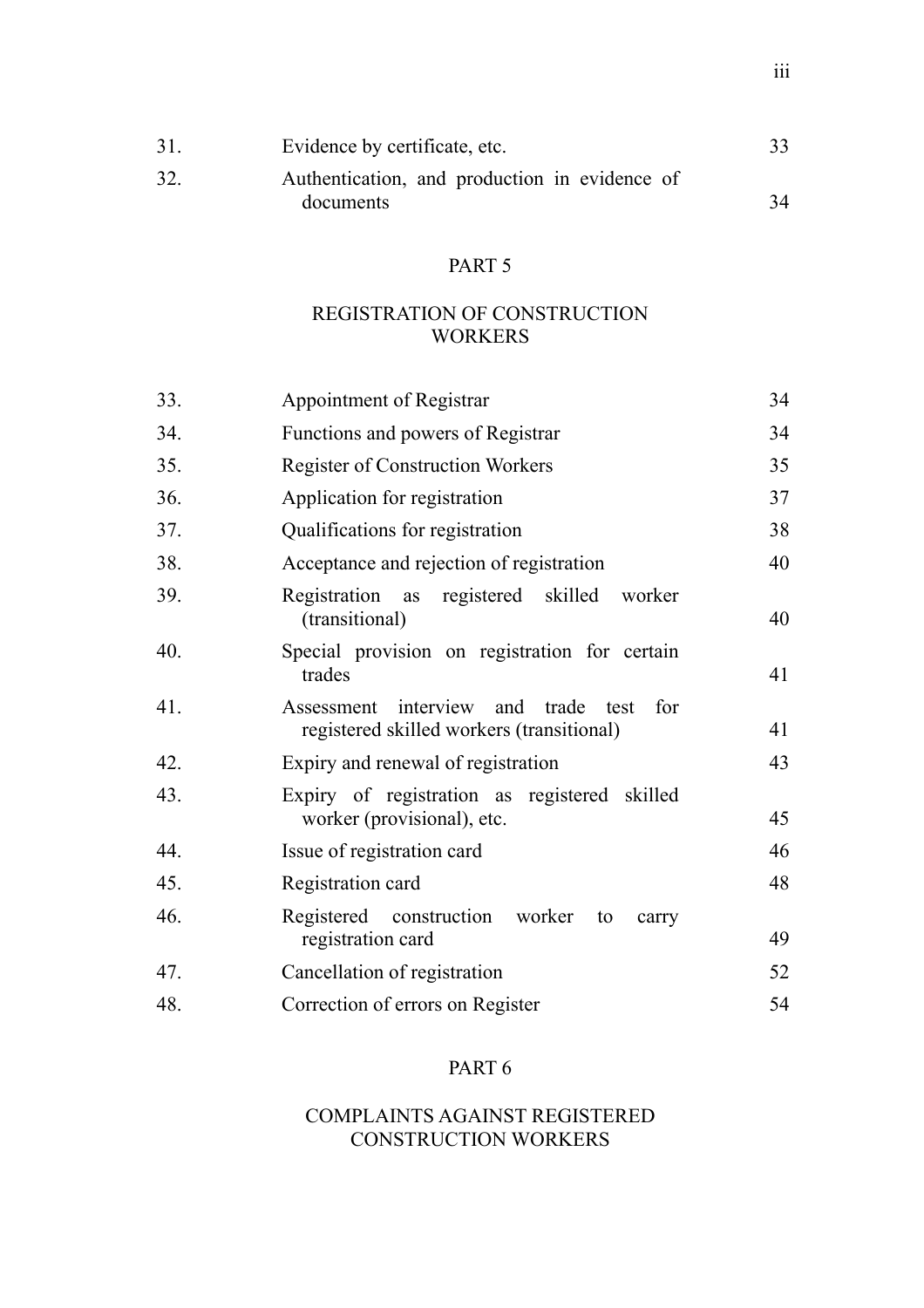| 31  | Evidence by certificate, etc.                 |    |
|-----|-----------------------------------------------|----|
| 32. | Authentication, and production in evidence of |    |
|     | documents                                     | 34 |

### REGISTRATION OF CONSTRUCTION WORKERS

| 33. | Appointment of Registrar                                                                      | 34 |
|-----|-----------------------------------------------------------------------------------------------|----|
| 34. | Functions and powers of Registrar                                                             | 34 |
| 35. | <b>Register of Construction Workers</b>                                                       | 35 |
| 36. | Application for registration                                                                  | 37 |
| 37. | Qualifications for registration                                                               | 38 |
| 38. | Acceptance and rejection of registration                                                      | 40 |
| 39. | as registered skilled<br>Registration<br>worker<br>(transitional)                             | 40 |
| 40. | Special provision on registration for certain<br>trades                                       | 41 |
| 41. | Assessment interview and<br>trade<br>for<br>test<br>registered skilled workers (transitional) | 41 |
| 42. | Expiry and renewal of registration                                                            | 43 |
| 43. | Expiry of registration as registered skilled<br>worker (provisional), etc.                    | 45 |
| 44. | Issue of registration card                                                                    | 46 |
| 45. | Registration card                                                                             | 48 |
| 46. | Registered construction worker<br>to<br>carry<br>registration card                            | 49 |
| 47. | Cancellation of registration                                                                  | 52 |
| 48. | Correction of errors on Register                                                              | 54 |
|     |                                                                                               |    |

## PART 6

### COMPLAINTS AGAINST REGISTERED CONSTRUCTION WORKERS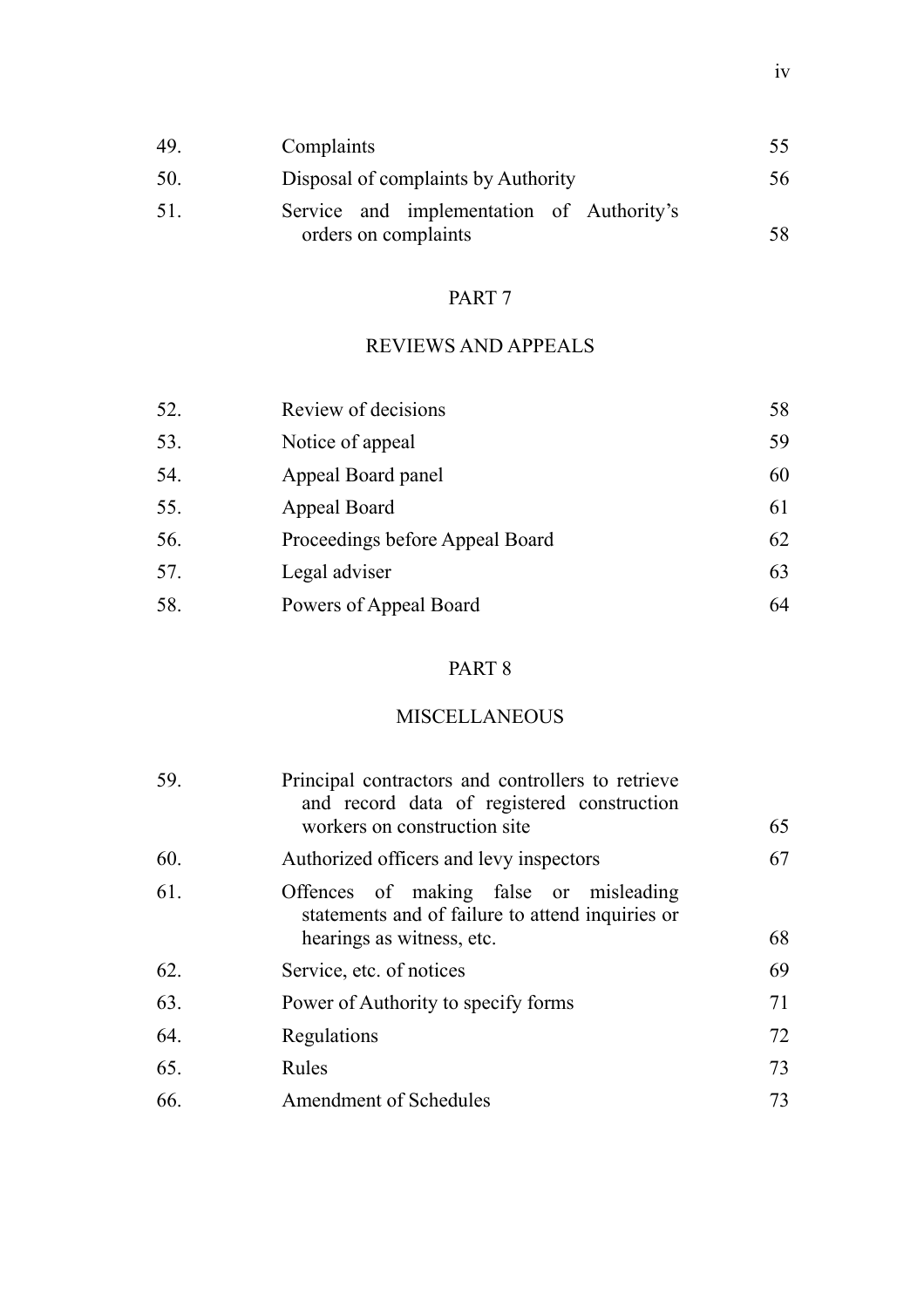| 49  | Complaints                                                        | 55  |
|-----|-------------------------------------------------------------------|-----|
| 50. | Disposal of complaints by Authority                               | 56  |
| 51  | Service and implementation of Authority's<br>orders on complaints | 58. |

# REVIEWS AND APPEALS

| 52. | Review of decisions             | 58 |
|-----|---------------------------------|----|
| 53. | Notice of appeal                | 59 |
| 54. | Appeal Board panel              | 60 |
| 55. | Appeal Board                    | 61 |
| 56. | Proceedings before Appeal Board | 62 |
| 57. | Legal adviser                   | 63 |
| 58. | Powers of Appeal Board          | 64 |

# PART 8

# MISCELLANEOUS

| 59. | Principal contractors and controllers to retrieve<br>and record data of registered construction<br>workers on construction site | 65 |
|-----|---------------------------------------------------------------------------------------------------------------------------------|----|
| 60. | Authorized officers and levy inspectors                                                                                         | 67 |
| 61. | Offences of making false or misleading<br>statements and of failure to attend inquiries or<br>hearings as witness, etc.         | 68 |
| 62. | Service, etc. of notices                                                                                                        | 69 |
| 63. | Power of Authority to specify forms                                                                                             | 71 |
| 64. | Regulations                                                                                                                     | 72 |
| 65. | Rules                                                                                                                           | 73 |
| 66. | <b>Amendment of Schedules</b>                                                                                                   | 73 |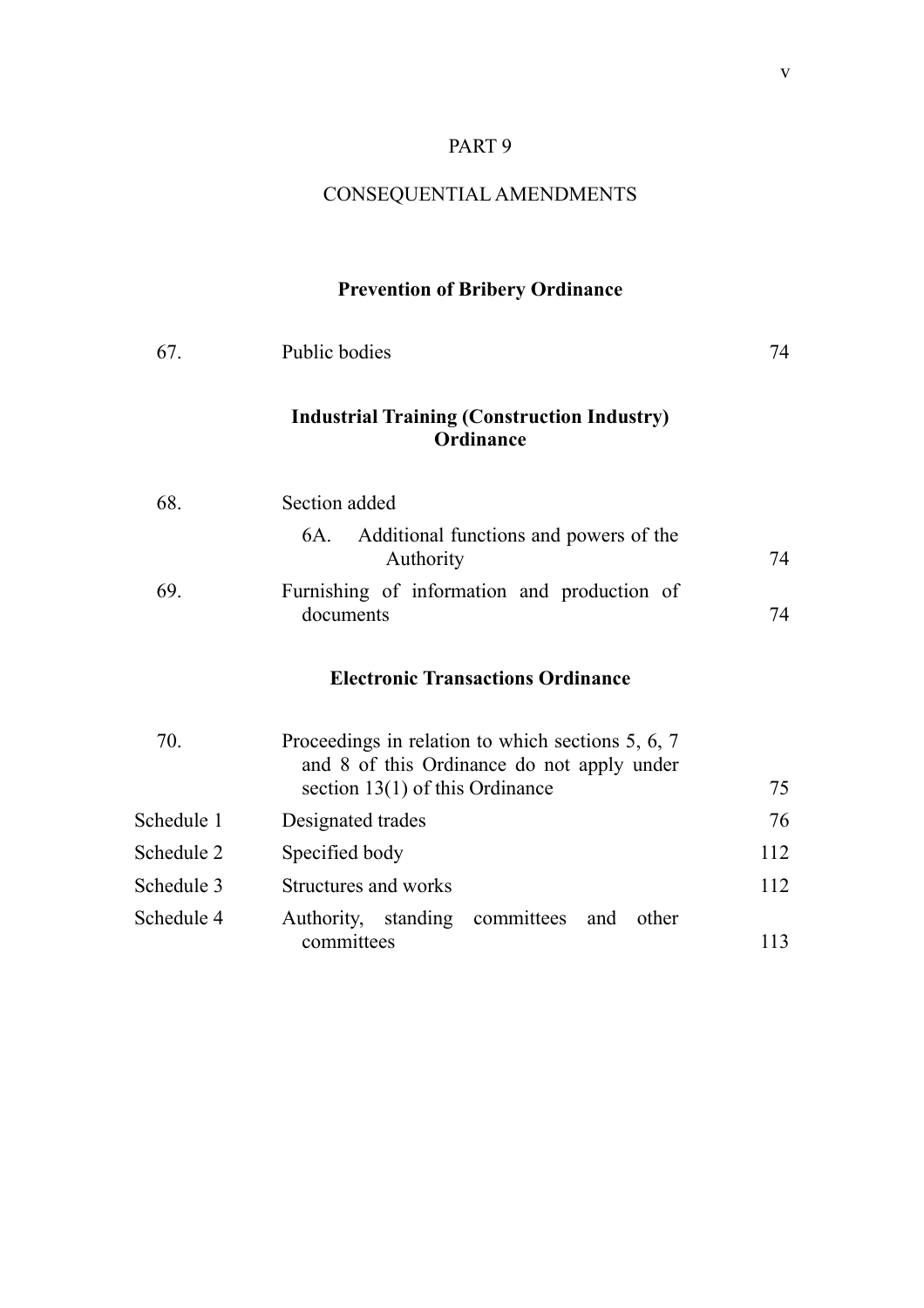# CONSEQUENTIAL AMENDMENTS

# **Prevention of Bribery Ordinance**

| 67.        | Public bodies                                                                                                                        | 74  |
|------------|--------------------------------------------------------------------------------------------------------------------------------------|-----|
|            | <b>Industrial Training (Construction Industry)</b><br>Ordinance                                                                      |     |
| 68.        | Section added                                                                                                                        |     |
|            | Additional functions and powers of the<br>6A.<br>Authority                                                                           | 74  |
| 69.        | Furnishing of information and production of<br>documents                                                                             | 74  |
|            | <b>Electronic Transactions Ordinance</b>                                                                                             |     |
| 70.        | Proceedings in relation to which sections 5, 6, 7<br>and 8 of this Ordinance do not apply under<br>section $13(1)$ of this Ordinance | 75  |
| Schedule 1 | Designated trades                                                                                                                    | 76  |
| Schedule 2 | Specified body                                                                                                                       | 112 |
| Schedule 3 | Structures and works                                                                                                                 | 112 |
| Schedule 4 | Authority, standing committees and<br>other<br>committees                                                                            | 113 |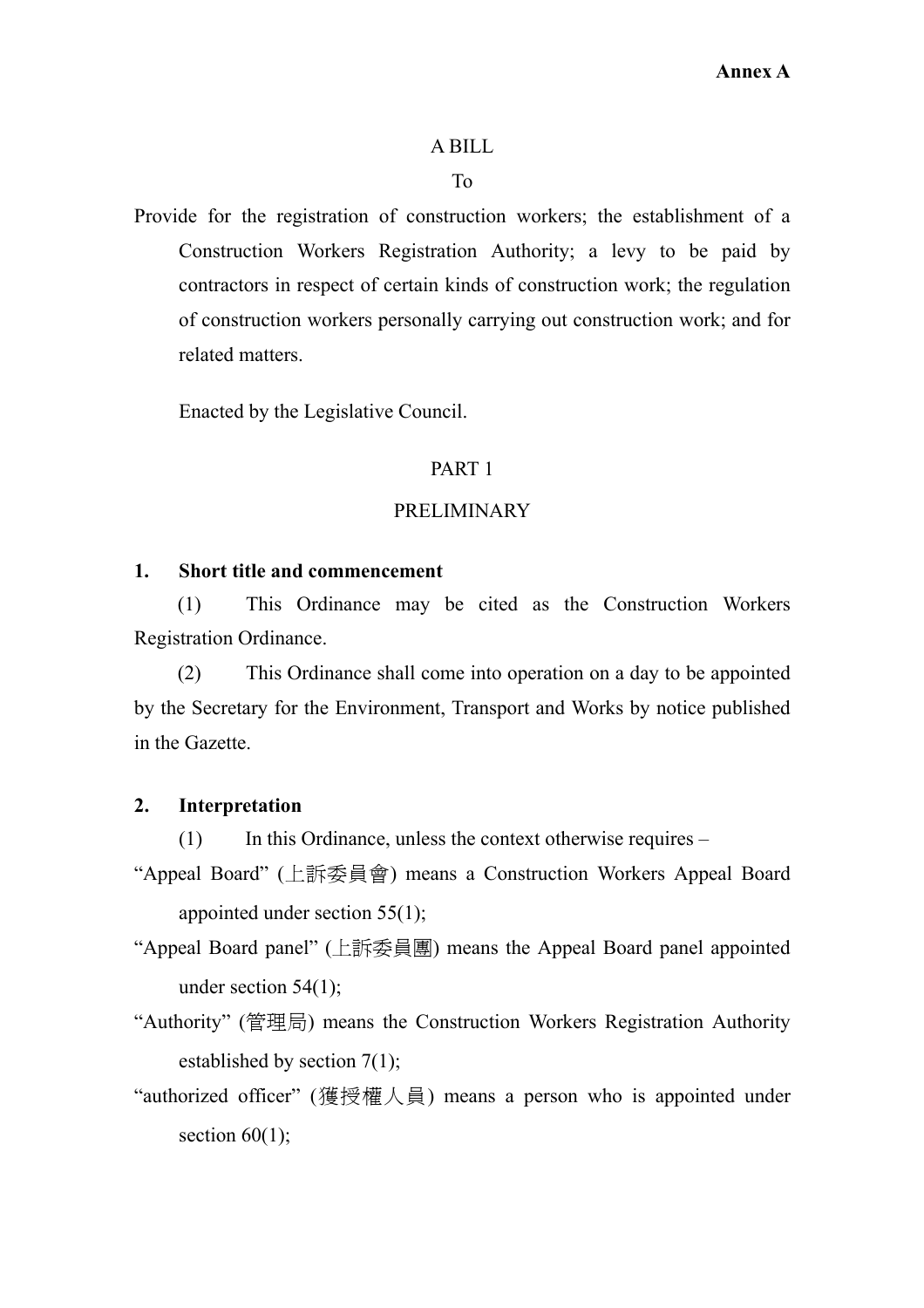### A BILL

### To

<span id="page-14-0"></span>Provide for the registration of construction workers; the establishment of a Construction Workers Registration Authority; a levy to be paid by contractors in respect of certain kinds of construction work; the regulation of construction workers personally carrying out construction work; and for related matters.

Enacted by the Legislative Council.

### PART 1

### PRELIMINARY

### **1. Short title and commencement**

(1) This Ordinance may be cited as the Construction Workers Registration Ordinance.

(2) This Ordinance shall come into operation on a day to be appointed by the Secretary for the Environment, Transport and Works by notice published in the Gazette.

### **2. Interpretation**

(1) In this Ordinance, unless the context otherwise requires –

- "Appeal Board" (上訴委員會) means a Construction Workers Appeal Board appointed under section 55(1);
- "Appeal Board panel" (上訴委員團) means the Appeal Board panel appointed under section 54(1);
- "Authority" (管理局) means the Construction Workers Registration Authority established by section 7(1);
- "authorized officer" (獲授權人員) means a person who is appointed under section  $60(1)$ ;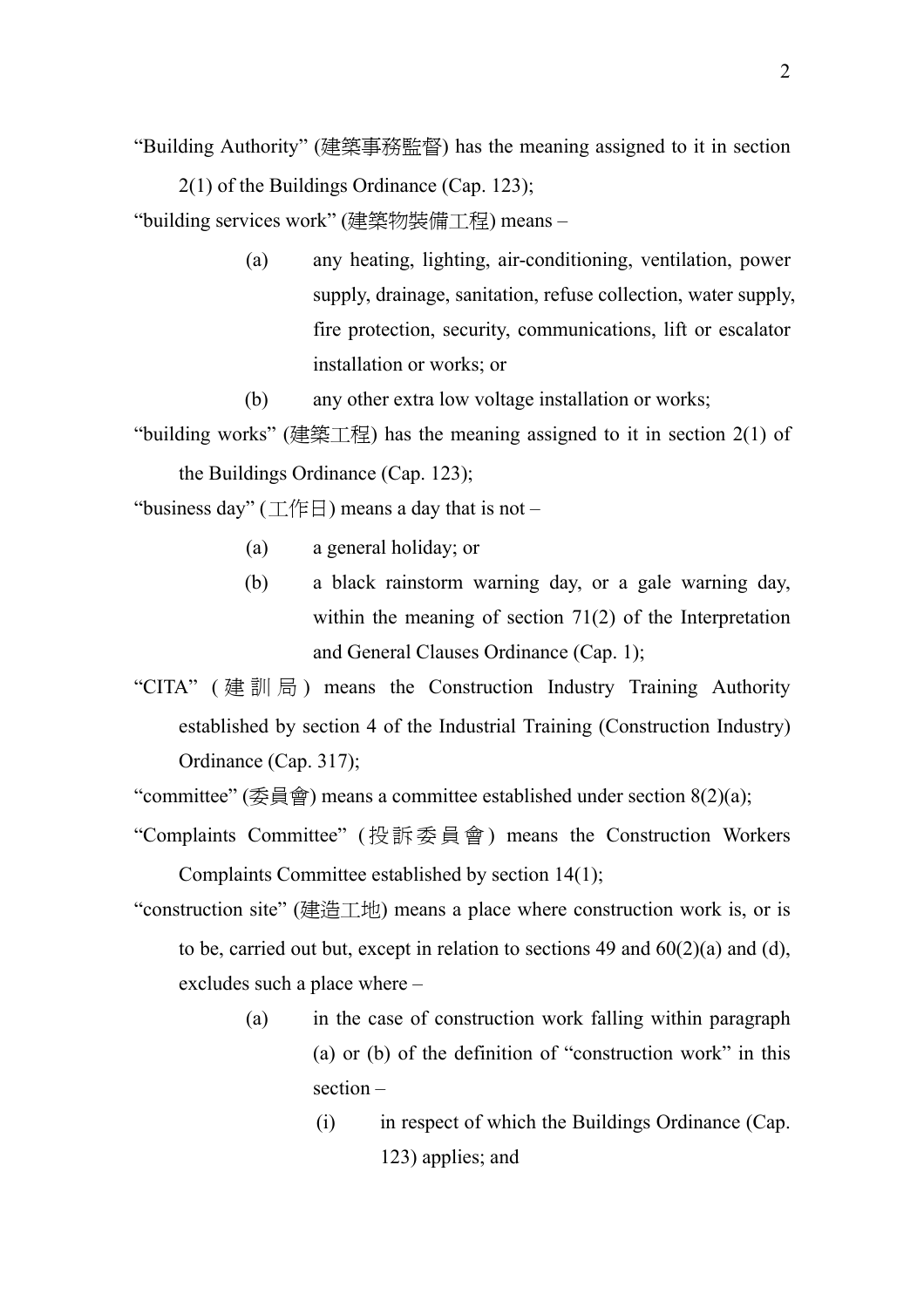"Building Authority" (建築事務監督) has the meaning assigned to it in section 2(1) of the Buildings Ordinance (Cap. 123);

"building services work" (建築物裝備工程) means –

- (a) any heating, lighting, air-conditioning, ventilation, power supply, drainage, sanitation, refuse collection, water supply, fire protection, security, communications, lift or escalator installation or works; or
- (b) any other extra low voltage installation or works;
- "building works" (建築工程) has the meaning assigned to it in section  $2(1)$  of the Buildings Ordinance (Cap. 123);

"business day" ( $\perp$  /  $\parallel$   $\parallel$ ) means a day that is not –

- (a) a general holiday; or
- (b) a black rainstorm warning day, or a gale warning day, within the meaning of section 71(2) of the Interpretation and General Clauses Ordinance (Cap. 1);
- "CITA" ( 建訓局 ) means the Construction Industry Training Authority established by section 4 of the Industrial Training (Construction Industry) Ordinance (Cap. 317);

"committee" (委員會) means a committee established under section  $8(2)(a)$ ;

- "Complaints Committee" ( 投訴委員會 ) means the Construction Workers Complaints Committee established by section 14(1);
- "construction site" (建造工地) means a place where construction work is, or is to be, carried out but, except in relation to sections 49 and  $60(2)(a)$  and (d), excludes such a place where –
	- (a) in the case of construction work falling within paragraph (a) or (b) of the definition of "construction work" in this section –
		- (i) in respect of which the Buildings Ordinance (Cap. 123) applies; and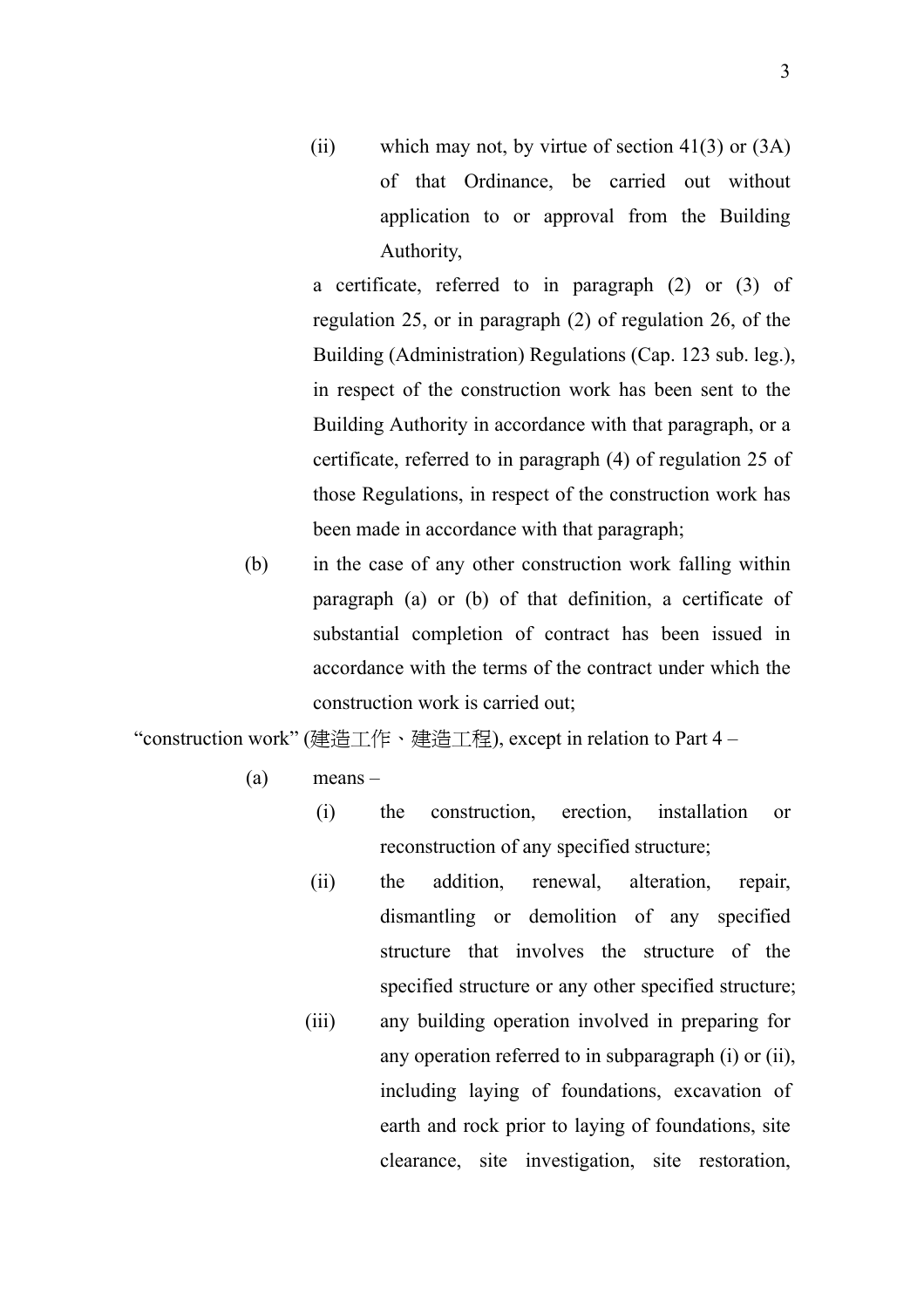(ii) which may not, by virtue of section  $41(3)$  or  $(3A)$ of that Ordinance, be carried out without application to or approval from the Building Authority,

 a certificate, referred to in paragraph (2) or (3) of regulation 25, or in paragraph (2) of regulation 26, of the Building (Administration) Regulations (Cap. 123 sub. leg.), in respect of the construction work has been sent to the Building Authority in accordance with that paragraph, or a certificate, referred to in paragraph (4) of regulation 25 of those Regulations, in respect of the construction work has been made in accordance with that paragraph;

(b) in the case of any other construction work falling within paragraph (a) or (b) of that definition, a certificate of substantial completion of contract has been issued in accordance with the terms of the contract under which the construction work is carried out;

"construction work" (建造工作、建造工程), except in relation to Part 4 –

- (a) means
	- (i) the construction, erection, installation or reconstruction of any specified structure;
	- (ii) the addition, renewal, alteration, repair, dismantling or demolition of any specified structure that involves the structure of the specified structure or any other specified structure;
	- (iii) any building operation involved in preparing for any operation referred to in subparagraph (i) or (ii), including laying of foundations, excavation of earth and rock prior to laying of foundations, site clearance, site investigation, site restoration,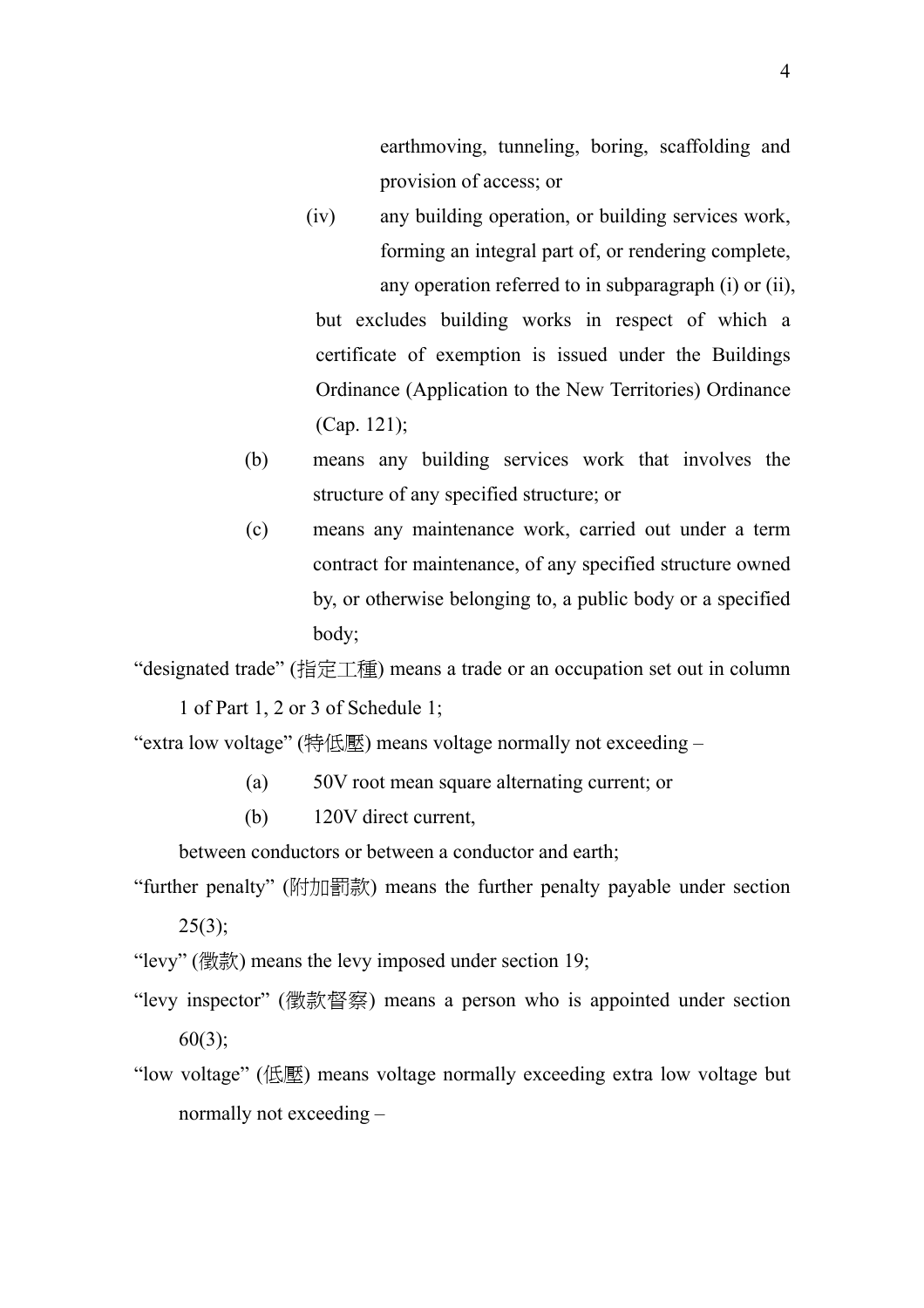earthmoving, tunneling, boring, scaffolding and provision of access; or

- (iv) any building operation, or building services work, forming an integral part of, or rendering complete, any operation referred to in subparagraph (i) or (ii), but excludes building works in respect of which a certificate of exemption is issued under the Buildings Ordinance (Application to the New Territories) Ordinance (Cap. 121);
- (b) means any building services work that involves the structure of any specified structure; or
- (c) means any maintenance work, carried out under a term contract for maintenance, of any specified structure owned by, or otherwise belonging to, a public body or a specified body;

"designated trade" (指定工種) means a trade or an occupation set out in column 1 of Part 1, 2 or 3 of Schedule 1;

"extra low voltage" (特低壓) means voltage normally not exceeding –

- (a) 50V root mean square alternating current; or
- (b) 120V direct current,

between conductors or between a conductor and earth;

"further penalty" (附加罰款) means the further penalty payable under section  $25(3)$ ;

"levy" (徵款) means the levy imposed under section 19;

- "levy inspector" (徵款督察) means a person who is appointed under section 60(3);
- "low voltage" (低壓) means voltage normally exceeding extra low voltage but normally not exceeding –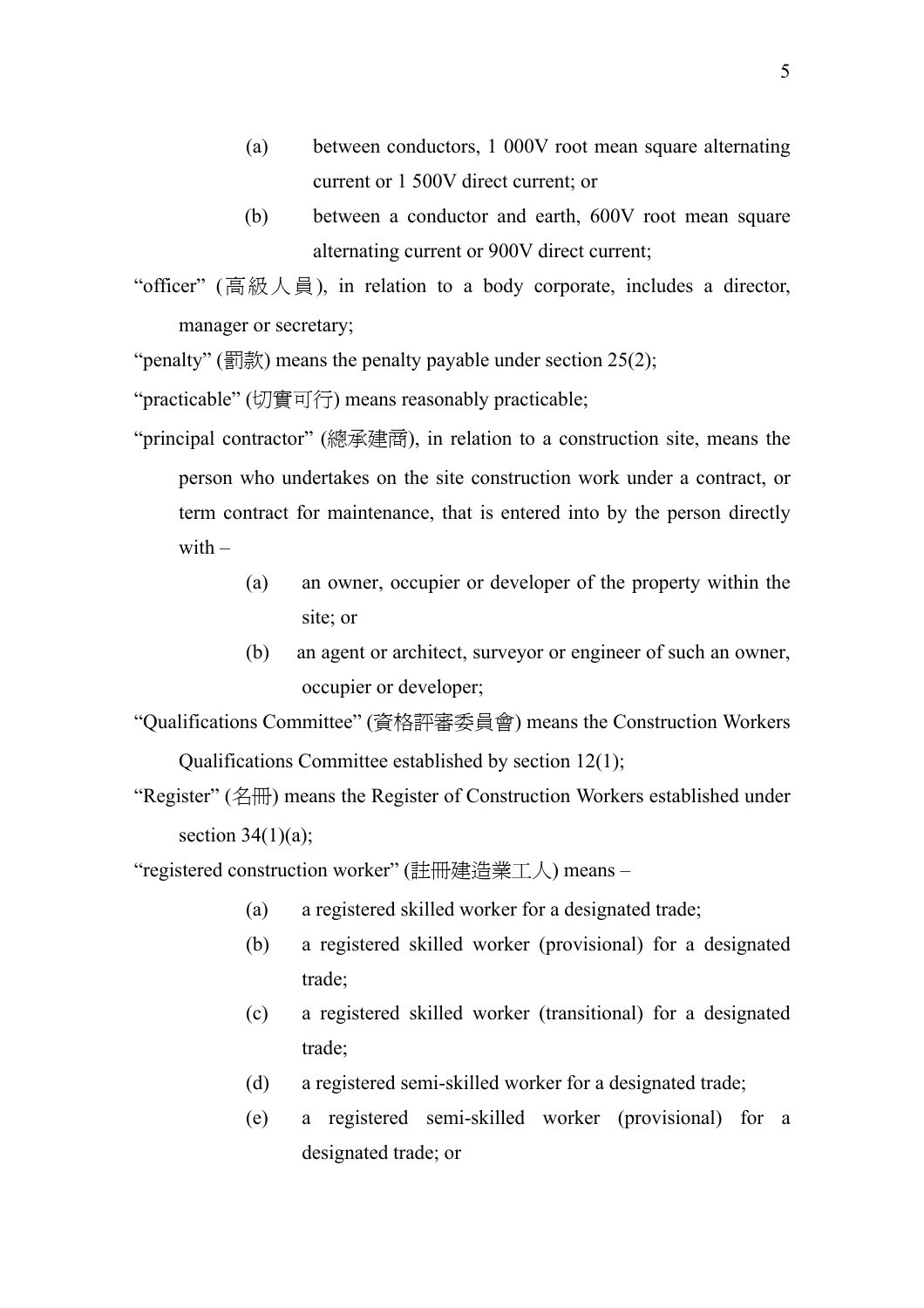- (a) between conductors, 1 000V root mean square alternating current or 1 500V direct current; or
- (b) between a conductor and earth, 600V root mean square alternating current or 900V direct current;

"officer" (高級人員), in relation to a body corporate, includes a director, manager or secretary;

"penalty" (罰款) means the penalty payable under section  $25(2)$ ;

"practicable" (切實可行) means reasonably practicable;

- "principal contractor" (總承建商), in relation to a construction site, means the person who undertakes on the site construction work under a contract, or term contract for maintenance, that is entered into by the person directly with  $-$ 
	- (a) an owner, occupier or developer of the property within the site; or
	- (b) an agent or architect, surveyor or engineer of such an owner, occupier or developer;

"Qualifications Committee" (資格評審委員會) means the Construction Workers

Qualifications Committee established by section 12(1);

"Register" (名冊) means the Register of Construction Workers established under section  $34(1)(a)$ ;

"registered construction worker" (註冊建造業工人) means –

- (a) a registered skilled worker for a designated trade;
- (b) a registered skilled worker (provisional) for a designated trade;
- (c) a registered skilled worker (transitional) for a designated trade;
- (d) a registered semi-skilled worker for a designated trade;
- (e) a registered semi-skilled worker (provisional) for a designated trade; or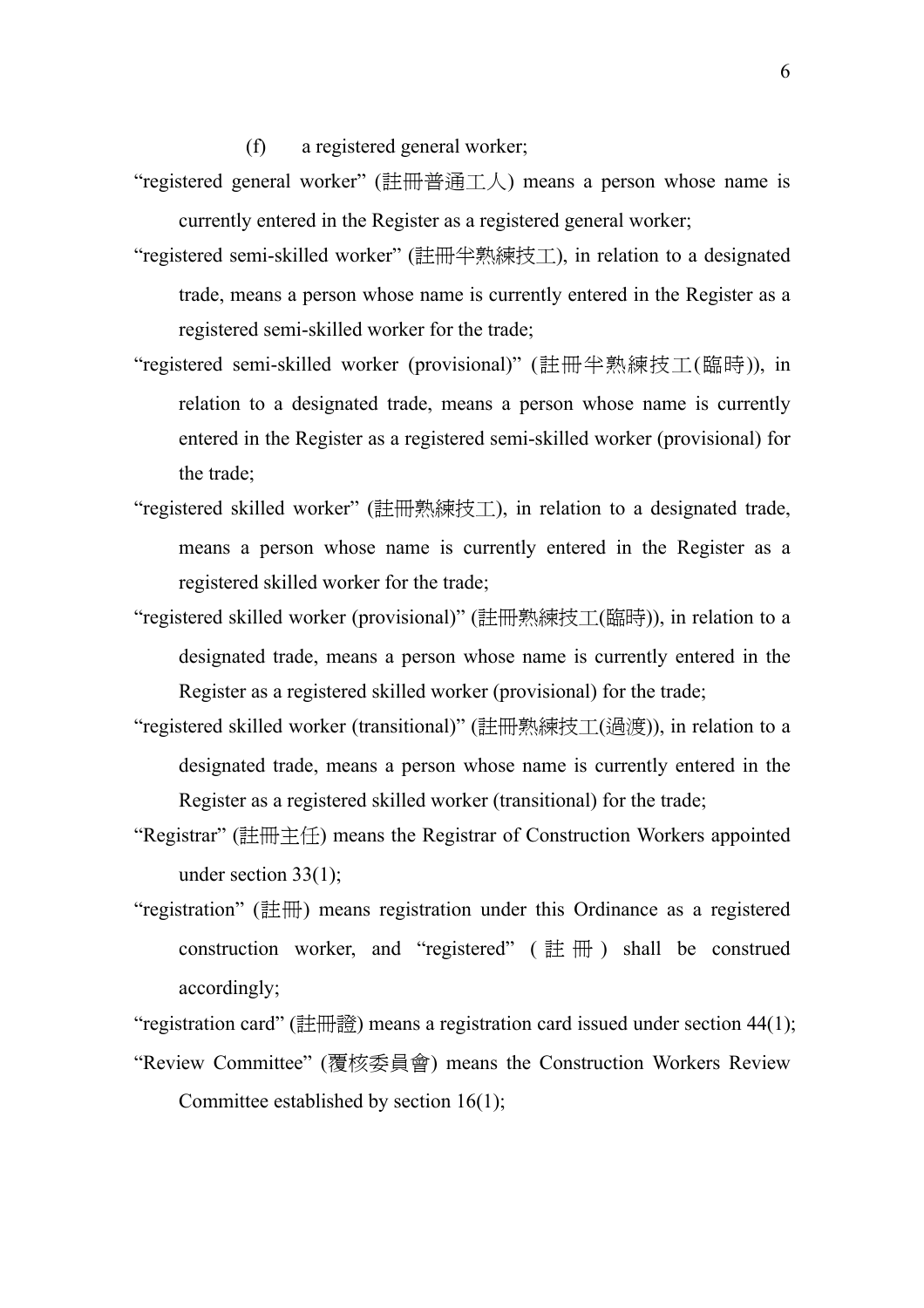(f) a registered general worker;

- "registered general worker" (註冊普通工人) means a person whose name is currently entered in the Register as a registered general worker;
- "registered semi-skilled worker" (註冊半熟練技工), in relation to a designated trade, means a person whose name is currently entered in the Register as a registered semi-skilled worker for the trade;
- "registered semi-skilled worker (provisional)" (註冊半熟練技工(臨時)), in relation to a designated trade, means a person whose name is currently entered in the Register as a registered semi-skilled worker (provisional) for the trade;
- "registered skilled worker" (註冊熟練技工), in relation to a designated trade, means a person whose name is currently entered in the Register as a registered skilled worker for the trade;
- "registered skilled worker (provisional)" (註冊熟練技工(臨時)), in relation to a designated trade, means a person whose name is currently entered in the Register as a registered skilled worker (provisional) for the trade;
- "registered skilled worker (transitional)" (註冊熟練技工(過渡)), in relation to a designated trade, means a person whose name is currently entered in the Register as a registered skilled worker (transitional) for the trade;
- "Registrar" (註冊主任) means the Registrar of Construction Workers appointed under section 33(1);
- "registration" (註冊) means registration under this Ordinance as a registered construction worker, and "registered" ( $\# \#$ ) shall be construed accordingly;

"registration card" (註冊證) means a registration card issued under section  $44(1)$ ;

"Review Committee" (覆核委員會) means the Construction Workers Review Committee established by section 16(1);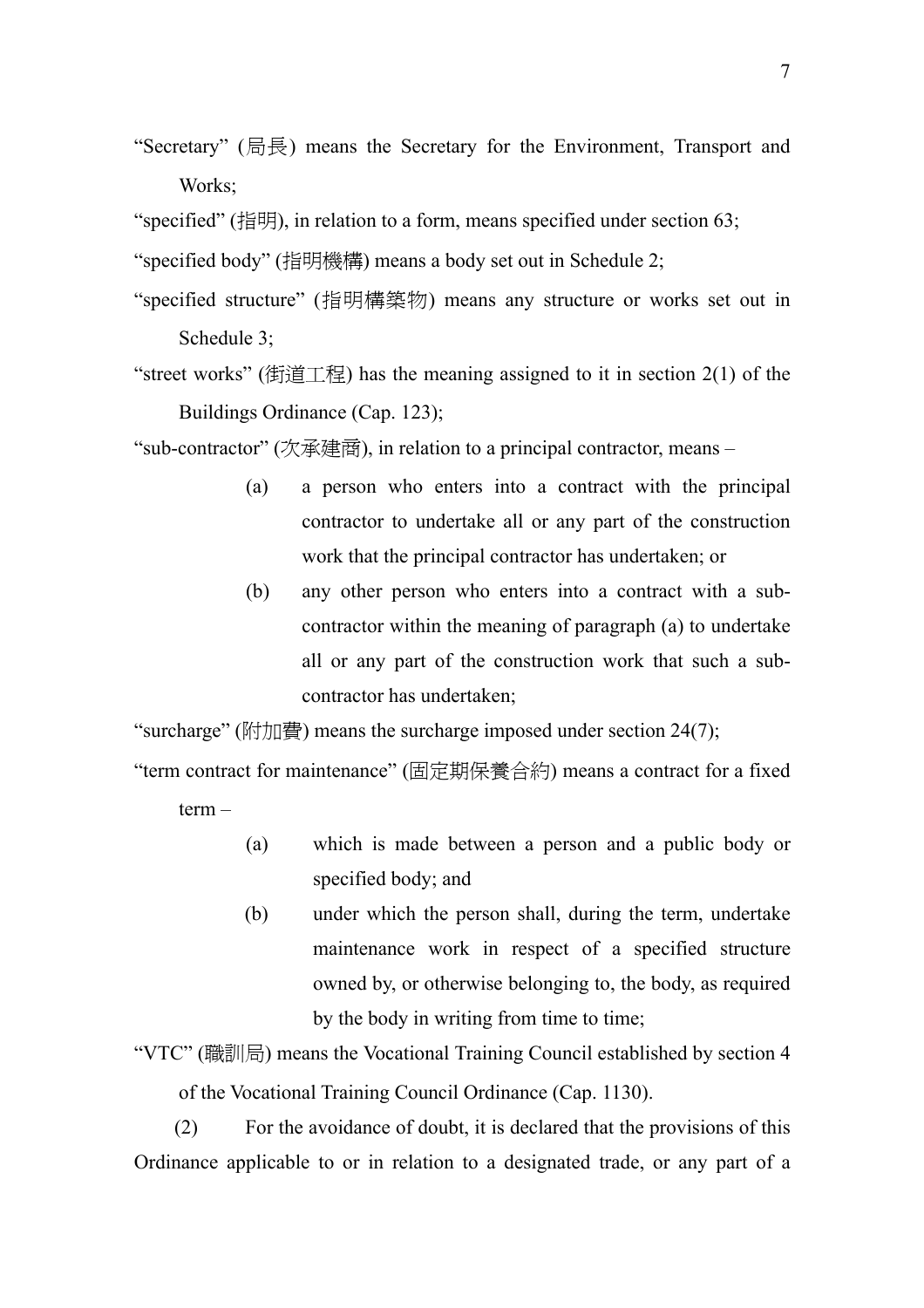"Secretary" (局長) means the Secretary for the Environment, Transport and Works;

"specified" (指明), in relation to a form, means specified under section 63;

- "specified body" (指明機構) means a body set out in Schedule 2;
- "specified structure" (指明構築物) means any structure or works set out in Schedule 3;
- "street works" (街道工程) has the meaning assigned to it in section  $2(1)$  of the Buildings Ordinance (Cap. 123);

"sub-contractor" (次承建商), in relation to a principal contractor, means –

- (a) a person who enters into a contract with the principal contractor to undertake all or any part of the construction work that the principal contractor has undertaken; or
- (b) any other person who enters into a contract with a subcontractor within the meaning of paragraph (a) to undertake all or any part of the construction work that such a subcontractor has undertaken;

"surcharge" (附加費) means the surcharge imposed under section  $24(7)$ ;

"term contract for maintenance" (固定期保養合約) means a contract for a fixed term –

- (a) which is made between a person and a public body or specified body; and
- (b) under which the person shall, during the term, undertake maintenance work in respect of a specified structure owned by, or otherwise belonging to, the body, as required by the body in writing from time to time;
- "VTC" (職訓局) means the Vocational Training Council established by section 4 of the Vocational Training Council Ordinance (Cap. 1130).

(2) For the avoidance of doubt, it is declared that the provisions of this Ordinance applicable to or in relation to a designated trade, or any part of a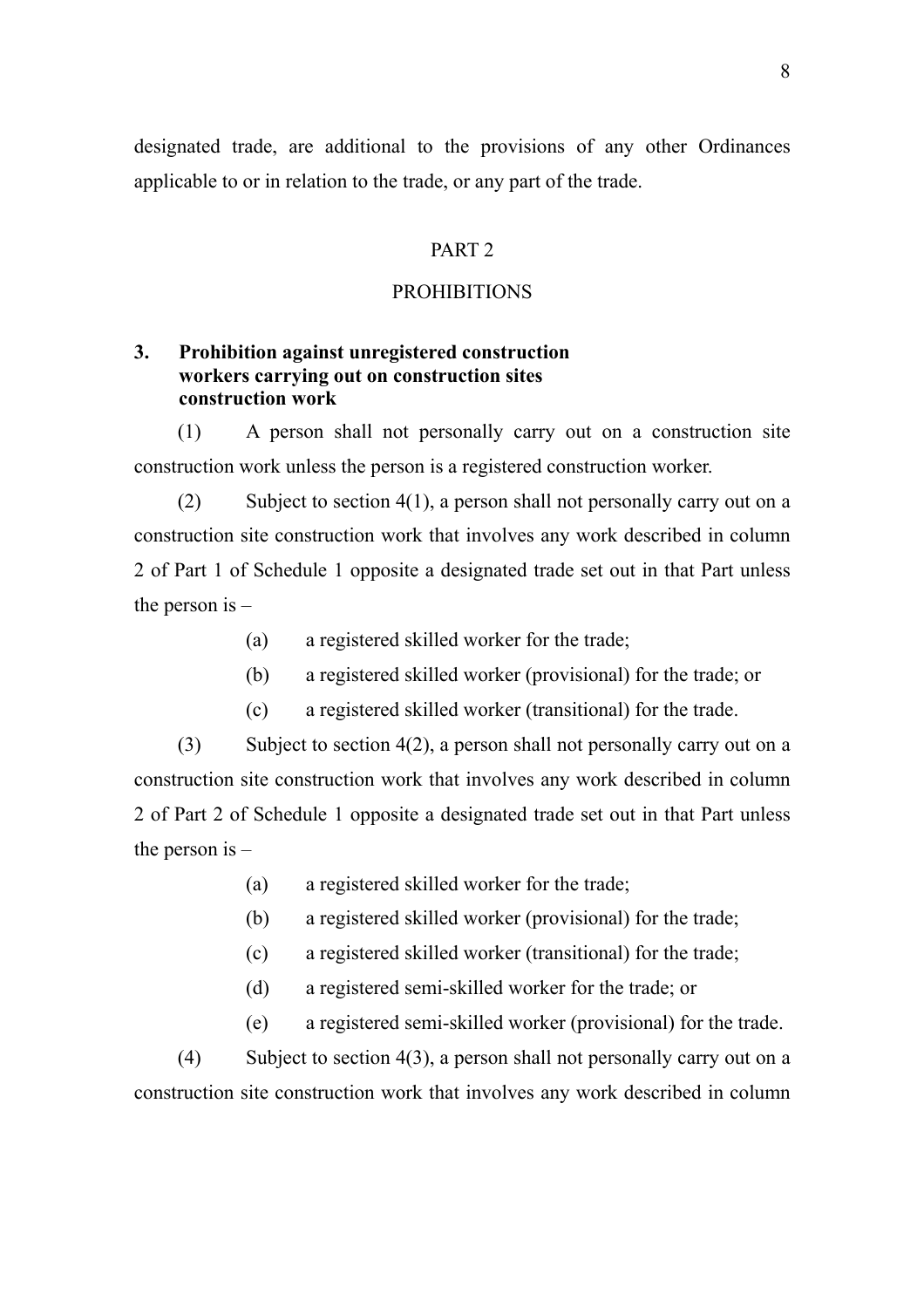<span id="page-21-0"></span>designated trade, are additional to the provisions of any other Ordinances applicable to or in relation to the trade, or any part of the trade.

### PART 2

#### PROHIBITIONS

### **3. Prohibition against unregistered construction workers carrying out on construction sites construction work**

(1) A person shall not personally carry out on a construction site construction work unless the person is a registered construction worker.

(2) Subject to section 4(1), a person shall not personally carry out on a construction site construction work that involves any work described in column 2 of Part 1 of Schedule 1 opposite a designated trade set out in that Part unless the person is  $-$ 

- (a) a registered skilled worker for the trade;
- (b) a registered skilled worker (provisional) for the trade; or
- (c) a registered skilled worker (transitional) for the trade.

(3) Subject to section 4(2), a person shall not personally carry out on a construction site construction work that involves any work described in column 2 of Part 2 of Schedule 1 opposite a designated trade set out in that Part unless the person is  $-$ 

- (a) a registered skilled worker for the trade;
- (b) a registered skilled worker (provisional) for the trade;
- (c) a registered skilled worker (transitional) for the trade;
- (d) a registered semi-skilled worker for the trade; or
- (e) a registered semi-skilled worker (provisional) for the trade.

(4) Subject to section 4(3), a person shall not personally carry out on a construction site construction work that involves any work described in column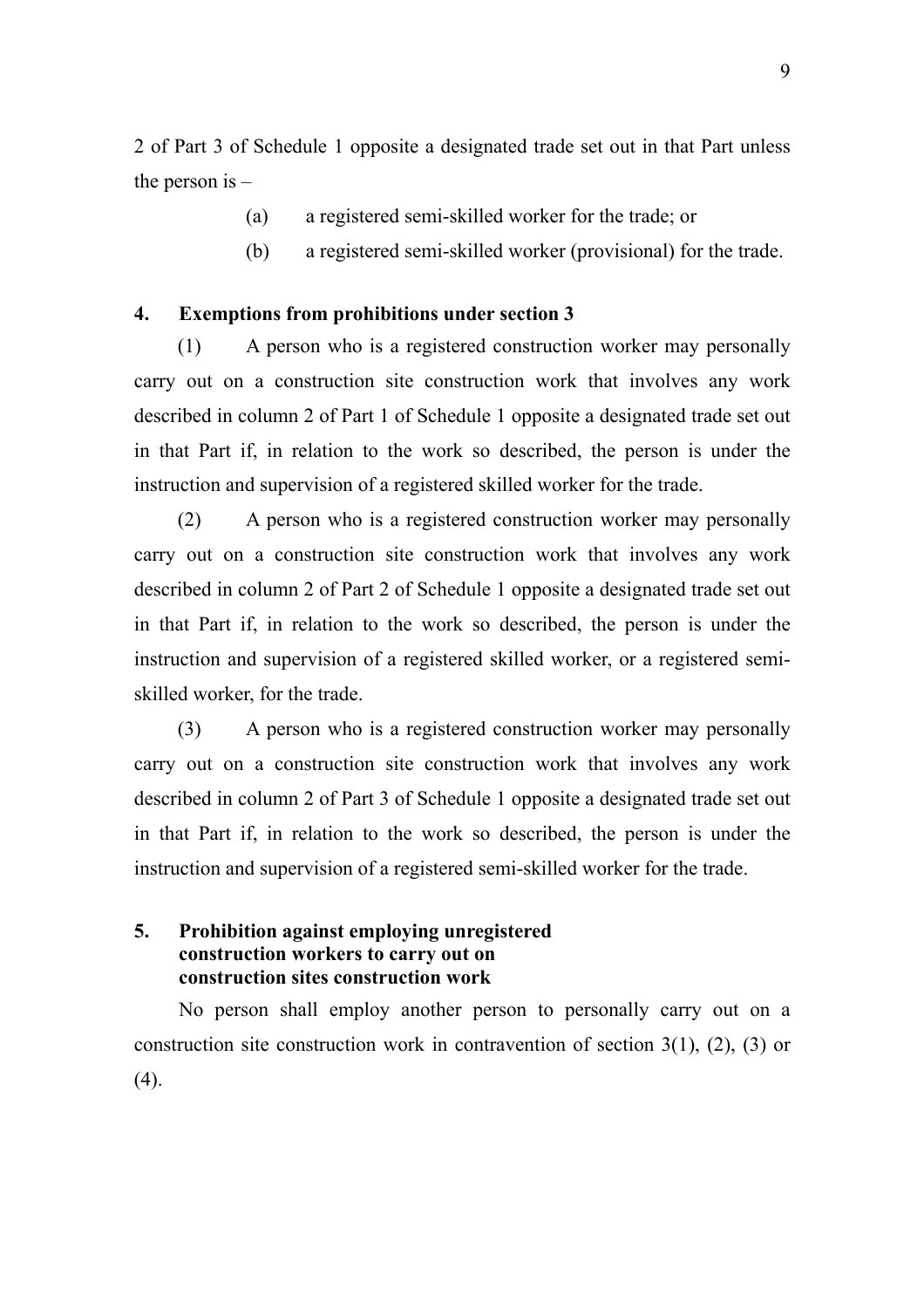<span id="page-22-0"></span>2 of Part 3 of Schedule 1 opposite a designated trade set out in that Part unless the person is  $-$ 

- (a) a registered semi-skilled worker for the trade; or
- (b) a registered semi-skilled worker (provisional) for the trade.

### **4. Exemptions from prohibitions under section 3**

(1) A person who is a registered construction worker may personally carry out on a construction site construction work that involves any work described in column 2 of Part 1 of Schedule 1 opposite a designated trade set out in that Part if, in relation to the work so described, the person is under the instruction and supervision of a registered skilled worker for the trade.

(2) A person who is a registered construction worker may personally carry out on a construction site construction work that involves any work described in column 2 of Part 2 of Schedule 1 opposite a designated trade set out in that Part if, in relation to the work so described, the person is under the instruction and supervision of a registered skilled worker, or a registered semiskilled worker, for the trade.

(3) A person who is a registered construction worker may personally carry out on a construction site construction work that involves any work described in column 2 of Part 3 of Schedule 1 opposite a designated trade set out in that Part if, in relation to the work so described, the person is under the instruction and supervision of a registered semi-skilled worker for the trade.

### **5. Prohibition against employing unregistered construction workers to carry out on construction sites construction work**

No person shall employ another person to personally carry out on a construction site construction work in contravention of section 3(1), (2), (3) or  $(4)$ .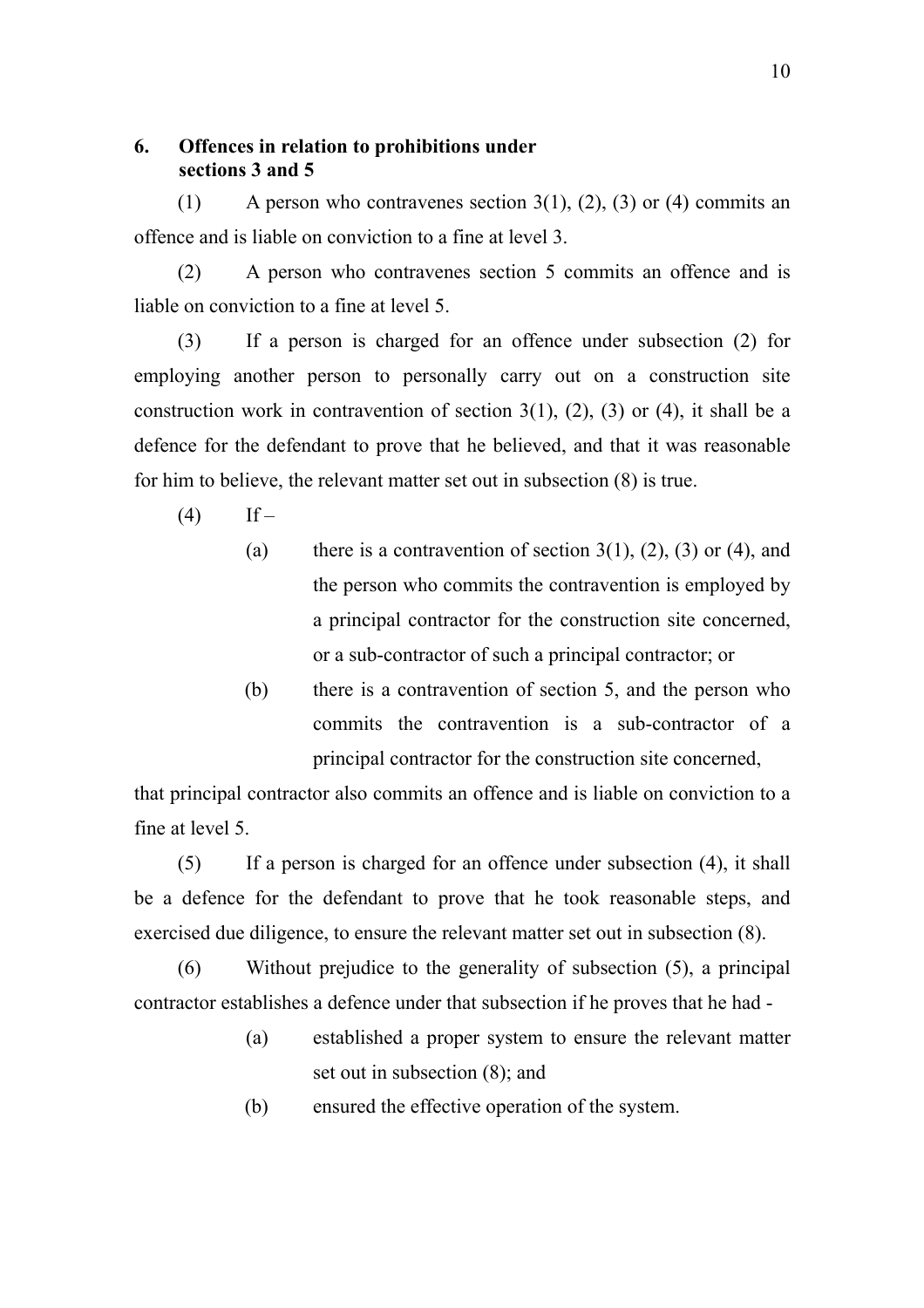### <span id="page-23-0"></span>**6. Offences in relation to prohibitions under sections 3 and 5**

(1) A person who contravenes section  $3(1)$ ,  $(2)$ ,  $(3)$  or  $(4)$  commits an offence and is liable on conviction to a fine at level 3.

(2) A person who contravenes section 5 commits an offence and is liable on conviction to a fine at level 5.

(3) If a person is charged for an offence under subsection (2) for employing another person to personally carry out on a construction site construction work in contravention of section  $3(1)$ ,  $(2)$ ,  $(3)$  or  $(4)$ , it shall be a defence for the defendant to prove that he believed, and that it was reasonable for him to believe, the relevant matter set out in subsection (8) is true.

- $(4)$  If
	- (a) there is a contravention of section  $3(1)$ ,  $(2)$ ,  $(3)$  or  $(4)$ , and the person who commits the contravention is employed by a principal contractor for the construction site concerned, or a sub-contractor of such a principal contractor; or
	- (b) there is a contravention of section 5, and the person who commits the contravention is a sub-contractor of a principal contractor for the construction site concerned,

that principal contractor also commits an offence and is liable on conviction to a fine at level 5.

(5) If a person is charged for an offence under subsection (4), it shall be a defence for the defendant to prove that he took reasonable steps, and exercised due diligence, to ensure the relevant matter set out in subsection (8).

(6) Without prejudice to the generality of subsection (5), a principal contractor establishes a defence under that subsection if he proves that he had -

- (a) established a proper system to ensure the relevant matter set out in subsection (8); and
- (b) ensured the effective operation of the system.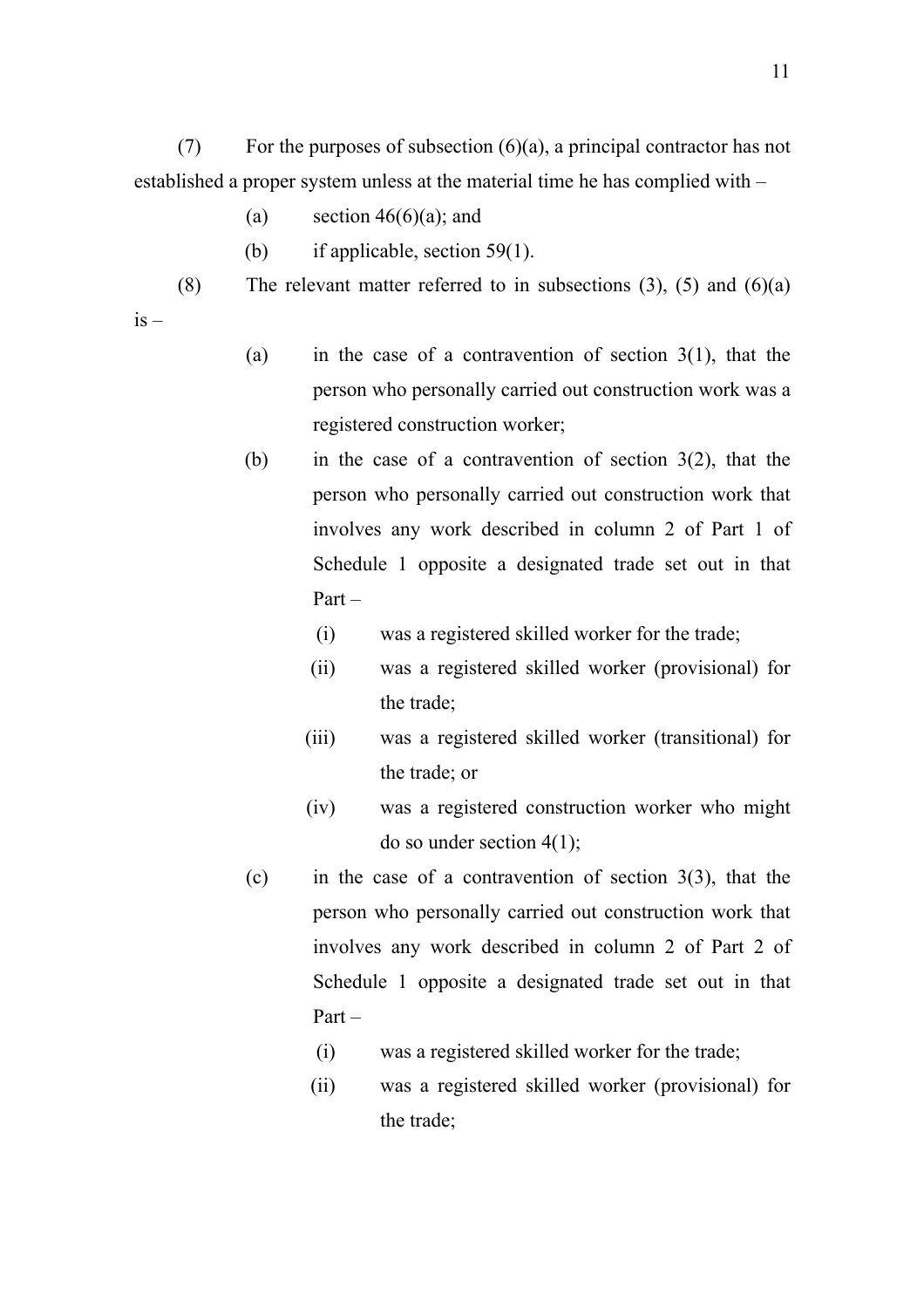(7) For the purposes of subsection  $(6)(a)$ , a principal contractor has not established a proper system unless at the material time he has complied with –

- (a) section  $46(6)(a)$ ; and
- (b) if applicable, section 59(1).
- (8) The relevant matter referred to in subsections  $(3)$ ,  $(5)$  and  $(6)(a)$

 $is -$ 

- (a) in the case of a contravention of section  $3(1)$ , that the person who personally carried out construction work was a registered construction worker;
- (b) in the case of a contravention of section 3(2), that the person who personally carried out construction work that involves any work described in column 2 of Part 1 of Schedule 1 opposite a designated trade set out in that Part –
	- (i) was a registered skilled worker for the trade;
	- (ii) was a registered skilled worker (provisional) for the trade;
	- (iii) was a registered skilled worker (transitional) for the trade; or
	- (iv) was a registered construction worker who might do so under section  $4(1)$ ;
- (c) in the case of a contravention of section 3(3), that the person who personally carried out construction work that involves any work described in column 2 of Part 2 of Schedule 1 opposite a designated trade set out in that Part –
	- (i) was a registered skilled worker for the trade;
	- (ii) was a registered skilled worker (provisional) for the trade;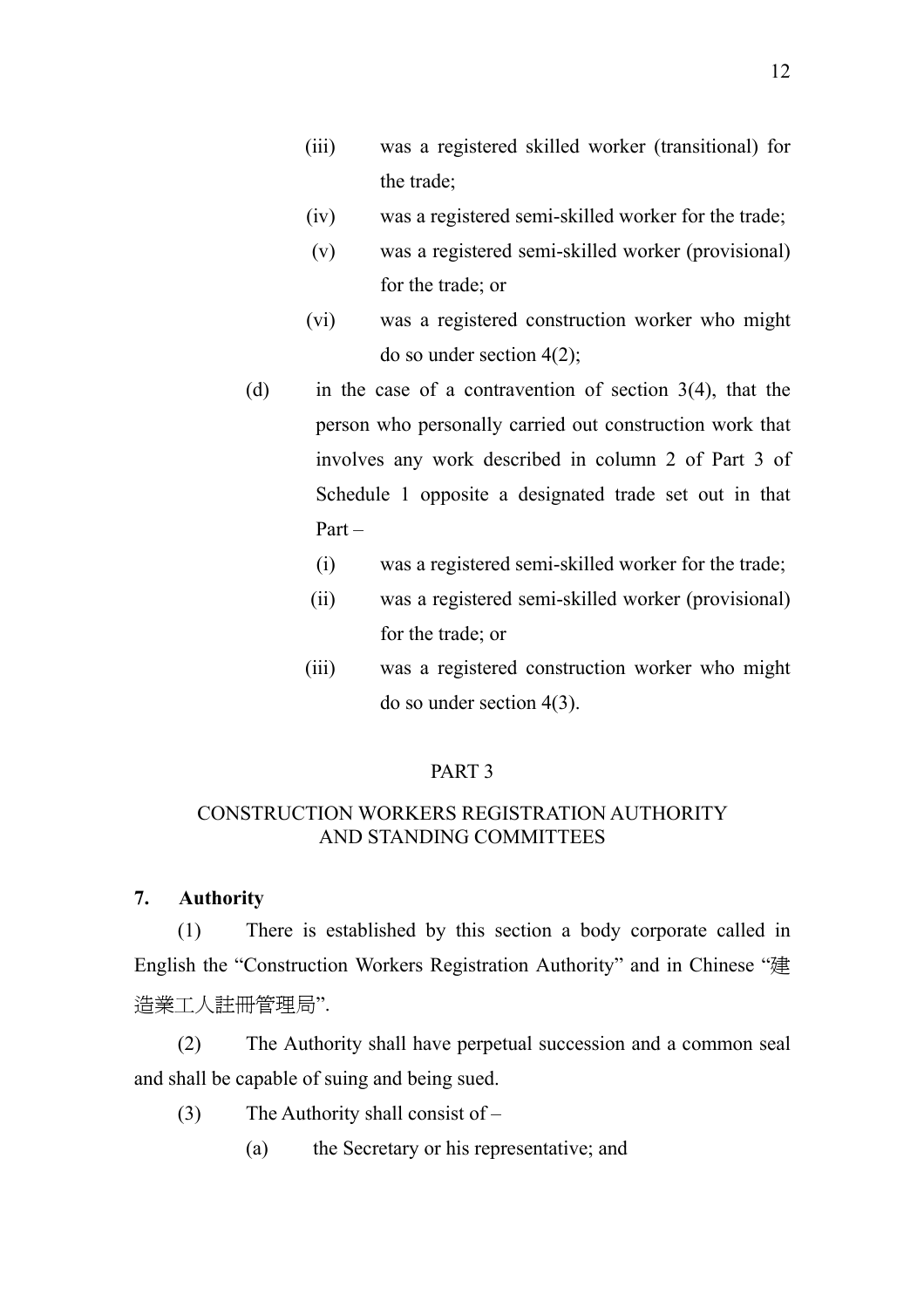- <span id="page-25-0"></span>(iii) was a registered skilled worker (transitional) for the trade;
- (iv) was a registered semi-skilled worker for the trade;
- (v) was a registered semi-skilled worker (provisional) for the trade; or
- (vi) was a registered construction worker who might do so under section 4(2);
- (d) in the case of a contravention of section 3(4), that the person who personally carried out construction work that involves any work described in column 2 of Part 3 of Schedule 1 opposite a designated trade set out in that Part –
	- (i) was a registered semi-skilled worker for the trade;
	- (ii) was a registered semi-skilled worker (provisional) for the trade; or
	- (iii) was a registered construction worker who might do so under section 4(3).

### CONSTRUCTION WORKERS REGISTRATION AUTHORITY AND STANDING COMMITTEES

### **7. Authority**

(1) There is established by this section a body corporate called in English the "Construction Workers Registration Authority" and in Chinese "建 造業工人註冊管理局".

(2) The Authority shall have perpetual succession and a common seal and shall be capable of suing and being sued.

- (3) The Authority shall consist of
	- (a) the Secretary or his representative; and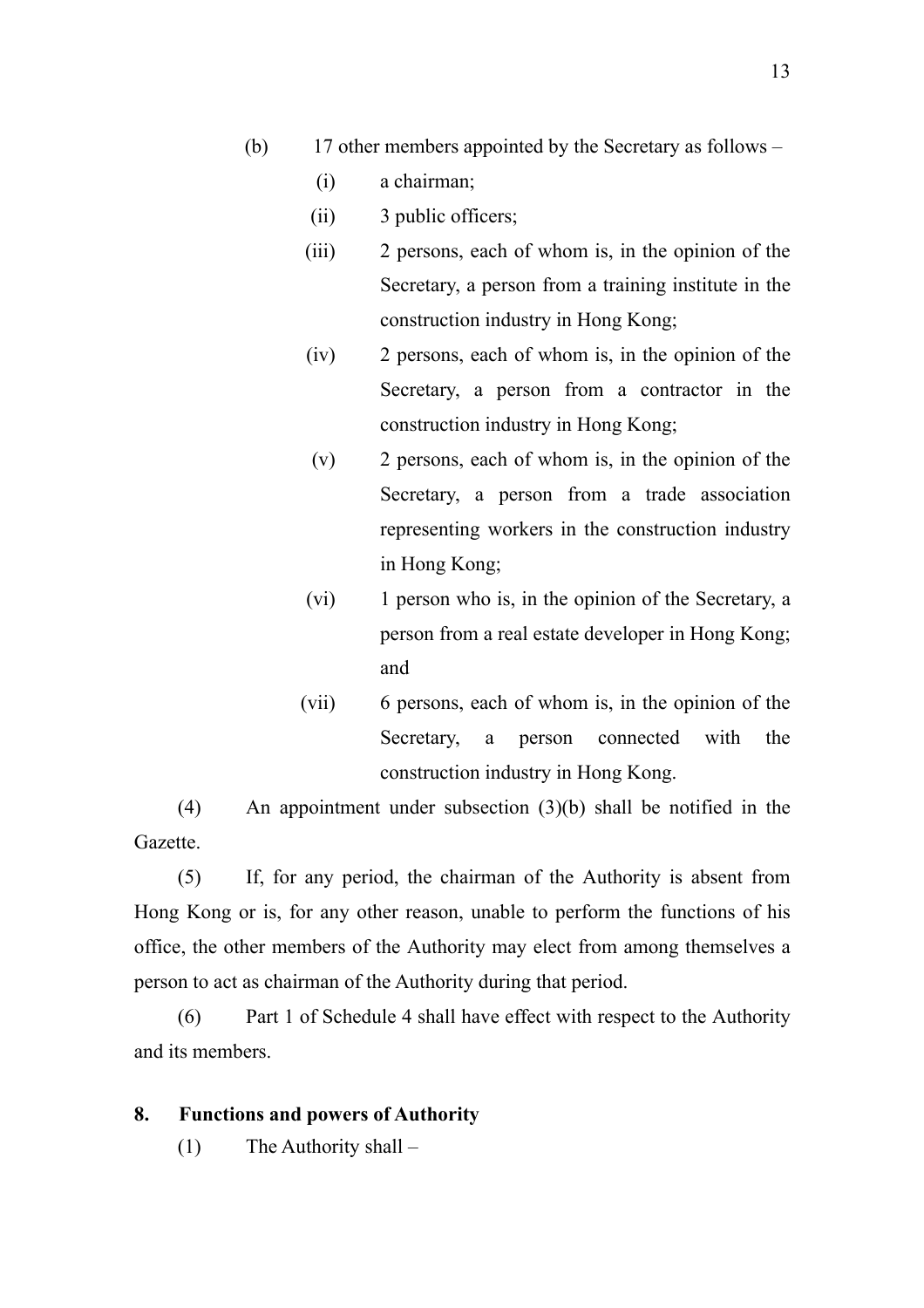- <span id="page-26-0"></span>(b) 17 other members appointed by the Secretary as follows –
	- (i) a chairman;
	- (ii) 3 public officers;
	- (iii) 2 persons, each of whom is, in the opinion of the Secretary, a person from a training institute in the construction industry in Hong Kong;
	- (iv) 2 persons, each of whom is, in the opinion of the Secretary, a person from a contractor in the construction industry in Hong Kong;
	- (v) 2 persons, each of whom is, in the opinion of the Secretary, a person from a trade association representing workers in the construction industry in Hong Kong;
	- (vi) 1 person who is, in the opinion of the Secretary, a person from a real estate developer in Hong Kong; and
	- (vii) 6 persons, each of whom is, in the opinion of the Secretary, a person connected with the construction industry in Hong Kong.

(4) An appointment under subsection (3)(b) shall be notified in the Gazette.

(5) If, for any period, the chairman of the Authority is absent from Hong Kong or is, for any other reason, unable to perform the functions of his office, the other members of the Authority may elect from among themselves a person to act as chairman of the Authority during that period.

(6) Part 1 of Schedule 4 shall have effect with respect to the Authority and its members.

### **8. Functions and powers of Authority**

(1) The Authority shall –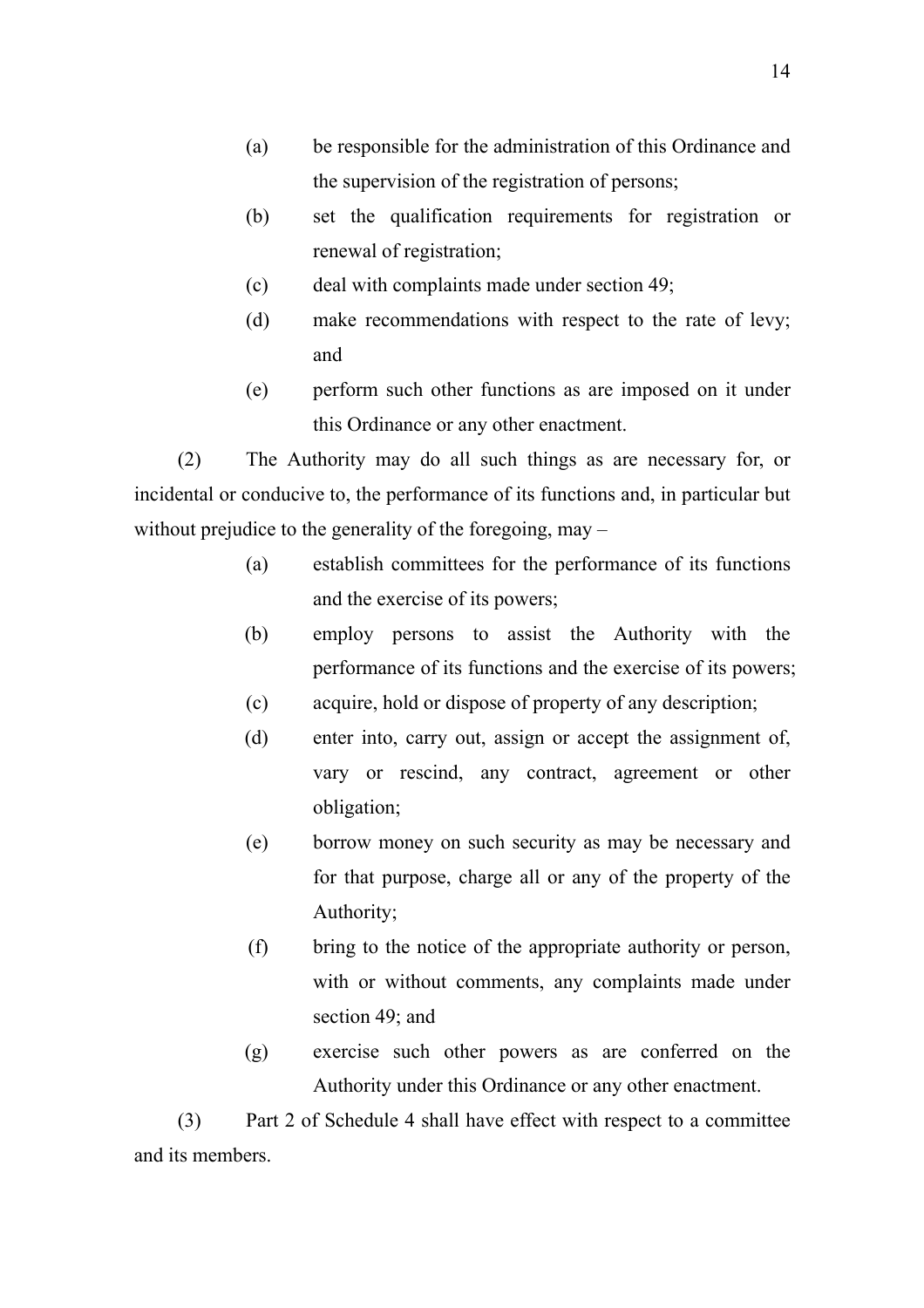- (a) be responsible for the administration of this Ordinance and the supervision of the registration of persons;
- (b) set the qualification requirements for registration or renewal of registration;
- (c) deal with complaints made under section 49;
- (d) make recommendations with respect to the rate of levy; and
- (e) perform such other functions as are imposed on it under this Ordinance or any other enactment.

(2) The Authority may do all such things as are necessary for, or incidental or conducive to, the performance of its functions and, in particular but without prejudice to the generality of the foregoing, may –

- (a) establish committees for the performance of its functions and the exercise of its powers;
- (b) employ persons to assist the Authority with the performance of its functions and the exercise of its powers;
- (c) acquire, hold or dispose of property of any description;
- (d) enter into, carry out, assign or accept the assignment of, vary or rescind, any contract, agreement or other obligation;
- (e) borrow money on such security as may be necessary and for that purpose, charge all or any of the property of the Authority;
- (f) bring to the notice of the appropriate authority or person, with or without comments, any complaints made under section 49; and
- (g) exercise such other powers as are conferred on the Authority under this Ordinance or any other enactment.

(3) Part 2 of Schedule 4 shall have effect with respect to a committee and its members.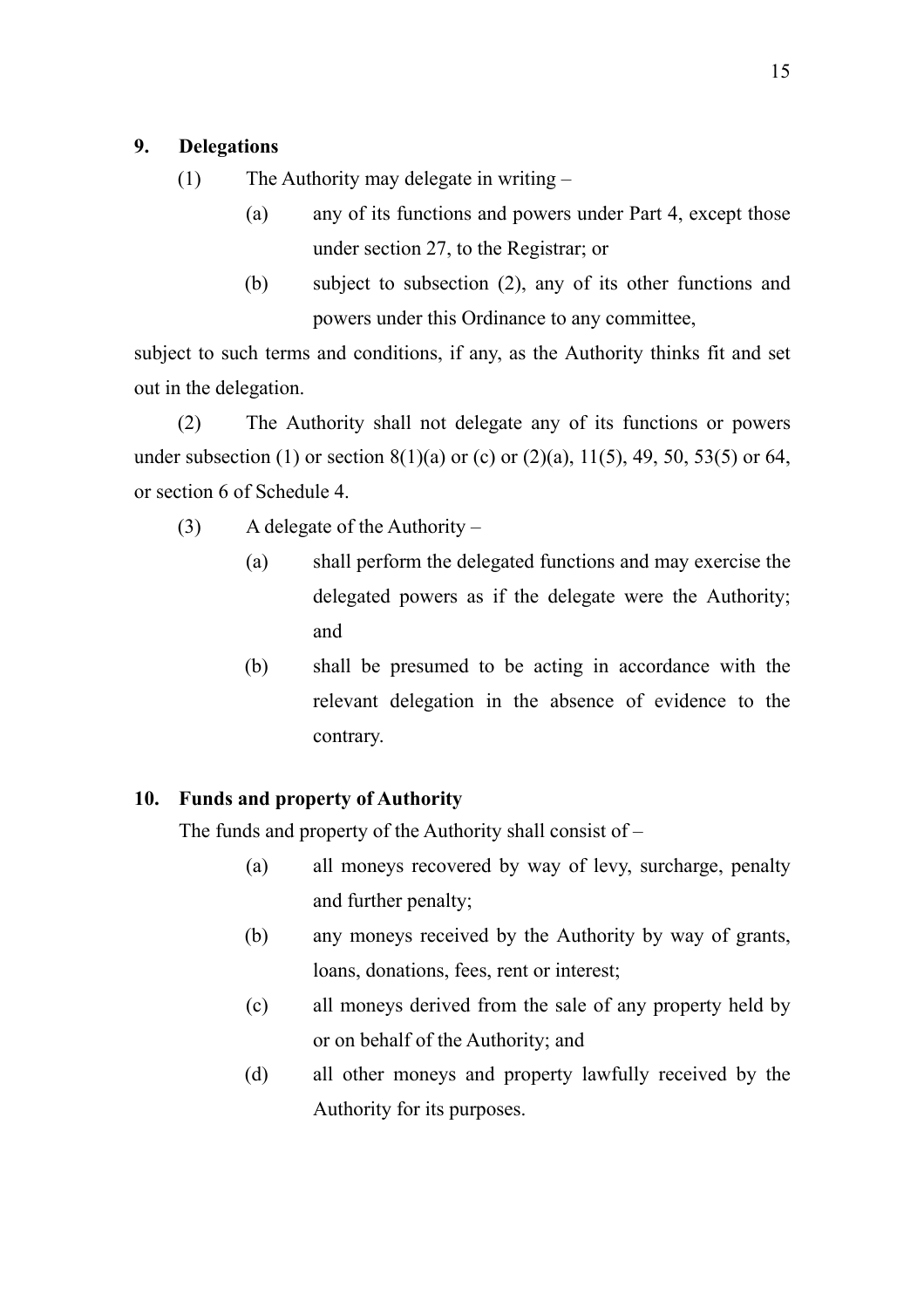### <span id="page-28-0"></span>**9. Delegations**

- (1) The Authority may delegate in writing
	- (a) any of its functions and powers under Part 4, except those under section 27, to the Registrar; or
	- (b) subject to subsection (2), any of its other functions and powers under this Ordinance to any committee,

subject to such terms and conditions, if any, as the Authority thinks fit and set out in the delegation.

(2) The Authority shall not delegate any of its functions or powers under subsection (1) or section  $8(1)(a)$  or (c) or (2)(a), 11(5), 49, 50, 53(5) or 64, or section 6 of Schedule 4.

- (3) A delegate of the Authority
	- (a) shall perform the delegated functions and may exercise the delegated powers as if the delegate were the Authority; and
	- (b) shall be presumed to be acting in accordance with the relevant delegation in the absence of evidence to the contrary.

### **10. Funds and property of Authority**

The funds and property of the Authority shall consist of –

- (a) all moneys recovered by way of levy, surcharge, penalty and further penalty;
- (b) any moneys received by the Authority by way of grants, loans, donations, fees, rent or interest;
- (c) all moneys derived from the sale of any property held by or on behalf of the Authority; and
- (d) all other moneys and property lawfully received by the Authority for its purposes.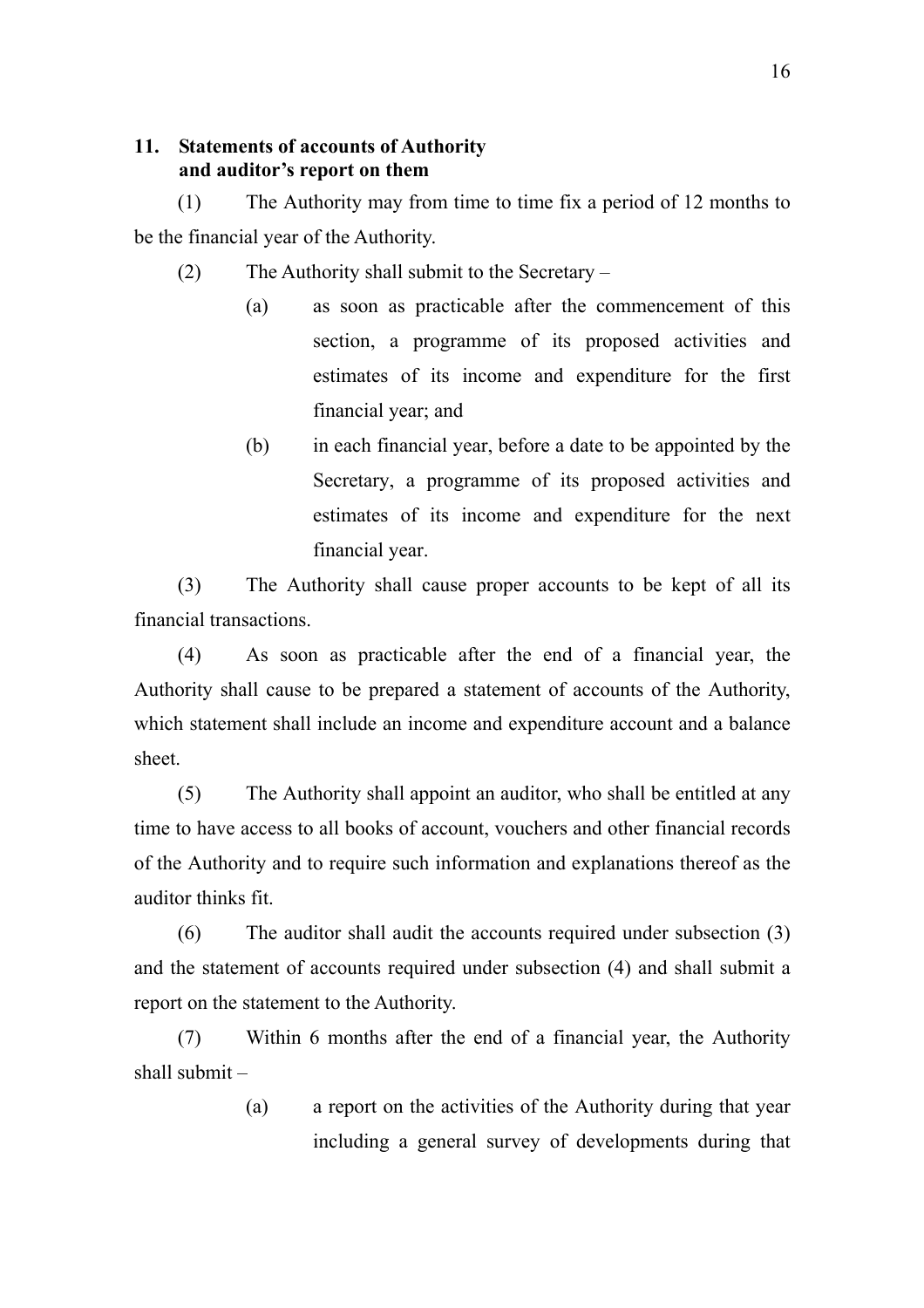### <span id="page-29-0"></span>**11. Statements of accounts of Authority and auditor's report on them**

(1) The Authority may from time to time fix a period of 12 months to be the financial year of the Authority.

- (2) The Authority shall submit to the Secretary
	- (a) as soon as practicable after the commencement of this section, a programme of its proposed activities and estimates of its income and expenditure for the first financial year; and
	- (b) in each financial year, before a date to be appointed by the Secretary, a programme of its proposed activities and estimates of its income and expenditure for the next financial year.

(3) The Authority shall cause proper accounts to be kept of all its financial transactions.

(4) As soon as practicable after the end of a financial year, the Authority shall cause to be prepared a statement of accounts of the Authority, which statement shall include an income and expenditure account and a balance sheet.

(5) The Authority shall appoint an auditor, who shall be entitled at any time to have access to all books of account, vouchers and other financial records of the Authority and to require such information and explanations thereof as the auditor thinks fit.

(6) The auditor shall audit the accounts required under subsection (3) and the statement of accounts required under subsection (4) and shall submit a report on the statement to the Authority.

(7) Within 6 months after the end of a financial year, the Authority shall submit –

> (a) a report on the activities of the Authority during that year including a general survey of developments during that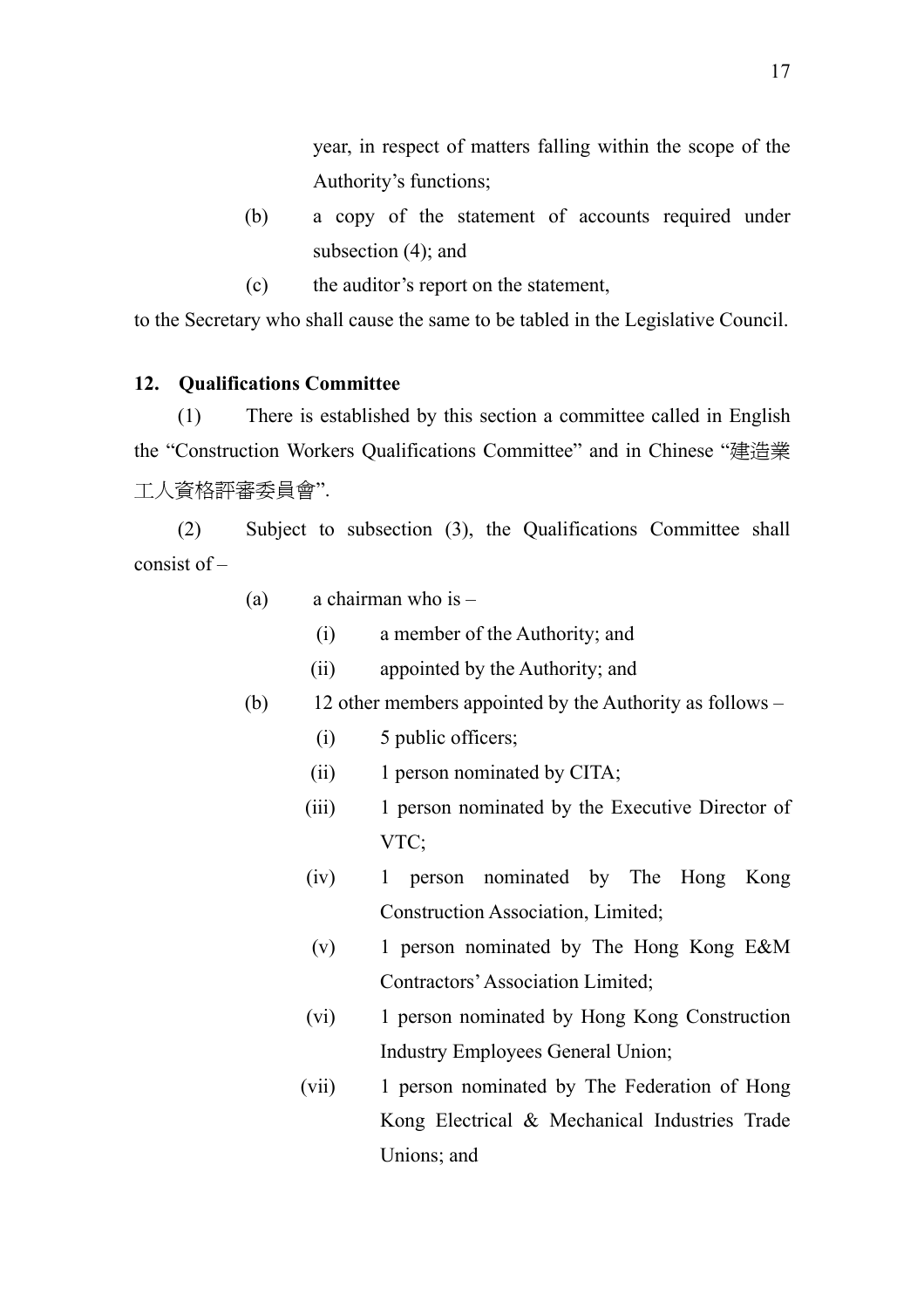year, in respect of matters falling within the scope of the Authority's functions;

- <span id="page-30-0"></span>(b) a copy of the statement of accounts required under subsection (4); and
- (c) the auditor's report on the statement,

to the Secretary who shall cause the same to be tabled in the Legislative Council.

### **12. Qualifications Committee**

(1) There is established by this section a committee called in English the "Construction Workers Qualifications Committee" and in Chinese "建造業 工人資格評審委員會".

(2) Subject to subsection (3), the Qualifications Committee shall consist of –

| (a) | a chairman who is $-$ |  |  |
|-----|-----------------------|--|--|
|-----|-----------------------|--|--|

- (i) a member of the Authority; and
- (ii) appointed by the Authority; and
- (b) 12 other members appointed by the Authority as follows
	- (i) 5 public officers;
	- (ii) 1 person nominated by CITA;
	- (iii) 1 person nominated by the Executive Director of VTC;
	- (iv) 1 person nominated by The Hong Kong Construction Association, Limited;
	- (v) 1 person nominated by The Hong Kong E&M Contractors' Association Limited;
	- (vi) 1 person nominated by Hong Kong Construction Industry Employees General Union;
	- (vii) 1 person nominated by The Federation of Hong Kong Electrical & Mechanical Industries Trade Unions; and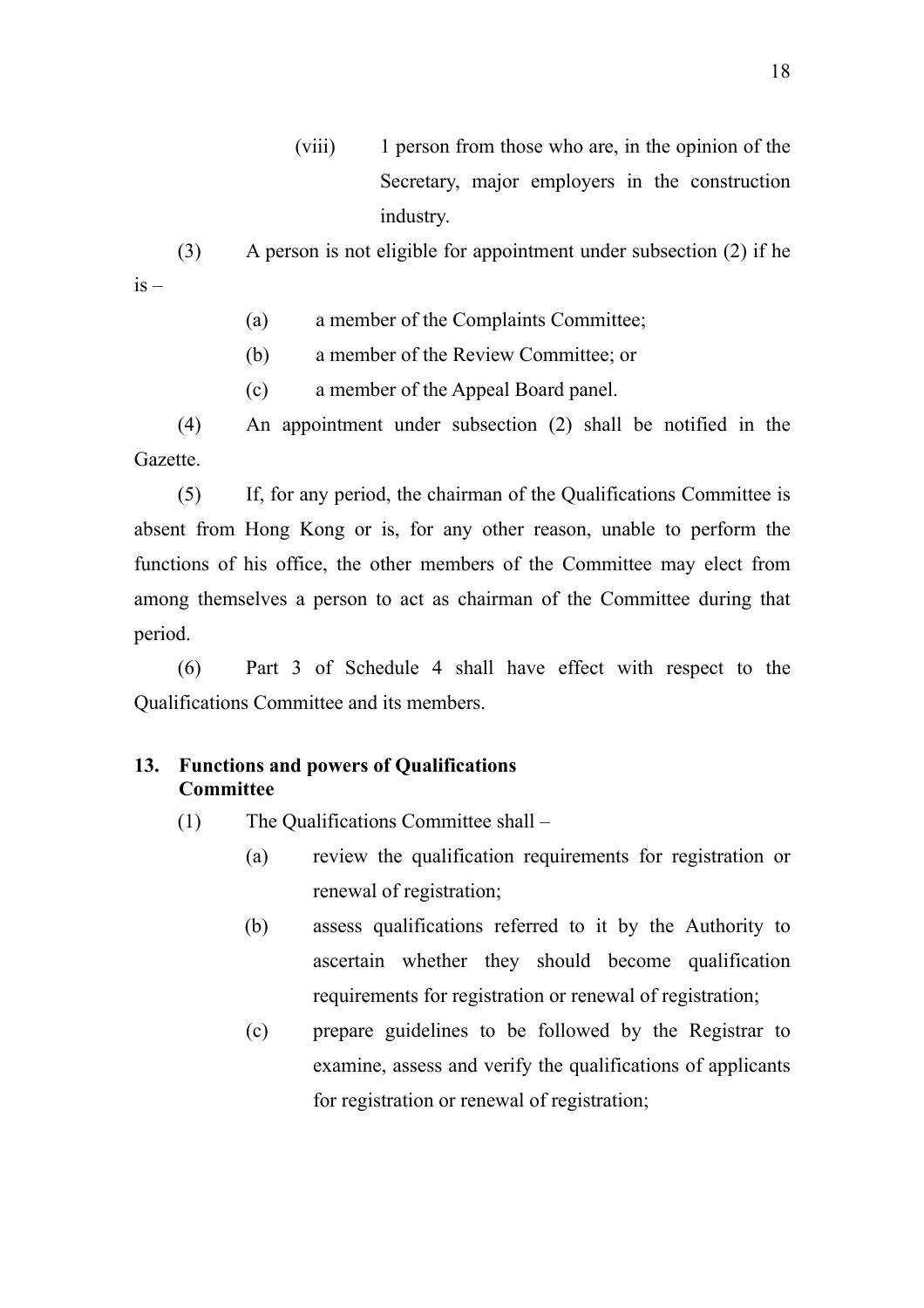(viii) 1 person from those who are, in the opinion of the Secretary, major employers in the construction industry.

<span id="page-31-0"></span>(3) A person is not eligible for appointment under subsection (2) if he  $is -$ 

- (a) a member of the Complaints Committee;
- (b) a member of the Review Committee; or
- (c) a member of the Appeal Board panel.

(4) An appointment under subsection (2) shall be notified in the Gazette.

(5) If, for any period, the chairman of the Qualifications Committee is absent from Hong Kong or is, for any other reason, unable to perform the functions of his office, the other members of the Committee may elect from among themselves a person to act as chairman of the Committee during that period.

(6) Part 3 of Schedule 4 shall have effect with respect to the Qualifications Committee and its members.

### **13. Functions and powers of Qualifications Committee**

- (1) The Qualifications Committee shall
	- (a) review the qualification requirements for registration or renewal of registration;
	- (b) assess qualifications referred to it by the Authority to ascertain whether they should become qualification requirements for registration or renewal of registration;
	- (c) prepare guidelines to be followed by the Registrar to examine, assess and verify the qualifications of applicants for registration or renewal of registration;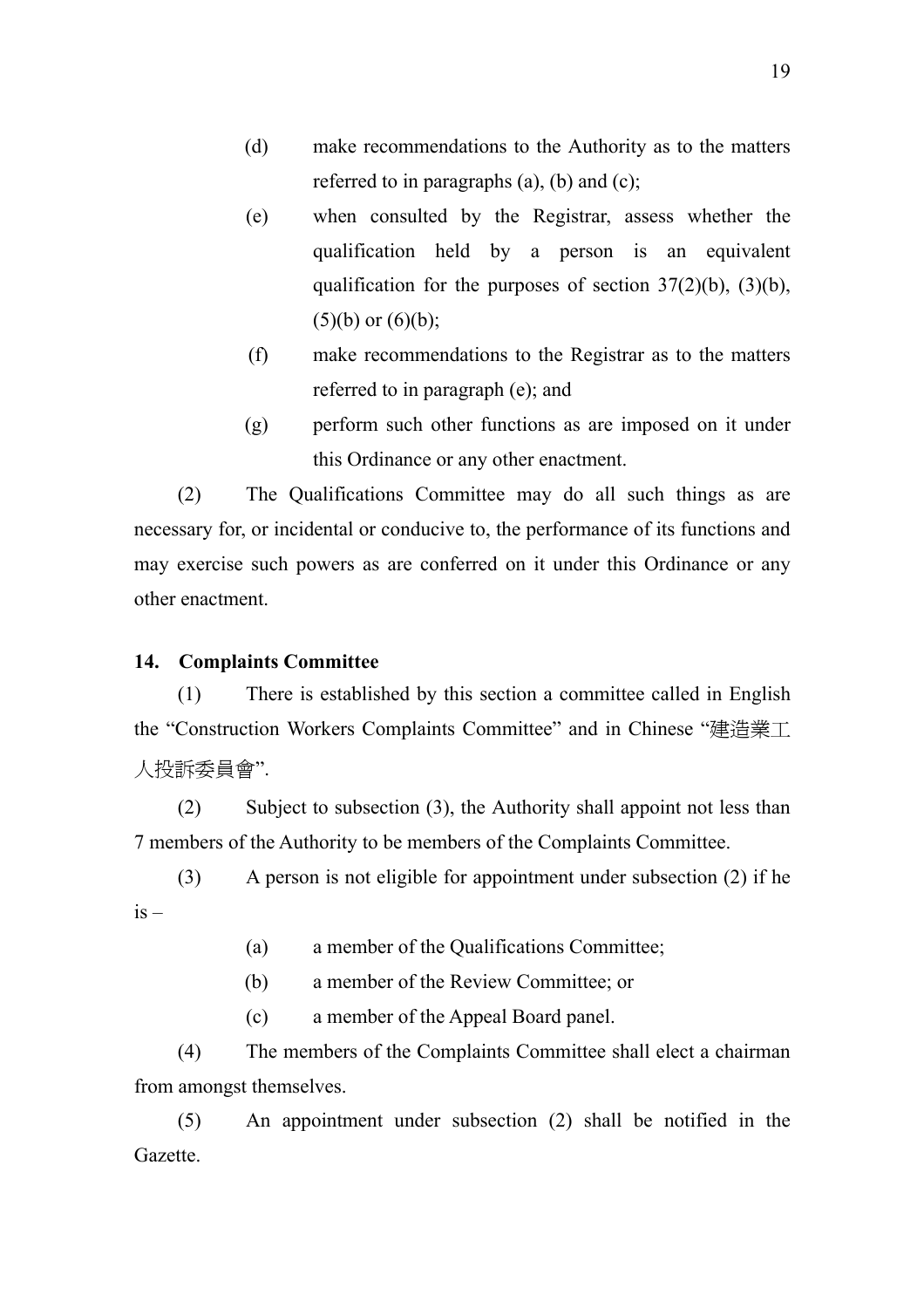- <span id="page-32-0"></span>(d) make recommendations to the Authority as to the matters referred to in paragraphs (a), (b) and (c);
- (e) when consulted by the Registrar, assess whether the qualification held by a person is an equivalent qualification for the purposes of section 37(2)(b), (3)(b),  $(5)(b)$  or  $(6)(b)$ ;
- (f) make recommendations to the Registrar as to the matters referred to in paragraph (e); and
- (g) perform such other functions as are imposed on it under this Ordinance or any other enactment.

(2) The Qualifications Committee may do all such things as are necessary for, or incidental or conducive to, the performance of its functions and may exercise such powers as are conferred on it under this Ordinance or any other enactment.

### **14. Complaints Committee**

(1) There is established by this section a committee called in English the "Construction Workers Complaints Committee" and in Chinese "建造業工 人投訴委員會".

(2) Subject to subsection (3), the Authority shall appoint not less than 7 members of the Authority to be members of the Complaints Committee.

(3) A person is not eligible for appointment under subsection (2) if he  $is -$ 

(a) a member of the Qualifications Committee;

(b) a member of the Review Committee; or

(c) a member of the Appeal Board panel.

(4) The members of the Complaints Committee shall elect a chairman from amongst themselves.

(5) An appointment under subsection (2) shall be notified in the Gazette.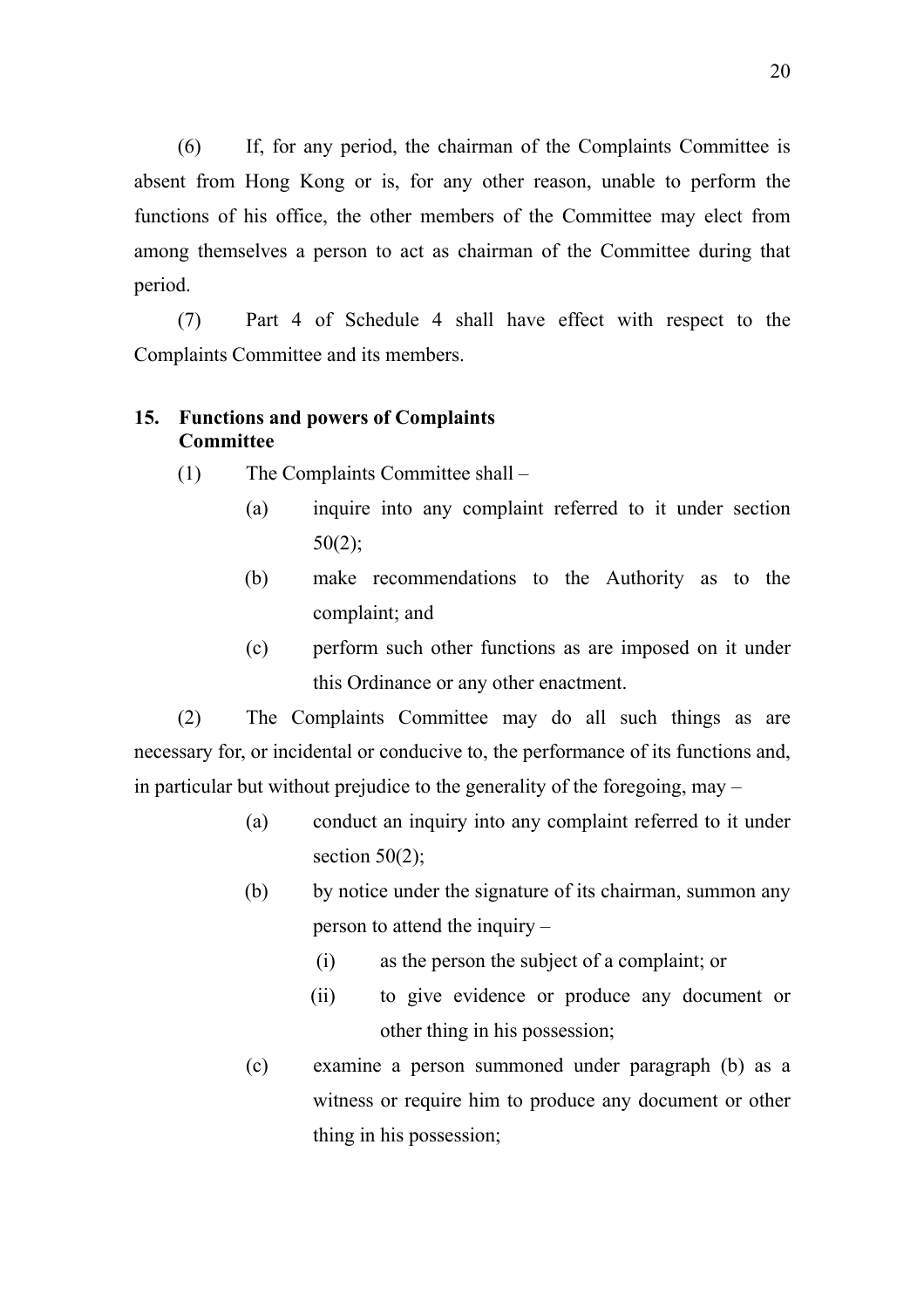<span id="page-33-0"></span>(6) If, for any period, the chairman of the Complaints Committee is absent from Hong Kong or is, for any other reason, unable to perform the functions of his office, the other members of the Committee may elect from among themselves a person to act as chairman of the Committee during that period.

(7) Part 4 of Schedule 4 shall have effect with respect to the Complaints Committee and its members.

### **15. Functions and powers of Complaints Committee**

- (1) The Complaints Committee shall
	- (a) inquire into any complaint referred to it under section 50(2);
	- (b) make recommendations to the Authority as to the complaint; and
	- (c) perform such other functions as are imposed on it under this Ordinance or any other enactment.

(2) The Complaints Committee may do all such things as are necessary for, or incidental or conducive to, the performance of its functions and, in particular but without prejudice to the generality of the foregoing, may –

- (a) conduct an inquiry into any complaint referred to it under section  $50(2)$ ;
- (b) by notice under the signature of its chairman, summon any person to attend the inquiry –
	- (i) as the person the subject of a complaint; or
	- (ii) to give evidence or produce any document or other thing in his possession;
- (c) examine a person summoned under paragraph (b) as a witness or require him to produce any document or other thing in his possession;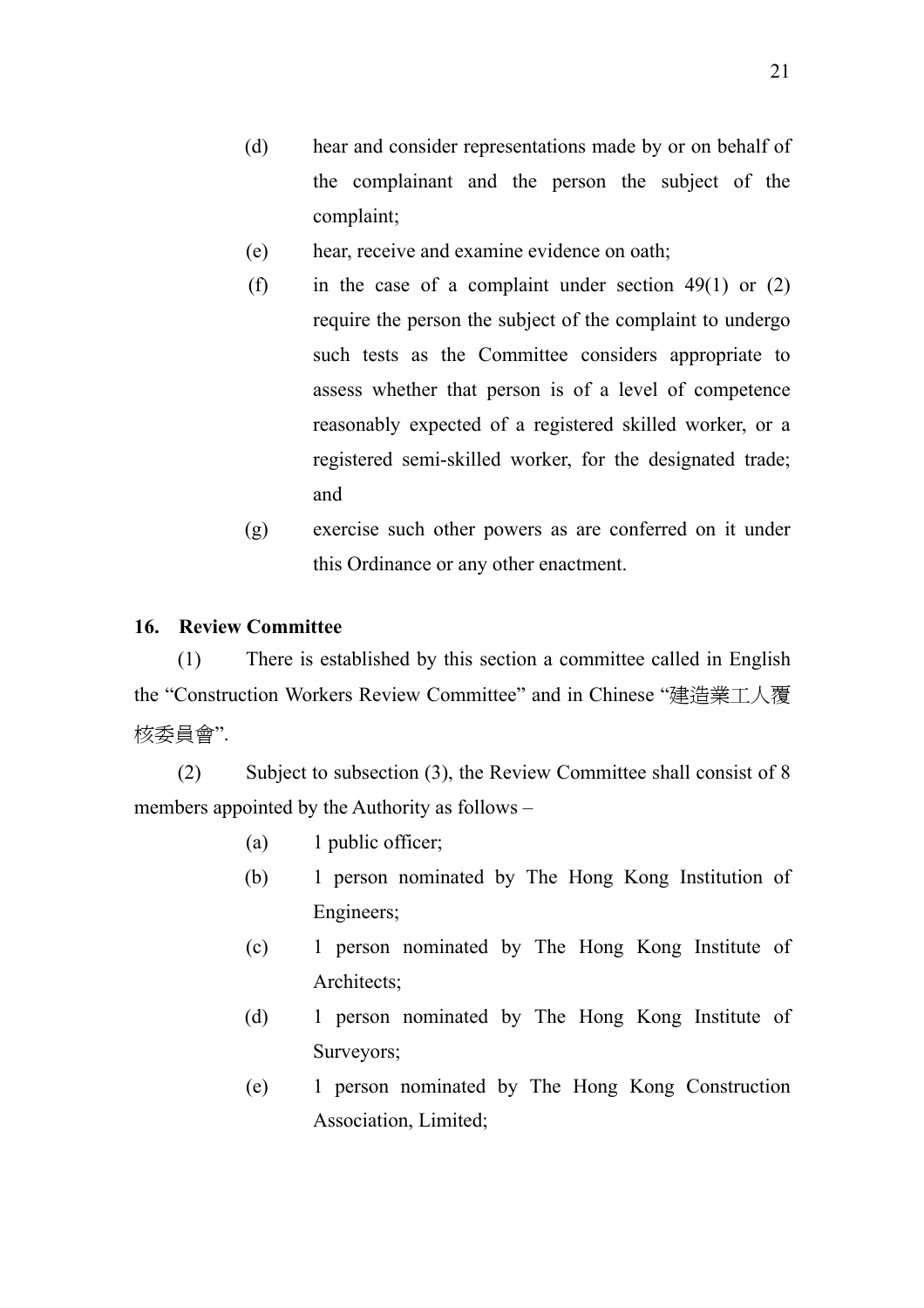- <span id="page-34-0"></span>(e) hear, receive and examine evidence on oath;
- (f) in the case of a complaint under section  $49(1)$  or  $(2)$ require the person the subject of the complaint to undergo such tests as the Committee considers appropriate to assess whether that person is of a level of competence reasonably expected of a registered skilled worker, or a registered semi-skilled worker, for the designated trade; and
- (g) exercise such other powers as are conferred on it under this Ordinance or any other enactment.

### **16. Review Committee**

(1) There is established by this section a committee called in English the "Construction Workers Review Committee" and in Chinese "建造業工人覆 核委員會".

(2) Subject to subsection (3), the Review Committee shall consist of 8 members appointed by the Authority as follows –

- (a) 1 public officer;
- (b) 1 person nominated by The Hong Kong Institution of Engineers;
- (c) 1 person nominated by The Hong Kong Institute of Architects;
- (d) 1 person nominated by The Hong Kong Institute of Surveyors;
- (e) 1 person nominated by The Hong Kong Construction Association, Limited;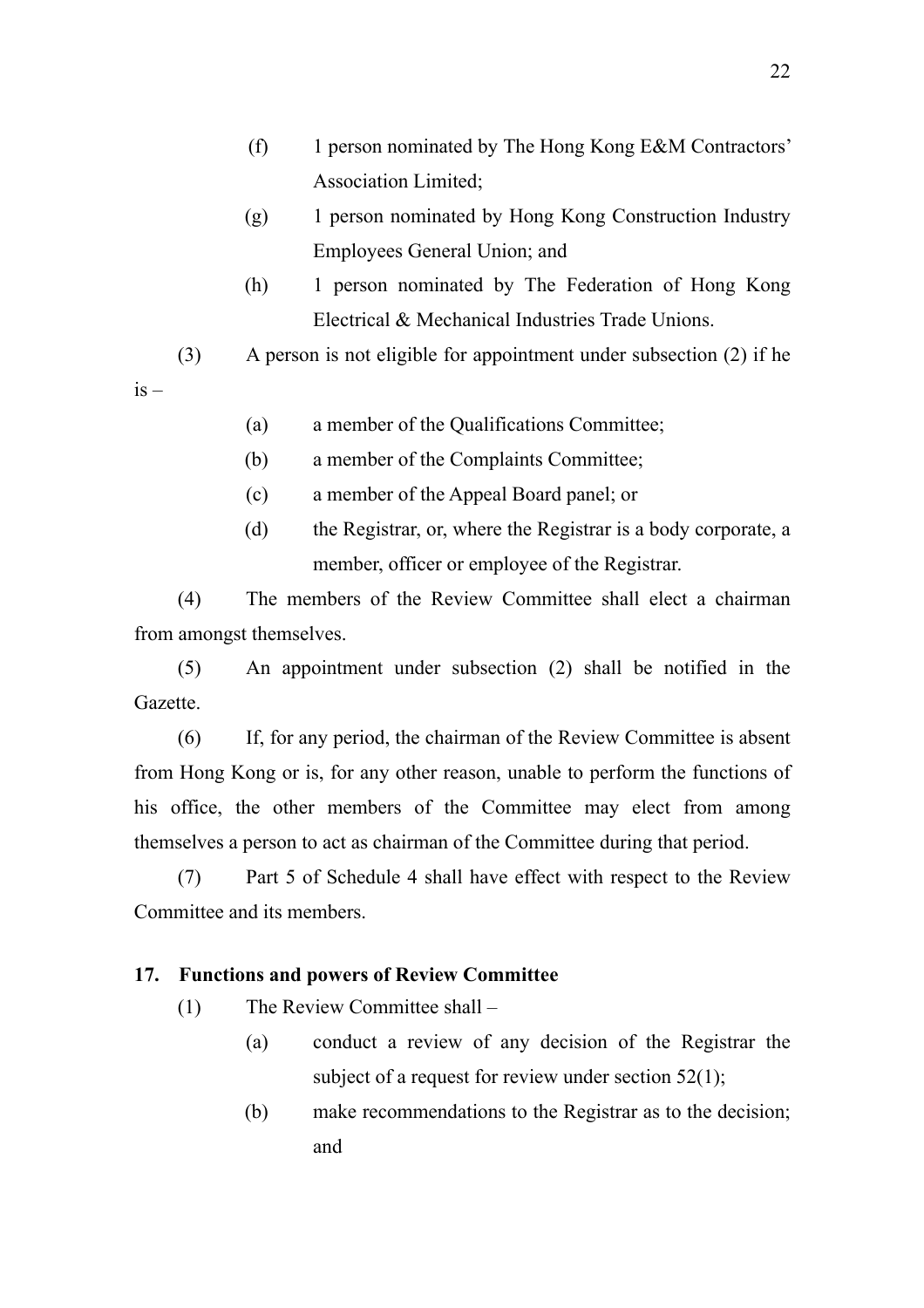- <span id="page-35-0"></span>(f) 1 person nominated by The Hong Kong E&M Contractors' Association Limited;
- (g) 1 person nominated by Hong Kong Construction Industry Employees General Union; and
- (h) 1 person nominated by The Federation of Hong Kong Electrical & Mechanical Industries Trade Unions.

(3) A person is not eligible for appointment under subsection (2) if he

 $is -$ 

- (a) a member of the Qualifications Committee;
- (b) a member of the Complaints Committee;
- (c) a member of the Appeal Board panel; or
- (d) the Registrar, or, where the Registrar is a body corporate, a member, officer or employee of the Registrar.

(4) The members of the Review Committee shall elect a chairman from amongst themselves.

(5) An appointment under subsection (2) shall be notified in the Gazette.

(6) If, for any period, the chairman of the Review Committee is absent from Hong Kong or is, for any other reason, unable to perform the functions of his office, the other members of the Committee may elect from among themselves a person to act as chairman of the Committee during that period.

(7) Part 5 of Schedule 4 shall have effect with respect to the Review Committee and its members.

### **17. Functions and powers of Review Committee**

- (1) The Review Committee shall
	- (a) conduct a review of any decision of the Registrar the subject of a request for review under section 52(1);
	- (b) make recommendations to the Registrar as to the decision; and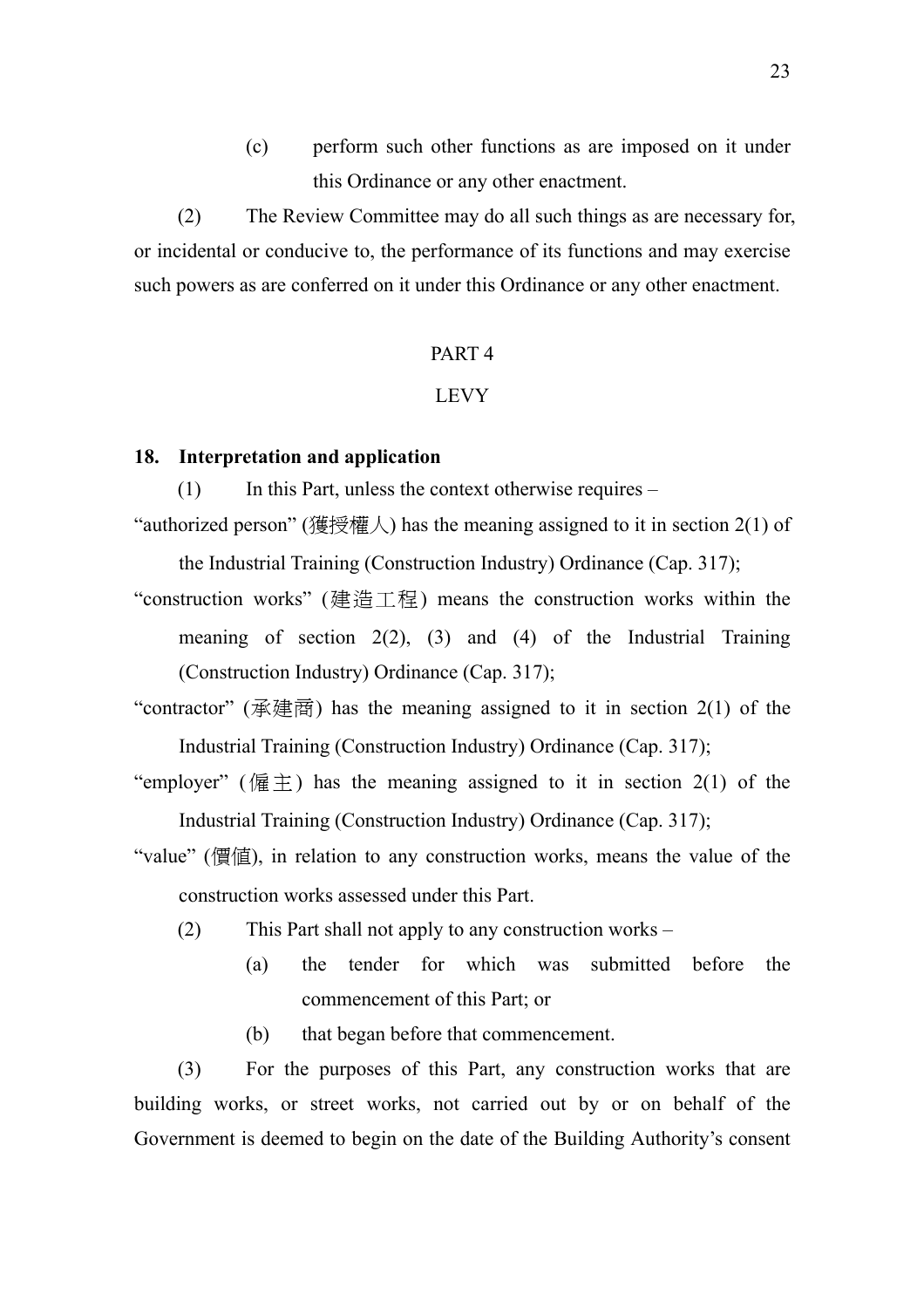(c) perform such other functions as are imposed on it under this Ordinance or any other enactment.

(2) The Review Committee may do all such things as are necessary for, or incidental or conducive to, the performance of its functions and may exercise such powers as are conferred on it under this Ordinance or any other enactment.

### PART 4

#### LEVY

#### **18. Interpretation and application**

 $(1)$  In this Part, unless the context otherwise requires –

"authorized person" (獲授權人) has the meaning assigned to it in section 2(1) of

the Industrial Training (Construction Industry) Ordinance (Cap. 317);

- "construction works" (建造工程) means the construction works within the meaning of section  $2(2)$ ,  $(3)$  and  $(4)$  of the Industrial Training (Construction Industry) Ordinance (Cap. 317);
- "contractor" ( $\vec{\text{R}}$ ) has the meaning assigned to it in section 2(1) of the Industrial Training (Construction Industry) Ordinance (Cap. 317);
- "employer" (偏主) has the meaning assigned to it in section 2(1) of the Industrial Training (Construction Industry) Ordinance (Cap. 317);
- "value" (價值), in relation to any construction works, means the value of the construction works assessed under this Part.
	- (2) This Part shall not apply to any construction works
		- (a) the tender for which was submitted before the commencement of this Part; or
		- (b) that began before that commencement.

(3) For the purposes of this Part, any construction works that are building works, or street works, not carried out by or on behalf of the Government is deemed to begin on the date of the Building Authority's consent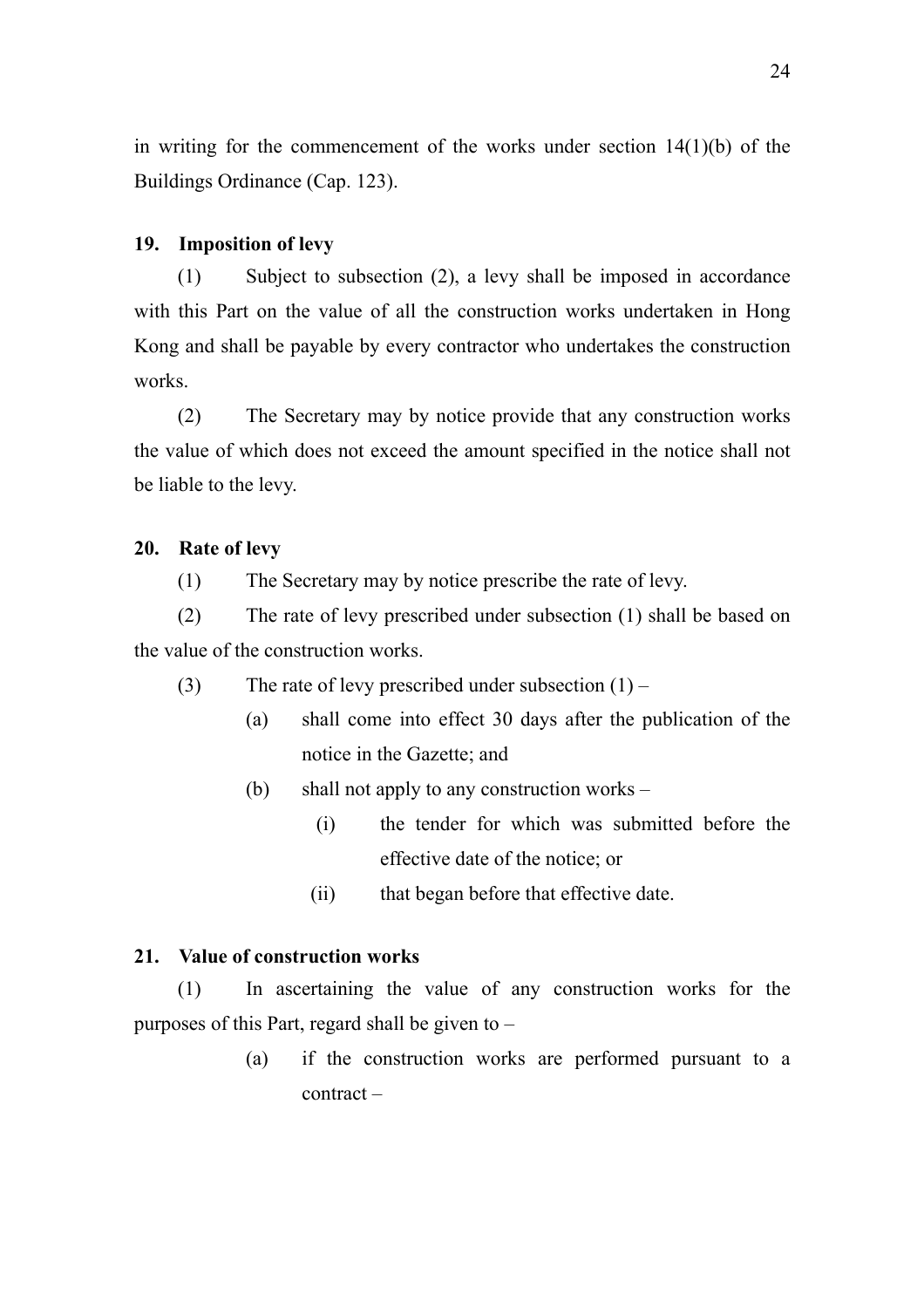in writing for the commencement of the works under section  $14(1)(b)$  of the Buildings Ordinance (Cap. 123).

## **19. Imposition of levy**

(1) Subject to subsection (2), a levy shall be imposed in accordance with this Part on the value of all the construction works undertaken in Hong Kong and shall be payable by every contractor who undertakes the construction works.

(2) The Secretary may by notice provide that any construction works the value of which does not exceed the amount specified in the notice shall not be liable to the levy.

# **20. Rate of levy**

(1) The Secretary may by notice prescribe the rate of levy.

(2) The rate of levy prescribed under subsection (1) shall be based on the value of the construction works.

(3) The rate of levy prescribed under subsection  $(1)$  –

- (a) shall come into effect 30 days after the publication of the notice in the Gazette; and
- (b) shall not apply to any construction works
	- (i) the tender for which was submitted before the effective date of the notice; or
	- (ii) that began before that effective date.

### **21. Value of construction works**

(1) In ascertaining the value of any construction works for the purposes of this Part, regard shall be given to –

> (a) if the construction works are performed pursuant to a contract –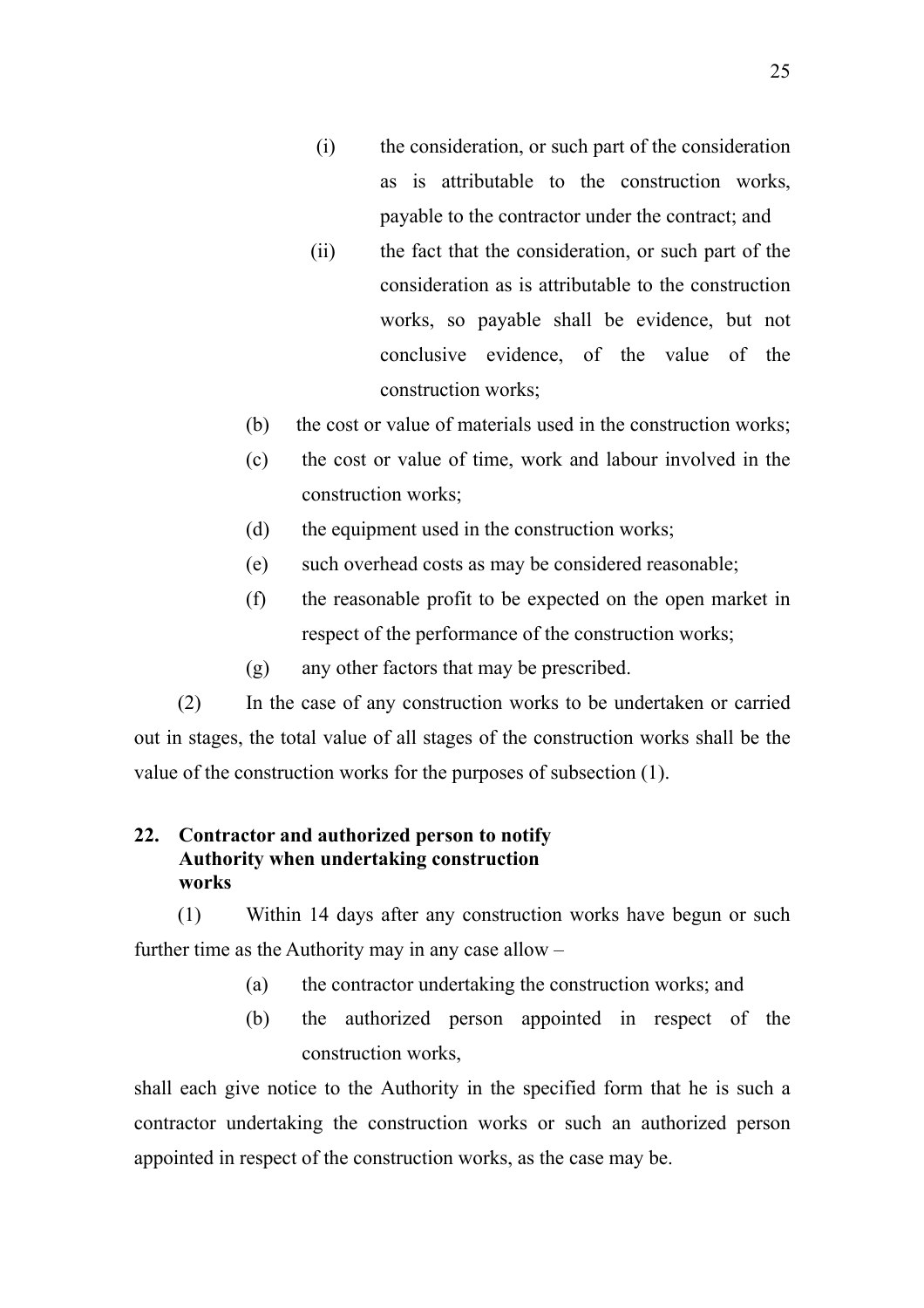- (i) the consideration, or such part of the consideration as is attributable to the construction works, payable to the contractor under the contract; and
- (ii) the fact that the consideration, or such part of the consideration as is attributable to the construction works, so payable shall be evidence, but not conclusive evidence, of the value of the construction works;
- (b) the cost or value of materials used in the construction works;
- (c) the cost or value of time, work and labour involved in the construction works;
- (d) the equipment used in the construction works;
- (e) such overhead costs as may be considered reasonable;
- (f) the reasonable profit to be expected on the open market in respect of the performance of the construction works;
- (g) any other factors that may be prescribed.

(2) In the case of any construction works to be undertaken or carried out in stages, the total value of all stages of the construction works shall be the value of the construction works for the purposes of subsection (1).

# **22. Contractor and authorized person to notify Authority when undertaking construction works**

(1) Within 14 days after any construction works have begun or such further time as the Authority may in any case allow –

- (a) the contractor undertaking the construction works; and
- (b) the authorized person appointed in respect of the construction works,

shall each give notice to the Authority in the specified form that he is such a contractor undertaking the construction works or such an authorized person appointed in respect of the construction works, as the case may be.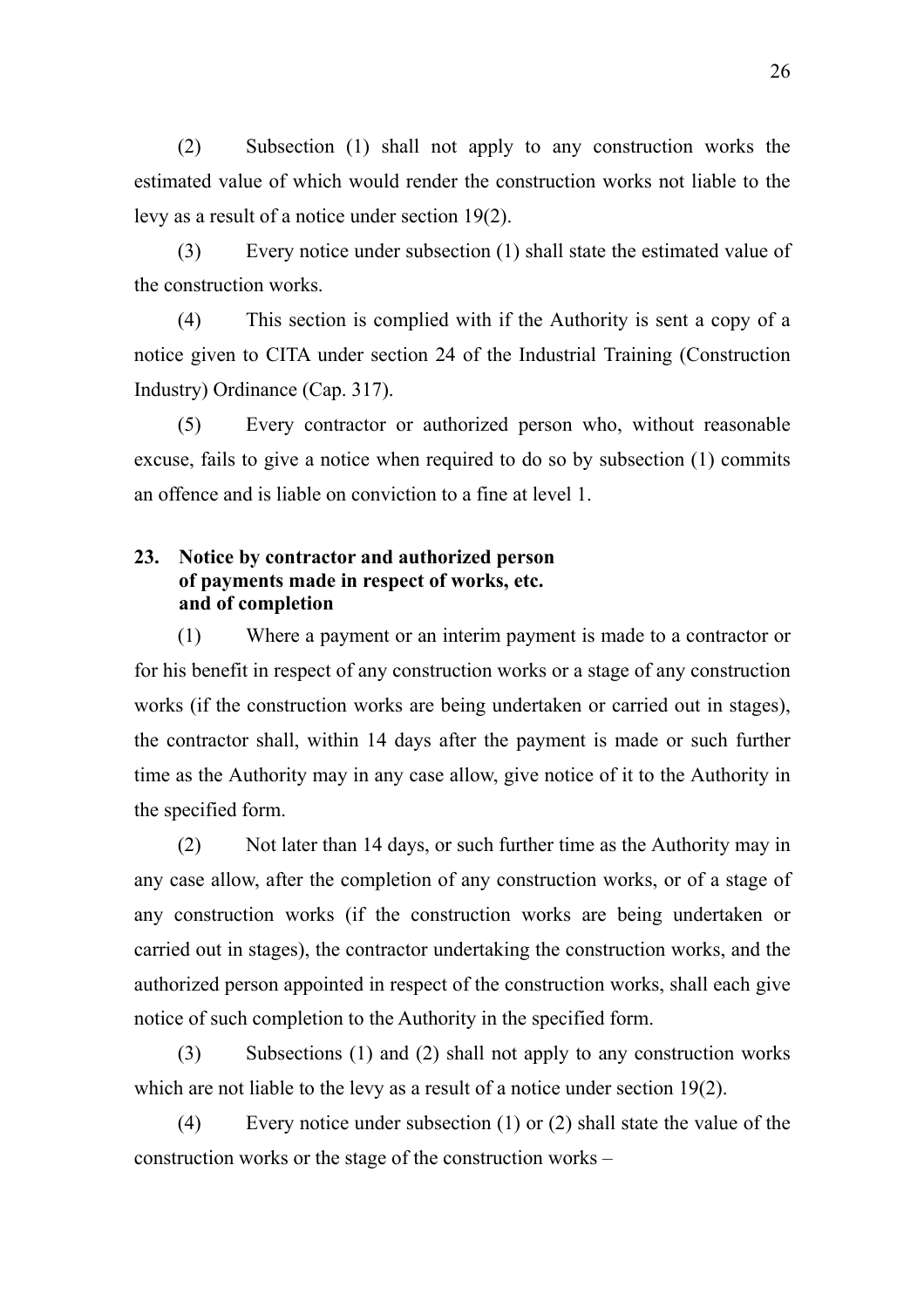(2) Subsection (1) shall not apply to any construction works the estimated value of which would render the construction works not liable to the levy as a result of a notice under section 19(2).

(3) Every notice under subsection (1) shall state the estimated value of the construction works.

(4) This section is complied with if the Authority is sent a copy of a notice given to CITA under section 24 of the Industrial Training (Construction Industry) Ordinance (Cap. 317).

(5) Every contractor or authorized person who, without reasonable excuse, fails to give a notice when required to do so by subsection (1) commits an offence and is liable on conviction to a fine at level 1.

# **23. Notice by contractor and authorized person of payments made in respect of works, etc. and of completion**

(1) Where a payment or an interim payment is made to a contractor or for his benefit in respect of any construction works or a stage of any construction works (if the construction works are being undertaken or carried out in stages), the contractor shall, within 14 days after the payment is made or such further time as the Authority may in any case allow, give notice of it to the Authority in the specified form.

(2) Not later than 14 days, or such further time as the Authority may in any case allow, after the completion of any construction works, or of a stage of any construction works (if the construction works are being undertaken or carried out in stages), the contractor undertaking the construction works, and the authorized person appointed in respect of the construction works, shall each give notice of such completion to the Authority in the specified form.

(3) Subsections (1) and (2) shall not apply to any construction works which are not liable to the levy as a result of a notice under section 19(2).

(4) Every notice under subsection (1) or (2) shall state the value of the construction works or the stage of the construction works –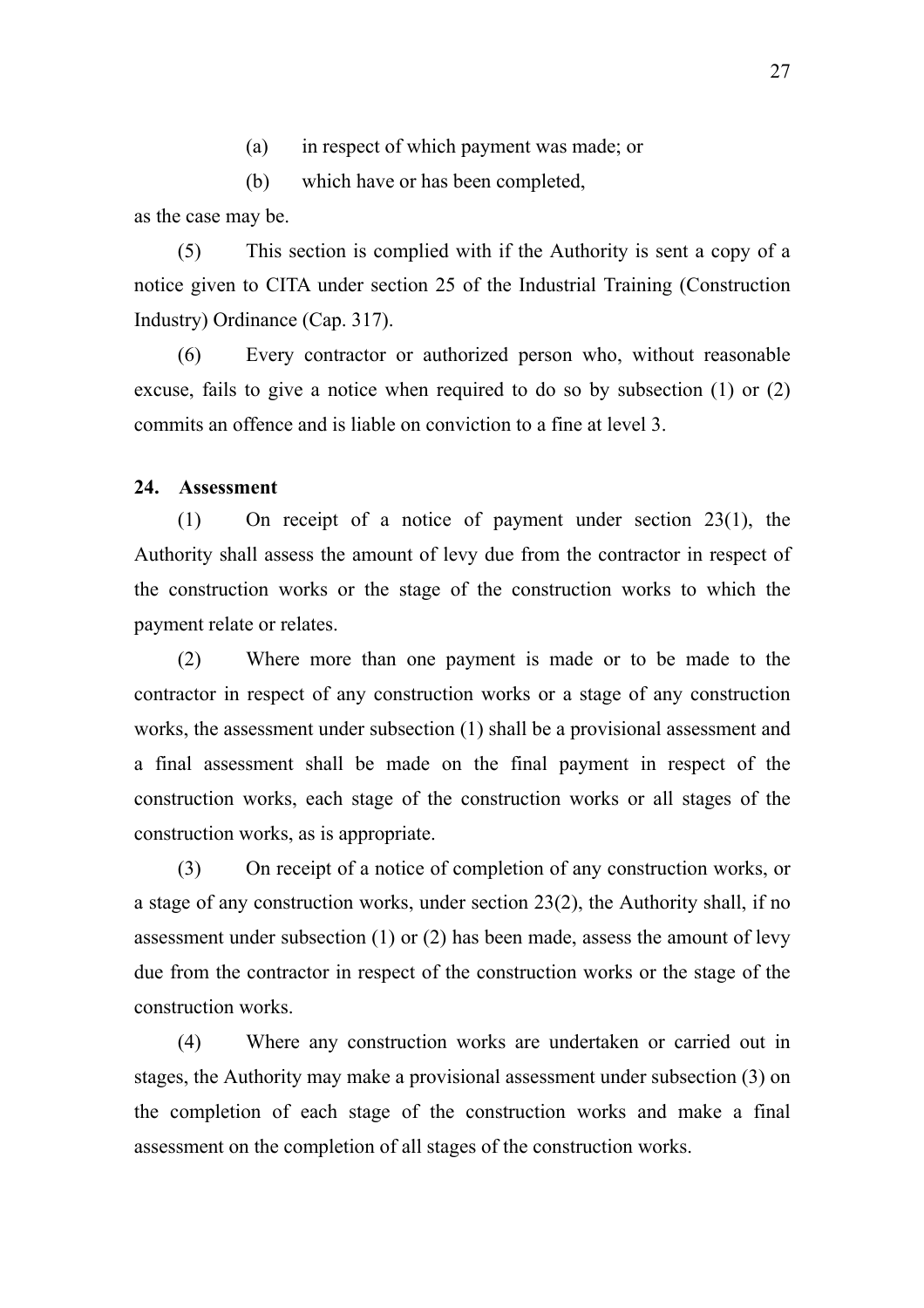- (a) in respect of which payment was made; or
- (b) which have or has been completed,

as the case may be.

(5) This section is complied with if the Authority is sent a copy of a notice given to CITA under section 25 of the Industrial Training (Construction Industry) Ordinance (Cap. 317).

(6) Every contractor or authorized person who, without reasonable excuse, fails to give a notice when required to do so by subsection (1) or (2) commits an offence and is liable on conviction to a fine at level 3.

## **24. Assessment**

(1) On receipt of a notice of payment under section 23(1), the Authority shall assess the amount of levy due from the contractor in respect of the construction works or the stage of the construction works to which the payment relate or relates.

(2) Where more than one payment is made or to be made to the contractor in respect of any construction works or a stage of any construction works, the assessment under subsection (1) shall be a provisional assessment and a final assessment shall be made on the final payment in respect of the construction works, each stage of the construction works or all stages of the construction works, as is appropriate.

(3) On receipt of a notice of completion of any construction works, or a stage of any construction works, under section 23(2), the Authority shall, if no assessment under subsection (1) or (2) has been made, assess the amount of levy due from the contractor in respect of the construction works or the stage of the construction works.

(4) Where any construction works are undertaken or carried out in stages, the Authority may make a provisional assessment under subsection (3) on the completion of each stage of the construction works and make a final assessment on the completion of all stages of the construction works.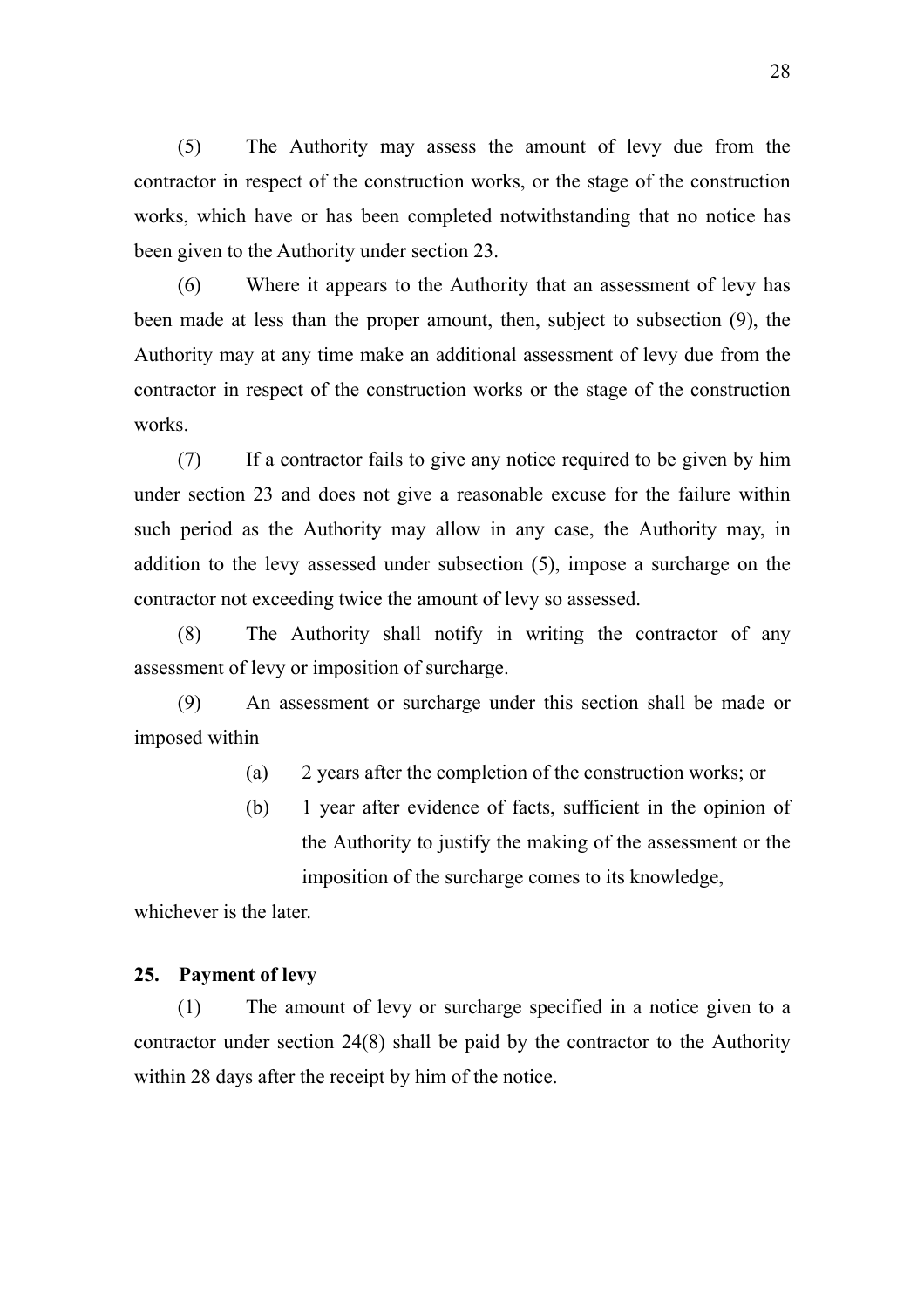(5) The Authority may assess the amount of levy due from the contractor in respect of the construction works, or the stage of the construction works, which have or has been completed notwithstanding that no notice has been given to the Authority under section 23.

(6) Where it appears to the Authority that an assessment of levy has been made at less than the proper amount, then, subject to subsection (9), the Authority may at any time make an additional assessment of levy due from the contractor in respect of the construction works or the stage of the construction works.

(7) If a contractor fails to give any notice required to be given by him under section 23 and does not give a reasonable excuse for the failure within such period as the Authority may allow in any case, the Authority may, in addition to the levy assessed under subsection (5), impose a surcharge on the contractor not exceeding twice the amount of levy so assessed.

(8) The Authority shall notify in writing the contractor of any assessment of levy or imposition of surcharge.

(9) An assessment or surcharge under this section shall be made or imposed within –

(a) 2 years after the completion of the construction works; or

(b) 1 year after evidence of facts, sufficient in the opinion of the Authority to justify the making of the assessment or the imposition of the surcharge comes to its knowledge,

whichever is the later.

#### **25. Payment of levy**

(1) The amount of levy or surcharge specified in a notice given to a contractor under section 24(8) shall be paid by the contractor to the Authority within 28 days after the receipt by him of the notice.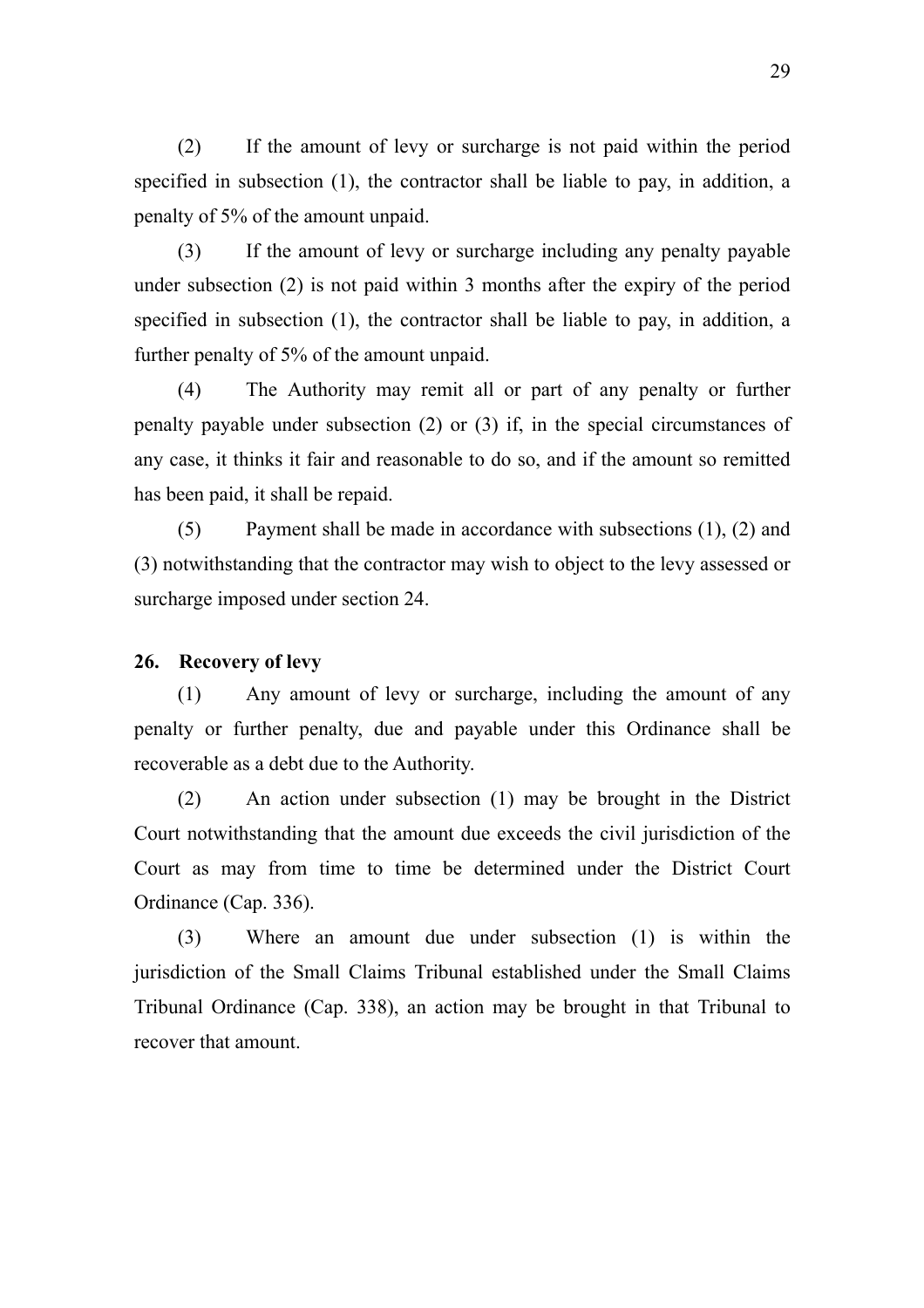(2) If the amount of levy or surcharge is not paid within the period specified in subsection (1), the contractor shall be liable to pay, in addition, a penalty of 5% of the amount unpaid.

(3) If the amount of levy or surcharge including any penalty payable under subsection (2) is not paid within 3 months after the expiry of the period specified in subsection (1), the contractor shall be liable to pay, in addition, a further penalty of 5% of the amount unpaid.

(4) The Authority may remit all or part of any penalty or further penalty payable under subsection (2) or (3) if, in the special circumstances of any case, it thinks it fair and reasonable to do so, and if the amount so remitted has been paid, it shall be repaid.

(5) Payment shall be made in accordance with subsections (1), (2) and (3) notwithstanding that the contractor may wish to object to the levy assessed or surcharge imposed under section 24.

#### **26. Recovery of levy**

(1) Any amount of levy or surcharge, including the amount of any penalty or further penalty, due and payable under this Ordinance shall be recoverable as a debt due to the Authority.

(2) An action under subsection (1) may be brought in the District Court notwithstanding that the amount due exceeds the civil jurisdiction of the Court as may from time to time be determined under the District Court Ordinance (Cap. 336).

(3) Where an amount due under subsection (1) is within the jurisdiction of the Small Claims Tribunal established under the Small Claims Tribunal Ordinance (Cap. 338), an action may be brought in that Tribunal to recover that amount.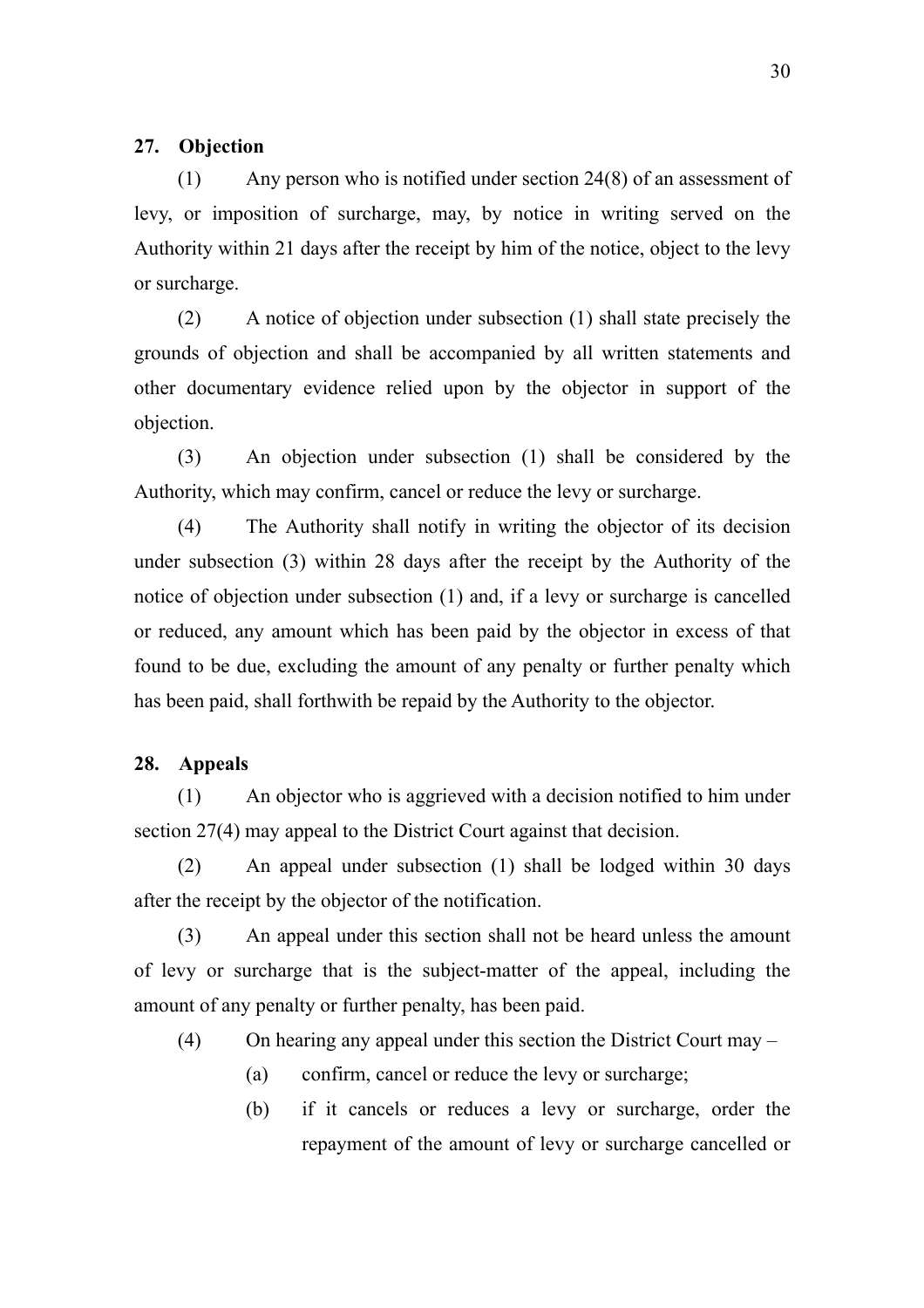#### **27. Objection**

(1) Any person who is notified under section 24(8) of an assessment of levy, or imposition of surcharge, may, by notice in writing served on the Authority within 21 days after the receipt by him of the notice, object to the levy or surcharge.

(2) A notice of objection under subsection (1) shall state precisely the grounds of objection and shall be accompanied by all written statements and other documentary evidence relied upon by the objector in support of the objection.

(3) An objection under subsection (1) shall be considered by the Authority, which may confirm, cancel or reduce the levy or surcharge.

(4) The Authority shall notify in writing the objector of its decision under subsection (3) within 28 days after the receipt by the Authority of the notice of objection under subsection (1) and, if a levy or surcharge is cancelled or reduced, any amount which has been paid by the objector in excess of that found to be due, excluding the amount of any penalty or further penalty which has been paid, shall forthwith be repaid by the Authority to the objector.

### **28. Appeals**

(1) An objector who is aggrieved with a decision notified to him under section 27(4) may appeal to the District Court against that decision.

(2) An appeal under subsection (1) shall be lodged within 30 days after the receipt by the objector of the notification.

(3) An appeal under this section shall not be heard unless the amount of levy or surcharge that is the subject-matter of the appeal, including the amount of any penalty or further penalty, has been paid.

(4) On hearing any appeal under this section the District Court may –

- (a) confirm, cancel or reduce the levy or surcharge;
- (b) if it cancels or reduces a levy or surcharge, order the repayment of the amount of levy or surcharge cancelled or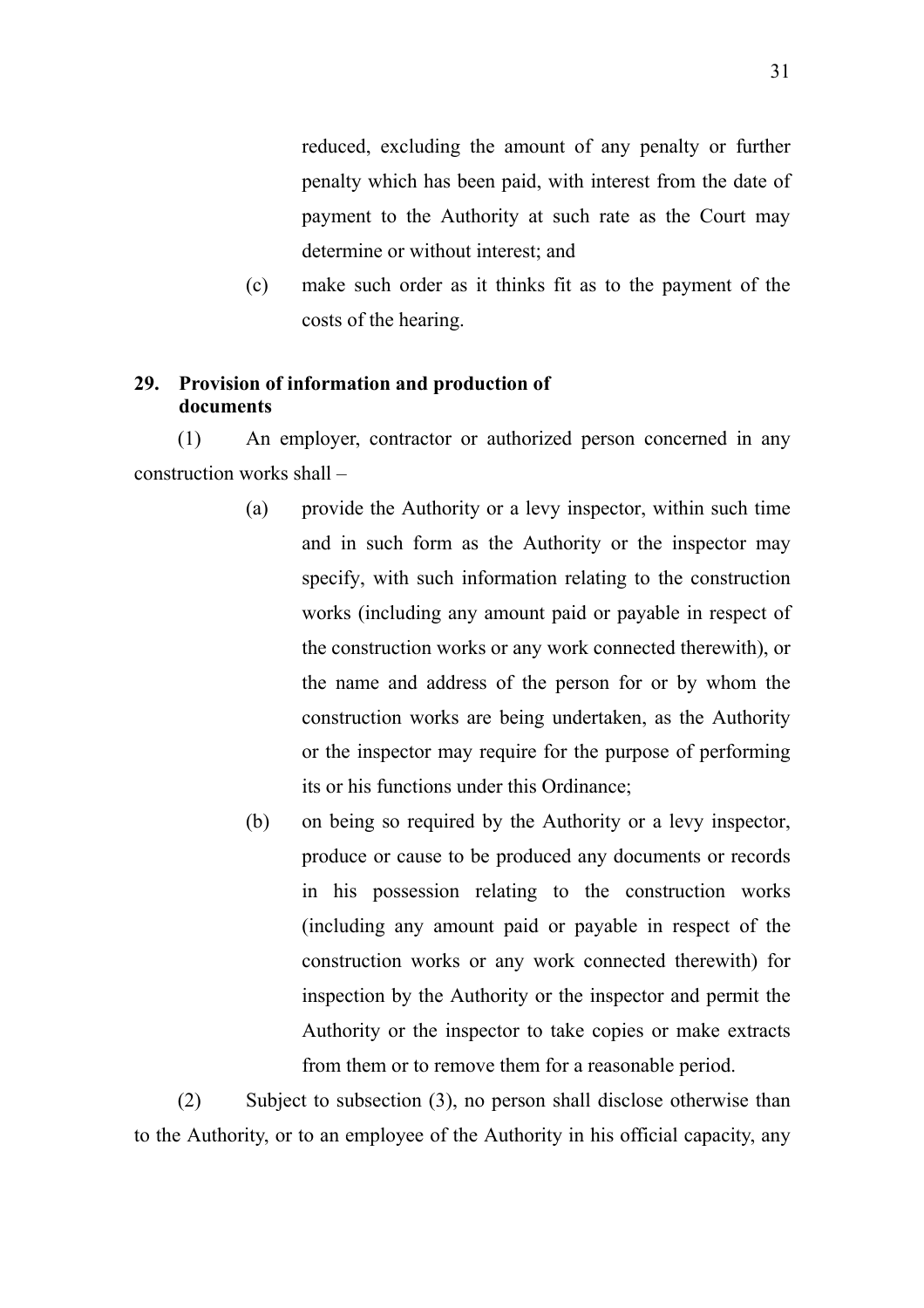reduced, excluding the amount of any penalty or further penalty which has been paid, with interest from the date of payment to the Authority at such rate as the Court may determine or without interest; and

(c) make such order as it thinks fit as to the payment of the costs of the hearing.

## **29. Provision of information and production of documents**

(1) An employer, contractor or authorized person concerned in any construction works shall –

- (a) provide the Authority or a levy inspector, within such time and in such form as the Authority or the inspector may specify, with such information relating to the construction works (including any amount paid or payable in respect of the construction works or any work connected therewith), or the name and address of the person for or by whom the construction works are being undertaken, as the Authority or the inspector may require for the purpose of performing its or his functions under this Ordinance;
- (b) on being so required by the Authority or a levy inspector, produce or cause to be produced any documents or records in his possession relating to the construction works (including any amount paid or payable in respect of the construction works or any work connected therewith) for inspection by the Authority or the inspector and permit the Authority or the inspector to take copies or make extracts from them or to remove them for a reasonable period.

(2) Subject to subsection (3), no person shall disclose otherwise than to the Authority, or to an employee of the Authority in his official capacity, any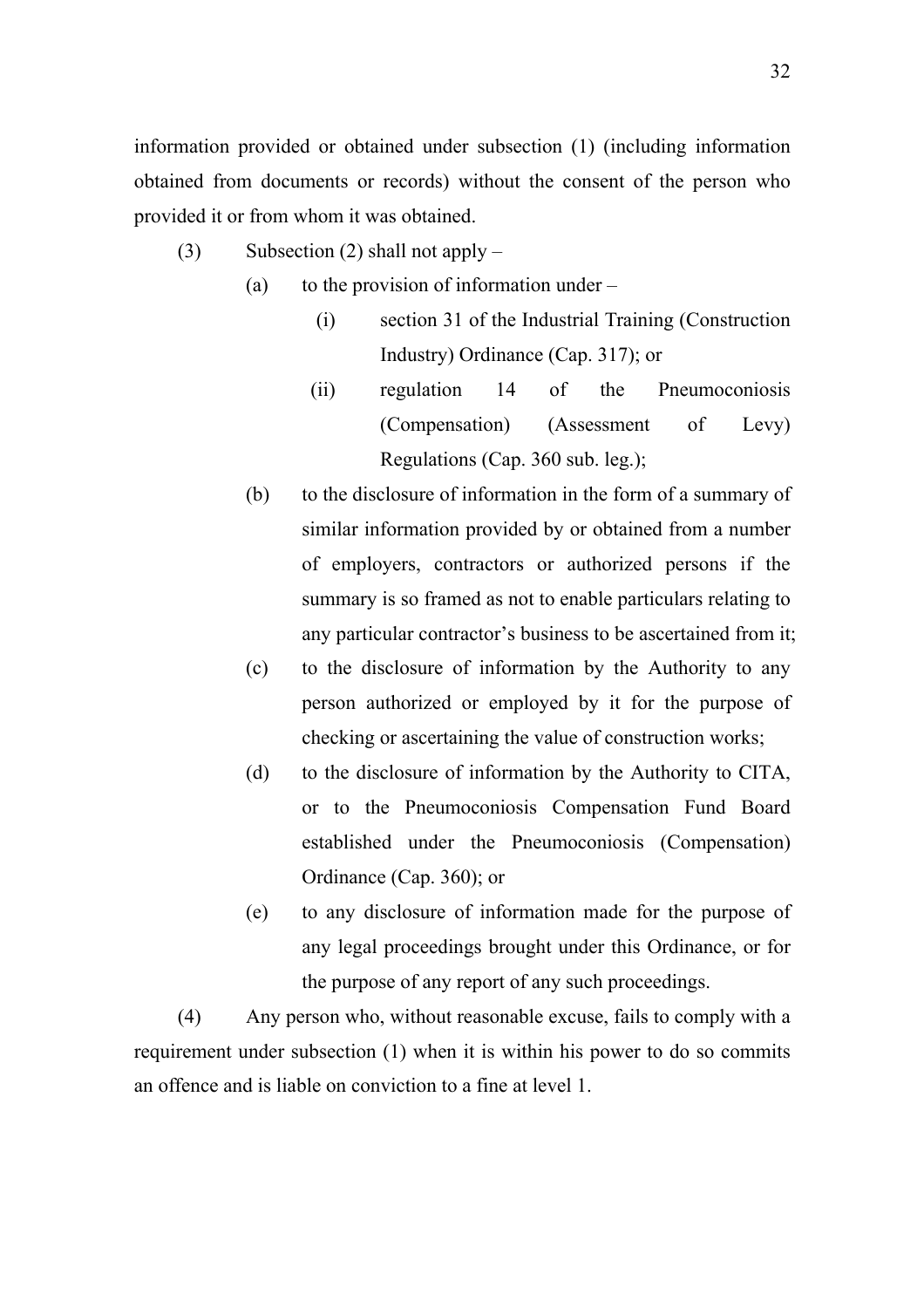information provided or obtained under subsection (1) (including information obtained from documents or records) without the consent of the person who provided it or from whom it was obtained.

- (3) Subsection (2) shall not apply
	- (a) to the provision of information under  $-$ 
		- (i) section 31 of the Industrial Training (Construction Industry) Ordinance (Cap. 317); or
		- (ii) regulation 14 of the Pneumoconiosis (Compensation) (Assessment of Levy) Regulations (Cap. 360 sub. leg.);
	- (b) to the disclosure of information in the form of a summary of similar information provided by or obtained from a number of employers, contractors or authorized persons if the summary is so framed as not to enable particulars relating to any particular contractor's business to be ascertained from it;
	- (c) to the disclosure of information by the Authority to any person authorized or employed by it for the purpose of checking or ascertaining the value of construction works;
	- (d) to the disclosure of information by the Authority to CITA, or to the Pneumoconiosis Compensation Fund Board established under the Pneumoconiosis (Compensation) Ordinance (Cap. 360); or
	- (e) to any disclosure of information made for the purpose of any legal proceedings brought under this Ordinance, or for the purpose of any report of any such proceedings.

(4) Any person who, without reasonable excuse, fails to comply with a requirement under subsection (1) when it is within his power to do so commits an offence and is liable on conviction to a fine at level 1.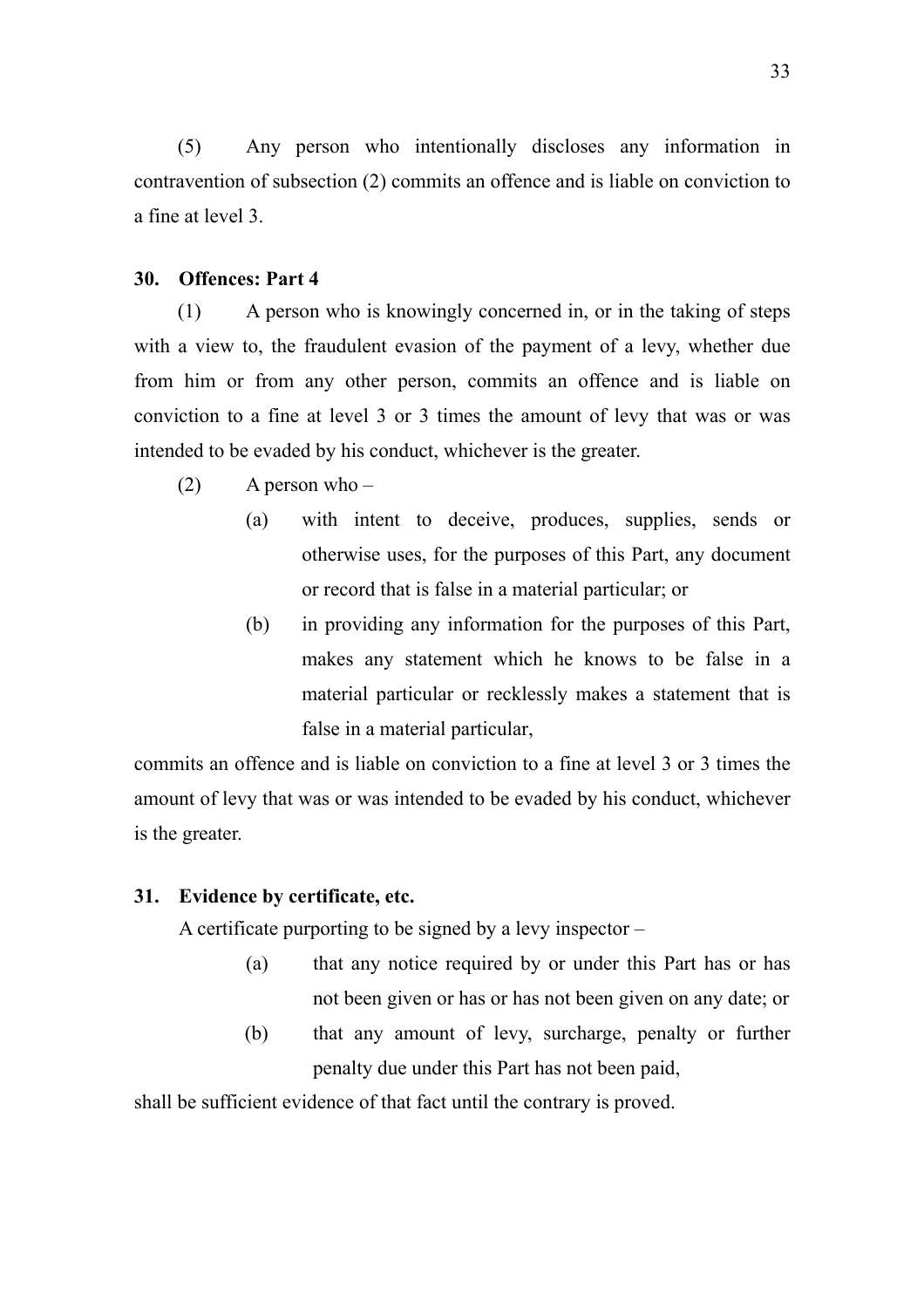(5) Any person who intentionally discloses any information in contravention of subsection (2) commits an offence and is liable on conviction to a fine at level 3.

#### **30. Offences: Part 4**

(1) A person who is knowingly concerned in, or in the taking of steps with a view to, the fraudulent evasion of the payment of a levy, whether due from him or from any other person, commits an offence and is liable on conviction to a fine at level 3 or 3 times the amount of levy that was or was intended to be evaded by his conduct, whichever is the greater.

- $(2)$  A person who
	- (a) with intent to deceive, produces, supplies, sends or otherwise uses, for the purposes of this Part, any document or record that is false in a material particular; or
	- (b) in providing any information for the purposes of this Part, makes any statement which he knows to be false in a material particular or recklessly makes a statement that is false in a material particular,

commits an offence and is liable on conviction to a fine at level 3 or 3 times the amount of levy that was or was intended to be evaded by his conduct, whichever is the greater.

#### **31. Evidence by certificate, etc.**

A certificate purporting to be signed by a levy inspector –

- (a) that any notice required by or under this Part has or has not been given or has or has not been given on any date; or
- (b) that any amount of levy, surcharge, penalty or further penalty due under this Part has not been paid,

shall be sufficient evidence of that fact until the contrary is proved.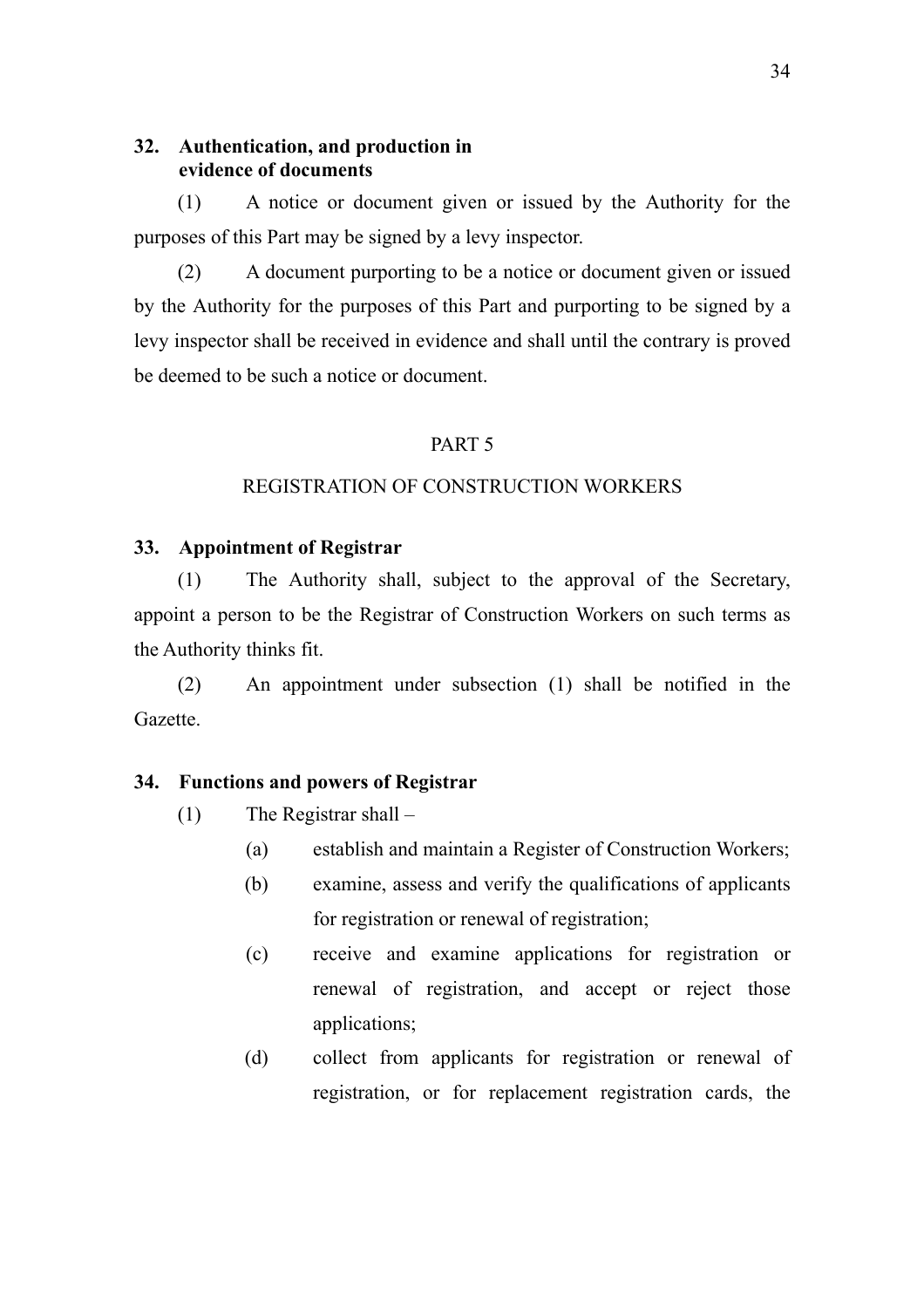## **32. Authentication, and production in evidence of documents**

(1) A notice or document given or issued by the Authority for the purposes of this Part may be signed by a levy inspector.

(2) A document purporting to be a notice or document given or issued by the Authority for the purposes of this Part and purporting to be signed by a levy inspector shall be received in evidence and shall until the contrary is proved be deemed to be such a notice or document.

#### PART 5

## REGISTRATION OF CONSTRUCTION WORKERS

#### **33. Appointment of Registrar**

(1) The Authority shall, subject to the approval of the Secretary, appoint a person to be the Registrar of Construction Workers on such terms as the Authority thinks fit.

(2) An appointment under subsection (1) shall be notified in the Gazette.

#### **34. Functions and powers of Registrar**

- (1) The Registrar shall
	- (a) establish and maintain a Register of Construction Workers;
	- (b) examine, assess and verify the qualifications of applicants for registration or renewal of registration;
	- (c) receive and examine applications for registration or renewal of registration, and accept or reject those applications;
	- (d) collect from applicants for registration or renewal of registration, or for replacement registration cards, the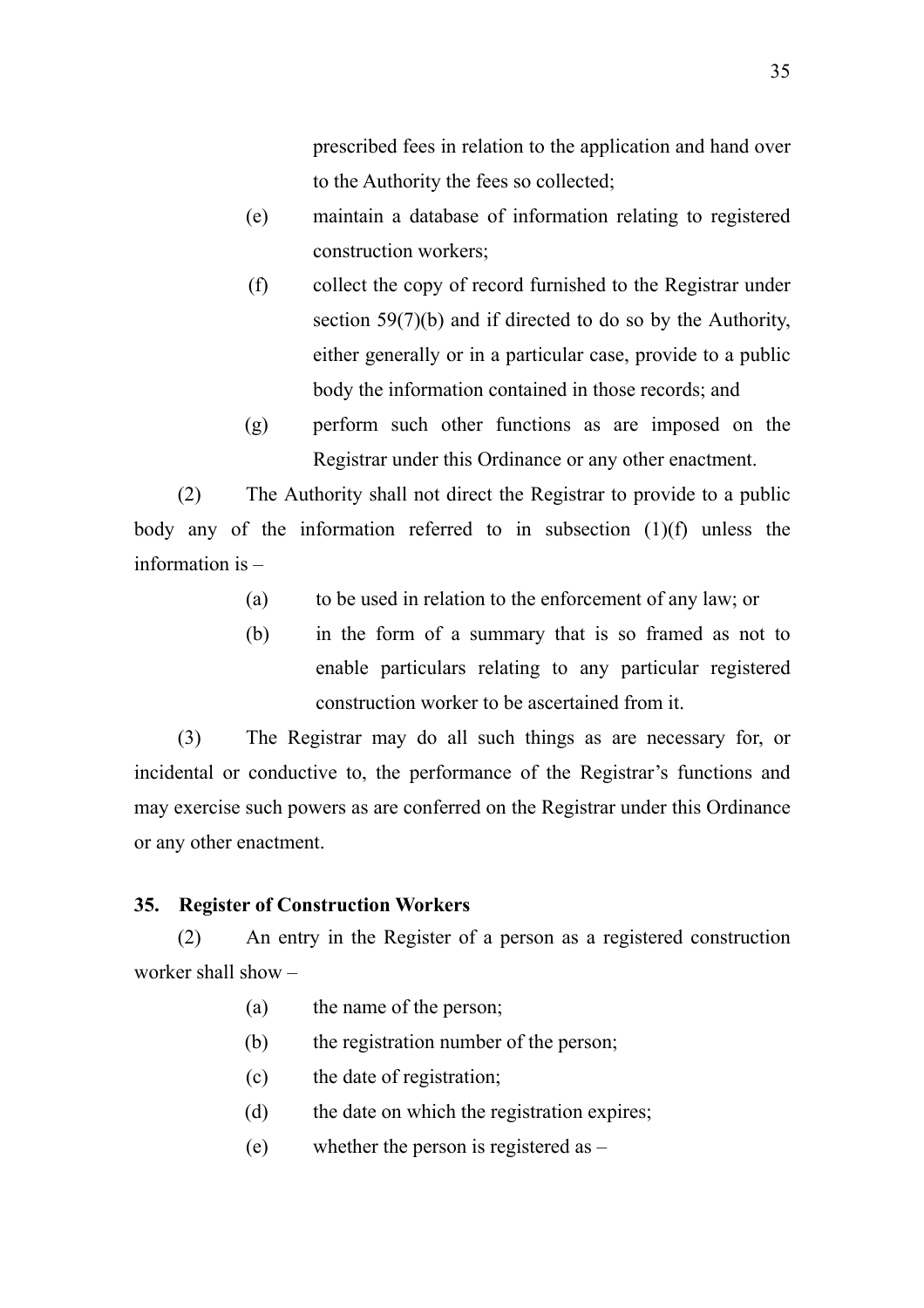prescribed fees in relation to the application and hand over to the Authority the fees so collected;

- (e) maintain a database of information relating to registered construction workers;
- (f) collect the copy of record furnished to the Registrar under section 59(7)(b) and if directed to do so by the Authority, either generally or in a particular case, provide to a public body the information contained in those records; and
- (g) perform such other functions as are imposed on the Registrar under this Ordinance or any other enactment.

(2) The Authority shall not direct the Registrar to provide to a public body any of the information referred to in subsection (1)(f) unless the information is –

- (a) to be used in relation to the enforcement of any law; or
- (b) in the form of a summary that is so framed as not to enable particulars relating to any particular registered construction worker to be ascertained from it.

(3) The Registrar may do all such things as are necessary for, or incidental or conductive to, the performance of the Registrar's functions and may exercise such powers as are conferred on the Registrar under this Ordinance or any other enactment.

### **35. Register of Construction Workers**

(2) An entry in the Register of a person as a registered construction worker shall show –

- (a) the name of the person;
- (b) the registration number of the person;
- (c) the date of registration;
- (d) the date on which the registration expires;
- (e) whether the person is registered as –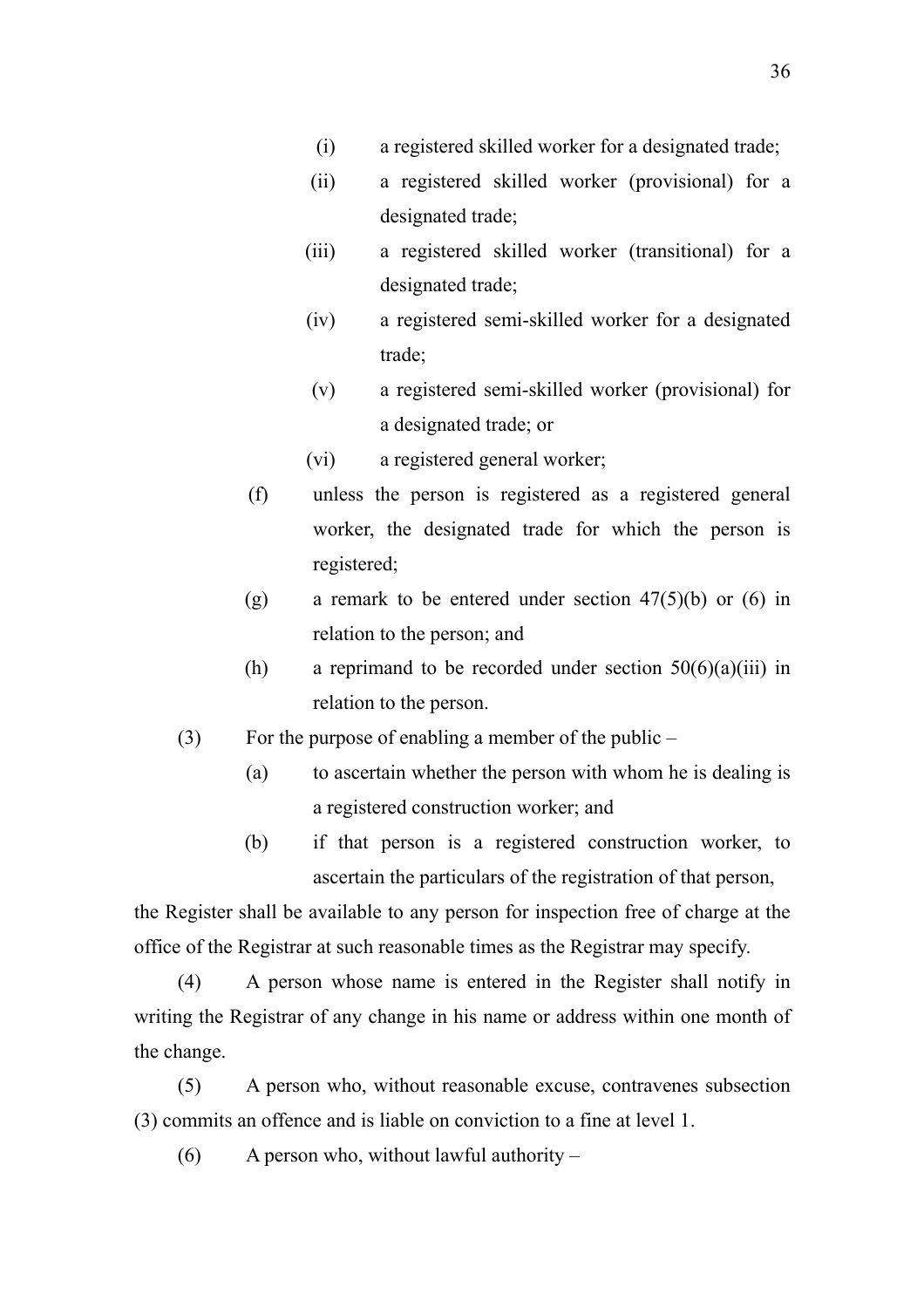- (i) a registered skilled worker for a designated trade;
- (ii) a registered skilled worker (provisional) for a designated trade;
- (iii) a registered skilled worker (transitional) for a designated trade;
- (iv) a registered semi-skilled worker for a designated trade;
- (v) a registered semi-skilled worker (provisional) for a designated trade; or
- (vi) a registered general worker;
- (f) unless the person is registered as a registered general worker, the designated trade for which the person is registered;
- (g) a remark to be entered under section  $47(5)(b)$  or (6) in relation to the person; and
- (h) a reprimand to be recorded under section  $50(6)(a)(iii)$  in relation to the person.
- (3) For the purpose of enabling a member of the public
	- (a) to ascertain whether the person with whom he is dealing is a registered construction worker; and
	- (b) if that person is a registered construction worker, to ascertain the particulars of the registration of that person,

the Register shall be available to any person for inspection free of charge at the office of the Registrar at such reasonable times as the Registrar may specify.

(4) A person whose name is entered in the Register shall notify in writing the Registrar of any change in his name or address within one month of the change.

(5) A person who, without reasonable excuse, contravenes subsection (3) commits an offence and is liable on conviction to a fine at level 1.

(6) A person who, without lawful authority –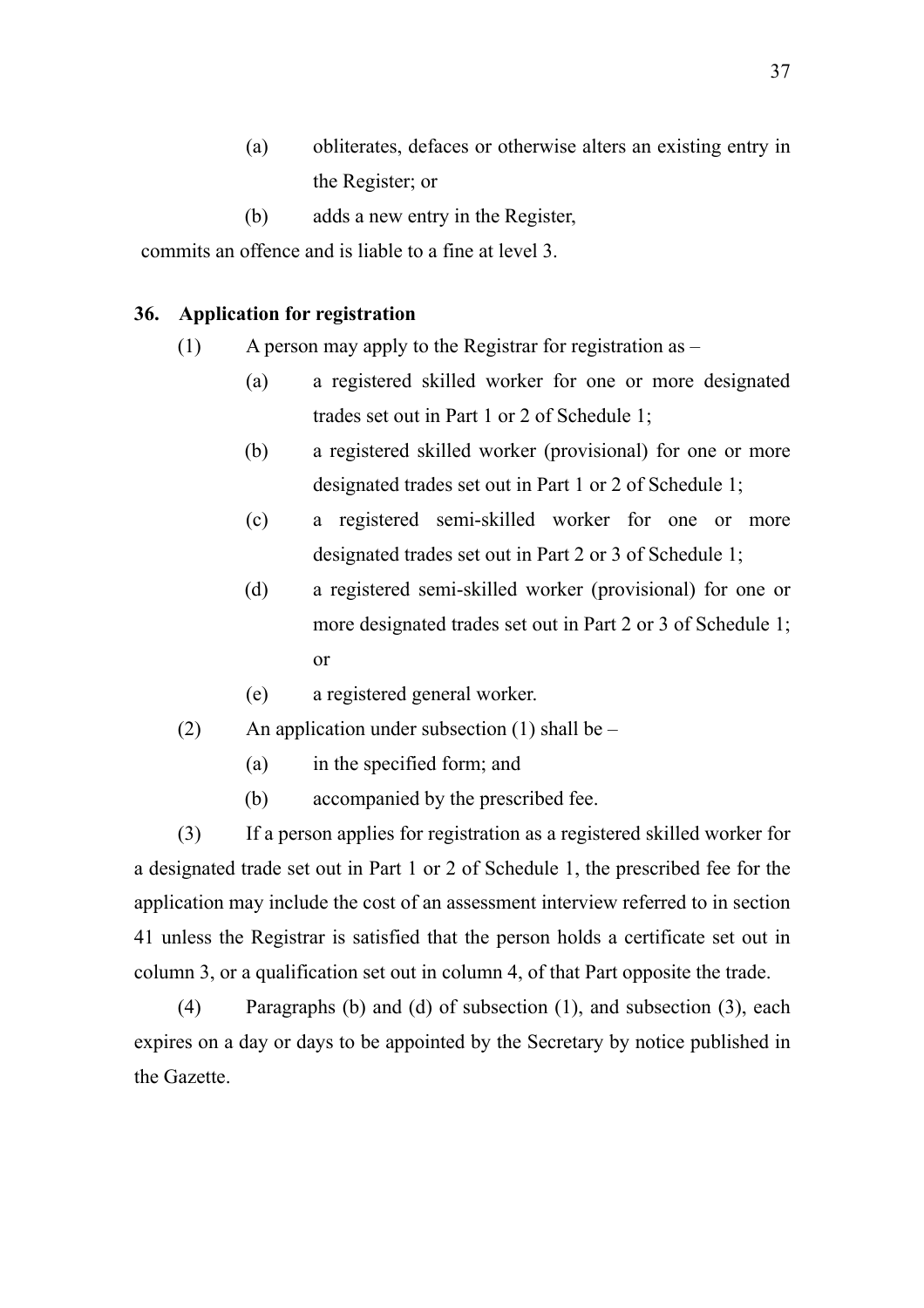- (a) obliterates, defaces or otherwise alters an existing entry in the Register; or
- (b) adds a new entry in the Register,

commits an offence and is liable to a fine at level 3.

#### **36. Application for registration**

- (1) A person may apply to the Registrar for registration as
	- (a) a registered skilled worker for one or more designated trades set out in Part 1 or 2 of Schedule 1;
	- (b) a registered skilled worker (provisional) for one or more designated trades set out in Part 1 or 2 of Schedule 1;
	- (c) a registered semi-skilled worker for one or more designated trades set out in Part 2 or 3 of Schedule 1;
	- (d) a registered semi-skilled worker (provisional) for one or more designated trades set out in Part 2 or 3 of Schedule 1; or
	- (e) a registered general worker.
- (2) An application under subsection (1) shall be  $-$ 
	- (a) in the specified form; and
	- (b) accompanied by the prescribed fee.

(3) If a person applies for registration as a registered skilled worker for a designated trade set out in Part 1 or 2 of Schedule 1, the prescribed fee for the application may include the cost of an assessment interview referred to in section 41 unless the Registrar is satisfied that the person holds a certificate set out in column 3, or a qualification set out in column 4, of that Part opposite the trade.

(4) Paragraphs (b) and (d) of subsection (1), and subsection (3), each expires on a day or days to be appointed by the Secretary by notice published in the Gazette.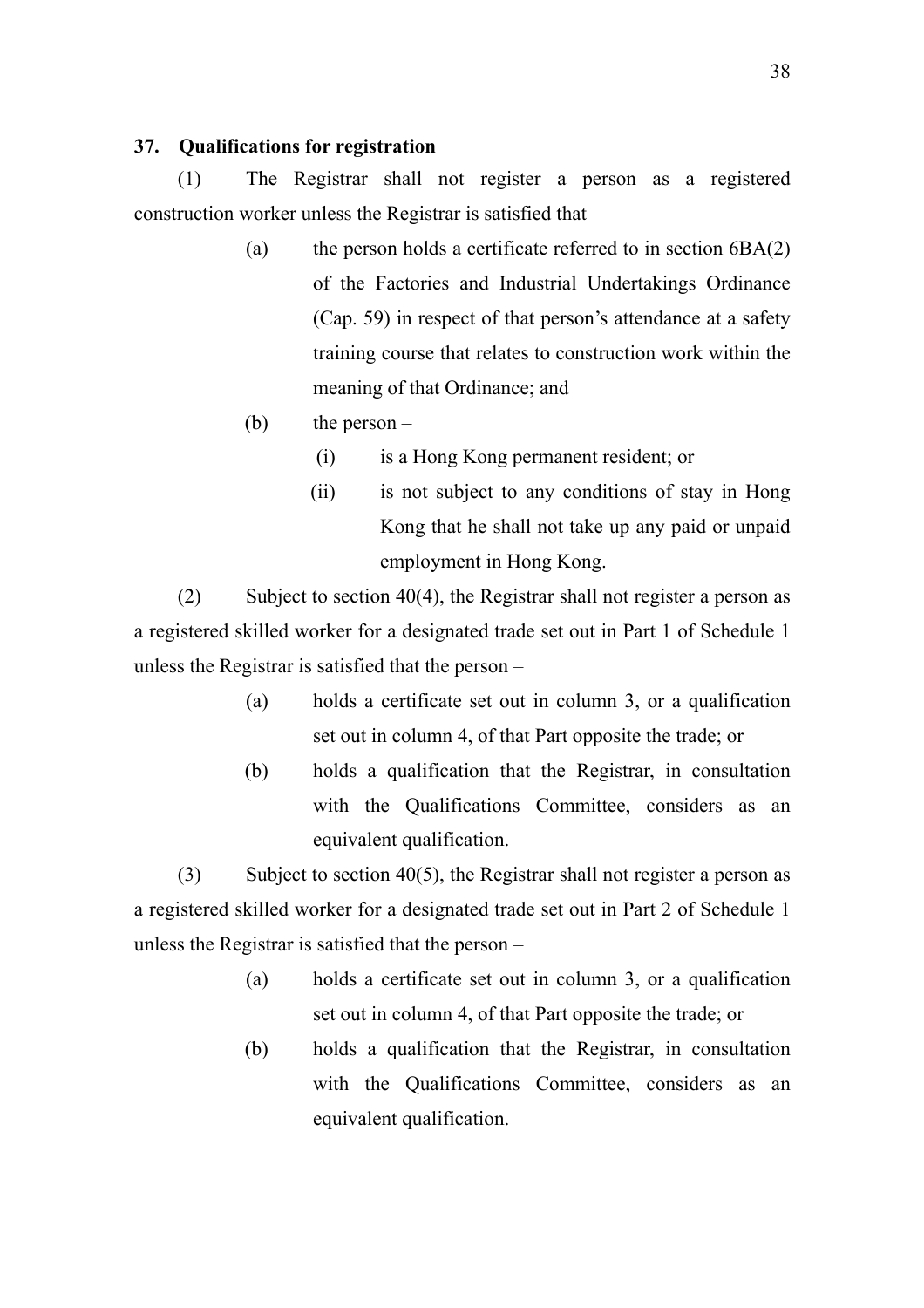## **37. Qualifications for registration**

(1) The Registrar shall not register a person as a registered construction worker unless the Registrar is satisfied that –

- (a) the person holds a certificate referred to in section  $6BA(2)$ of the Factories and Industrial Undertakings Ordinance (Cap. 59) in respect of that person's attendance at a safety training course that relates to construction work within the meaning of that Ordinance; and
- (b) the person  $-$ 
	- (i) is a Hong Kong permanent resident; or
	- (ii) is not subject to any conditions of stay in Hong Kong that he shall not take up any paid or unpaid employment in Hong Kong.

(2) Subject to section 40(4), the Registrar shall not register a person as a registered skilled worker for a designated trade set out in Part 1 of Schedule 1 unless the Registrar is satisfied that the person –

- (a) holds a certificate set out in column 3, or a qualification set out in column 4, of that Part opposite the trade; or
- (b) holds a qualification that the Registrar, in consultation with the Qualifications Committee, considers as an equivalent qualification.

(3) Subject to section 40(5), the Registrar shall not register a person as a registered skilled worker for a designated trade set out in Part 2 of Schedule 1 unless the Registrar is satisfied that the person –

- (a) holds a certificate set out in column 3, or a qualification set out in column 4, of that Part opposite the trade; or
- (b) holds a qualification that the Registrar, in consultation with the Qualifications Committee, considers as an equivalent qualification.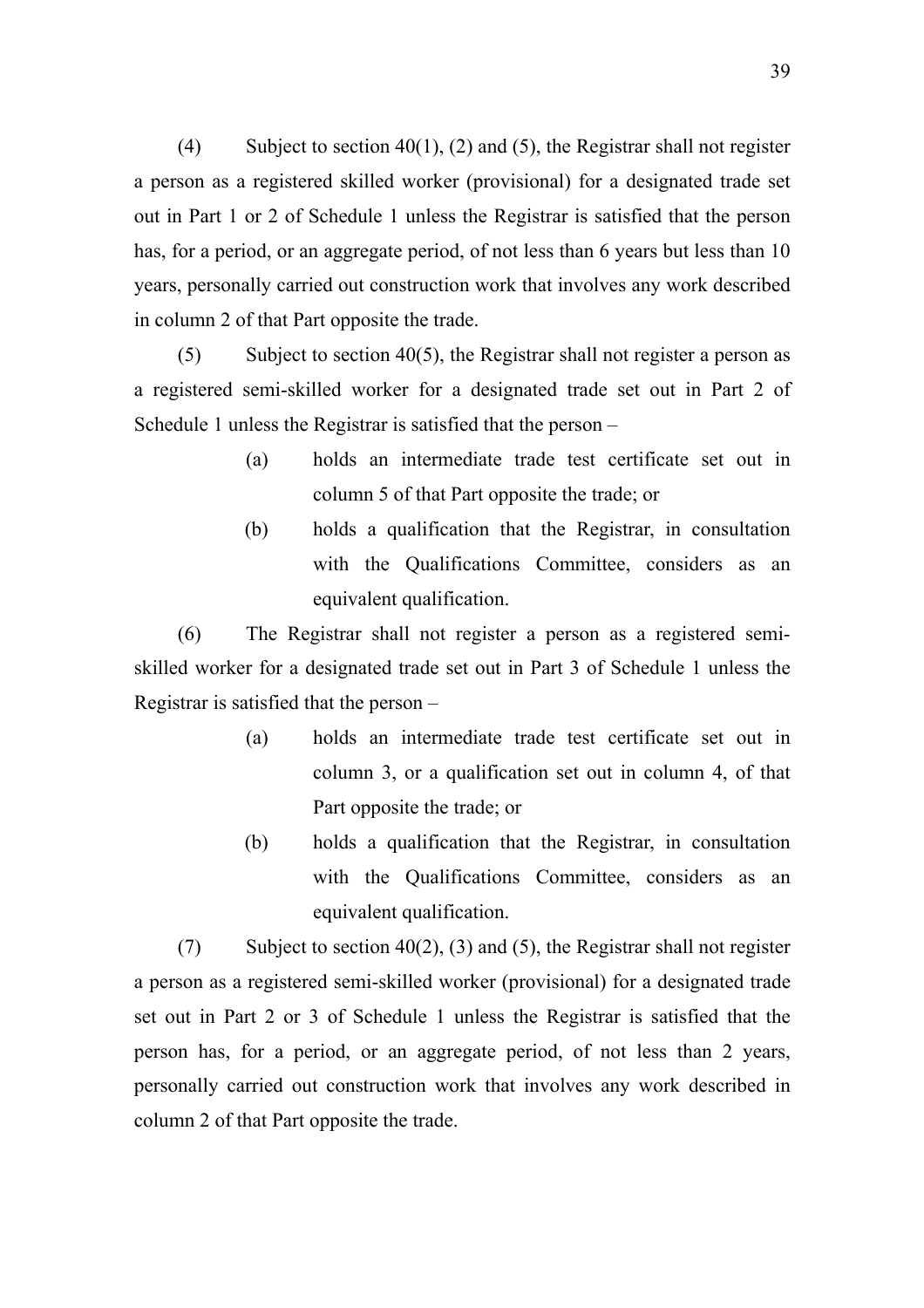(4) Subject to section 40(1), (2) and (5), the Registrar shall not register a person as a registered skilled worker (provisional) for a designated trade set out in Part 1 or 2 of Schedule 1 unless the Registrar is satisfied that the person has, for a period, or an aggregate period, of not less than 6 years but less than 10 years, personally carried out construction work that involves any work described in column 2 of that Part opposite the trade.

(5) Subject to section 40(5), the Registrar shall not register a person as a registered semi-skilled worker for a designated trade set out in Part 2 of Schedule 1 unless the Registrar is satisfied that the person –

- (a) holds an intermediate trade test certificate set out in column 5 of that Part opposite the trade; or
- (b) holds a qualification that the Registrar, in consultation with the Qualifications Committee, considers as an equivalent qualification.

(6) The Registrar shall not register a person as a registered semiskilled worker for a designated trade set out in Part 3 of Schedule 1 unless the Registrar is satisfied that the person –

- (a) holds an intermediate trade test certificate set out in column 3, or a qualification set out in column 4, of that Part opposite the trade; or
- (b) holds a qualification that the Registrar, in consultation with the Qualifications Committee, considers as an equivalent qualification.

(7) Subject to section 40(2), (3) and (5), the Registrar shall not register a person as a registered semi-skilled worker (provisional) for a designated trade set out in Part 2 or 3 of Schedule 1 unless the Registrar is satisfied that the person has, for a period, or an aggregate period, of not less than 2 years, personally carried out construction work that involves any work described in column 2 of that Part opposite the trade.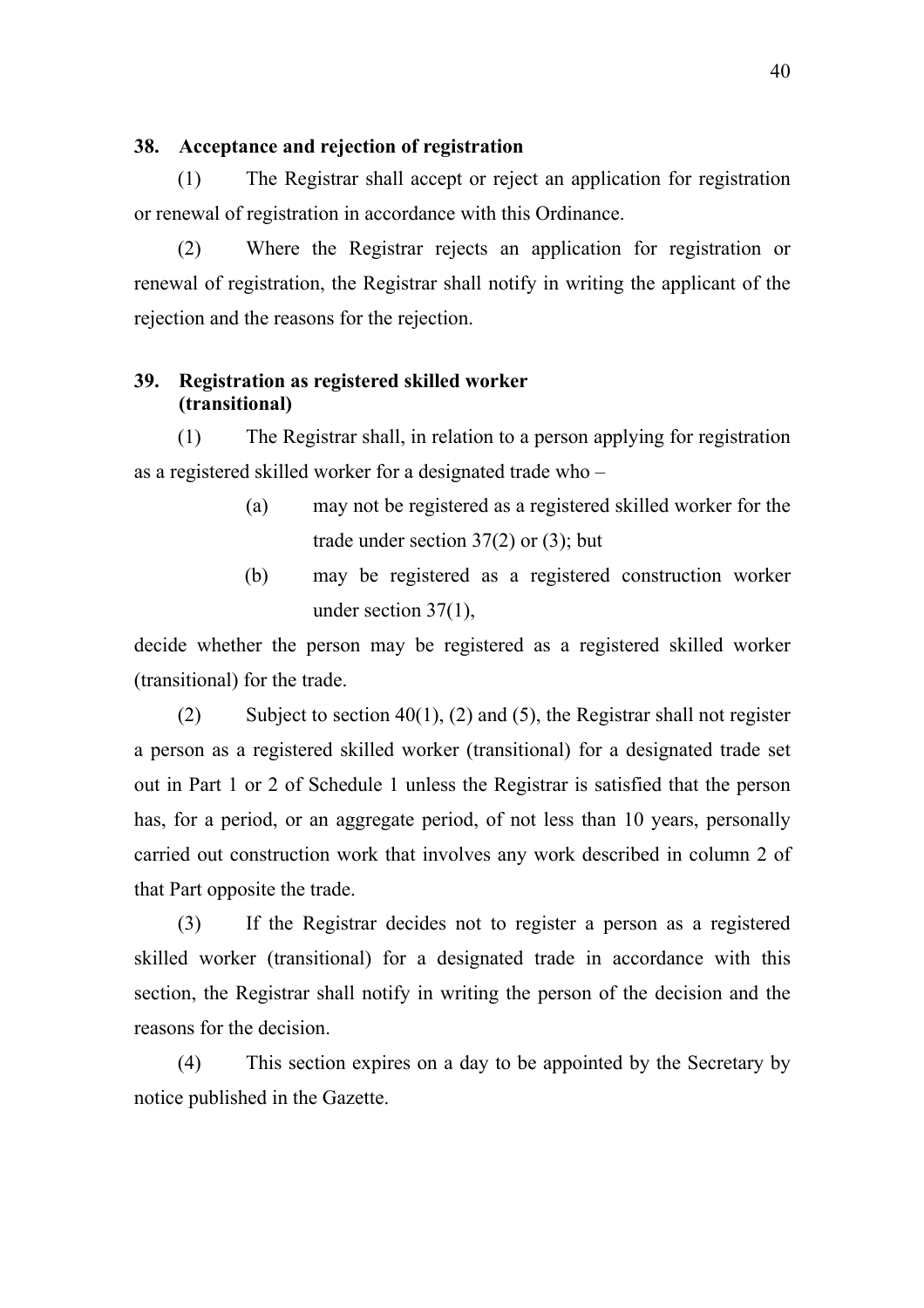## **38. Acceptance and rejection of registration**

(1) The Registrar shall accept or reject an application for registration or renewal of registration in accordance with this Ordinance.

(2) Where the Registrar rejects an application for registration or renewal of registration, the Registrar shall notify in writing the applicant of the rejection and the reasons for the rejection.

## **39. Registration as registered skilled worker (transitional)**

(1) The Registrar shall, in relation to a person applying for registration as a registered skilled worker for a designated trade who –

- (a) may not be registered as a registered skilled worker for the trade under section  $37(2)$  or  $(3)$ ; but
- (b) may be registered as a registered construction worker under section 37(1),

decide whether the person may be registered as a registered skilled worker (transitional) for the trade.

(2) Subject to section 40(1), (2) and (5), the Registrar shall not register a person as a registered skilled worker (transitional) for a designated trade set out in Part 1 or 2 of Schedule 1 unless the Registrar is satisfied that the person has, for a period, or an aggregate period, of not less than 10 years, personally carried out construction work that involves any work described in column 2 of that Part opposite the trade.

(3) If the Registrar decides not to register a person as a registered skilled worker (transitional) for a designated trade in accordance with this section, the Registrar shall notify in writing the person of the decision and the reasons for the decision.

(4) This section expires on a day to be appointed by the Secretary by notice published in the Gazette.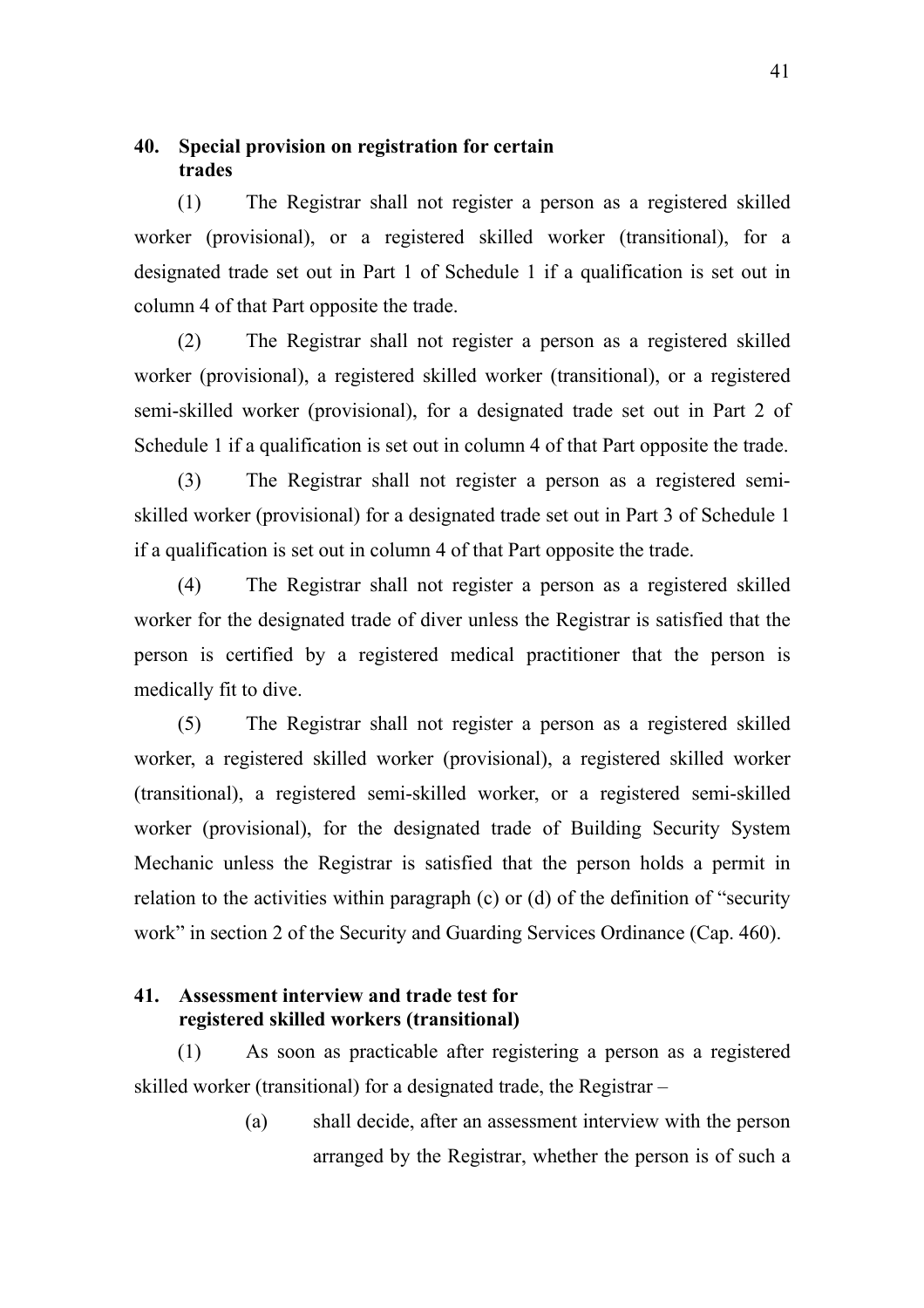## **40. Special provision on registration for certain trades**

(1) The Registrar shall not register a person as a registered skilled worker (provisional), or a registered skilled worker (transitional), for a designated trade set out in Part 1 of Schedule 1 if a qualification is set out in column 4 of that Part opposite the trade.

(2) The Registrar shall not register a person as a registered skilled worker (provisional), a registered skilled worker (transitional), or a registered semi-skilled worker (provisional), for a designated trade set out in Part 2 of Schedule 1 if a qualification is set out in column 4 of that Part opposite the trade.

(3) The Registrar shall not register a person as a registered semiskilled worker (provisional) for a designated trade set out in Part 3 of Schedule 1 if a qualification is set out in column 4 of that Part opposite the trade.

(4) The Registrar shall not register a person as a registered skilled worker for the designated trade of diver unless the Registrar is satisfied that the person is certified by a registered medical practitioner that the person is medically fit to dive.

(5) The Registrar shall not register a person as a registered skilled worker, a registered skilled worker (provisional), a registered skilled worker (transitional), a registered semi-skilled worker, or a registered semi-skilled worker (provisional), for the designated trade of Building Security System Mechanic unless the Registrar is satisfied that the person holds a permit in relation to the activities within paragraph (c) or (d) of the definition of "security work" in section 2 of the Security and Guarding Services Ordinance (Cap. 460).

## **41. Assessment interview and trade test for registered skilled workers (transitional)**

(1) As soon as practicable after registering a person as a registered skilled worker (transitional) for a designated trade, the Registrar –

> (a) shall decide, after an assessment interview with the person arranged by the Registrar, whether the person is of such a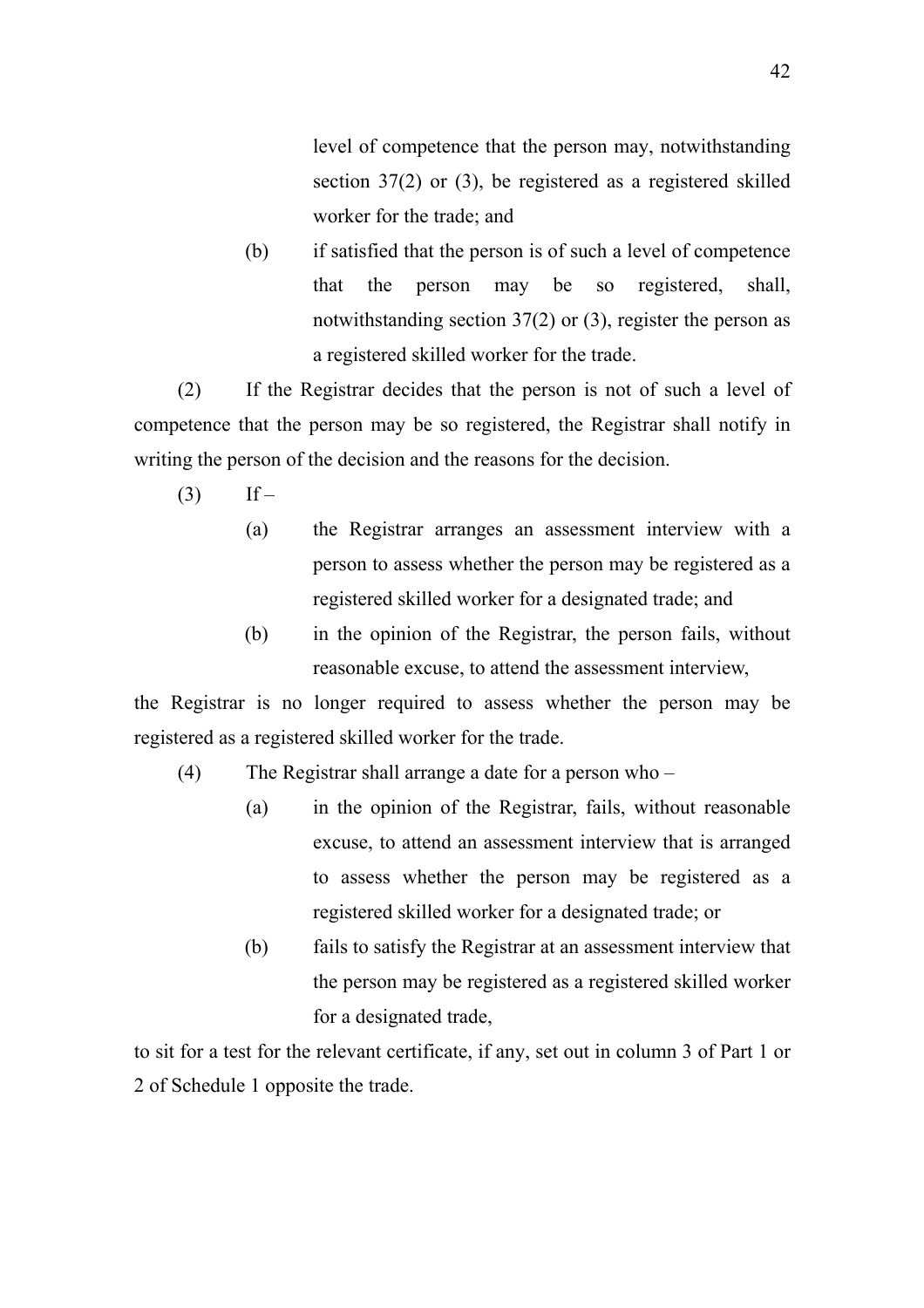level of competence that the person may, notwithstanding section 37(2) or (3), be registered as a registered skilled worker for the trade; and

(b) if satisfied that the person is of such a level of competence that the person may be so registered, shall, notwithstanding section 37(2) or (3), register the person as a registered skilled worker for the trade.

(2) If the Registrar decides that the person is not of such a level of competence that the person may be so registered, the Registrar shall notify in writing the person of the decision and the reasons for the decision.

- $(3)$  If
	- (a) the Registrar arranges an assessment interview with a person to assess whether the person may be registered as a registered skilled worker for a designated trade; and
	- (b) in the opinion of the Registrar, the person fails, without reasonable excuse, to attend the assessment interview,

the Registrar is no longer required to assess whether the person may be registered as a registered skilled worker for the trade.

- (4) The Registrar shall arrange a date for a person who
	- (a) in the opinion of the Registrar, fails, without reasonable excuse, to attend an assessment interview that is arranged to assess whether the person may be registered as a registered skilled worker for a designated trade; or
	- (b) fails to satisfy the Registrar at an assessment interview that the person may be registered as a registered skilled worker for a designated trade,

to sit for a test for the relevant certificate, if any, set out in column 3 of Part 1 or 2 of Schedule 1 opposite the trade.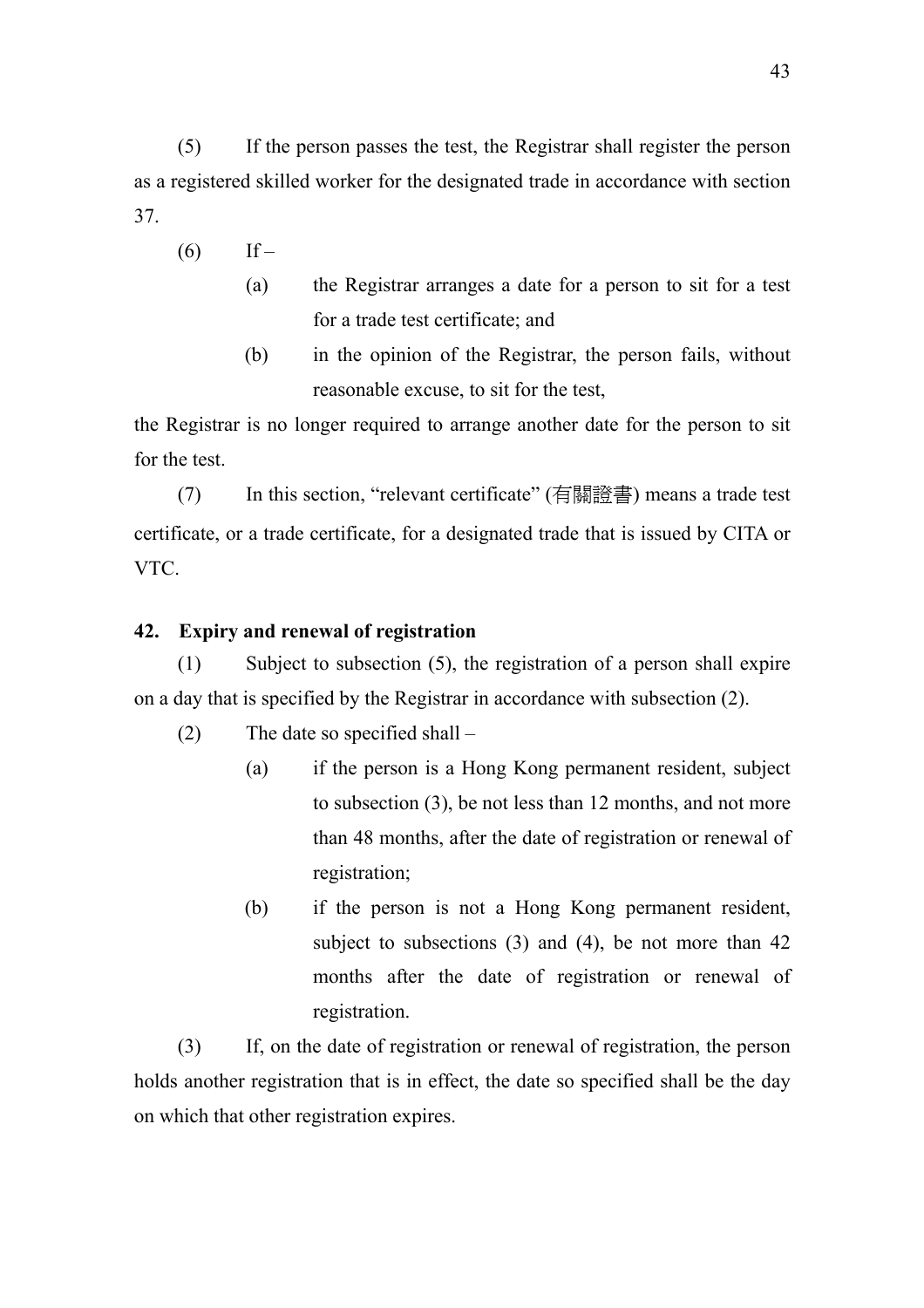(5) If the person passes the test, the Registrar shall register the person as a registered skilled worker for the designated trade in accordance with section 37.

- $(6)$  If
	- (a) the Registrar arranges a date for a person to sit for a test for a trade test certificate; and
	- (b) in the opinion of the Registrar, the person fails, without reasonable excuse, to sit for the test,

the Registrar is no longer required to arrange another date for the person to sit for the test.

(7) In this section, "relevant certificate" (有關證書) means a trade test certificate, or a trade certificate, for a designated trade that is issued by CITA or VTC.

# **42. Expiry and renewal of registration**

(1) Subject to subsection (5), the registration of a person shall expire on a day that is specified by the Registrar in accordance with subsection (2).

(2) The date so specified shall –

- (a) if the person is a Hong Kong permanent resident, subject to subsection (3), be not less than 12 months, and not more than 48 months, after the date of registration or renewal of registration;
- (b) if the person is not a Hong Kong permanent resident, subject to subsections (3) and (4), be not more than 42 months after the date of registration or renewal of registration.

(3) If, on the date of registration or renewal of registration, the person holds another registration that is in effect, the date so specified shall be the day on which that other registration expires.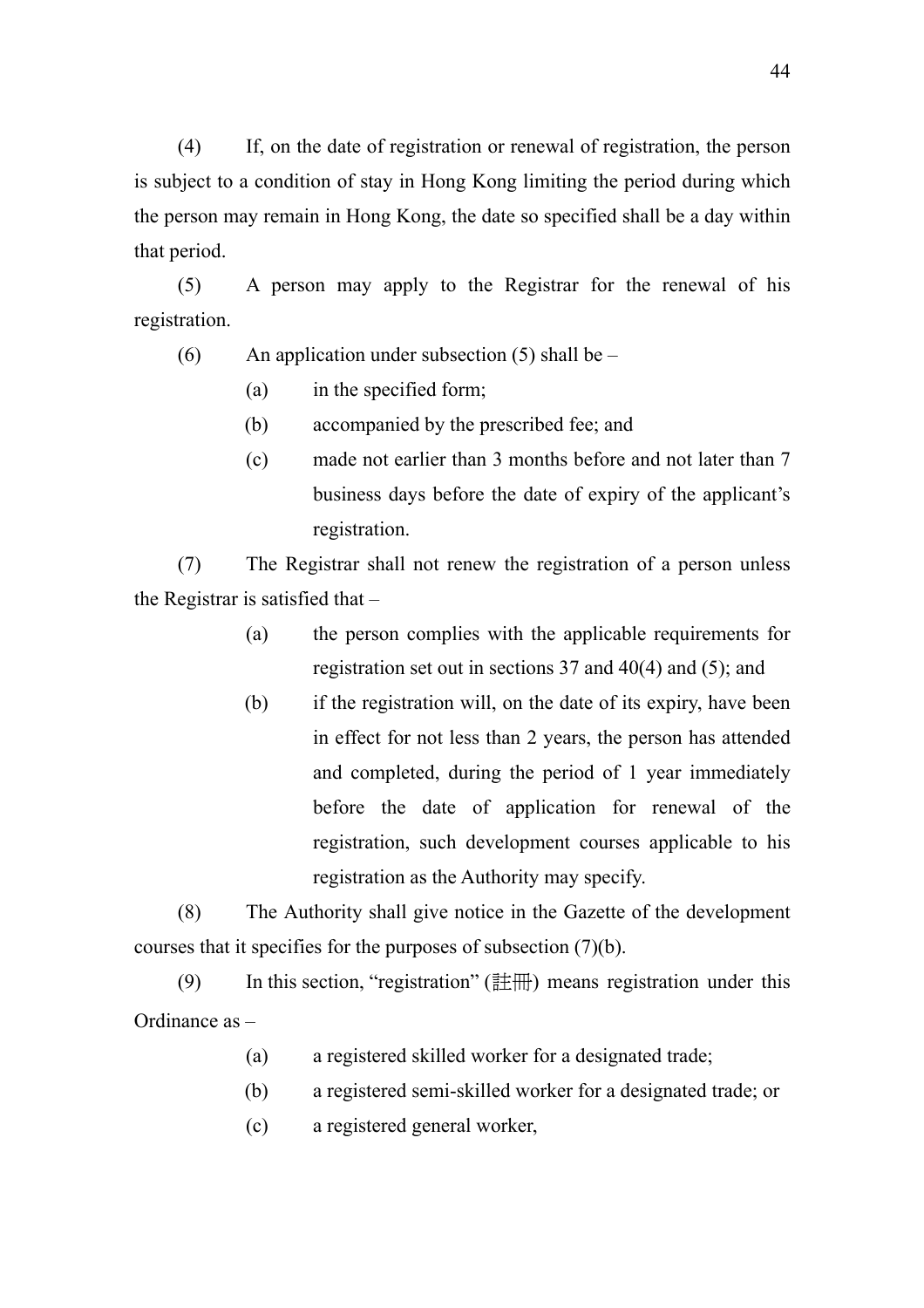(4) If, on the date of registration or renewal of registration, the person is subject to a condition of stay in Hong Kong limiting the period during which the person may remain in Hong Kong, the date so specified shall be a day within that period.

(5) A person may apply to the Registrar for the renewal of his registration.

- (6) An application under subsection (5) shall be
	- (a) in the specified form;
	- (b) accompanied by the prescribed fee; and
	- (c) made not earlier than 3 months before and not later than 7 business days before the date of expiry of the applicant's registration.

(7) The Registrar shall not renew the registration of a person unless the Registrar is satisfied that –

- (a) the person complies with the applicable requirements for registration set out in sections 37 and 40(4) and (5); and
- (b) if the registration will, on the date of its expiry, have been in effect for not less than 2 years, the person has attended and completed, during the period of 1 year immediately before the date of application for renewal of the registration, such development courses applicable to his registration as the Authority may specify.

(8) The Authority shall give notice in the Gazette of the development courses that it specifies for the purposes of subsection (7)(b).

(9) In this section, "registration"  $(\ddot{\vec{r}} + \vec{r})$  means registration under this Ordinance as –

- (a) a registered skilled worker for a designated trade;
- (b) a registered semi-skilled worker for a designated trade; or
- (c) a registered general worker,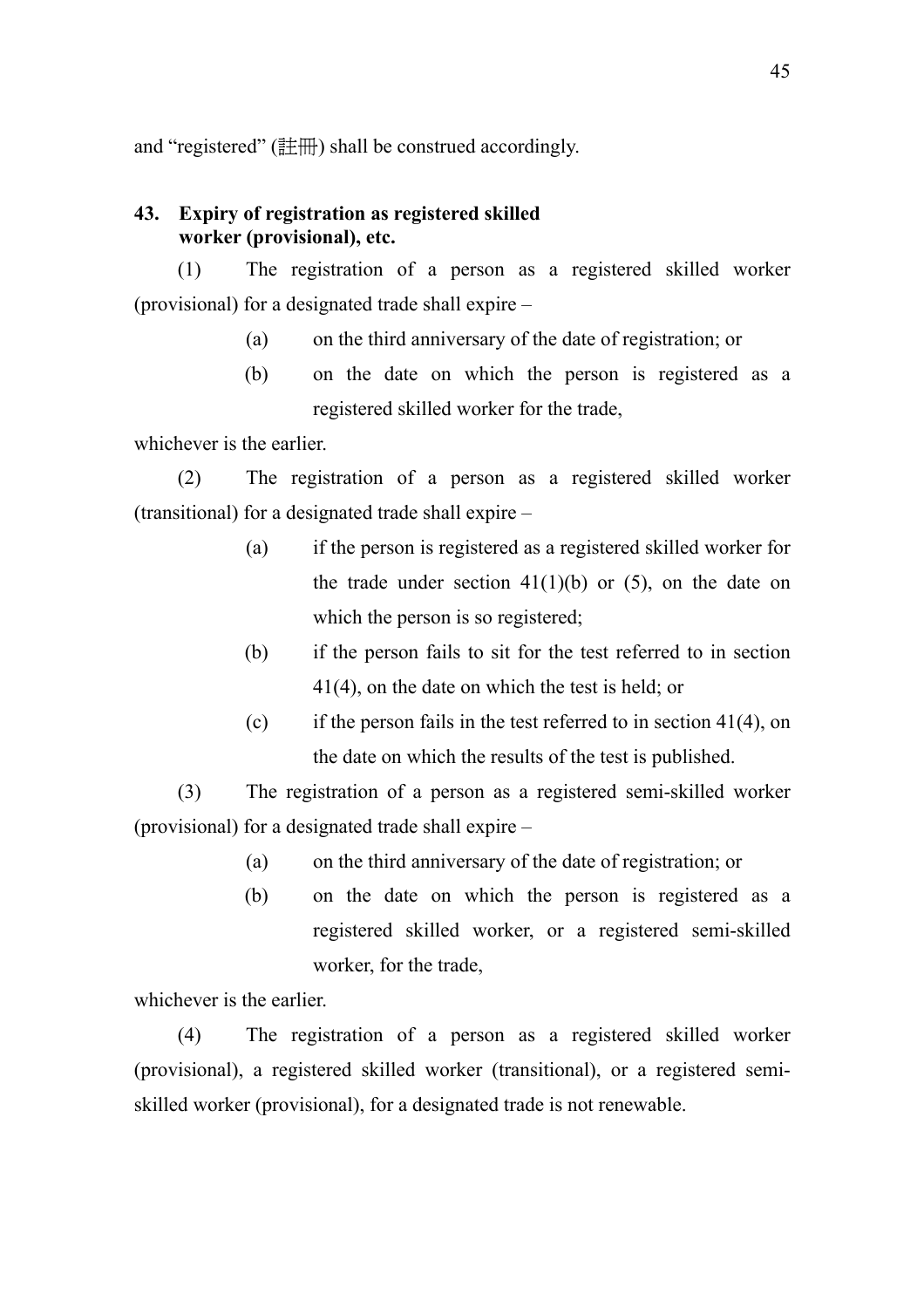and "registered" (註冊) shall be construed accordingly.

## **43. Expiry of registration as registered skilled worker (provisional), etc.**

(1) The registration of a person as a registered skilled worker (provisional) for a designated trade shall expire –

- (a) on the third anniversary of the date of registration; or
- (b) on the date on which the person is registered as a registered skilled worker for the trade,

whichever is the earlier.

(2) The registration of a person as a registered skilled worker (transitional) for a designated trade shall expire –

- (a) if the person is registered as a registered skilled worker for the trade under section  $41(1)(b)$  or  $(5)$ , on the date on which the person is so registered;
- (b) if the person fails to sit for the test referred to in section 41(4), on the date on which the test is held; or
- (c) if the person fails in the test referred to in section  $41(4)$ , on the date on which the results of the test is published.

(3) The registration of a person as a registered semi-skilled worker (provisional) for a designated trade shall expire –

- (a) on the third anniversary of the date of registration; or
- (b) on the date on which the person is registered as a registered skilled worker, or a registered semi-skilled worker, for the trade,

whichever is the earlier.

(4) The registration of a person as a registered skilled worker (provisional), a registered skilled worker (transitional), or a registered semiskilled worker (provisional), for a designated trade is not renewable.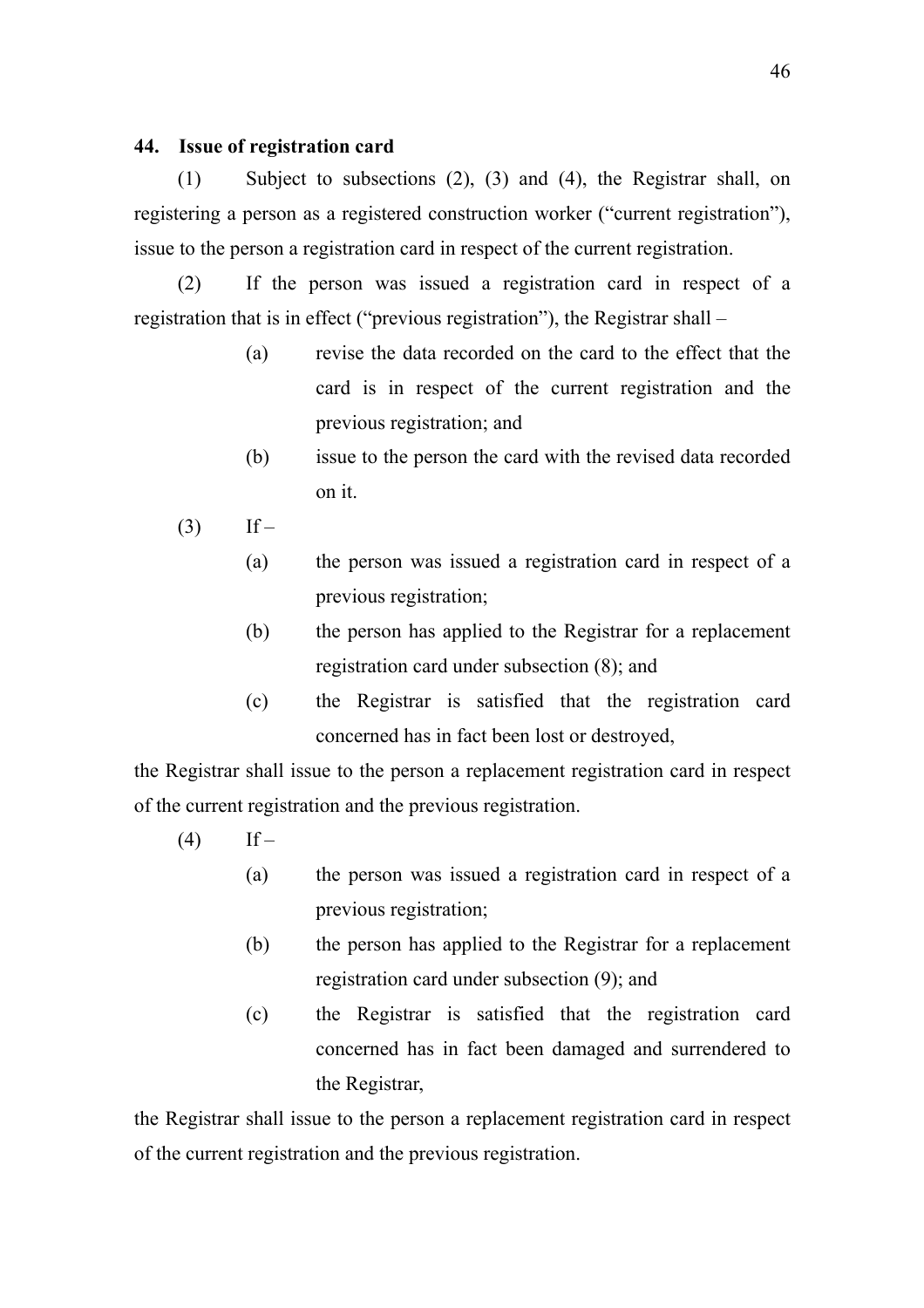## **44. Issue of registration card**

(1) Subject to subsections (2), (3) and (4), the Registrar shall, on registering a person as a registered construction worker ("current registration"), issue to the person a registration card in respect of the current registration.

(2) If the person was issued a registration card in respect of a registration that is in effect ("previous registration"), the Registrar shall –

- (a) revise the data recorded on the card to the effect that the card is in respect of the current registration and the previous registration; and
- (b) issue to the person the card with the revised data recorded on it.
- $(3)$  If
	- (a) the person was issued a registration card in respect of a previous registration;
	- (b) the person has applied to the Registrar for a replacement registration card under subsection (8); and
	- (c) the Registrar is satisfied that the registration card concerned has in fact been lost or destroyed,

the Registrar shall issue to the person a replacement registration card in respect of the current registration and the previous registration.

- $(4)$  If
	- (a) the person was issued a registration card in respect of a previous registration;
	- (b) the person has applied to the Registrar for a replacement registration card under subsection (9); and
	- (c) the Registrar is satisfied that the registration card concerned has in fact been damaged and surrendered to the Registrar,

the Registrar shall issue to the person a replacement registration card in respect of the current registration and the previous registration.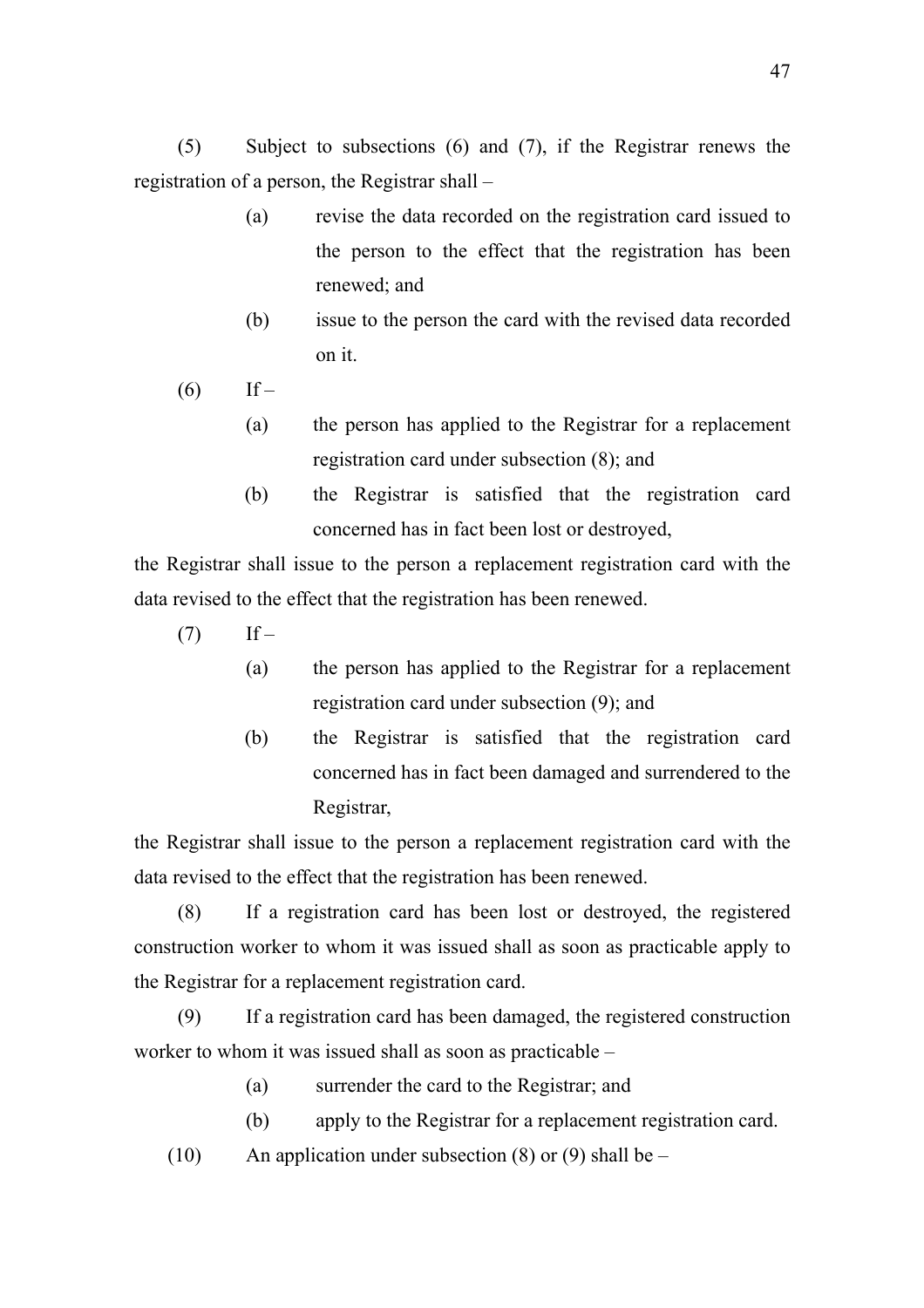(5) Subject to subsections (6) and (7), if the Registrar renews the registration of a person, the Registrar shall –

- (a) revise the data recorded on the registration card issued to the person to the effect that the registration has been renewed; and
- (b) issue to the person the card with the revised data recorded on it.
- $(6)$  If
	- (a) the person has applied to the Registrar for a replacement registration card under subsection (8); and
	- (b) the Registrar is satisfied that the registration card concerned has in fact been lost or destroyed,

the Registrar shall issue to the person a replacement registration card with the data revised to the effect that the registration has been renewed.

- $(7)$  If
	- (a) the person has applied to the Registrar for a replacement registration card under subsection (9); and
	- (b) the Registrar is satisfied that the registration card concerned has in fact been damaged and surrendered to the Registrar,

the Registrar shall issue to the person a replacement registration card with the data revised to the effect that the registration has been renewed.

(8) If a registration card has been lost or destroyed, the registered construction worker to whom it was issued shall as soon as practicable apply to the Registrar for a replacement registration card.

(9) If a registration card has been damaged, the registered construction worker to whom it was issued shall as soon as practicable –

- (a) surrender the card to the Registrar; and
- (b) apply to the Registrar for a replacement registration card.
- (10) An application under subsection (8) or (9) shall be  $-$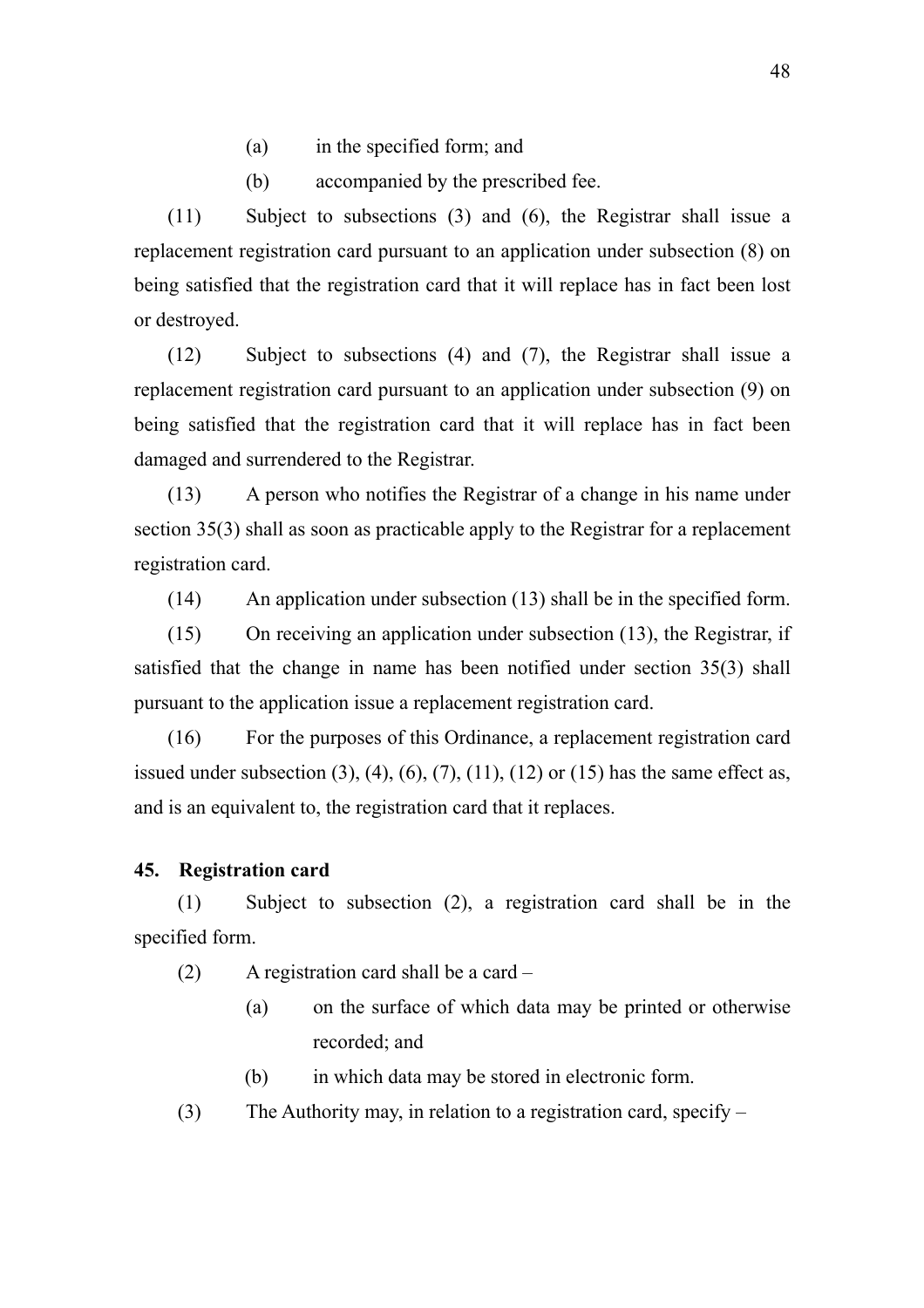- (a) in the specified form; and
- (b) accompanied by the prescribed fee.

(11) Subject to subsections (3) and (6), the Registrar shall issue a replacement registration card pursuant to an application under subsection (8) on being satisfied that the registration card that it will replace has in fact been lost or destroyed.

(12) Subject to subsections (4) and (7), the Registrar shall issue a replacement registration card pursuant to an application under subsection (9) on being satisfied that the registration card that it will replace has in fact been damaged and surrendered to the Registrar.

(13) A person who notifies the Registrar of a change in his name under section 35(3) shall as soon as practicable apply to the Registrar for a replacement registration card.

(14) An application under subsection (13) shall be in the specified form.

(15) On receiving an application under subsection (13), the Registrar, if satisfied that the change in name has been notified under section 35(3) shall pursuant to the application issue a replacement registration card.

(16) For the purposes of this Ordinance, a replacement registration card issued under subsection  $(3)$ ,  $(4)$ ,  $(6)$ ,  $(7)$ ,  $(11)$ ,  $(12)$  or  $(15)$  has the same effect as, and is an equivalent to, the registration card that it replaces.

### **45. Registration card**

(1) Subject to subsection (2), a registration card shall be in the specified form.

- (2) A registration card shall be a card
	- (a) on the surface of which data may be printed or otherwise recorded; and
	- (b) in which data may be stored in electronic form.
- (3) The Authority may, in relation to a registration card, specify –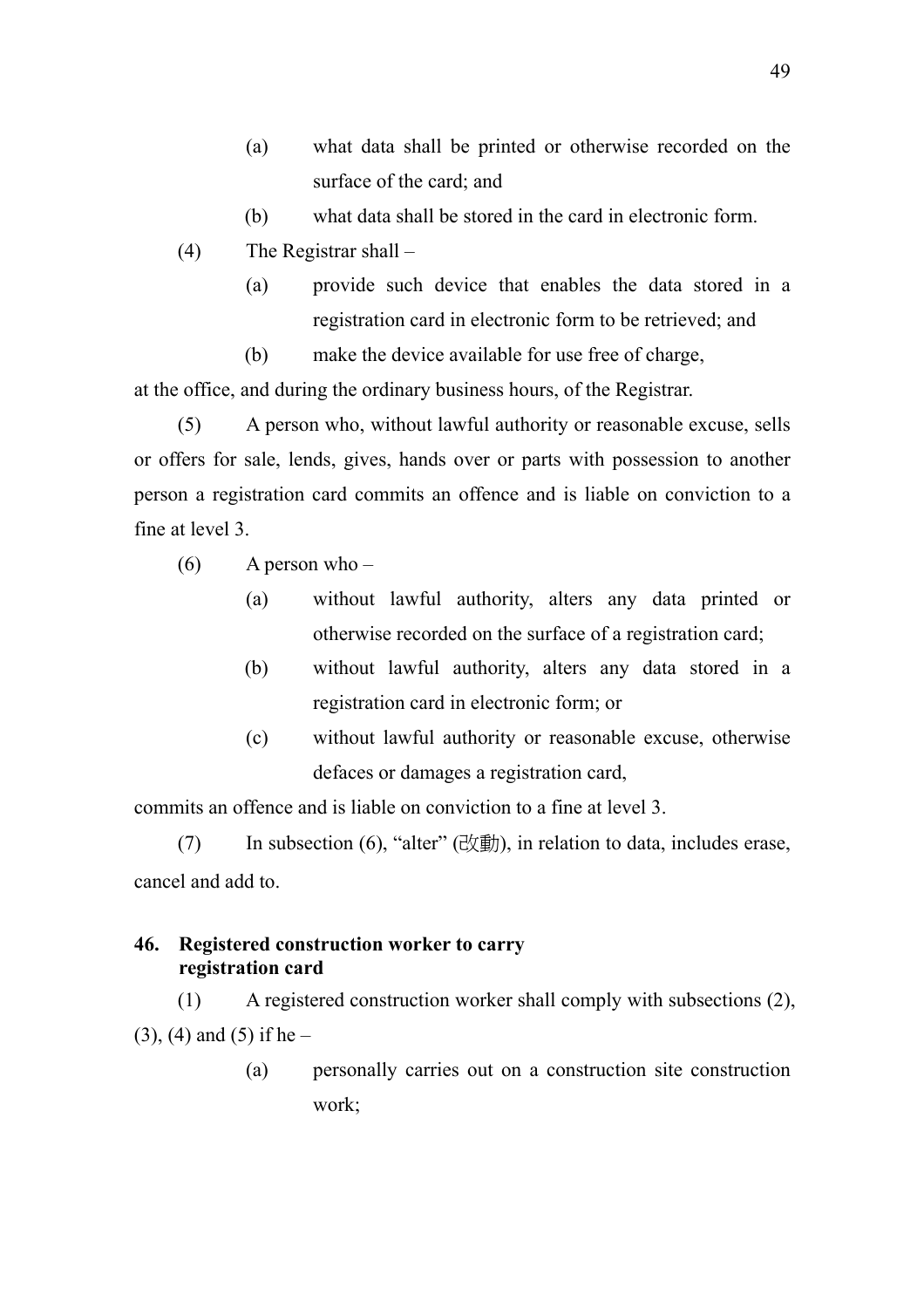- (a) what data shall be printed or otherwise recorded on the surface of the card; and
- (b) what data shall be stored in the card in electronic form.
- (4) The Registrar shall
	- (a) provide such device that enables the data stored in a registration card in electronic form to be retrieved; and

(b) make the device available for use free of charge, at the office, and during the ordinary business hours, of the Registrar.

(5) A person who, without lawful authority or reasonable excuse, sells or offers for sale, lends, gives, hands over or parts with possession to another person a registration card commits an offence and is liable on conviction to a fine at level 3.

- $(6)$  A person who
	- (a) without lawful authority, alters any data printed or otherwise recorded on the surface of a registration card;
	- (b) without lawful authority, alters any data stored in a registration card in electronic form; or
	- (c) without lawful authority or reasonable excuse, otherwise defaces or damages a registration card,

commits an offence and is liable on conviction to a fine at level 3.

(7) In subsection (6), "alter" (改動), in relation to data, includes erase, cancel and add to.

## **46. Registered construction worker to carry registration card**

(1) A registered construction worker shall comply with subsections (2),  $(3)$ ,  $(4)$  and  $(5)$  if he –

> (a) personally carries out on a construction site construction work;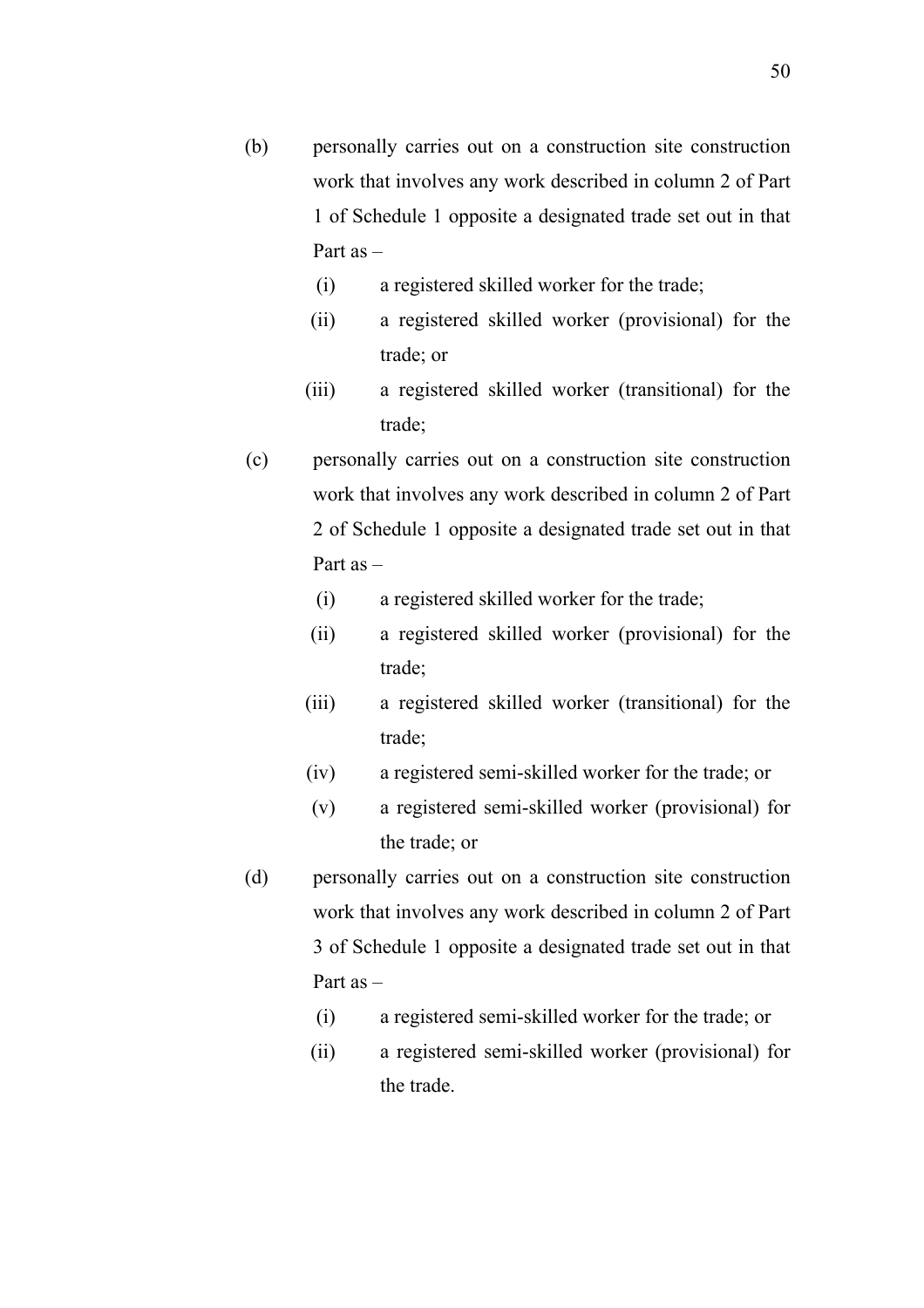- (b) personally carries out on a construction site construction work that involves any work described in column 2 of Part 1 of Schedule 1 opposite a designated trade set out in that Part as –
	- (i) a registered skilled worker for the trade;
	- (ii) a registered skilled worker (provisional) for the trade; or
	- (iii) a registered skilled worker (transitional) for the trade;
- (c) personally carries out on a construction site construction work that involves any work described in column 2 of Part 2 of Schedule 1 opposite a designated trade set out in that Part as –
	- (i) a registered skilled worker for the trade;
	- (ii) a registered skilled worker (provisional) for the trade;
	- (iii) a registered skilled worker (transitional) for the trade;
	- (iv) a registered semi-skilled worker for the trade; or
	- (v) a registered semi-skilled worker (provisional) for the trade; or
- (d) personally carries out on a construction site construction work that involves any work described in column 2 of Part 3 of Schedule 1 opposite a designated trade set out in that Part as –
	- (i) a registered semi-skilled worker for the trade; or
	- (ii) a registered semi-skilled worker (provisional) for the trade.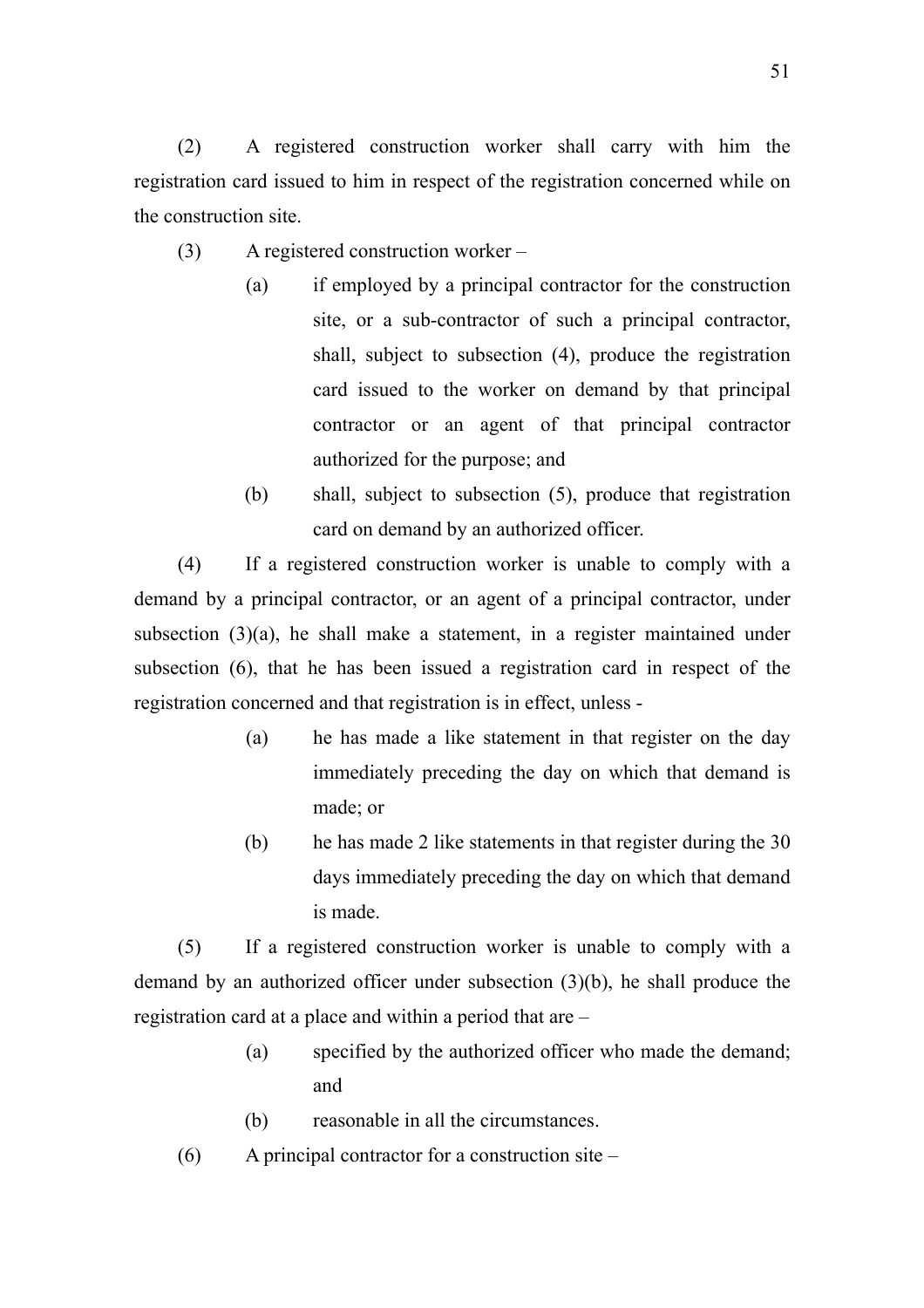(2) A registered construction worker shall carry with him the registration card issued to him in respect of the registration concerned while on the construction site.

- (3) A registered construction worker
	- (a) if employed by a principal contractor for the construction site, or a sub-contractor of such a principal contractor, shall, subject to subsection (4), produce the registration card issued to the worker on demand by that principal contractor or an agent of that principal contractor authorized for the purpose; and
	- (b) shall, subject to subsection (5), produce that registration card on demand by an authorized officer.

(4) If a registered construction worker is unable to comply with a demand by a principal contractor, or an agent of a principal contractor, under subsection (3)(a), he shall make a statement, in a register maintained under subsection (6), that he has been issued a registration card in respect of the registration concerned and that registration is in effect, unless -

- (a) he has made a like statement in that register on the day immediately preceding the day on which that demand is made; or
- (b) he has made 2 like statements in that register during the 30 days immediately preceding the day on which that demand is made.

(5) If a registered construction worker is unable to comply with a demand by an authorized officer under subsection (3)(b), he shall produce the registration card at a place and within a period that are –

- (a) specified by the authorized officer who made the demand; and
- (b) reasonable in all the circumstances.
- (6) A principal contractor for a construction site –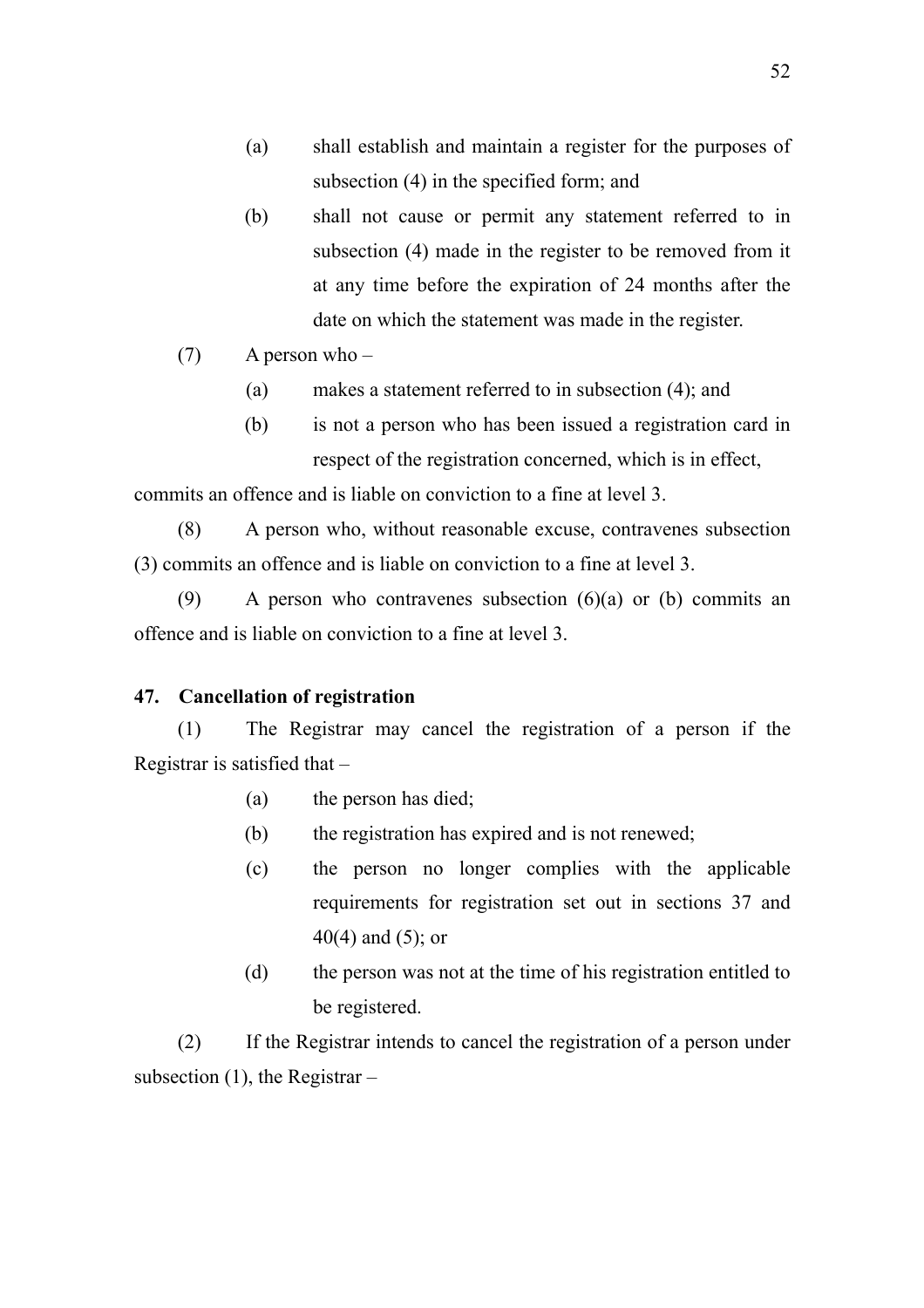- (a) shall establish and maintain a register for the purposes of subsection (4) in the specified form; and
- (b) shall not cause or permit any statement referred to in subsection (4) made in the register to be removed from it at any time before the expiration of 24 months after the date on which the statement was made in the register.
- (7) A person who
	- (a) makes a statement referred to in subsection (4); and
	- (b) is not a person who has been issued a registration card in respect of the registration concerned, which is in effect,

commits an offence and is liable on conviction to a fine at level 3.

(8) A person who, without reasonable excuse, contravenes subsection (3) commits an offence and is liable on conviction to a fine at level 3.

(9) A person who contravenes subsection (6)(a) or (b) commits an offence and is liable on conviction to a fine at level 3.

#### **47. Cancellation of registration**

(1) The Registrar may cancel the registration of a person if the Registrar is satisfied that –

- (a) the person has died;
- (b) the registration has expired and is not renewed;
- (c) the person no longer complies with the applicable requirements for registration set out in sections 37 and 40(4) and (5); or
- (d) the person was not at the time of his registration entitled to be registered.

(2) If the Registrar intends to cancel the registration of a person under subsection  $(1)$ , the Registrar –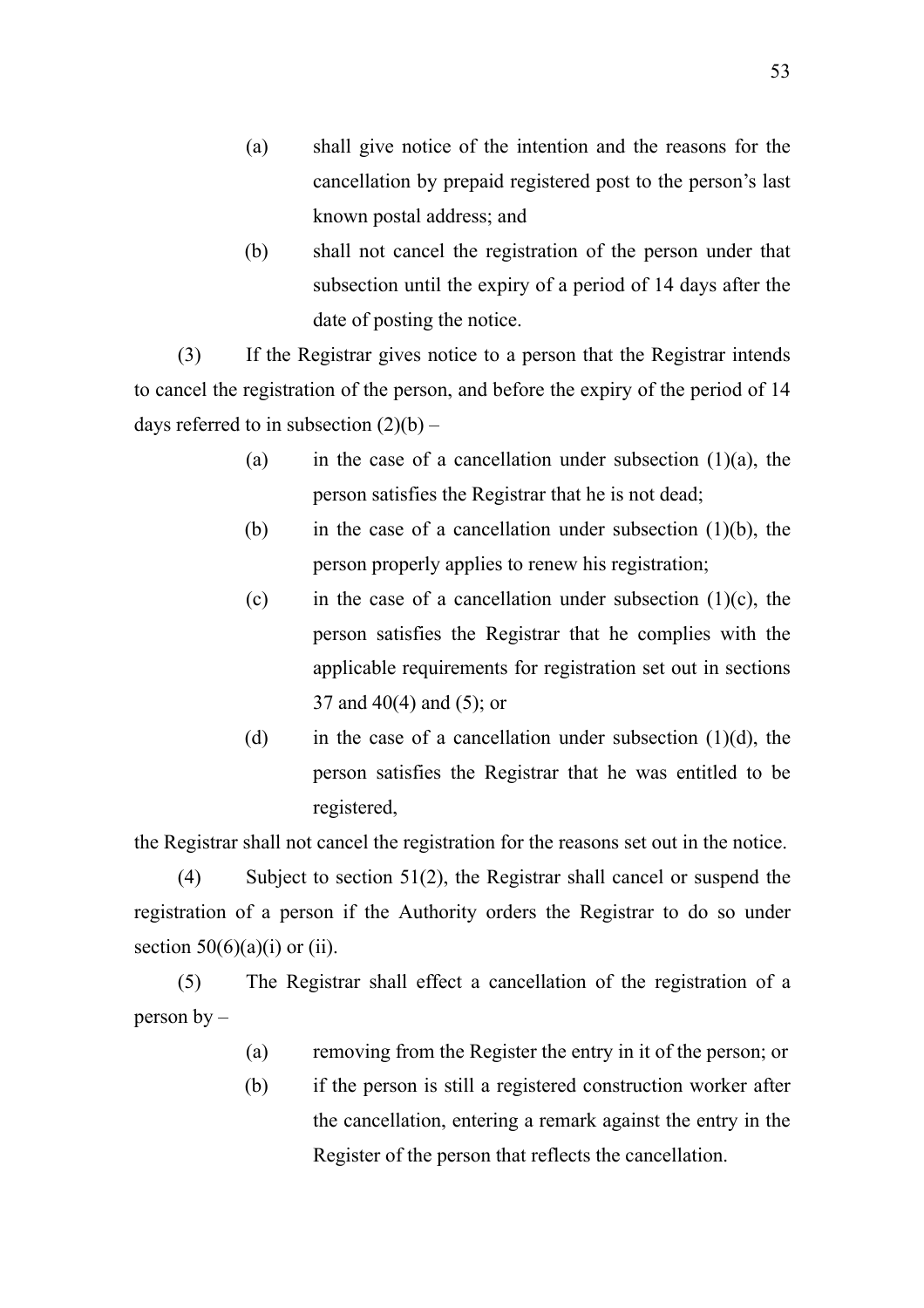- (a) shall give notice of the intention and the reasons for the cancellation by prepaid registered post to the person's last known postal address; and
- (b) shall not cancel the registration of the person under that subsection until the expiry of a period of 14 days after the date of posting the notice.

(3) If the Registrar gives notice to a person that the Registrar intends to cancel the registration of the person, and before the expiry of the period of 14 days referred to in subsection  $(2)(b)$  –

- (a) in the case of a cancellation under subsection  $(1)(a)$ , the person satisfies the Registrar that he is not dead;
- (b) in the case of a cancellation under subsection  $(1)(b)$ , the person properly applies to renew his registration;
- (c) in the case of a cancellation under subsection  $(1)(c)$ , the person satisfies the Registrar that he complies with the applicable requirements for registration set out in sections 37 and 40(4) and (5); or
- (d) in the case of a cancellation under subsection  $(1)(d)$ , the person satisfies the Registrar that he was entitled to be registered,

the Registrar shall not cancel the registration for the reasons set out in the notice.

(4) Subject to section 51(2), the Registrar shall cancel or suspend the registration of a person if the Authority orders the Registrar to do so under section  $50(6)(a)(i)$  or (ii).

(5) The Registrar shall effect a cancellation of the registration of a person by –

- (a) removing from the Register the entry in it of the person; or
- (b) if the person is still a registered construction worker after the cancellation, entering a remark against the entry in the Register of the person that reflects the cancellation.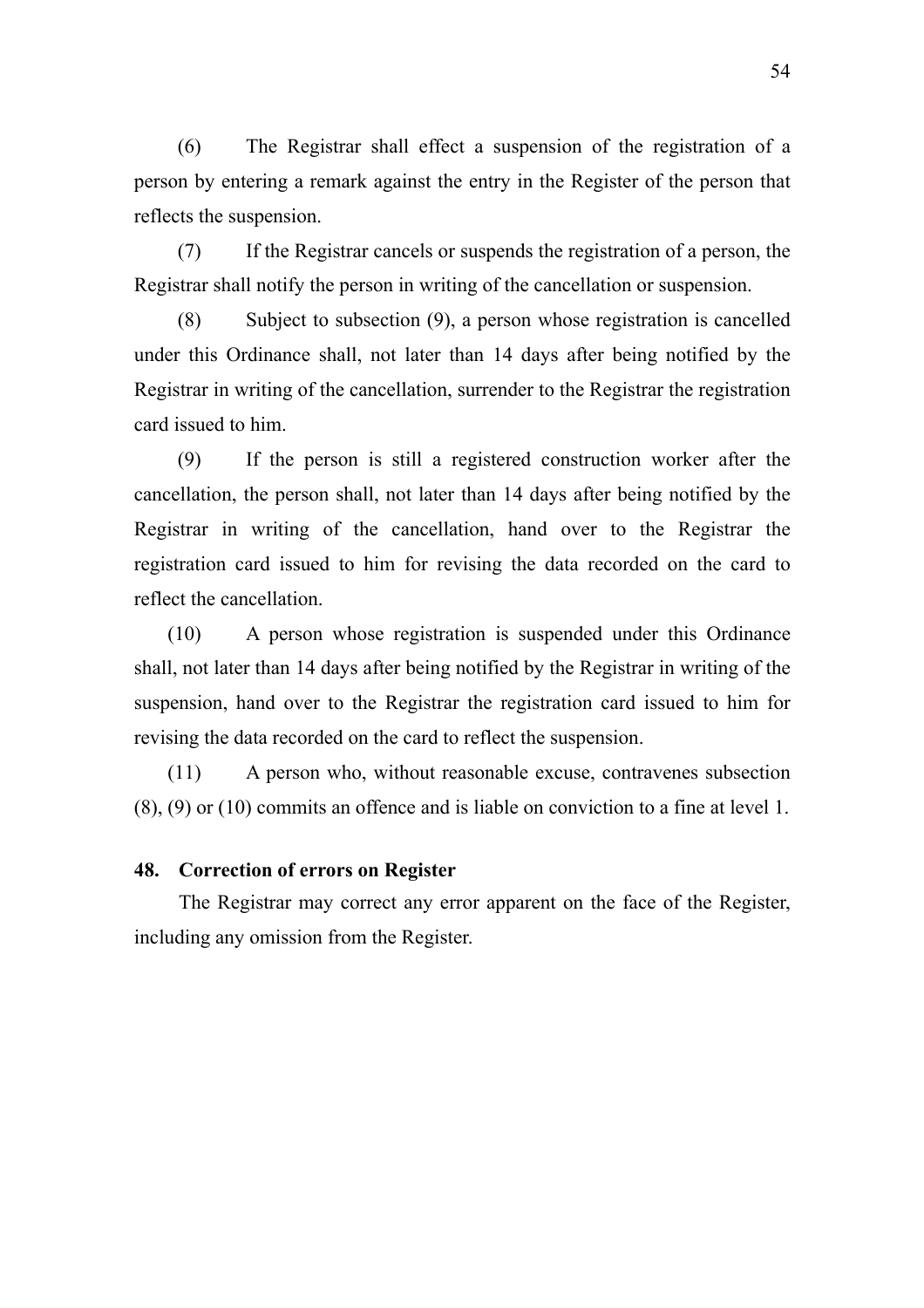(6) The Registrar shall effect a suspension of the registration of a person by entering a remark against the entry in the Register of the person that reflects the suspension.

(7) If the Registrar cancels or suspends the registration of a person, the Registrar shall notify the person in writing of the cancellation or suspension.

(8) Subject to subsection (9), a person whose registration is cancelled under this Ordinance shall, not later than 14 days after being notified by the Registrar in writing of the cancellation, surrender to the Registrar the registration card issued to him.

(9) If the person is still a registered construction worker after the cancellation, the person shall, not later than 14 days after being notified by the Registrar in writing of the cancellation, hand over to the Registrar the registration card issued to him for revising the data recorded on the card to reflect the cancellation.

(10) A person whose registration is suspended under this Ordinance shall, not later than 14 days after being notified by the Registrar in writing of the suspension, hand over to the Registrar the registration card issued to him for revising the data recorded on the card to reflect the suspension.

(11) A person who, without reasonable excuse, contravenes subsection (8), (9) or (10) commits an offence and is liable on conviction to a fine at level 1.

#### **48. Correction of errors on Register**

The Registrar may correct any error apparent on the face of the Register, including any omission from the Register.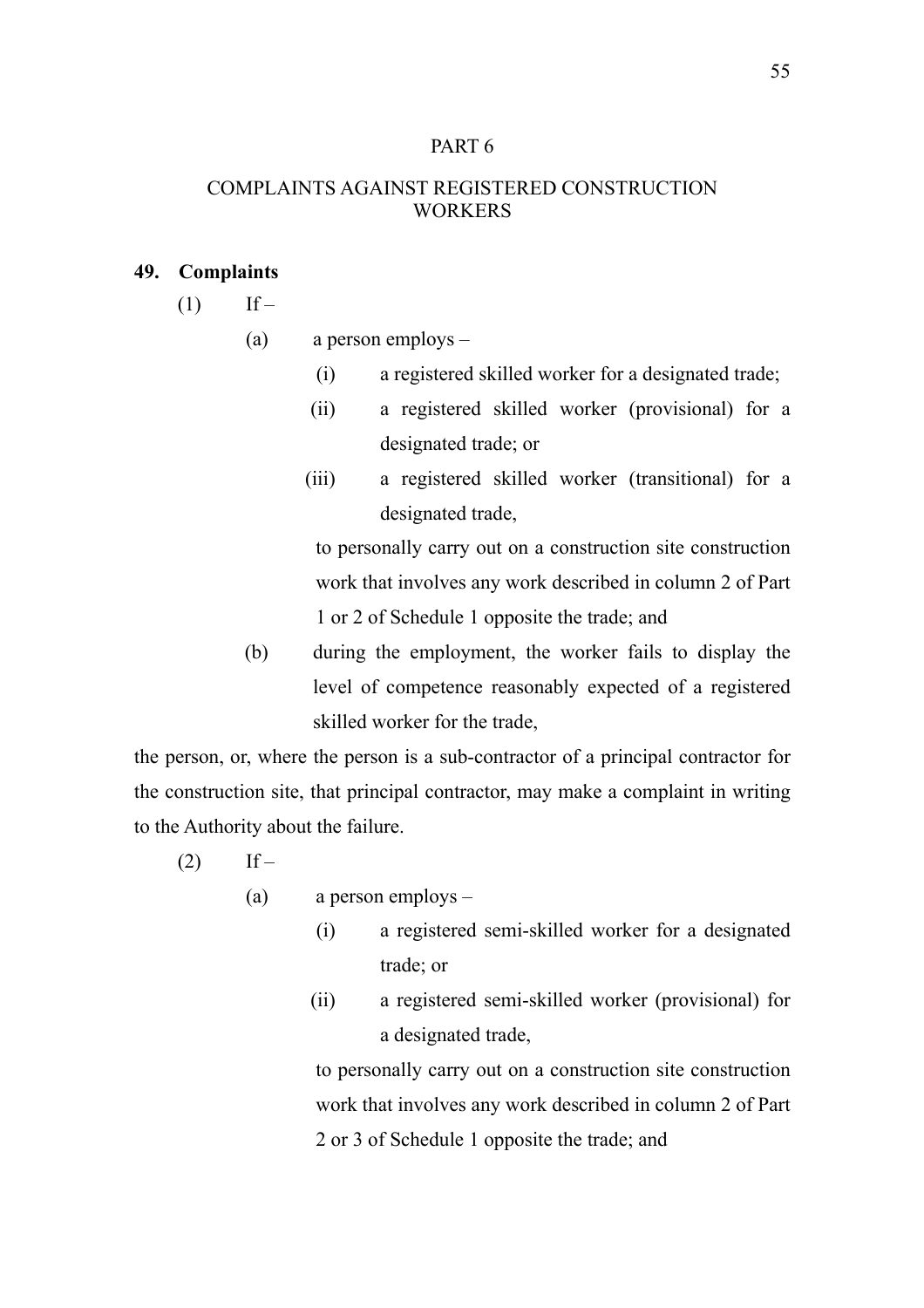## PART 6

## COMPLAINTS AGAINST REGISTERED CONSTRUCTION **WORKERS**

#### **49. Complaints**

- $(1)$  If
	- (a) a person employs
		- (i) a registered skilled worker for a designated trade;
		- (ii) a registered skilled worker (provisional) for a designated trade; or
		- (iii) a registered skilled worker (transitional) for a designated trade,

to personally carry out on a construction site construction work that involves any work described in column 2 of Part 1 or 2 of Schedule 1 opposite the trade; and

(b) during the employment, the worker fails to display the level of competence reasonably expected of a registered skilled worker for the trade,

the person, or, where the person is a sub-contractor of a principal contractor for the construction site, that principal contractor, may make a complaint in writing to the Authority about the failure.

- $(2)$  If
	- (a) a person employs
		- (i) a registered semi-skilled worker for a designated trade; or
		- (ii) a registered semi-skilled worker (provisional) for a designated trade,

to personally carry out on a construction site construction work that involves any work described in column 2 of Part 2 or 3 of Schedule 1 opposite the trade; and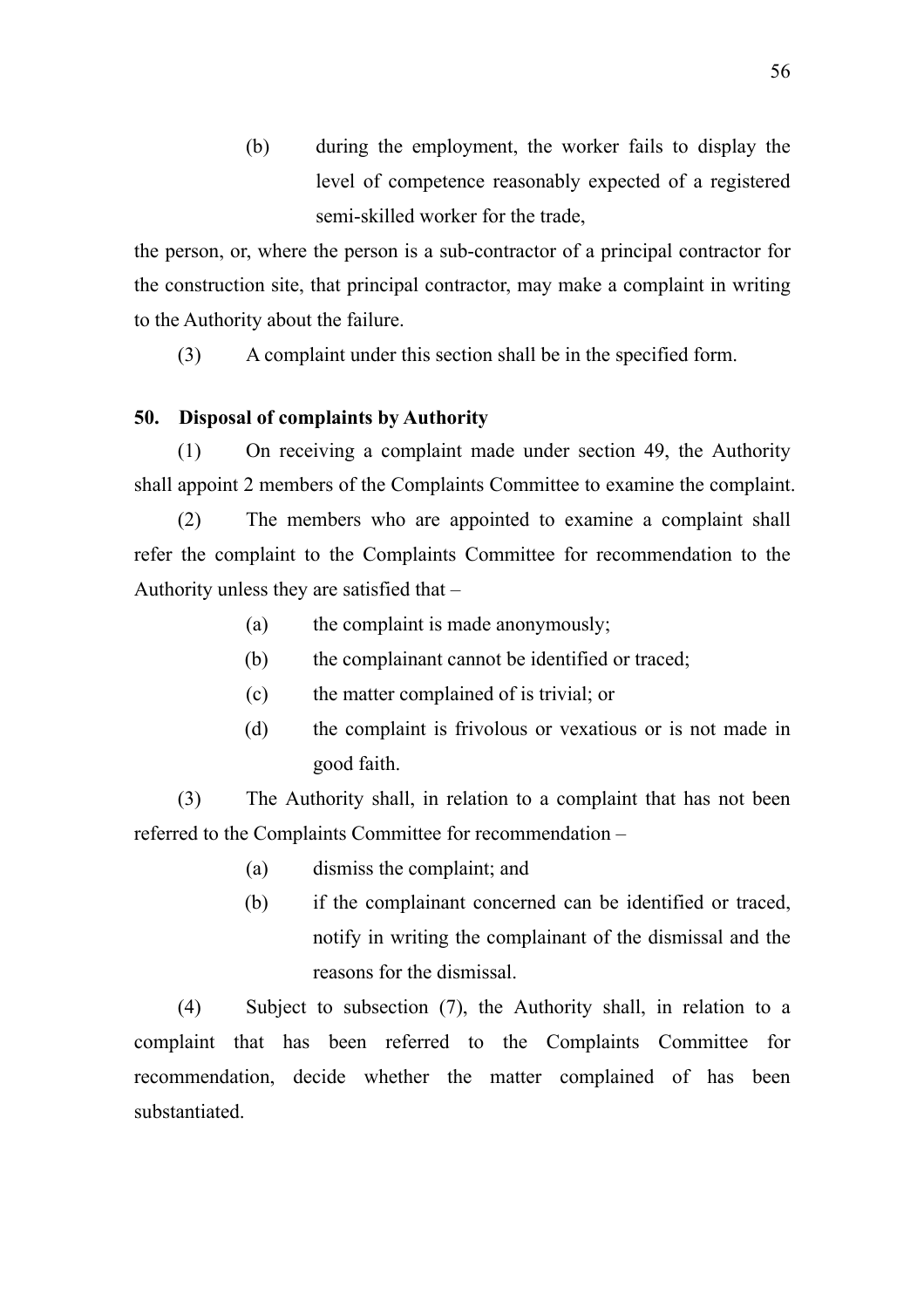(b) during the employment, the worker fails to display the level of competence reasonably expected of a registered semi-skilled worker for the trade,

the person, or, where the person is a sub-contractor of a principal contractor for the construction site, that principal contractor, may make a complaint in writing to the Authority about the failure.

(3) A complaint under this section shall be in the specified form.

# **50. Disposal of complaints by Authority**

(1) On receiving a complaint made under section 49, the Authority shall appoint 2 members of the Complaints Committee to examine the complaint.

(2) The members who are appointed to examine a complaint shall refer the complaint to the Complaints Committee for recommendation to the Authority unless they are satisfied that –

- (a) the complaint is made anonymously;
- (b) the complainant cannot be identified or traced;
- (c) the matter complained of is trivial; or
- (d) the complaint is frivolous or vexatious or is not made in good faith.

(3) The Authority shall, in relation to a complaint that has not been referred to the Complaints Committee for recommendation –

- (a) dismiss the complaint; and
- (b) if the complainant concerned can be identified or traced, notify in writing the complainant of the dismissal and the reasons for the dismissal.

(4) Subject to subsection (7), the Authority shall, in relation to a complaint that has been referred to the Complaints Committee for recommendation, decide whether the matter complained of has been substantiated.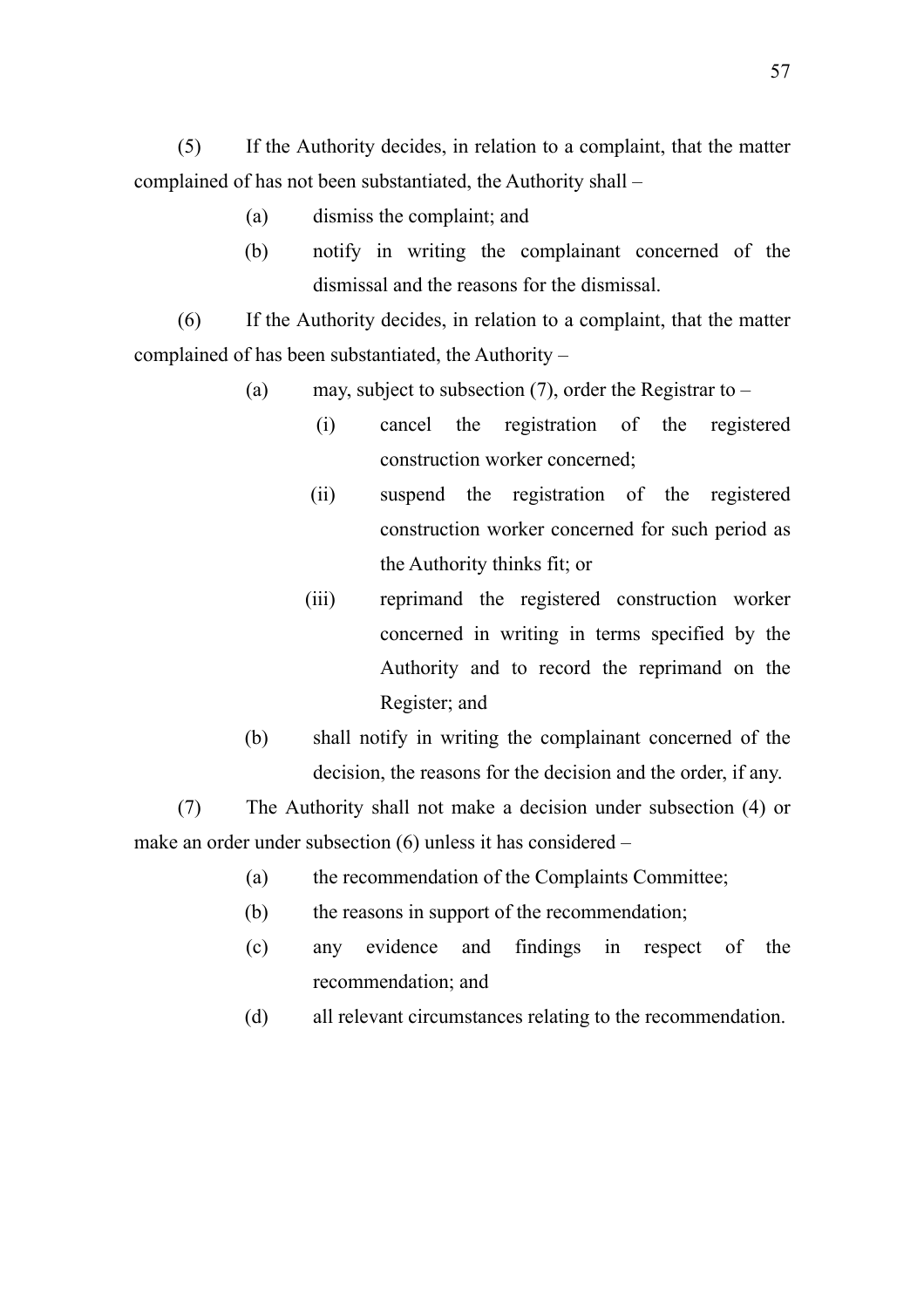(5) If the Authority decides, in relation to a complaint, that the matter complained of has not been substantiated, the Authority shall –

- (a) dismiss the complaint; and
- (b) notify in writing the complainant concerned of the dismissal and the reasons for the dismissal.

(6) If the Authority decides, in relation to a complaint, that the matter complained of has been substantiated, the Authority –

- (a) may, subject to subsection  $(7)$ , order the Registrar to
	- (i) cancel the registration of the registered construction worker concerned;
	- (ii) suspend the registration of the registered construction worker concerned for such period as the Authority thinks fit; or
	- (iii) reprimand the registered construction worker concerned in writing in terms specified by the Authority and to record the reprimand on the Register; and
- (b) shall notify in writing the complainant concerned of the decision, the reasons for the decision and the order, if any.

(7) The Authority shall not make a decision under subsection (4) or make an order under subsection (6) unless it has considered –

- (a) the recommendation of the Complaints Committee;
- (b) the reasons in support of the recommendation;
- (c) any evidence and findings in respect of the recommendation; and
- (d) all relevant circumstances relating to the recommendation.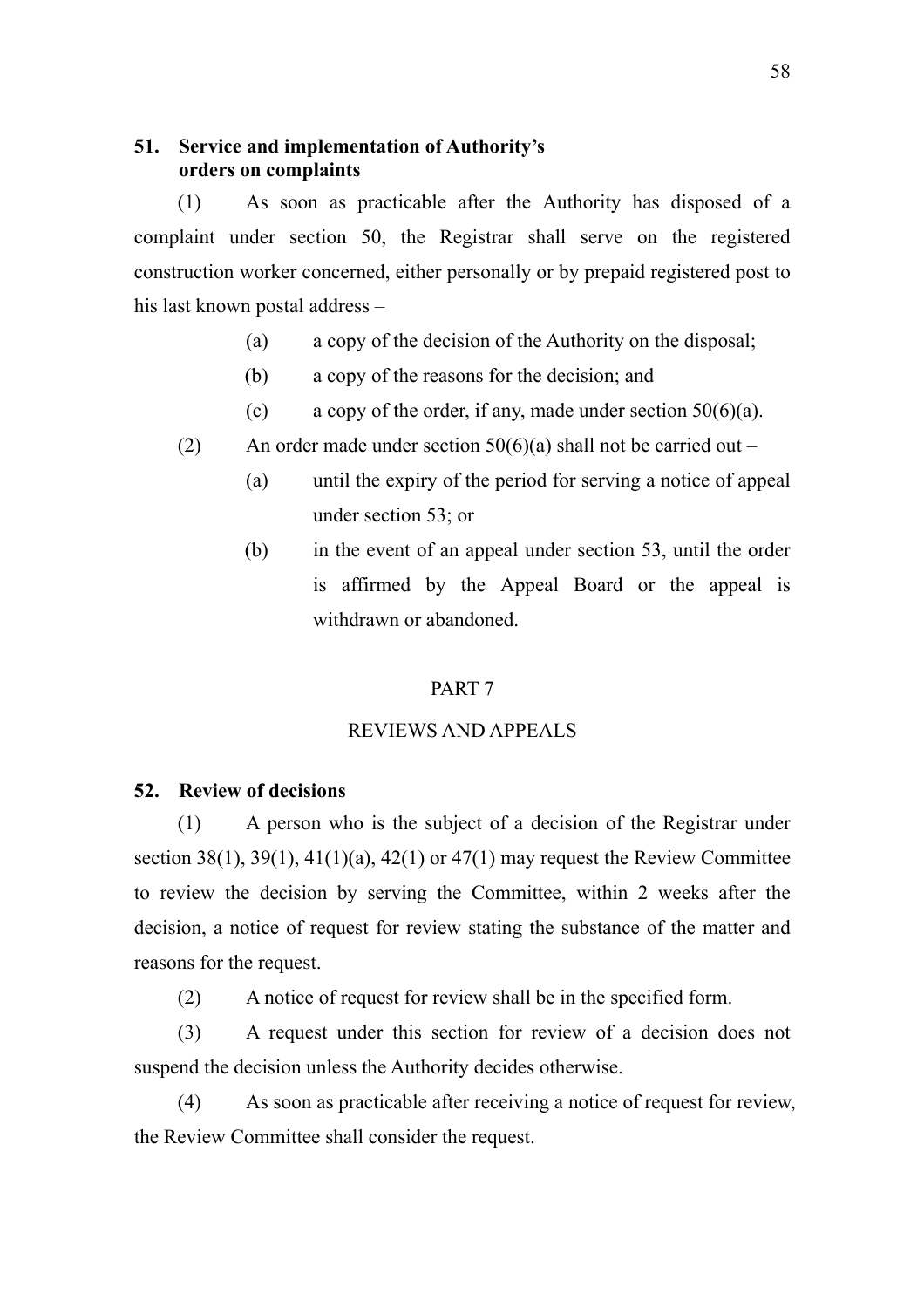## **51. Service and implementation of Authority's orders on complaints**

(1) As soon as practicable after the Authority has disposed of a complaint under section 50, the Registrar shall serve on the registered construction worker concerned, either personally or by prepaid registered post to his last known postal address –

- (a) a copy of the decision of the Authority on the disposal;
- (b) a copy of the reasons for the decision; and
- (c) a copy of the order, if any, made under section  $50(6)(a)$ .
- (2) An order made under section  $50(6)(a)$  shall not be carried out
	- (a) until the expiry of the period for serving a notice of appeal under section 53; or
	- (b) in the event of an appeal under section 53, until the order is affirmed by the Appeal Board or the appeal is withdrawn or abandoned.

#### PART 7

## REVIEWS AND APPEALS

### **52. Review of decisions**

(1) A person who is the subject of a decision of the Registrar under section 38(1), 39(1), 41(1)(a), 42(1) or 47(1) may request the Review Committee to review the decision by serving the Committee, within 2 weeks after the decision, a notice of request for review stating the substance of the matter and reasons for the request.

(2) A notice of request for review shall be in the specified form.

(3) A request under this section for review of a decision does not suspend the decision unless the Authority decides otherwise.

(4) As soon as practicable after receiving a notice of request for review, the Review Committee shall consider the request.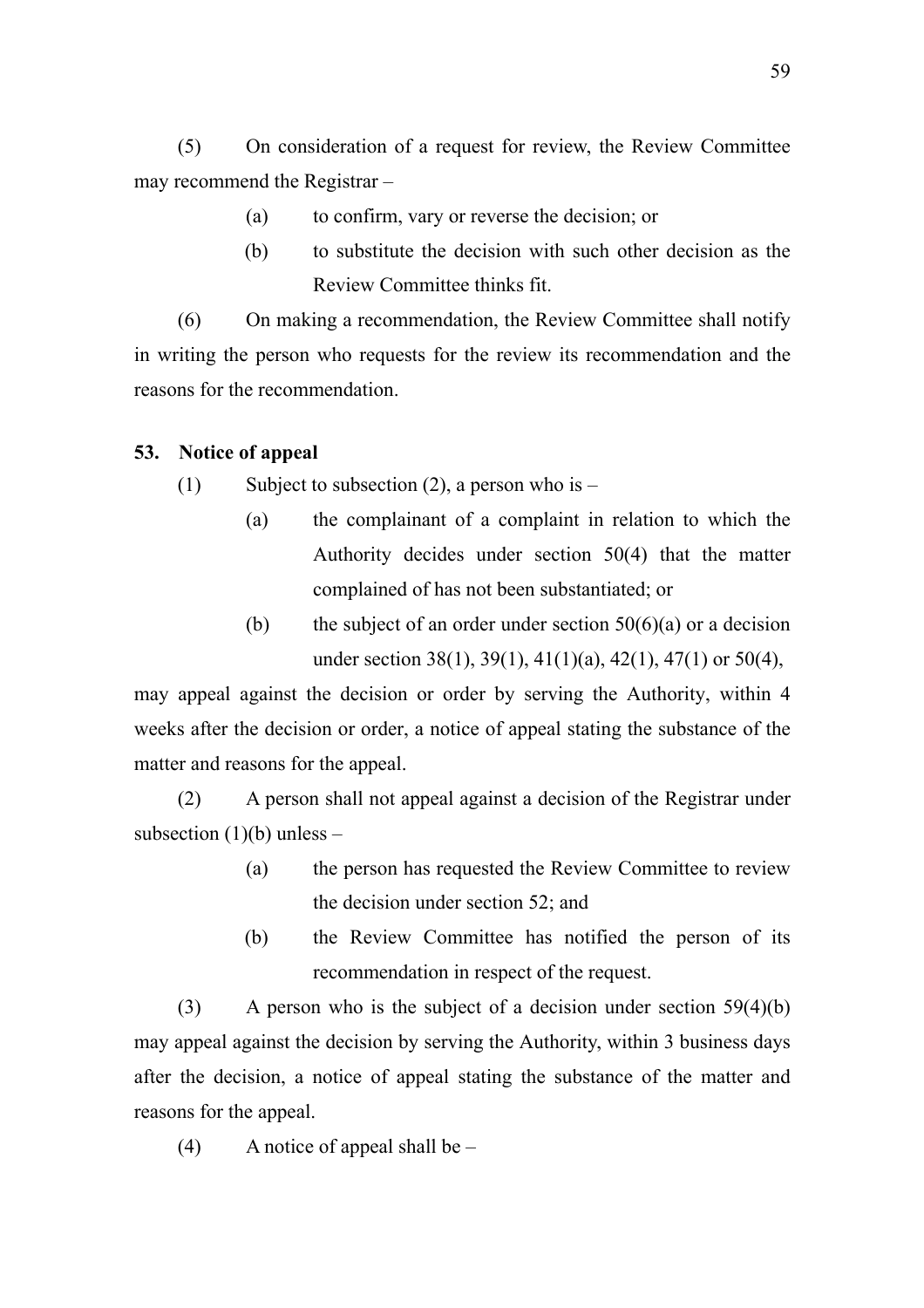(5) On consideration of a request for review, the Review Committee may recommend the Registrar –

- (a) to confirm, vary or reverse the decision; or
- (b) to substitute the decision with such other decision as the Review Committee thinks fit.

(6) On making a recommendation, the Review Committee shall notify in writing the person who requests for the review its recommendation and the reasons for the recommendation.

# **53. Notice of appeal**

(1) Subject to subsection (2), a person who is  $-$ 

- (a) the complainant of a complaint in relation to which the Authority decides under section 50(4) that the matter complained of has not been substantiated; or
- (b) the subject of an order under section  $50(6)(a)$  or a decision under section 38(1), 39(1), 41(1)(a), 42(1), 47(1) or 50(4),

may appeal against the decision or order by serving the Authority, within 4 weeks after the decision or order, a notice of appeal stating the substance of the matter and reasons for the appeal.

(2) A person shall not appeal against a decision of the Registrar under subsection  $(1)(b)$  unless –

- (a) the person has requested the Review Committee to review the decision under section 52; and
- (b) the Review Committee has notified the person of its recommendation in respect of the request.

(3) A person who is the subject of a decision under section  $59(4)(b)$ may appeal against the decision by serving the Authority, within 3 business days after the decision, a notice of appeal stating the substance of the matter and reasons for the appeal.

 $(4)$  A notice of appeal shall be –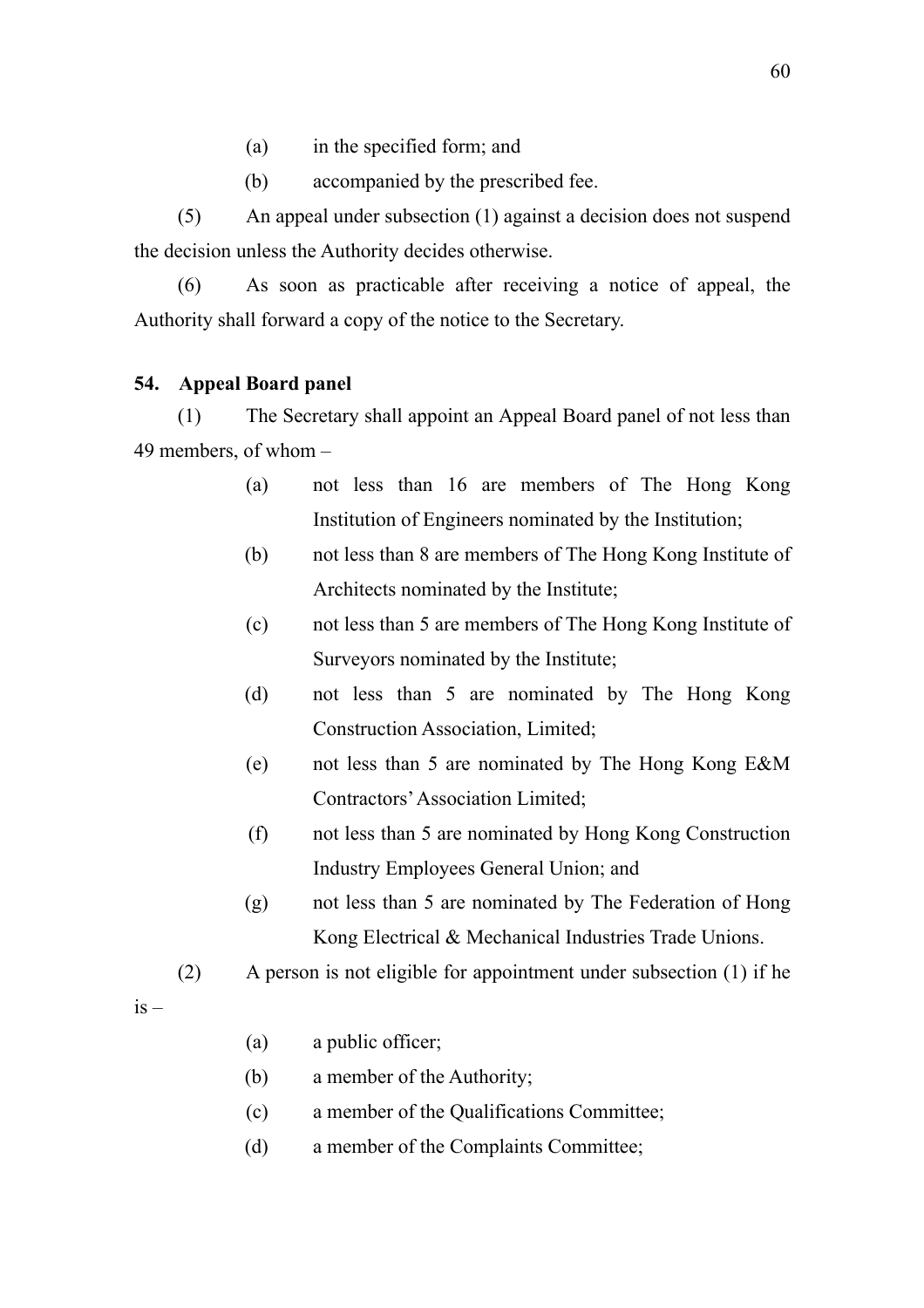- (a) in the specified form; and
- (b) accompanied by the prescribed fee.

(5) An appeal under subsection (1) against a decision does not suspend the decision unless the Authority decides otherwise.

(6) As soon as practicable after receiving a notice of appeal, the Authority shall forward a copy of the notice to the Secretary.

## **54. Appeal Board panel**

(1) The Secretary shall appoint an Appeal Board panel of not less than 49 members, of whom –

- (a) not less than 16 are members of The Hong Kong Institution of Engineers nominated by the Institution;
- (b) not less than 8 are members of The Hong Kong Institute of Architects nominated by the Institute;
- (c) not less than 5 are members of The Hong Kong Institute of Surveyors nominated by the Institute;
- (d) not less than 5 are nominated by The Hong Kong Construction Association, Limited;
- (e) not less than 5 are nominated by The Hong Kong E&M Contractors' Association Limited;
- (f) not less than 5 are nominated by Hong Kong Construction Industry Employees General Union; and
- (g) not less than 5 are nominated by The Federation of Hong Kong Electrical & Mechanical Industries Trade Unions.

(2) A person is not eligible for appointment under subsection (1) if he

 $is -$ 

- (a) a public officer;
- (b) a member of the Authority;
- (c) a member of the Qualifications Committee;
- (d) a member of the Complaints Committee;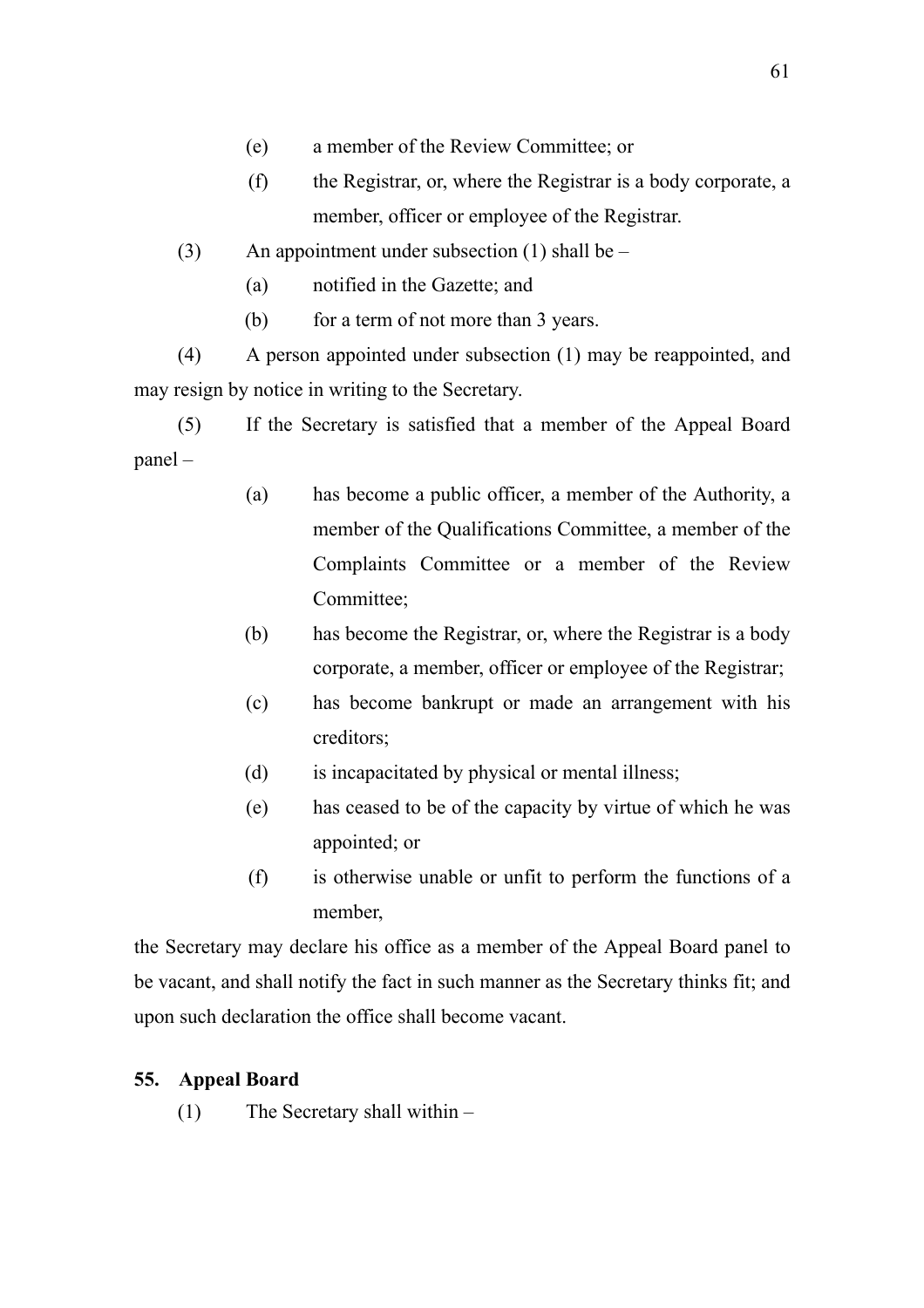- (e) a member of the Review Committee; or
- (f) the Registrar, or, where the Registrar is a body corporate, a member, officer or employee of the Registrar.
- (3) An appointment under subsection (1) shall be
	- (a) notified in the Gazette; and
	- (b) for a term of not more than 3 years.

(4) A person appointed under subsection (1) may be reappointed, and may resign by notice in writing to the Secretary.

(5) If the Secretary is satisfied that a member of the Appeal Board panel –

- (a) has become a public officer, a member of the Authority, a member of the Qualifications Committee, a member of the Complaints Committee or a member of the Review Committee;
- (b) has become the Registrar, or, where the Registrar is a body corporate, a member, officer or employee of the Registrar;
- (c) has become bankrupt or made an arrangement with his creditors;
- (d) is incapacitated by physical or mental illness;
- (e) has ceased to be of the capacity by virtue of which he was appointed; or
- (f) is otherwise unable or unfit to perform the functions of a member,

the Secretary may declare his office as a member of the Appeal Board panel to be vacant, and shall notify the fact in such manner as the Secretary thinks fit; and upon such declaration the office shall become vacant.

# **55. Appeal Board**

(1) The Secretary shall within –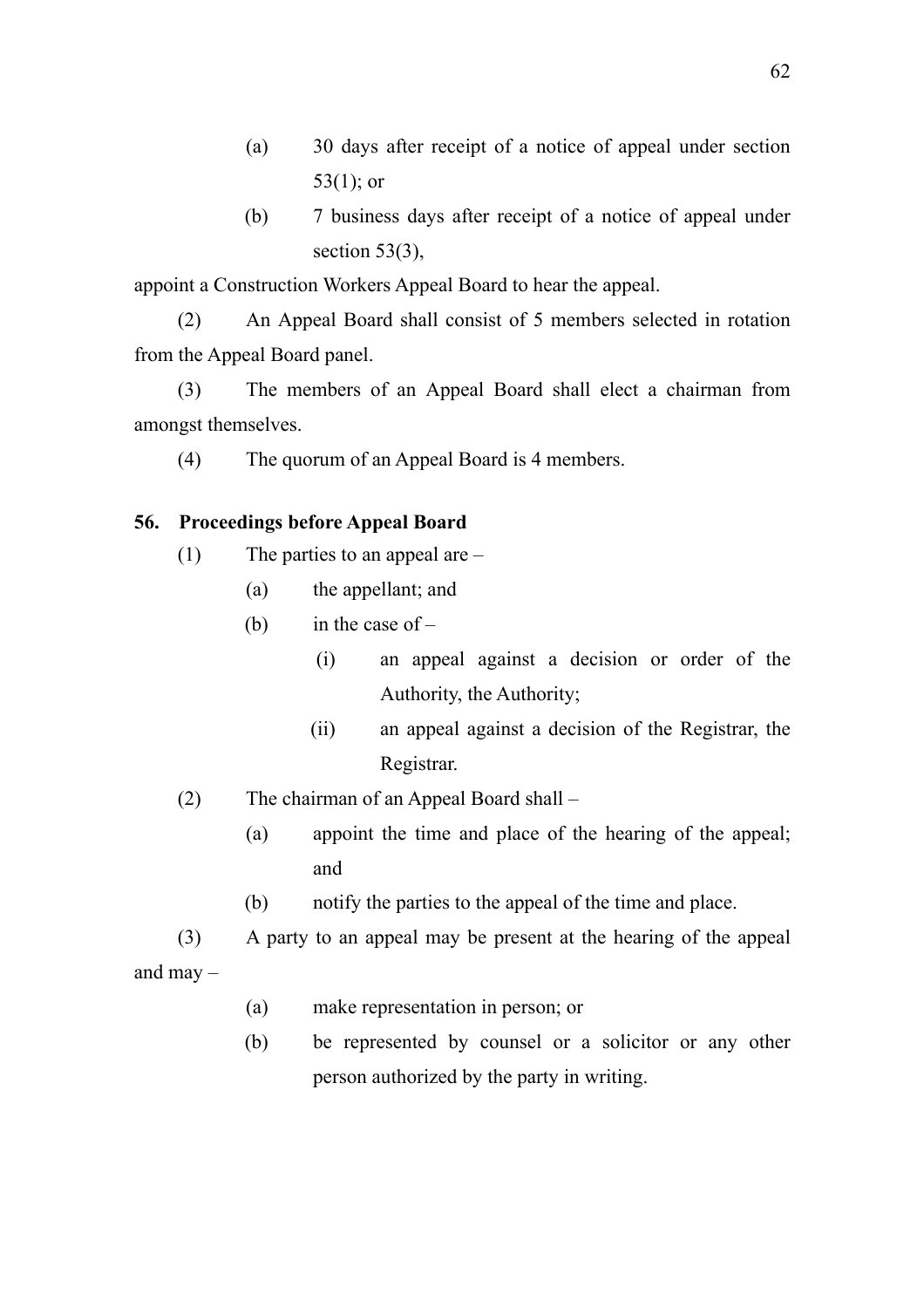- (a) 30 days after receipt of a notice of appeal under section 53(1); or
- (b) 7 business days after receipt of a notice of appeal under section  $53(3)$ ,

appoint a Construction Workers Appeal Board to hear the appeal.

(2) An Appeal Board shall consist of 5 members selected in rotation from the Appeal Board panel.

(3) The members of an Appeal Board shall elect a chairman from amongst themselves.

(4) The quorum of an Appeal Board is 4 members.

# **56. Proceedings before Appeal Board**

- (1) The parties to an appeal are
	- (a) the appellant; and
	- (b) in the case of  $-$ 
		- (i) an appeal against a decision or order of the Authority, the Authority;
		- (ii) an appeal against a decision of the Registrar, the Registrar.
- (2) The chairman of an Appeal Board shall
	- (a) appoint the time and place of the hearing of the appeal; and
	- (b) notify the parties to the appeal of the time and place.

(3) A party to an appeal may be present at the hearing of the appeal and may  $-$ 

- (a) make representation in person; or
- (b) be represented by counsel or a solicitor or any other person authorized by the party in writing.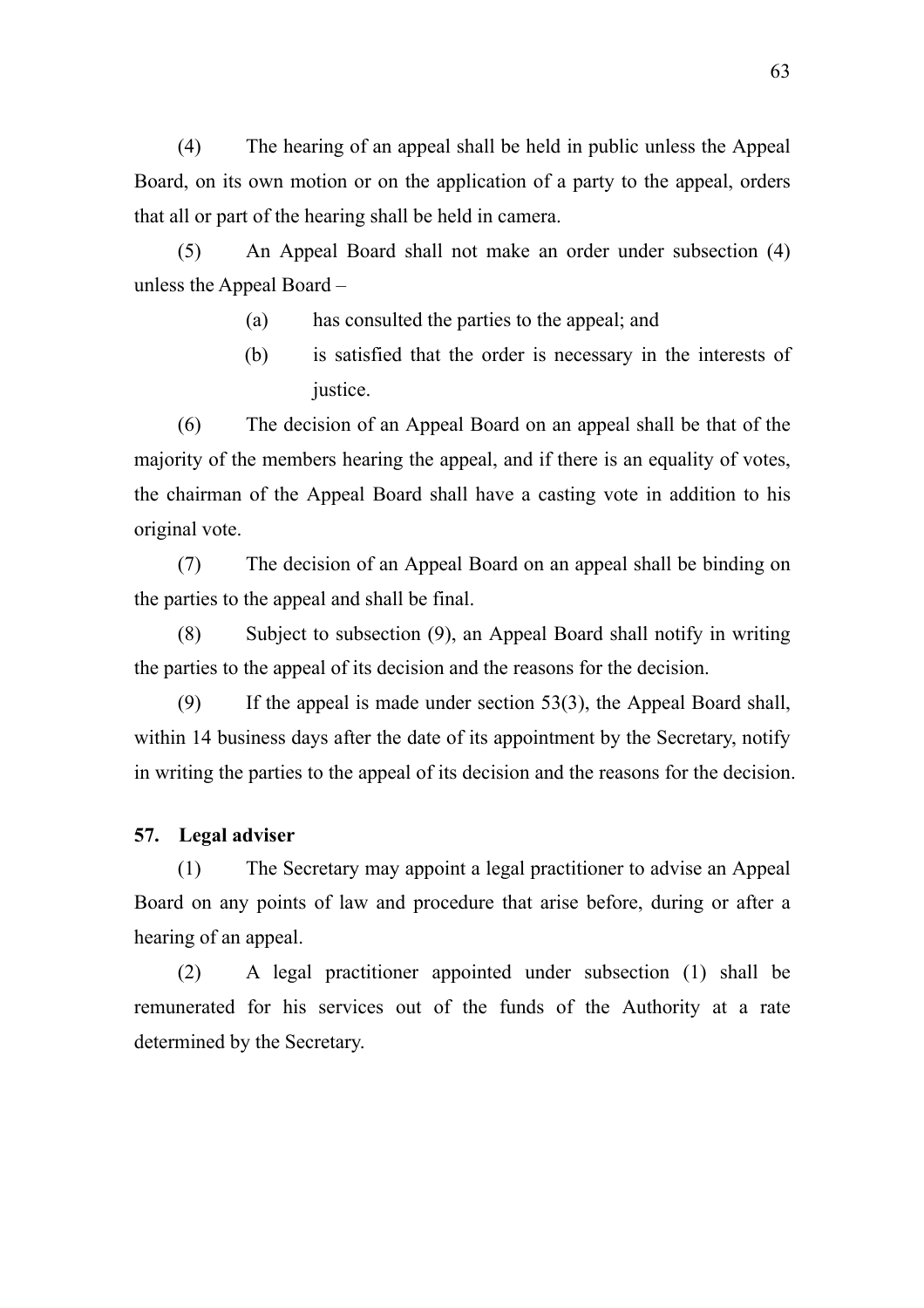(4) The hearing of an appeal shall be held in public unless the Appeal Board, on its own motion or on the application of a party to the appeal, orders that all or part of the hearing shall be held in camera.

(5) An Appeal Board shall not make an order under subsection (4) unless the Appeal Board –

- (a) has consulted the parties to the appeal; and
- (b) is satisfied that the order is necessary in the interests of justice.

(6) The decision of an Appeal Board on an appeal shall be that of the majority of the members hearing the appeal, and if there is an equality of votes, the chairman of the Appeal Board shall have a casting vote in addition to his original vote.

(7) The decision of an Appeal Board on an appeal shall be binding on the parties to the appeal and shall be final.

(8) Subject to subsection (9), an Appeal Board shall notify in writing the parties to the appeal of its decision and the reasons for the decision.

(9) If the appeal is made under section 53(3), the Appeal Board shall, within 14 business days after the date of its appointment by the Secretary, notify in writing the parties to the appeal of its decision and the reasons for the decision.

## **57. Legal adviser**

(1) The Secretary may appoint a legal practitioner to advise an Appeal Board on any points of law and procedure that arise before, during or after a hearing of an appeal.

(2) A legal practitioner appointed under subsection (1) shall be remunerated for his services out of the funds of the Authority at a rate determined by the Secretary.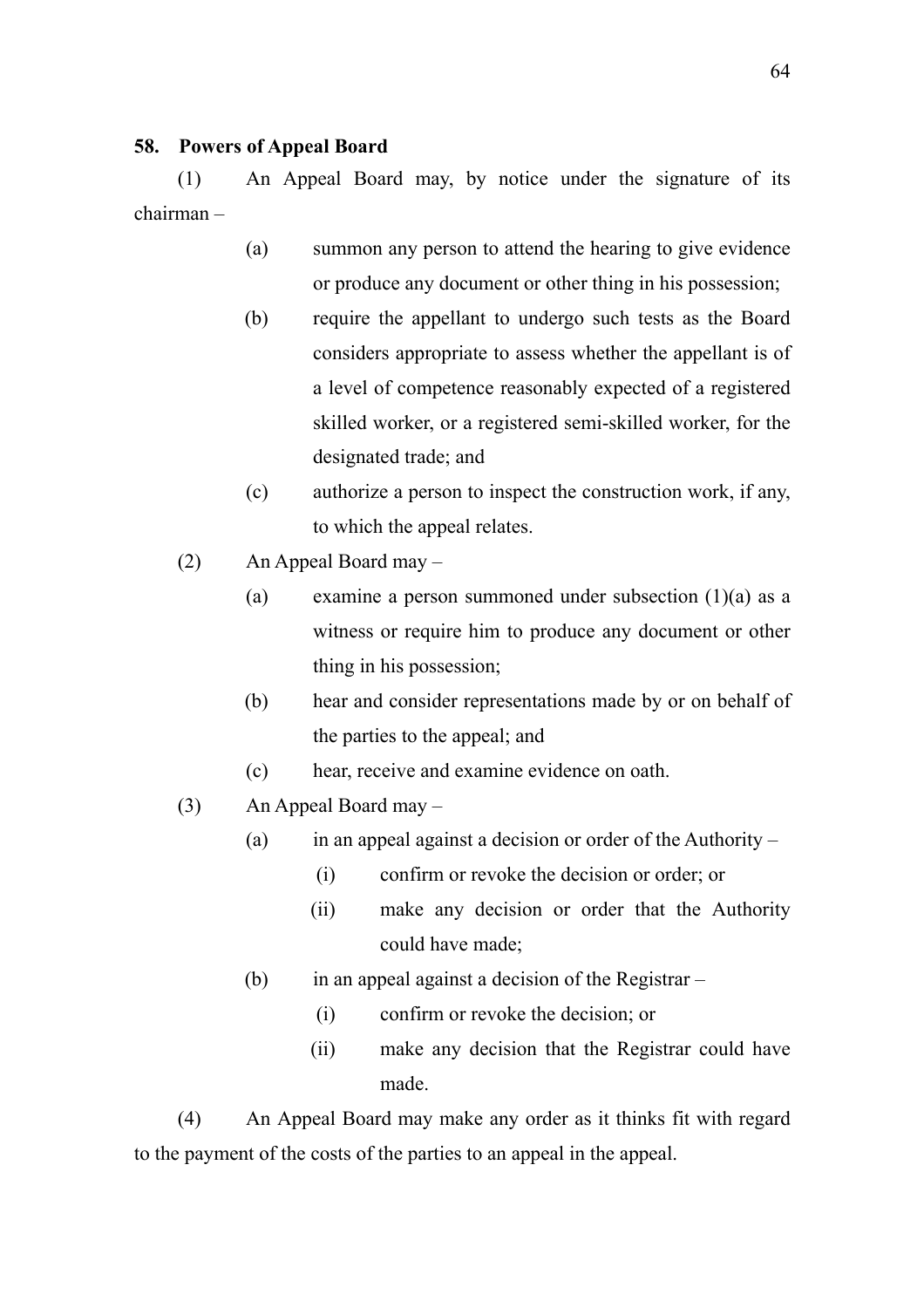### **58. Powers of Appeal Board**

(1) An Appeal Board may, by notice under the signature of its chairman –

- (a) summon any person to attend the hearing to give evidence or produce any document or other thing in his possession;
- (b) require the appellant to undergo such tests as the Board considers appropriate to assess whether the appellant is of a level of competence reasonably expected of a registered skilled worker, or a registered semi-skilled worker, for the designated trade; and
- (c) authorize a person to inspect the construction work, if any, to which the appeal relates.
- (2) An Appeal Board may
	- (a) examine a person summoned under subsection (1)(a) as a witness or require him to produce any document or other thing in his possession;
	- (b) hear and consider representations made by or on behalf of the parties to the appeal; and
	- (c) hear, receive and examine evidence on oath.
- (3) An Appeal Board may
	- (a) in an appeal against a decision or order of the Authority
		- (i) confirm or revoke the decision or order; or
		- (ii) make any decision or order that the Authority could have made;
	- (b) in an appeal against a decision of the Registrar
		- (i) confirm or revoke the decision; or
		- (ii) make any decision that the Registrar could have made.

(4) An Appeal Board may make any order as it thinks fit with regard to the payment of the costs of the parties to an appeal in the appeal.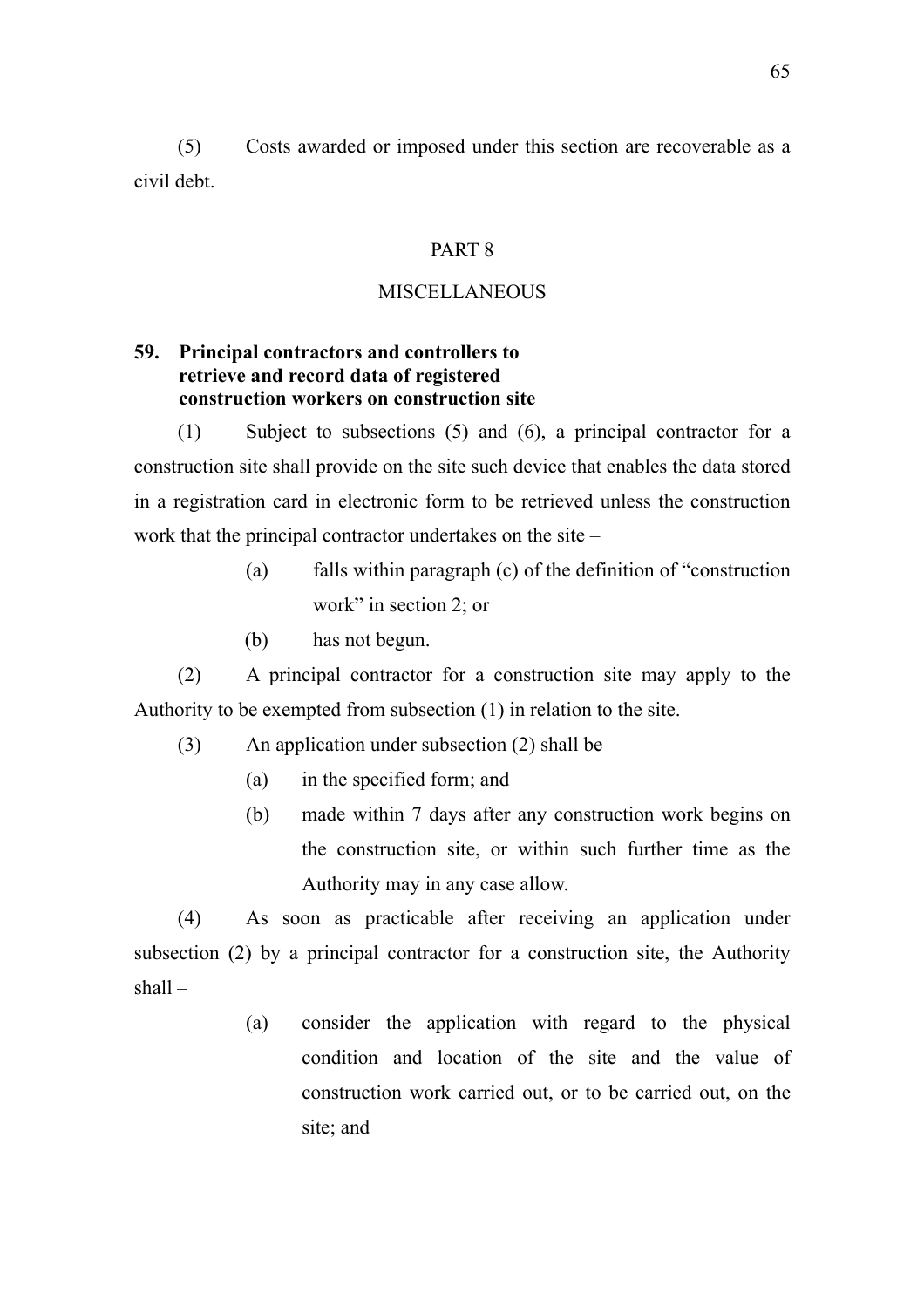(5) Costs awarded or imposed under this section are recoverable as a civil debt.

#### PART 8

## **MISCELLANEOUS**

# **59. Principal contractors and controllers to retrieve and record data of registered construction workers on construction site**

(1) Subject to subsections (5) and (6), a principal contractor for a construction site shall provide on the site such device that enables the data stored in a registration card in electronic form to be retrieved unless the construction work that the principal contractor undertakes on the site –

- (a) falls within paragraph (c) of the definition of "construction work" in section 2; or
- (b) has not begun.

(2) A principal contractor for a construction site may apply to the Authority to be exempted from subsection (1) in relation to the site.

- (3) An application under subsection (2) shall be  $-$ 
	- (a) in the specified form; and
	- (b) made within 7 days after any construction work begins on the construction site, or within such further time as the Authority may in any case allow.

(4) As soon as practicable after receiving an application under subsection (2) by a principal contractor for a construction site, the Authority  $shall -$ 

> (a) consider the application with regard to the physical condition and location of the site and the value of construction work carried out, or to be carried out, on the site; and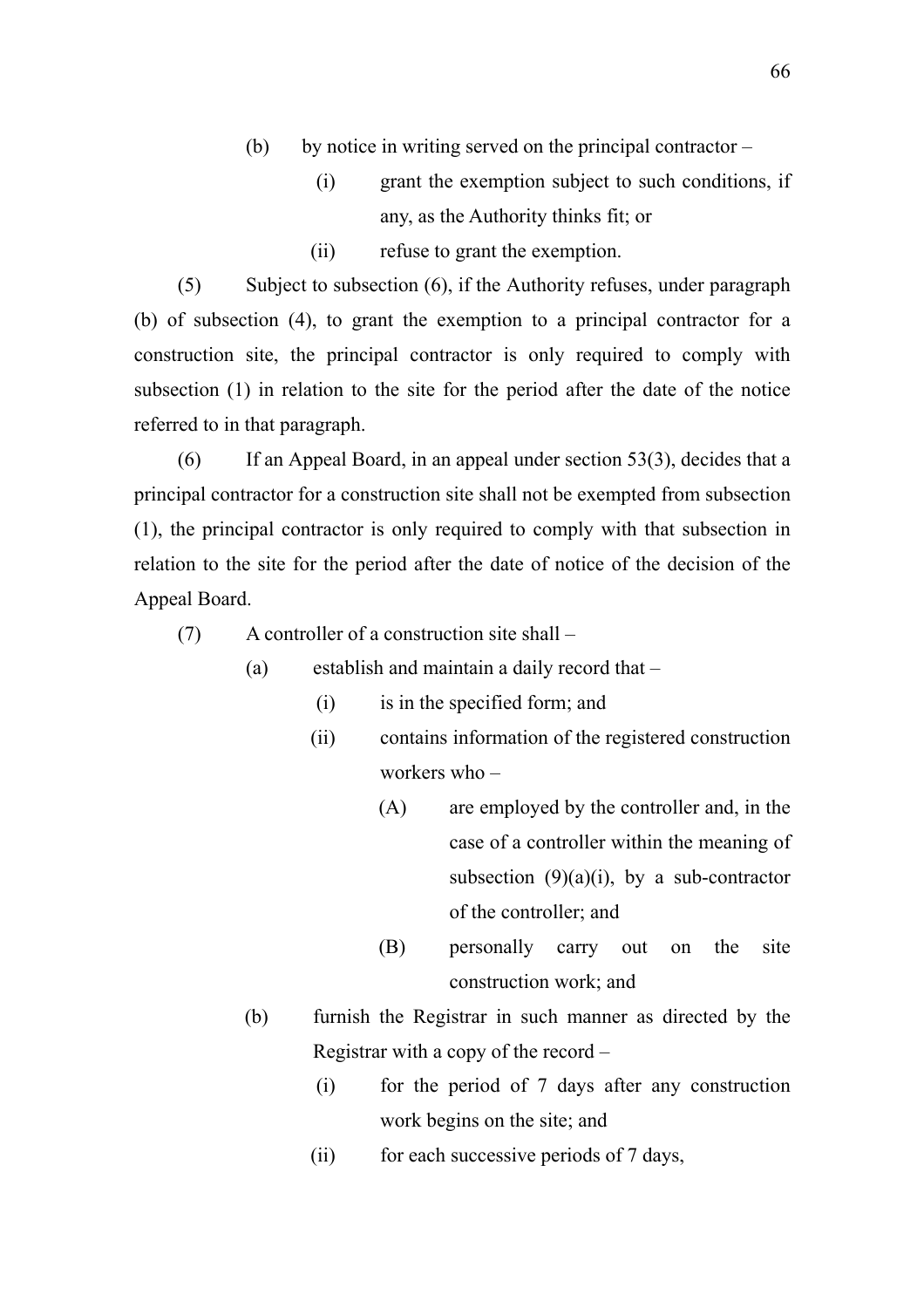- (b) by notice in writing served on the principal contractor
	- (i) grant the exemption subject to such conditions, if any, as the Authority thinks fit; or
	- (ii) refuse to grant the exemption.

(5) Subject to subsection (6), if the Authority refuses, under paragraph (b) of subsection (4), to grant the exemption to a principal contractor for a construction site, the principal contractor is only required to comply with subsection (1) in relation to the site for the period after the date of the notice referred to in that paragraph.

(6) If an Appeal Board, in an appeal under section 53(3), decides that a principal contractor for a construction site shall not be exempted from subsection (1), the principal contractor is only required to comply with that subsection in relation to the site for the period after the date of notice of the decision of the Appeal Board.

(7) A controller of a construction site shall –

- (a) establish and maintain a daily record that
	- (i) is in the specified form; and
	- (ii) contains information of the registered construction workers who –
		- (A) are employed by the controller and, in the case of a controller within the meaning of subsection  $(9)(a)(i)$ , by a sub-contractor of the controller; and
		- (B) personally carry out on the site construction work; and
- (b) furnish the Registrar in such manner as directed by the Registrar with a copy of the record –
	- (i) for the period of 7 days after any construction work begins on the site; and
	- (ii) for each successive periods of 7 days,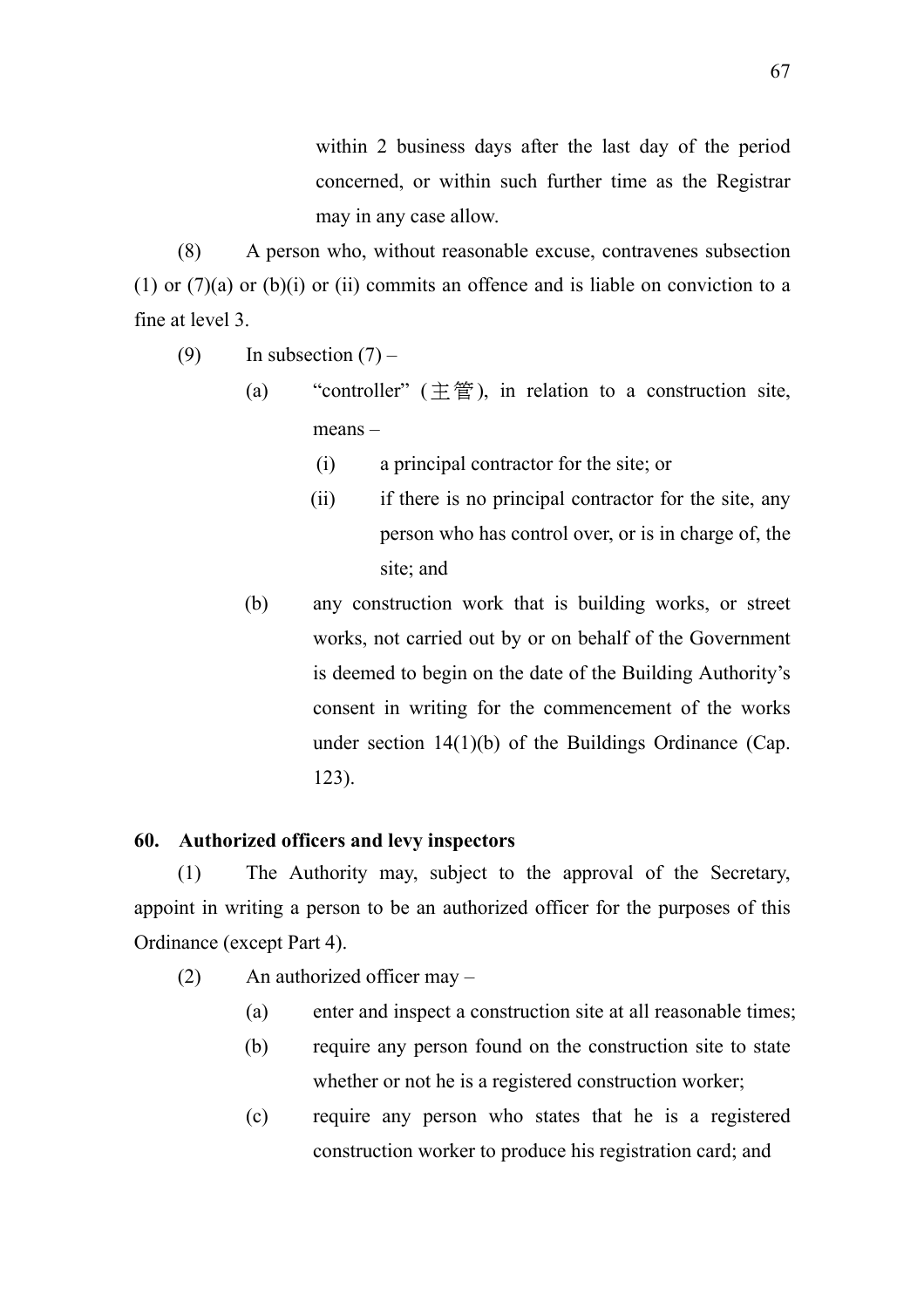within 2 business days after the last day of the period concerned, or within such further time as the Registrar may in any case allow.

(8) A person who, without reasonable excuse, contravenes subsection (1) or (7)(a) or (b)(i) or (ii) commits an offence and is liable on conviction to a fine at level 3.

- (9) In subsection  $(7)$ 
	- (a) "controller"  $(\pm \hat{\Xi})$ , in relation to a construction site, means –
		- (i) a principal contractor for the site; or
		- (ii) if there is no principal contractor for the site, any person who has control over, or is in charge of, the site; and
	- (b) any construction work that is building works, or street works, not carried out by or on behalf of the Government is deemed to begin on the date of the Building Authority's consent in writing for the commencement of the works under section 14(1)(b) of the Buildings Ordinance (Cap. 123).

# **60. Authorized officers and levy inspectors**

(1) The Authority may, subject to the approval of the Secretary, appoint in writing a person to be an authorized officer for the purposes of this Ordinance (except Part 4).

- (2) An authorized officer may
	- (a) enter and inspect a construction site at all reasonable times;
	- (b) require any person found on the construction site to state whether or not he is a registered construction worker;
	- (c) require any person who states that he is a registered construction worker to produce his registration card; and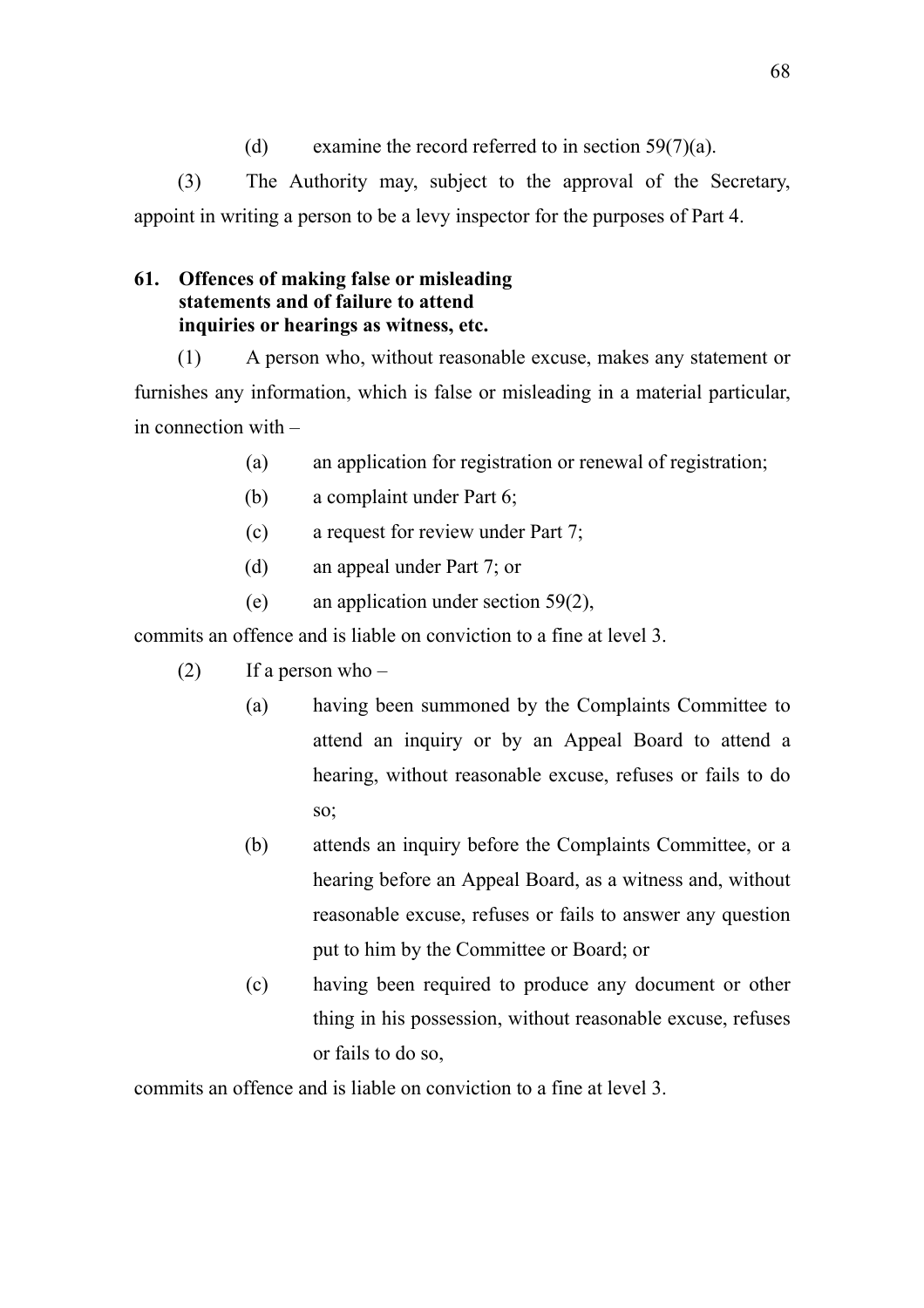(d) examine the record referred to in section  $59(7)(a)$ .

(3) The Authority may, subject to the approval of the Secretary, appoint in writing a person to be a levy inspector for the purposes of Part 4.

# **61. Offences of making false or misleading statements and of failure to attend inquiries or hearings as witness, etc.**

(1) A person who, without reasonable excuse, makes any statement or furnishes any information, which is false or misleading in a material particular, in connection with –

- (a) an application for registration or renewal of registration;
- (b) a complaint under Part 6;
- (c) a request for review under Part 7;
- (d) an appeal under Part 7; or
- (e) an application under section 59(2),

commits an offence and is liable on conviction to a fine at level 3.

- $(2)$  If a person who
	- (a) having been summoned by the Complaints Committee to attend an inquiry or by an Appeal Board to attend a hearing, without reasonable excuse, refuses or fails to do so;
	- (b) attends an inquiry before the Complaints Committee, or a hearing before an Appeal Board, as a witness and, without reasonable excuse, refuses or fails to answer any question put to him by the Committee or Board; or
	- (c) having been required to produce any document or other thing in his possession, without reasonable excuse, refuses or fails to do so,

commits an offence and is liable on conviction to a fine at level 3.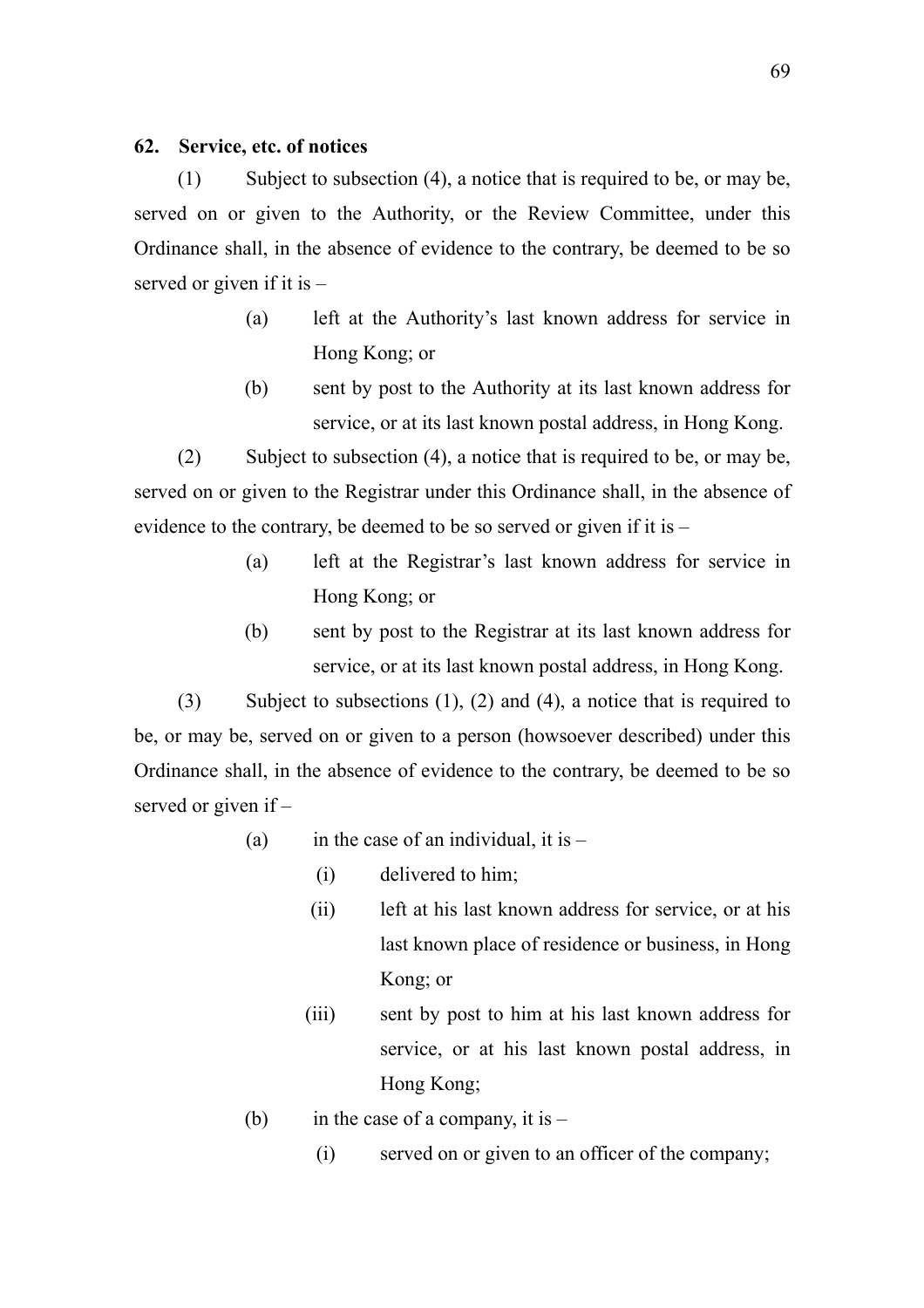## **62. Service, etc. of notices**

(1) Subject to subsection (4), a notice that is required to be, or may be, served on or given to the Authority, or the Review Committee, under this Ordinance shall, in the absence of evidence to the contrary, be deemed to be so served or given if it is –

- (a) left at the Authority's last known address for service in Hong Kong; or
- (b) sent by post to the Authority at its last known address for service, or at its last known postal address, in Hong Kong.

(2) Subject to subsection (4), a notice that is required to be, or may be, served on or given to the Registrar under this Ordinance shall, in the absence of evidence to the contrary, be deemed to be so served or given if it is –

- (a) left at the Registrar's last known address for service in Hong Kong; or
- (b) sent by post to the Registrar at its last known address for service, or at its last known postal address, in Hong Kong.

(3) Subject to subsections (1), (2) and (4), a notice that is required to be, or may be, served on or given to a person (howsoever described) under this Ordinance shall, in the absence of evidence to the contrary, be deemed to be so served or given if –

- (a) in the case of an individual, it is  $-$ 
	- (i) delivered to him;
	- (ii) left at his last known address for service, or at his last known place of residence or business, in Hong Kong; or
	- (iii) sent by post to him at his last known address for service, or at his last known postal address, in Hong Kong;
- (b) in the case of a company, it is  $-$ 
	- (i) served on or given to an officer of the company;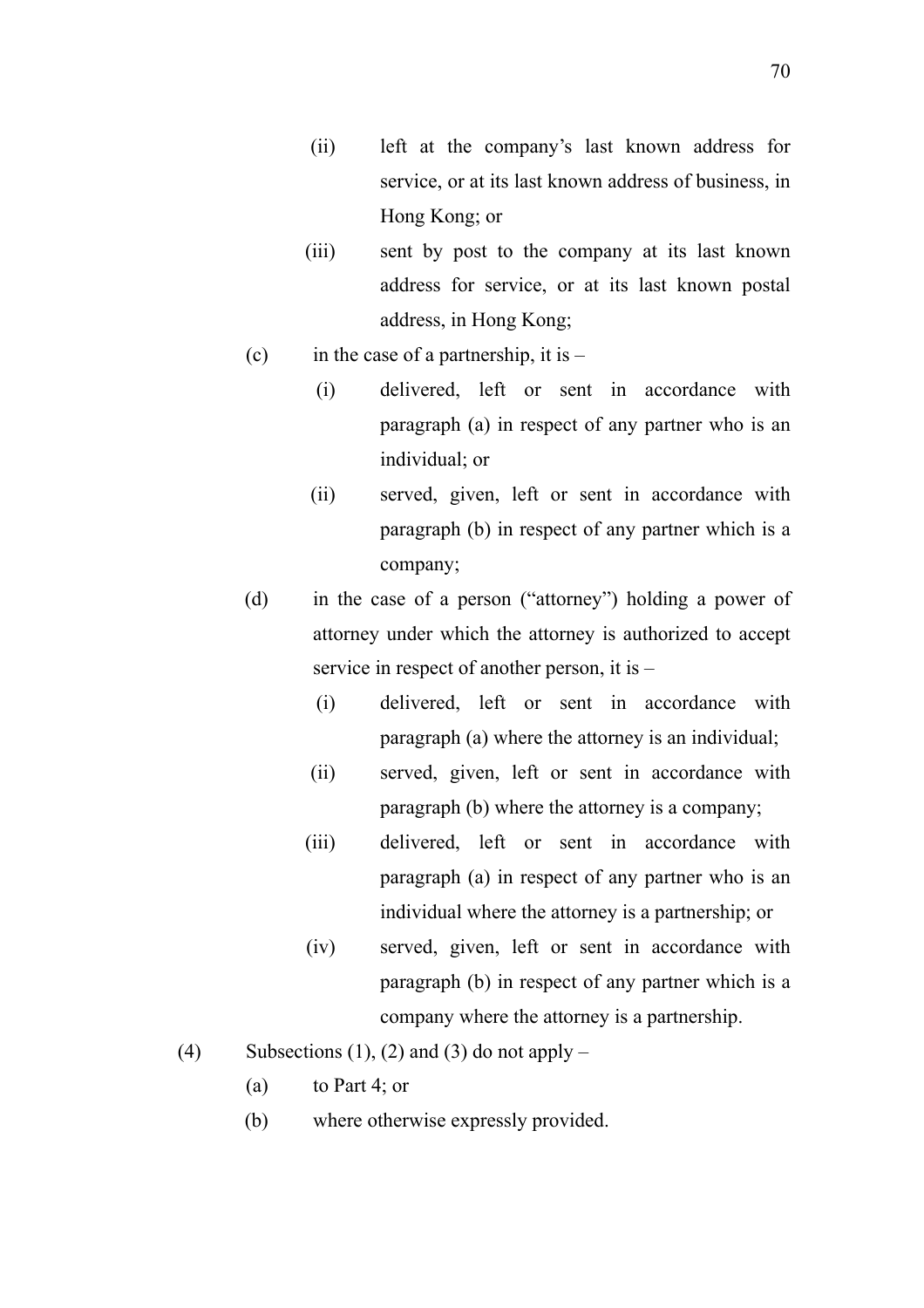- (ii) left at the company's last known address for service, or at its last known address of business, in Hong Kong; or
- (iii) sent by post to the company at its last known address for service, or at its last known postal address, in Hong Kong;
- (c) in the case of a partnership, it is  $-$ 
	- (i) delivered, left or sent in accordance with paragraph (a) in respect of any partner who is an individual; or
	- (ii) served, given, left or sent in accordance with paragraph (b) in respect of any partner which is a company;
- (d) in the case of a person ("attorney") holding a power of attorney under which the attorney is authorized to accept service in respect of another person, it is –
	- (i) delivered, left or sent in accordance with paragraph (a) where the attorney is an individual;
	- (ii) served, given, left or sent in accordance with paragraph (b) where the attorney is a company;
	- (iii) delivered, left or sent in accordance with paragraph (a) in respect of any partner who is an individual where the attorney is a partnership; or
	- (iv) served, given, left or sent in accordance with paragraph (b) in respect of any partner which is a company where the attorney is a partnership.
- (4) Subsections (1), (2) and (3) do not apply
	- (a) to Part 4; or
	- (b) where otherwise expressly provided.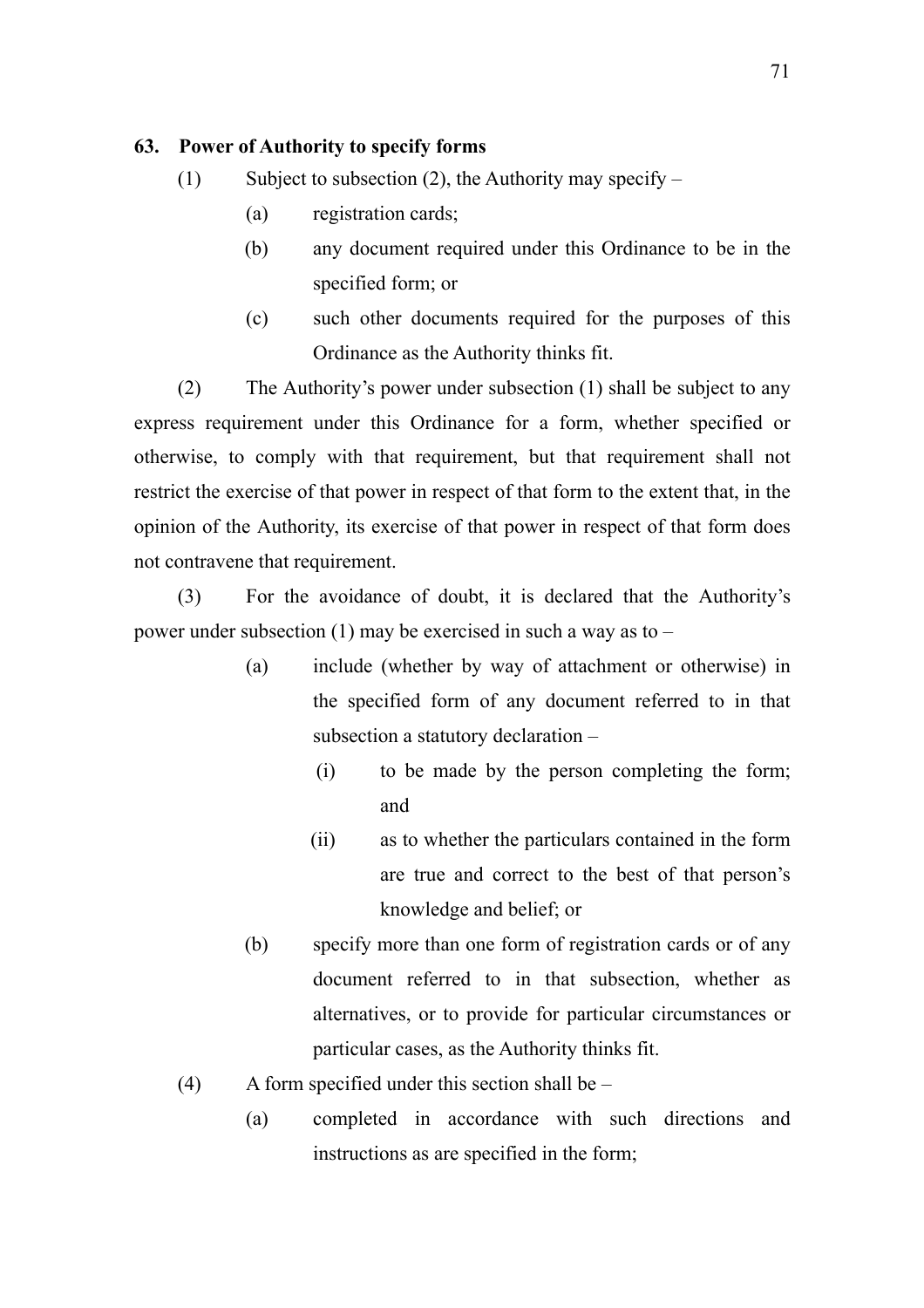## **63. Power of Authority to specify forms**

- (1) Subject to subsection (2), the Authority may specify  $-$ 
	- (a) registration cards;
	- (b) any document required under this Ordinance to be in the specified form; or
	- (c) such other documents required for the purposes of this Ordinance as the Authority thinks fit.

(2) The Authority's power under subsection (1) shall be subject to any express requirement under this Ordinance for a form, whether specified or otherwise, to comply with that requirement, but that requirement shall not restrict the exercise of that power in respect of that form to the extent that, in the opinion of the Authority, its exercise of that power in respect of that form does not contravene that requirement.

(3) For the avoidance of doubt, it is declared that the Authority's power under subsection  $(1)$  may be exercised in such a way as to –

- (a) include (whether by way of attachment or otherwise) in the specified form of any document referred to in that subsection a statutory declaration –
	- (i) to be made by the person completing the form; and
	- (ii) as to whether the particulars contained in the form are true and correct to the best of that person's knowledge and belief; or
- (b) specify more than one form of registration cards or of any document referred to in that subsection, whether as alternatives, or to provide for particular circumstances or particular cases, as the Authority thinks fit.
- (4) A form specified under this section shall be  $-$ 
	- (a) completed in accordance with such directions and instructions as are specified in the form;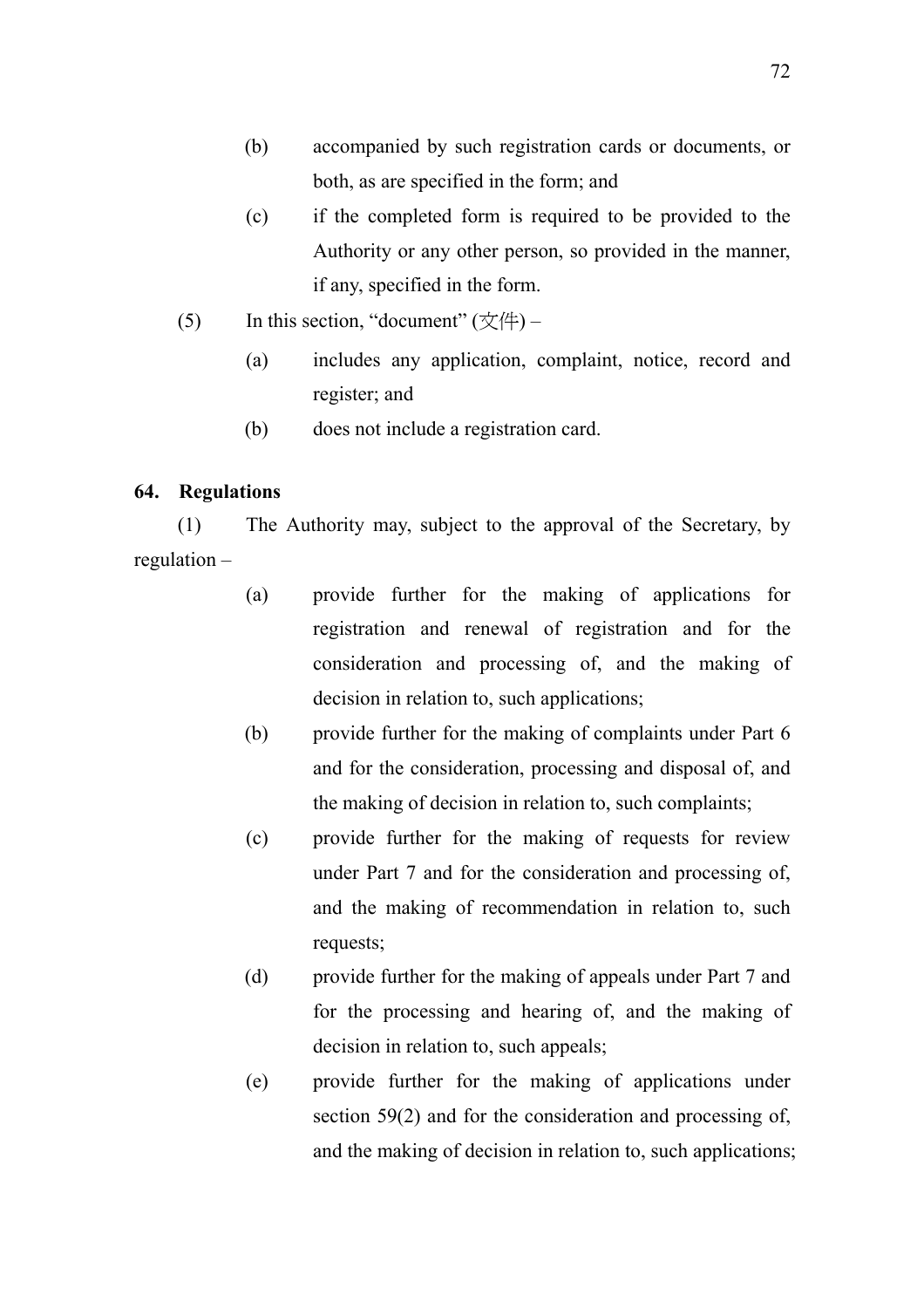- (b) accompanied by such registration cards or documents, or both, as are specified in the form; and
- (c) if the completed form is required to be provided to the Authority or any other person, so provided in the manner, if any, specified in the form.
- (5) In this section, "document"  $(\forall$ 4)
	- (a) includes any application, complaint, notice, record and register; and
	- (b) does not include a registration card.

# **64. Regulations**

(1) The Authority may, subject to the approval of the Secretary, by regulation –

- (a) provide further for the making of applications for registration and renewal of registration and for the consideration and processing of, and the making of decision in relation to, such applications;
- (b) provide further for the making of complaints under Part 6 and for the consideration, processing and disposal of, and the making of decision in relation to, such complaints;
- (c) provide further for the making of requests for review under Part 7 and for the consideration and processing of, and the making of recommendation in relation to, such requests;
- (d) provide further for the making of appeals under Part 7 and for the processing and hearing of, and the making of decision in relation to, such appeals;
- (e) provide further for the making of applications under section 59(2) and for the consideration and processing of, and the making of decision in relation to, such applications;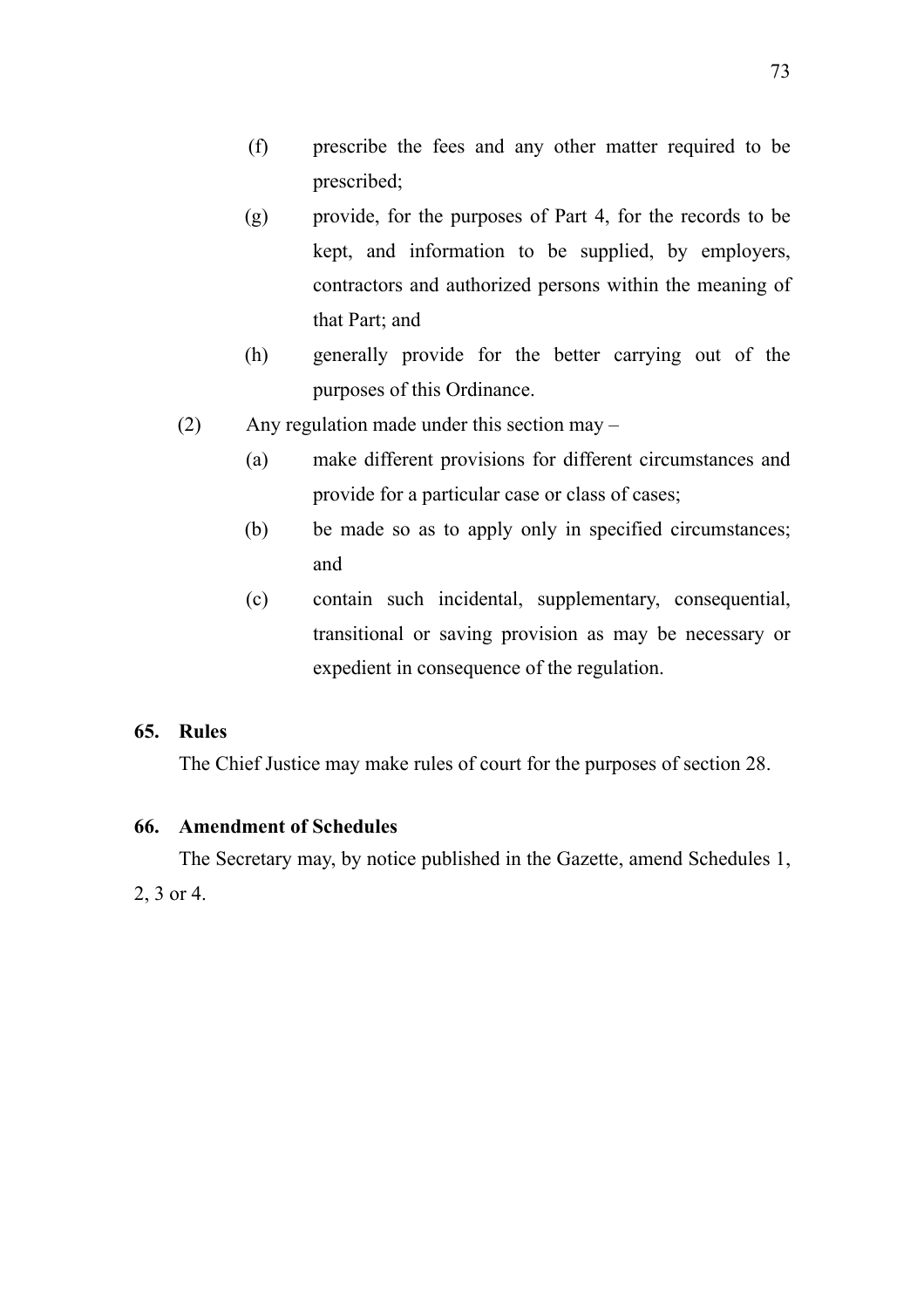- (f) prescribe the fees and any other matter required to be prescribed;
- (g) provide, for the purposes of Part 4, for the records to be kept, and information to be supplied, by employers, contractors and authorized persons within the meaning of that Part; and
- (h) generally provide for the better carrying out of the purposes of this Ordinance.
- (2) Any regulation made under this section may
	- (a) make different provisions for different circumstances and provide for a particular case or class of cases;
	- (b) be made so as to apply only in specified circumstances; and
	- (c) contain such incidental, supplementary, consequential, transitional or saving provision as may be necessary or expedient in consequence of the regulation.

# **65. Rules**

The Chief Justice may make rules of court for the purposes of section 28.

## **66. Amendment of Schedules**

The Secretary may, by notice published in the Gazette, amend Schedules 1, 2, 3 or 4.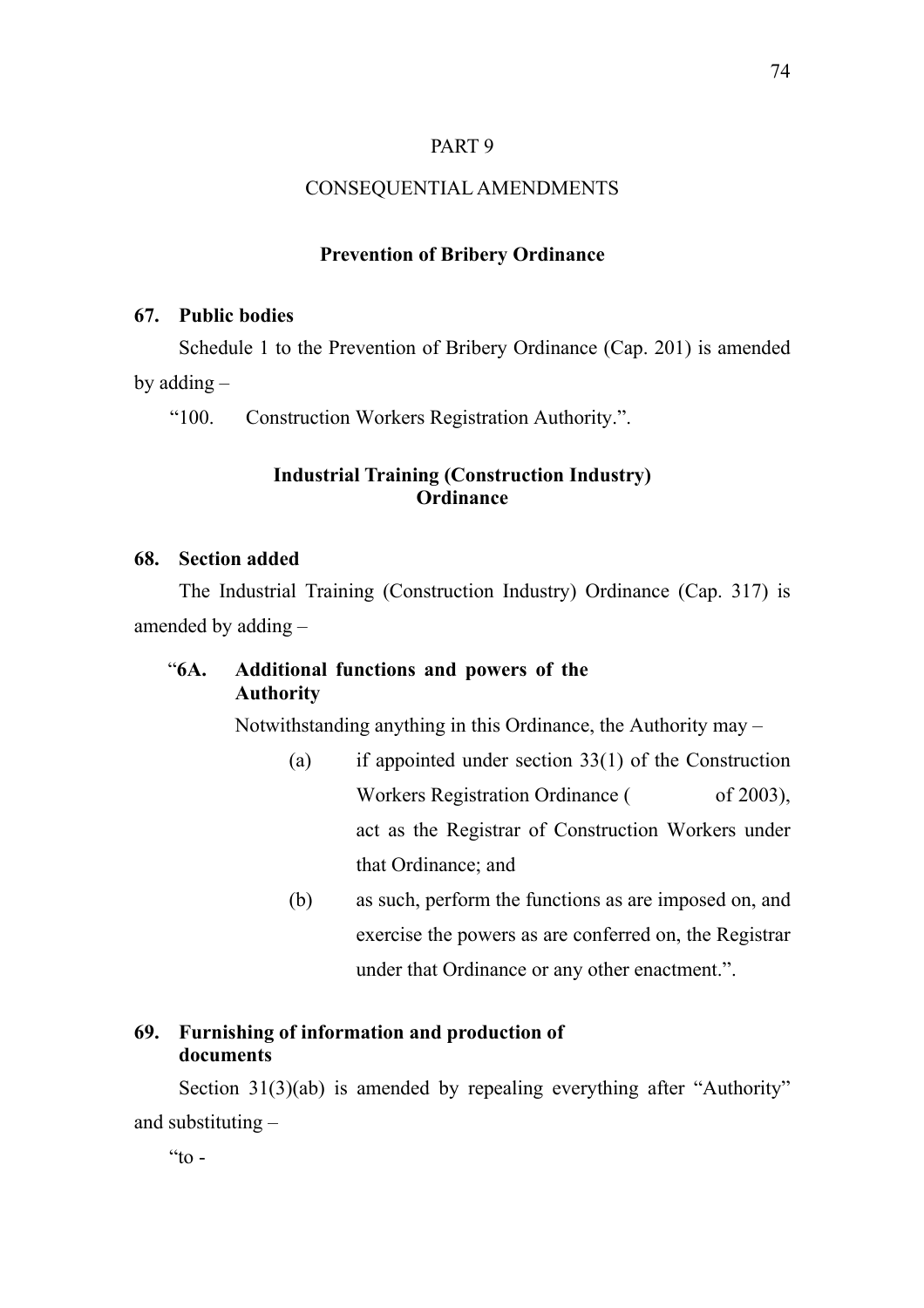## PART 9

### CONSEQUENTIAL AMENDMENTS

#### **Prevention of Bribery Ordinance**

## **67. Public bodies**

Schedule 1 to the Prevention of Bribery Ordinance (Cap. 201) is amended by adding –

"100. Construction Workers Registration Authority.".

## **Industrial Training (Construction Industry) Ordinance**

#### **68. Section added**

The Industrial Training (Construction Industry) Ordinance (Cap. 317) is amended by adding –

# "**6A. Additional functions and powers of the Authority**

Notwithstanding anything in this Ordinance, the Authority may –

- (a) if appointed under section 33(1) of the Construction Workers Registration Ordinance ( of 2003), act as the Registrar of Construction Workers under that Ordinance; and
- (b) as such, perform the functions as are imposed on, and exercise the powers as are conferred on, the Registrar under that Ordinance or any other enactment.".

# **69. Furnishing of information and production of documents**

Section 31(3)(ab) is amended by repealing everything after "Authority" and substituting –

 $\alpha$  to  $-$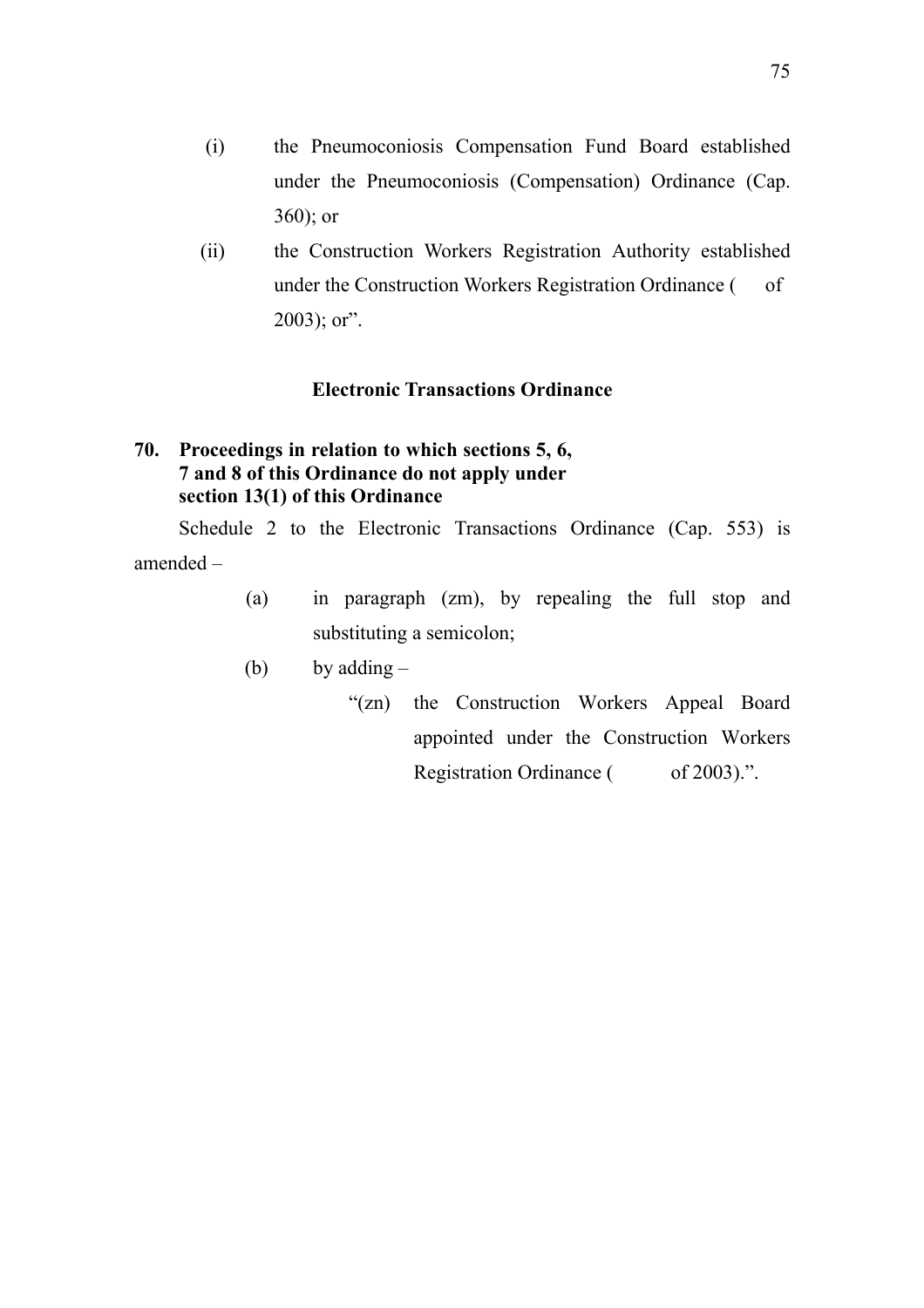- (i) the Pneumoconiosis Compensation Fund Board established under the Pneumoconiosis (Compensation) Ordinance (Cap. 360); or
- (ii) the Construction Workers Registration Authority established under the Construction Workers Registration Ordinance ( of  $2003$ ; or".

# **Electronic Transactions Ordinance**

# **70. Proceedings in relation to which sections 5, 6, 7 and 8 of this Ordinance do not apply under section 13(1) of this Ordinance**

Schedule 2 to the Electronic Transactions Ordinance (Cap. 553) is amended –

- (a) in paragraph (zm), by repealing the full stop and substituting a semicolon;
- (b) by adding  $-$ 
	- "(zn) the Construction Workers Appeal Board appointed under the Construction Workers Registration Ordinance ( of 2003).".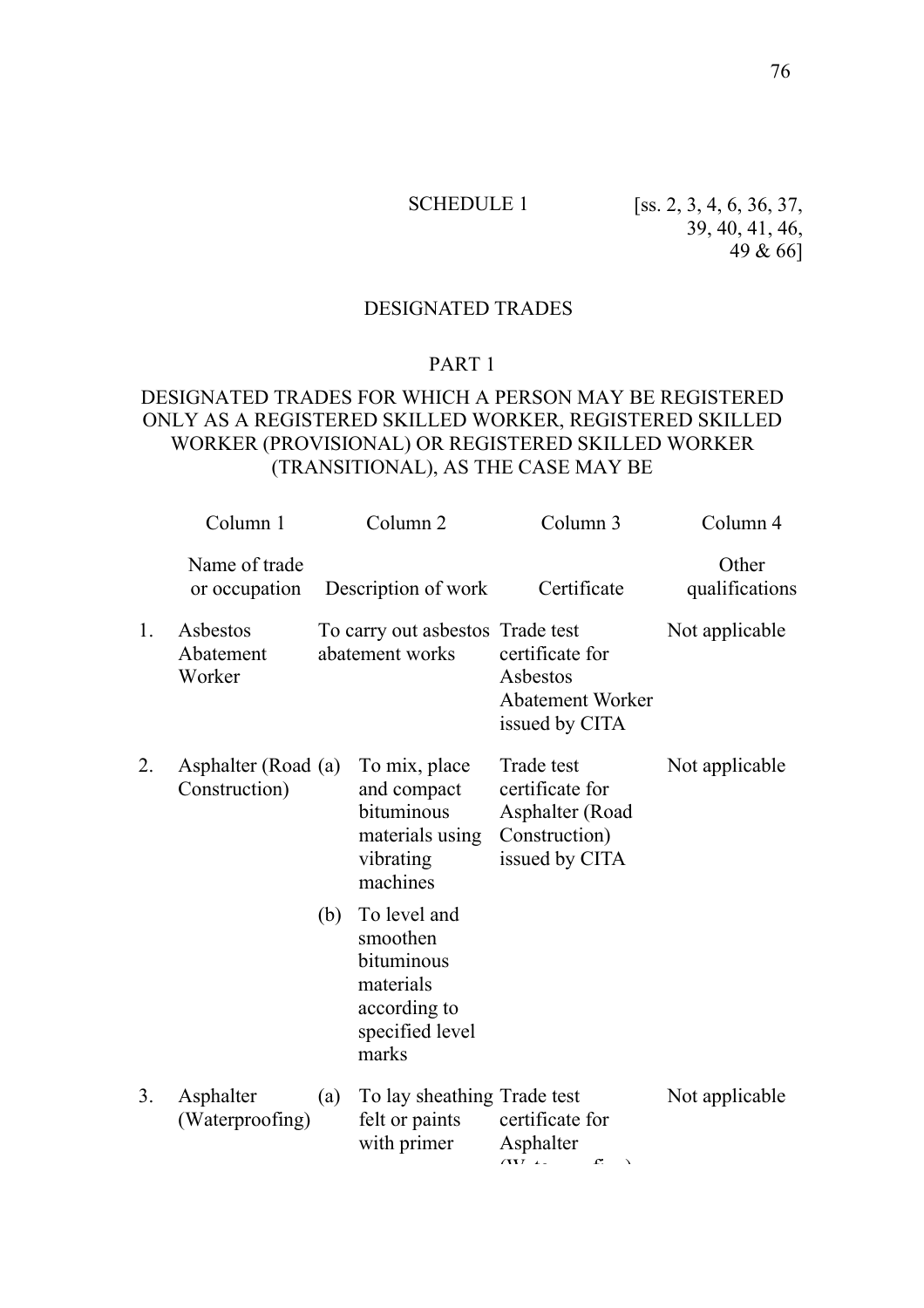SCHEDULE 1 [ss. 2, 3, 4, 6, 36, 37, 39, 40, 41, 46, 49 & 66]

## DESIGNATED TRADES

## PART 1

# DESIGNATED TRADES FOR WHICH A PERSON MAY BE REGISTERED ONLY AS A REGISTERED SKILLED WORKER, REGISTERED SKILLED WORKER (PROVISIONAL) OR REGISTERED SKILLED WORKER (TRANSITIONAL), AS THE CASE MAY BE

|    | Column 1                             |     | Column <sub>2</sub>                                                                             | Column 3                                                                            | Column 4                |
|----|--------------------------------------|-----|-------------------------------------------------------------------------------------------------|-------------------------------------------------------------------------------------|-------------------------|
|    | Name of trade<br>or occupation       |     | Description of work                                                                             | Certificate                                                                         | Other<br>qualifications |
| 1. | Asbestos<br>Abatement<br>Worker      |     | To carry out asbestos Trade test<br>abatement works                                             | certificate for<br>Asbestos<br><b>Abatement Worker</b><br>issued by CITA            | Not applicable          |
| 2. | Asphalter (Road (a)<br>Construction) |     | To mix, place<br>and compact<br>bituminous<br>materials using<br>vibrating<br>machines          | Trade test<br>certificate for<br>Asphalter (Road<br>Construction)<br>issued by CITA | Not applicable          |
|    |                                      | (b) | To level and<br>smoothen<br>bituminous<br>materials<br>according to<br>specified level<br>marks |                                                                                     |                         |
| 3. | Asphalter<br>(Waterproofing)         | (a) | To lay sheathing Trade test<br>felt or paints<br>with primer                                    | certificate for<br>Asphalter<br>(117.4)<br>$\mathbf{r}$<br>$\lambda$                | Not applicable          |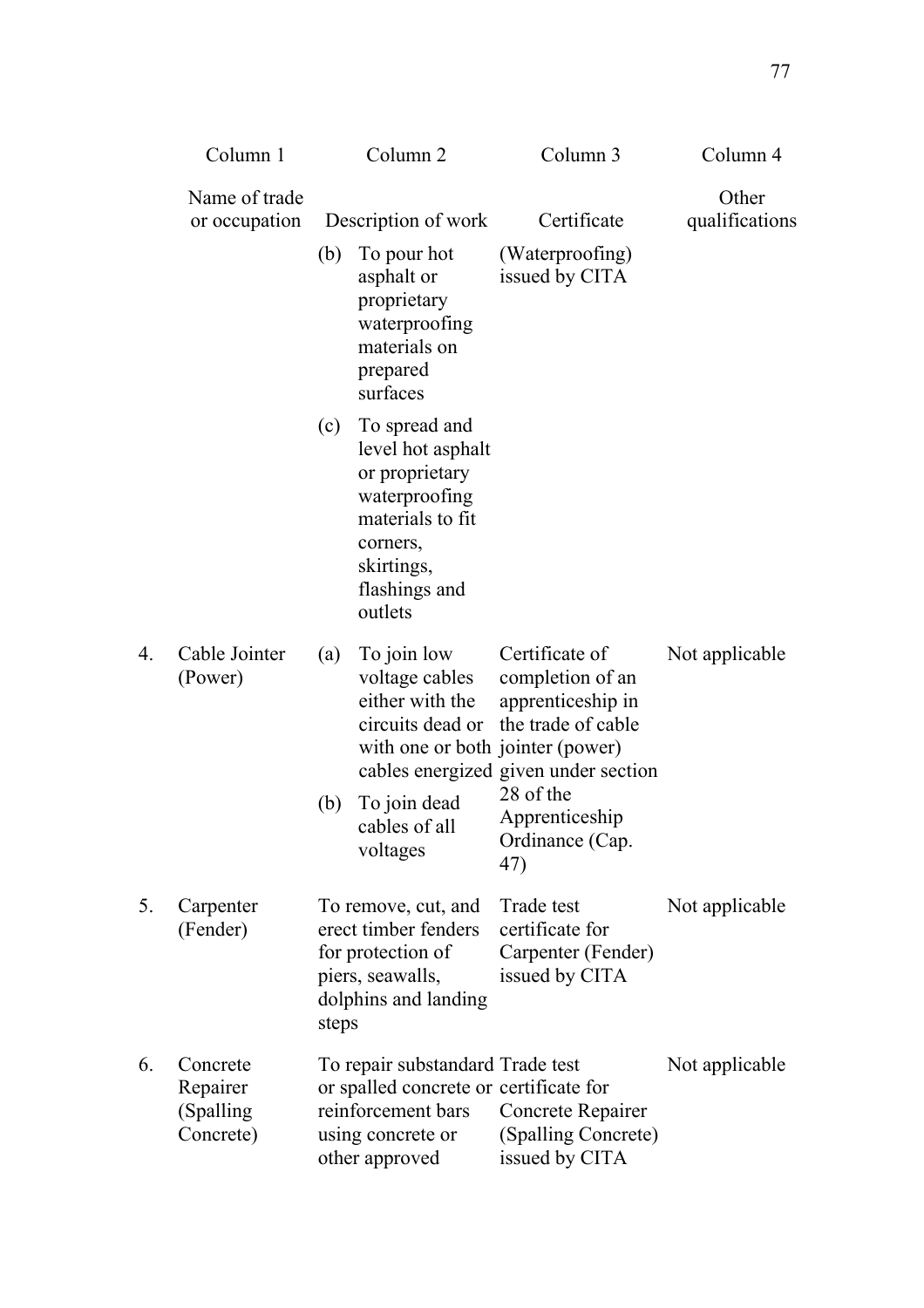|                  | Column 1                                        |       | Column <sub>2</sub>                                                                                                                             | Column 3                                                                                                              | Column 4                |
|------------------|-------------------------------------------------|-------|-------------------------------------------------------------------------------------------------------------------------------------------------|-----------------------------------------------------------------------------------------------------------------------|-------------------------|
|                  | Name of trade<br>or occupation                  |       | Description of work                                                                                                                             | Certificate                                                                                                           | Other<br>qualifications |
|                  |                                                 | (b)   | To pour hot<br>asphalt or<br>proprietary<br>waterproofing<br>materials on<br>prepared<br>surfaces                                               | (Waterproofing)<br>issued by CITA                                                                                     |                         |
|                  |                                                 | (c)   | To spread and<br>level hot asphalt<br>or proprietary<br>waterproofing<br>materials to fit<br>corners,<br>skirtings,<br>flashings and<br>outlets |                                                                                                                       |                         |
| $\overline{4}$ . | Cable Jointer<br>(Power)                        | (a)   | To join low<br>voltage cables<br>either with the<br>circuits dead or<br>with one or both jointer (power)                                        | Certificate of<br>completion of an<br>apprenticeship in<br>the trade of cable<br>cables energized given under section | Not applicable          |
|                  |                                                 | (b)   | To join dead<br>cables of all<br>voltages                                                                                                       | 28 of the<br>Apprenticeship<br>Ordinance (Cap.<br>47)                                                                 |                         |
| 5.               | Carpenter<br>(Fender)                           | steps | To remove, cut, and<br>erect timber fenders<br>for protection of<br>piers, seawalls,<br>dolphins and landing                                    | Trade test<br>certificate for<br>Carpenter (Fender)<br>issued by CITA                                                 | Not applicable          |
| 6.               | Concrete<br>Repairer<br>(Spalling)<br>Concrete) |       | To repair substandard Trade test<br>or spalled concrete or certificate for<br>reinforcement bars<br>using concrete or<br>other approved         | Concrete Repairer<br>(Spalling Concrete)<br>issued by CITA                                                            | Not applicable          |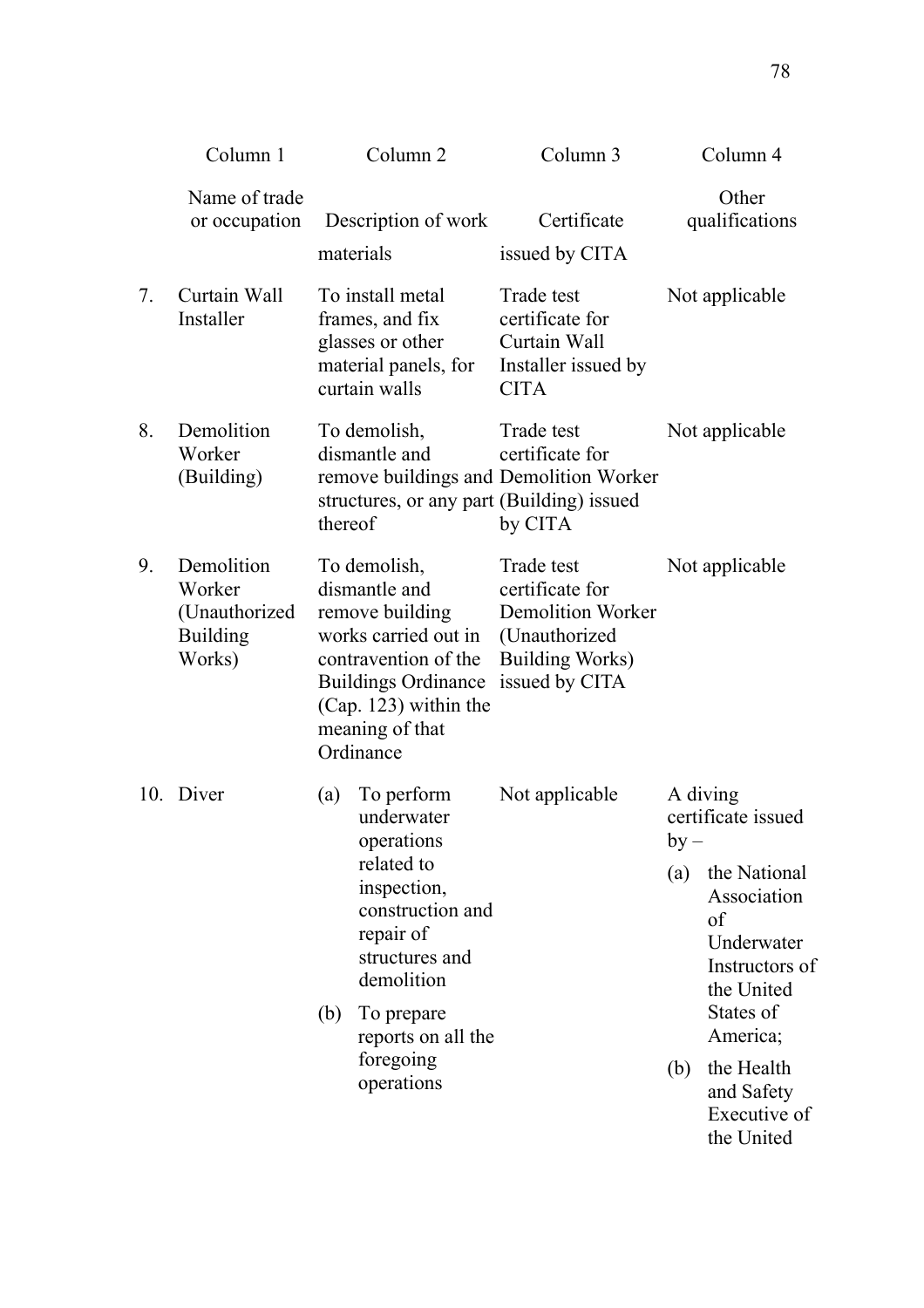|    | Column 1                                                           | Column <sub>2</sub>                                                                                                                                                                                               | Column 3                                                                                                               |                      | Column 4                                                                                                                                                                                             |
|----|--------------------------------------------------------------------|-------------------------------------------------------------------------------------------------------------------------------------------------------------------------------------------------------------------|------------------------------------------------------------------------------------------------------------------------|----------------------|------------------------------------------------------------------------------------------------------------------------------------------------------------------------------------------------------|
|    | Name of trade<br>or occupation                                     | Description of work<br>materials                                                                                                                                                                                  | Certificate<br>issued by CITA                                                                                          |                      | Other<br>qualifications                                                                                                                                                                              |
| 7. | Curtain Wall<br>Installer                                          | To install metal<br>frames, and fix<br>glasses or other<br>material panels, for<br>curtain walls                                                                                                                  | Trade test<br>certificate for<br>Curtain Wall<br>Installer issued by<br><b>CITA</b>                                    |                      | Not applicable                                                                                                                                                                                       |
| 8. | Demolition<br>Worker<br>(Building)                                 | To demolish,<br>dismantle and<br>remove buildings and Demolition Worker<br>structures, or any part (Building) issued<br>thereof                                                                                   | Trade test<br>certificate for<br>by CITA                                                                               |                      | Not applicable                                                                                                                                                                                       |
| 9. | Demolition<br>Worker<br>(Unauthorized<br><b>Building</b><br>Works) | To demolish,<br>dismantle and<br>remove building<br>works carried out in<br>contravention of the<br><b>Buildings Ordinance</b><br>(Cap. 123) within the<br>meaning of that<br>Ordinance                           | Trade test<br>certificate for<br><b>Demolition Worker</b><br>(Unauthorized<br><b>Building Works)</b><br>issued by CITA |                      | Not applicable                                                                                                                                                                                       |
|    | 10. Diver                                                          | To perform<br>(a)<br>underwater<br>operations<br>related to<br>inspection,<br>construction and<br>repair of<br>structures and<br>demolition<br>To prepare<br>(b)<br>reports on all the<br>foregoing<br>operations | Not applicable                                                                                                         | $by -$<br>(a)<br>(b) | A diving<br>certificate issued<br>the National<br>Association<br>of<br>Underwater<br>Instructors of<br>the United<br>States of<br>America;<br>the Health<br>and Safety<br>Executive of<br>the United |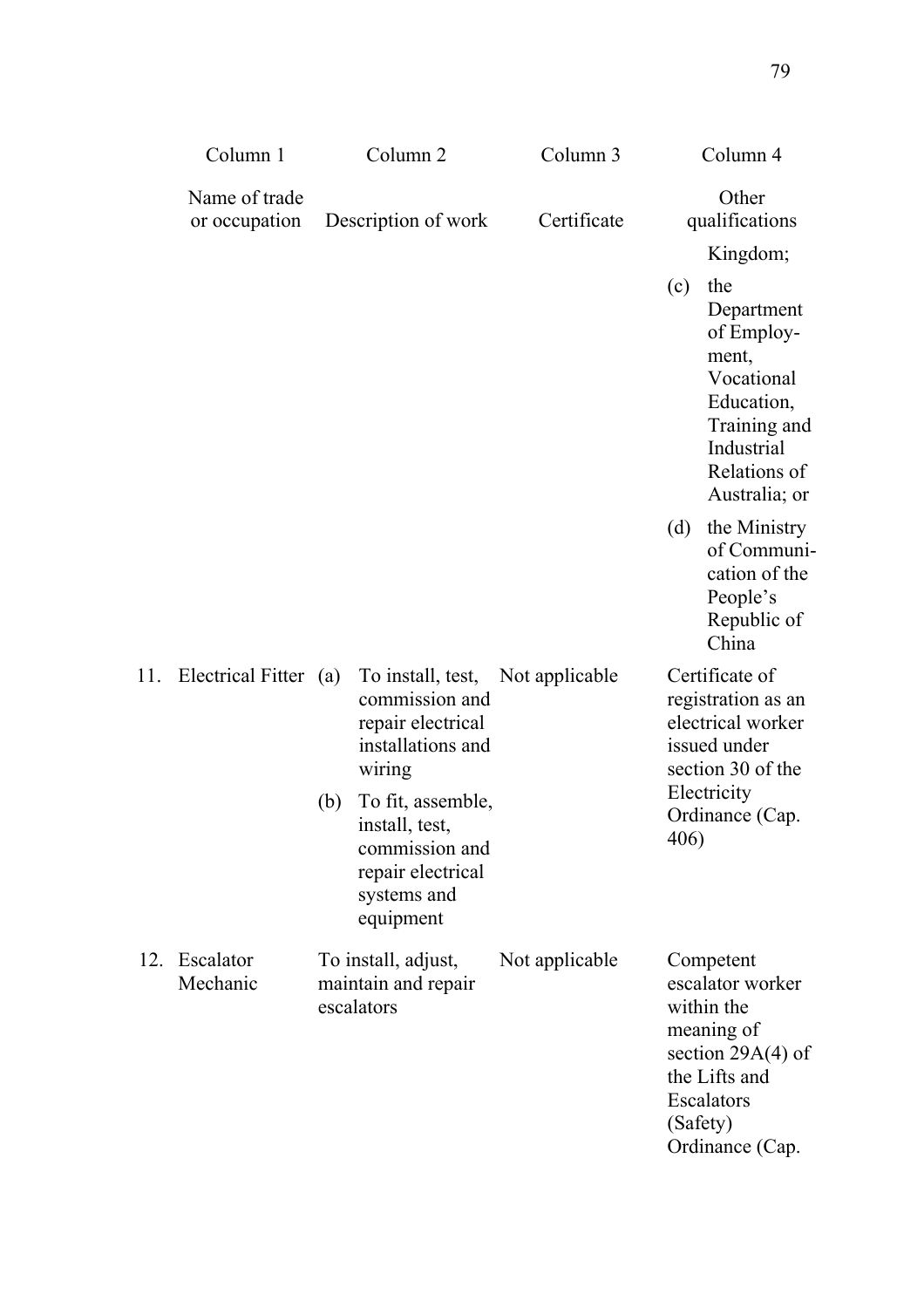|     | Column 1                       |     | Column <sub>2</sub>                                                                                    | Column 3       |                                                                                                | Column 4                                                                                                                                       |
|-----|--------------------------------|-----|--------------------------------------------------------------------------------------------------------|----------------|------------------------------------------------------------------------------------------------|------------------------------------------------------------------------------------------------------------------------------------------------|
|     | Name of trade<br>or occupation |     | Description of work                                                                                    | Certificate    |                                                                                                | Other<br>qualifications                                                                                                                        |
|     |                                |     |                                                                                                        |                |                                                                                                | Kingdom;                                                                                                                                       |
|     |                                |     |                                                                                                        |                | (c)                                                                                            | the<br>Department<br>of Employ-<br>ment,<br>Vocational<br>Education,<br>Training and<br>Industrial<br>Relations of<br>Australia; or            |
|     |                                |     |                                                                                                        |                | (d)                                                                                            | the Ministry<br>of Communi-<br>cation of the<br>People's<br>Republic of<br>China                                                               |
| 11. | Electrical Fitter (a)          |     | To install, test,<br>commission and<br>repair electrical<br>installations and<br>wiring                | Not applicable | Certificate of<br>registration as an<br>electrical worker<br>issued under<br>section 30 of the |                                                                                                                                                |
|     |                                | (b) | To fit, assemble,<br>install, test,<br>commission and<br>repair electrical<br>systems and<br>equipment |                | Electricity<br>Ordinance (Cap.<br>406)                                                         |                                                                                                                                                |
| 12. | Escalator<br>Mechanic          |     | To install, adjust,<br>maintain and repair<br>escalators                                               | Not applicable |                                                                                                | Competent<br>escalator worker<br>within the<br>meaning of<br>section $29A(4)$ of<br>the Lifts and<br>Escalators<br>(Safety)<br>Ordinance (Cap. |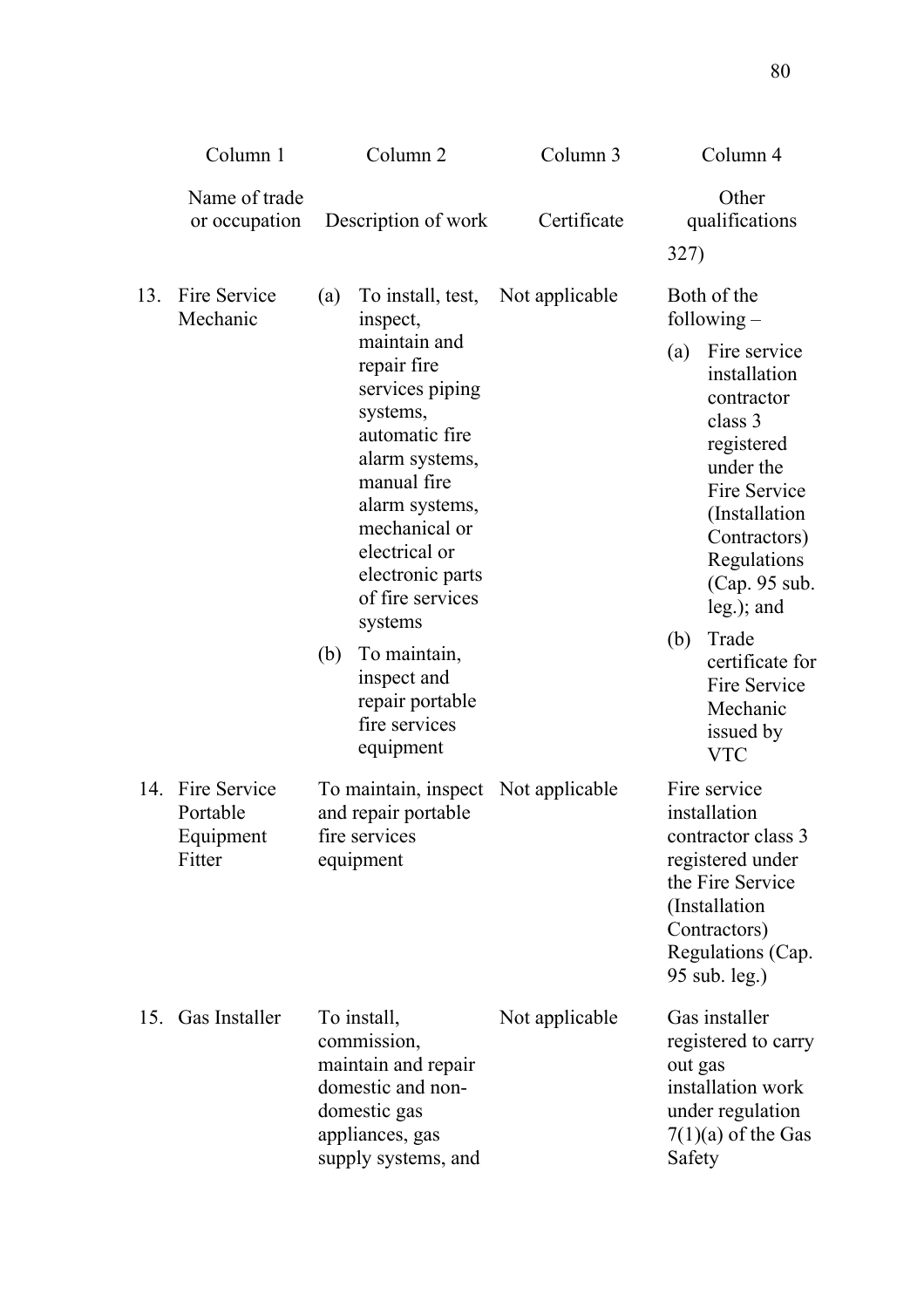|     | Column 1                                            | Column <sub>2</sub>                                                                                                                                                                                                                                                                                                                                 | Column 3       | Column 4                                                                                                                                                                                                                                                                                                             |
|-----|-----------------------------------------------------|-----------------------------------------------------------------------------------------------------------------------------------------------------------------------------------------------------------------------------------------------------------------------------------------------------------------------------------------------------|----------------|----------------------------------------------------------------------------------------------------------------------------------------------------------------------------------------------------------------------------------------------------------------------------------------------------------------------|
|     | Name of trade<br>or occupation                      | Description of work                                                                                                                                                                                                                                                                                                                                 | Certificate    | Other<br>qualifications<br>327)                                                                                                                                                                                                                                                                                      |
| 13. | Fire Service<br>Mechanic                            | To install, test,<br>(a)<br>inspect,<br>maintain and<br>repair fire<br>services piping<br>systems,<br>automatic fire<br>alarm systems,<br>manual fire<br>alarm systems,<br>mechanical or<br>electrical or<br>electronic parts<br>of fire services<br>systems<br>To maintain,<br>(b)<br>inspect and<br>repair portable<br>fire services<br>equipment | Not applicable | Both of the<br>following $-$<br>(a)<br>Fire service<br>installation<br>contractor<br>class 3<br>registered<br>under the<br>Fire Service<br>(Installation)<br>Contractors)<br>Regulations<br>(Cap. 95 sub.<br>$leg.$ ); and<br>Trade<br>(b)<br>certificate for<br>Fire Service<br>Mechanic<br>issued by<br><b>VTC</b> |
|     | 14. Fire Service<br>Portable<br>Equipment<br>Fitter | To maintain, inspect Not applicable<br>and repair portable<br>fire services<br>equipment                                                                                                                                                                                                                                                            |                | Fire service<br>installation<br>contractor class 3<br>registered under<br>the Fire Service<br>(Installation<br>Contractors)<br>Regulations (Cap.<br>95 sub. leg.)                                                                                                                                                    |
| 15. | Gas Installer                                       | To install,<br>commission,<br>maintain and repair<br>domestic and non-<br>domestic gas<br>appliances, gas<br>supply systems, and                                                                                                                                                                                                                    | Not applicable | Gas installer<br>registered to carry<br>out gas<br>installation work<br>under regulation<br>$7(1)(a)$ of the Gas<br>Safety                                                                                                                                                                                           |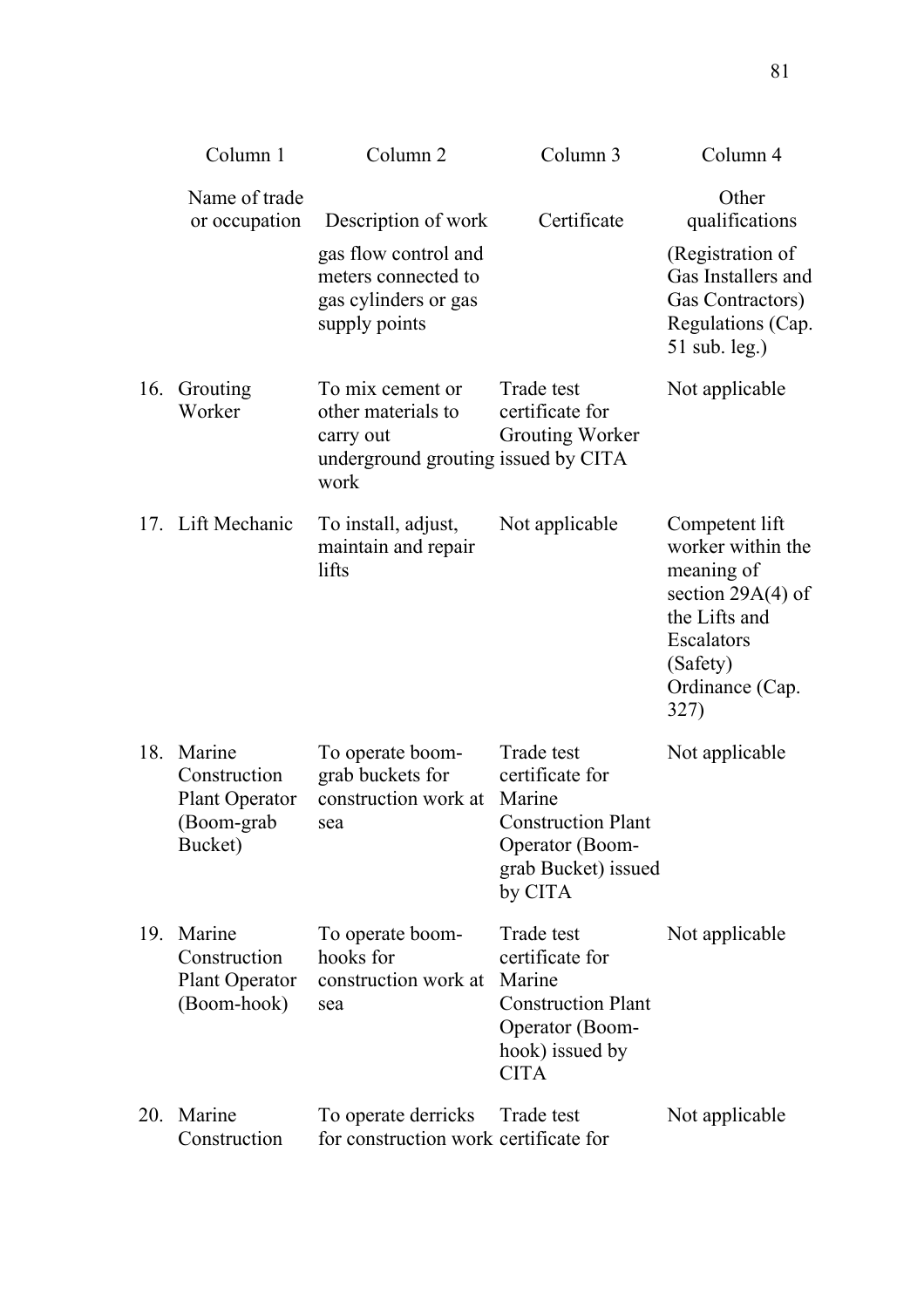|     | Column 1                                                                 | Column <sub>2</sub>                                                                                         | Column <sub>3</sub>                                                                                                       | Column 4                                                                                                                                       |
|-----|--------------------------------------------------------------------------|-------------------------------------------------------------------------------------------------------------|---------------------------------------------------------------------------------------------------------------------------|------------------------------------------------------------------------------------------------------------------------------------------------|
|     | Name of trade<br>or occupation                                           | Description of work<br>gas flow control and<br>meters connected to<br>gas cylinders or gas<br>supply points | Certificate                                                                                                               | Other<br>qualifications<br>(Registration of<br>Gas Installers and<br>Gas Contractors)<br>Regulations (Cap.<br>$51$ sub. leg.)                  |
| 16. | Grouting<br>Worker                                                       | To mix cement or<br>other materials to<br>carry out<br>underground grouting issued by CITA<br>work          | Trade test<br>certificate for<br>Grouting Worker                                                                          | Not applicable                                                                                                                                 |
|     | 17. Lift Mechanic                                                        | To install, adjust,<br>maintain and repair<br>lifts                                                         | Not applicable                                                                                                            | Competent lift<br>worker within the<br>meaning of<br>section $29A(4)$ of<br>the Lifts and<br>Escalators<br>(Safety)<br>Ordinance (Cap.<br>327) |
| 18. | Marine<br>Construction<br><b>Plant Operator</b><br>(Boom-grab<br>Bucket) | To operate boom-<br>grab buckets for<br>construction work at<br>sea                                         | Trade test<br>certificate for<br>Marine<br><b>Construction Plant</b><br>Operator (Boom-<br>grab Bucket) issued<br>by CITA | Not applicable                                                                                                                                 |
| 19. | Marine<br>Construction<br><b>Plant Operator</b><br>(Boom-hook)           | To operate boom-<br>hooks for<br>construction work at<br>sea                                                | Trade test<br>certificate for<br>Marine<br><b>Construction Plant</b><br>Operator (Boom-<br>hook) issued by<br><b>CITA</b> | Not applicable                                                                                                                                 |
| 20. | Marine<br>Construction                                                   | To operate derricks<br>for construction work certificate for                                                | Trade test                                                                                                                | Not applicable                                                                                                                                 |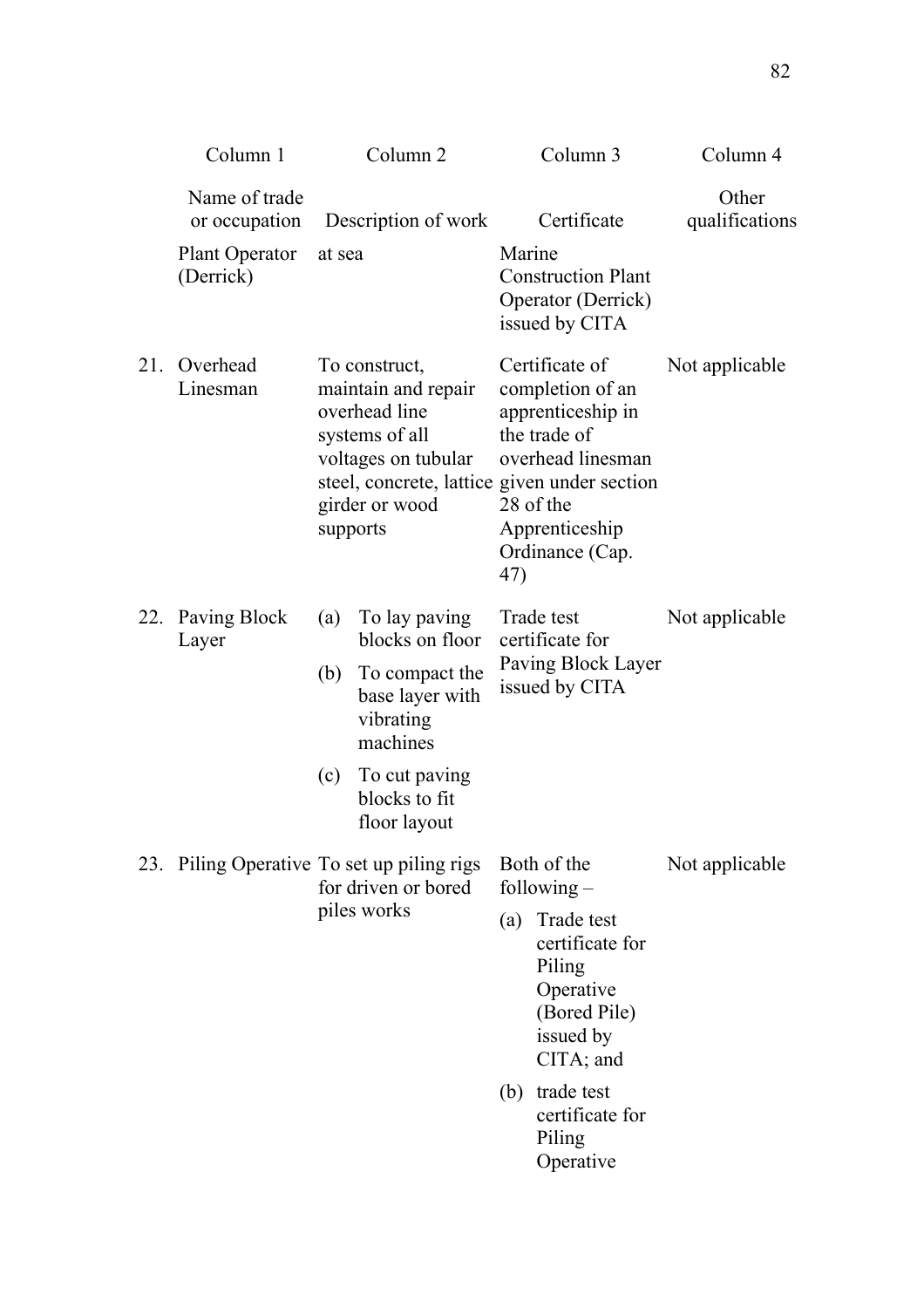|     | Column 1                                   |                   | Column <sub>2</sub>                                                                                                                                              |        | Column 3                                                                                                                                                                                   | Column 4                |
|-----|--------------------------------------------|-------------------|------------------------------------------------------------------------------------------------------------------------------------------------------------------|--------|--------------------------------------------------------------------------------------------------------------------------------------------------------------------------------------------|-------------------------|
|     | Name of trade<br>or occupation             |                   | Description of work                                                                                                                                              |        | Certificate                                                                                                                                                                                | Other<br>qualifications |
|     | <b>Plant Operator</b><br>(Derrick)         | at sea            |                                                                                                                                                                  | Marine | <b>Construction Plant</b><br>Operator (Derrick)<br>issued by CITA                                                                                                                          |                         |
| 21. | Overhead<br>Linesman                       | supports          | To construct,<br>maintain and repair<br>overhead line<br>systems of all<br>voltages on tubular<br>steel, concrete, lattice given under section<br>girder or wood | 47)    | Certificate of<br>completion of an<br>apprenticeship in<br>the trade of<br>overhead linesman<br>28 of the<br>Apprenticeship<br>Ordinance (Cap.                                             | Not applicable          |
| 22. | Paving Block<br>Layer                      | (a)<br>(b)<br>(c) | To lay paving<br>blocks on floor<br>To compact the<br>base layer with<br>vibrating<br>machines<br>To cut paving<br>blocks to fit<br>floor layout                 |        | Trade test<br>certificate for<br>Paving Block Layer<br>issued by CITA                                                                                                                      | Not applicable          |
|     | 23. Piling Operative To set up piling rigs |                   | for driven or bored<br>piles works                                                                                                                               | (a)    | Both of the<br>following $-$<br>Trade test<br>certificate for<br>Piling<br>Operative<br>(Bored Pile)<br>issued by<br>CITA; and<br>(b) trade test<br>certificate for<br>Piling<br>Operative | Not applicable          |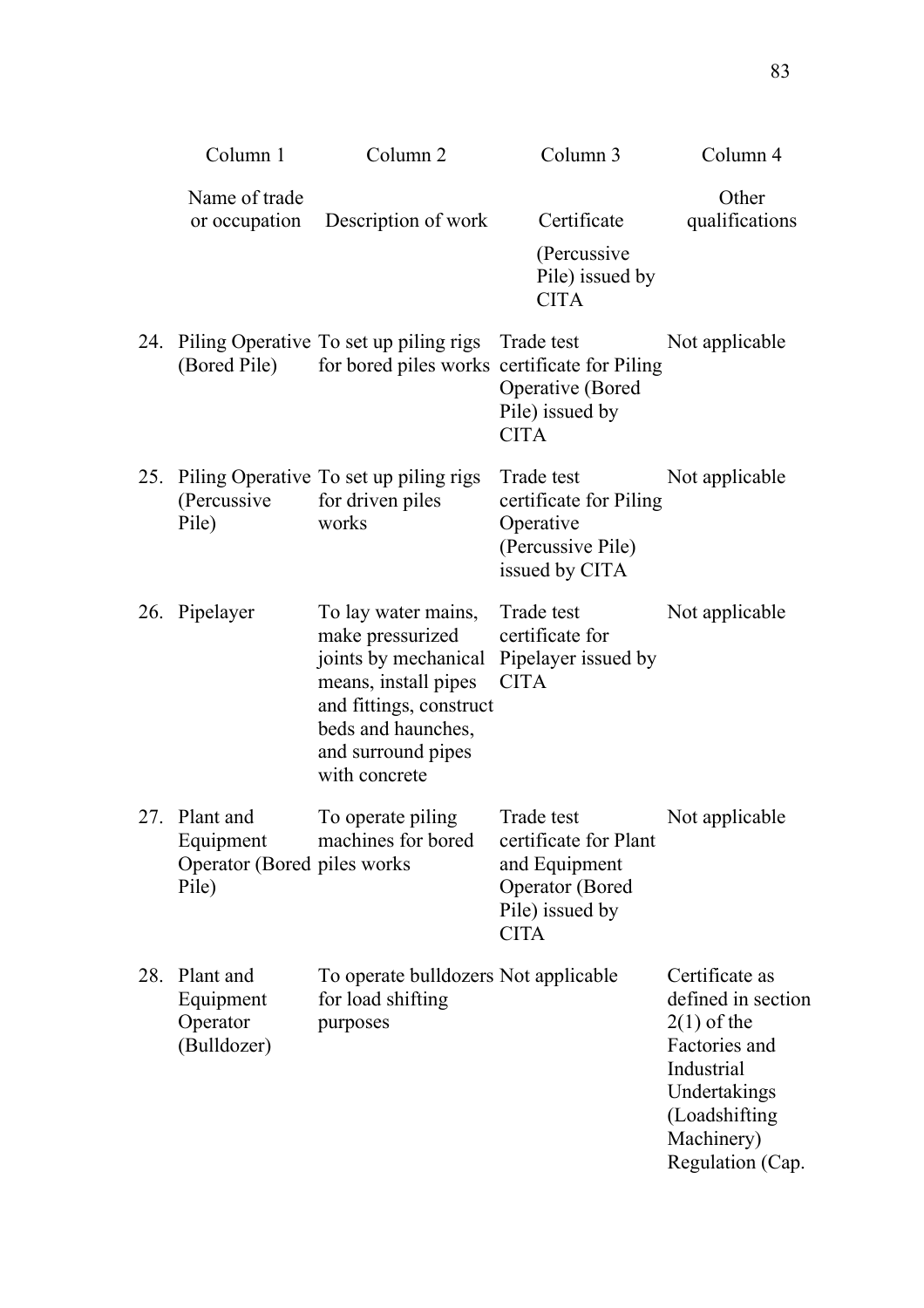|     | Column 1                                                            | Column <sub>2</sub>                                                                                                                                                             | Column 3                                                                                 | Column 4                                                                                                                                                |
|-----|---------------------------------------------------------------------|---------------------------------------------------------------------------------------------------------------------------------------------------------------------------------|------------------------------------------------------------------------------------------|---------------------------------------------------------------------------------------------------------------------------------------------------------|
|     | Name of trade<br>or occupation                                      | Description of work                                                                                                                                                             | Certificate<br>(Percussive<br>Pile) issued by<br><b>CITA</b>                             | Other<br>qualifications                                                                                                                                 |
|     | (Bored Pile)                                                        | 24. Piling Operative To set up piling rigs<br>for bored piles works certificate for Piling                                                                                      | Trade test<br>Operative (Bored<br>Pile) issued by<br><b>CITA</b>                         | Not applicable                                                                                                                                          |
|     | (Percussive)<br>Pile)                                               | 25. Piling Operative To set up piling rigs<br>for driven piles<br>works                                                                                                         | Trade test<br>certificate for Piling<br>Operative<br>(Percussive Pile)<br>issued by CITA | Not applicable                                                                                                                                          |
|     | 26. Pipelayer                                                       | To lay water mains,<br>make pressurized<br>joints by mechanical<br>means, install pipes<br>and fittings, construct<br>beds and haunches,<br>and surround pipes<br>with concrete | Trade test<br>certificate for<br>Pipelayer issued by<br><b>CITA</b>                      | Not applicable                                                                                                                                          |
|     | 27. Plant and<br>Equipment<br>Operator (Bored piles works)<br>Pile) | To operate piling<br>machines for bored certificate for Plant                                                                                                                   | Trade test<br>and Equipment<br><b>Operator</b> (Bored<br>Pile) issued by<br><b>CITA</b>  | Not applicable                                                                                                                                          |
| 28. | Plant and<br>Equipment<br>Operator<br>(Bulldozer)                   | To operate bulldozers Not applicable<br>for load shifting<br>purposes                                                                                                           |                                                                                          | Certificate as<br>defined in section<br>$2(1)$ of the<br>Factories and<br>Industrial<br>Undertakings<br>(Loadshifting<br>Machinery)<br>Regulation (Cap. |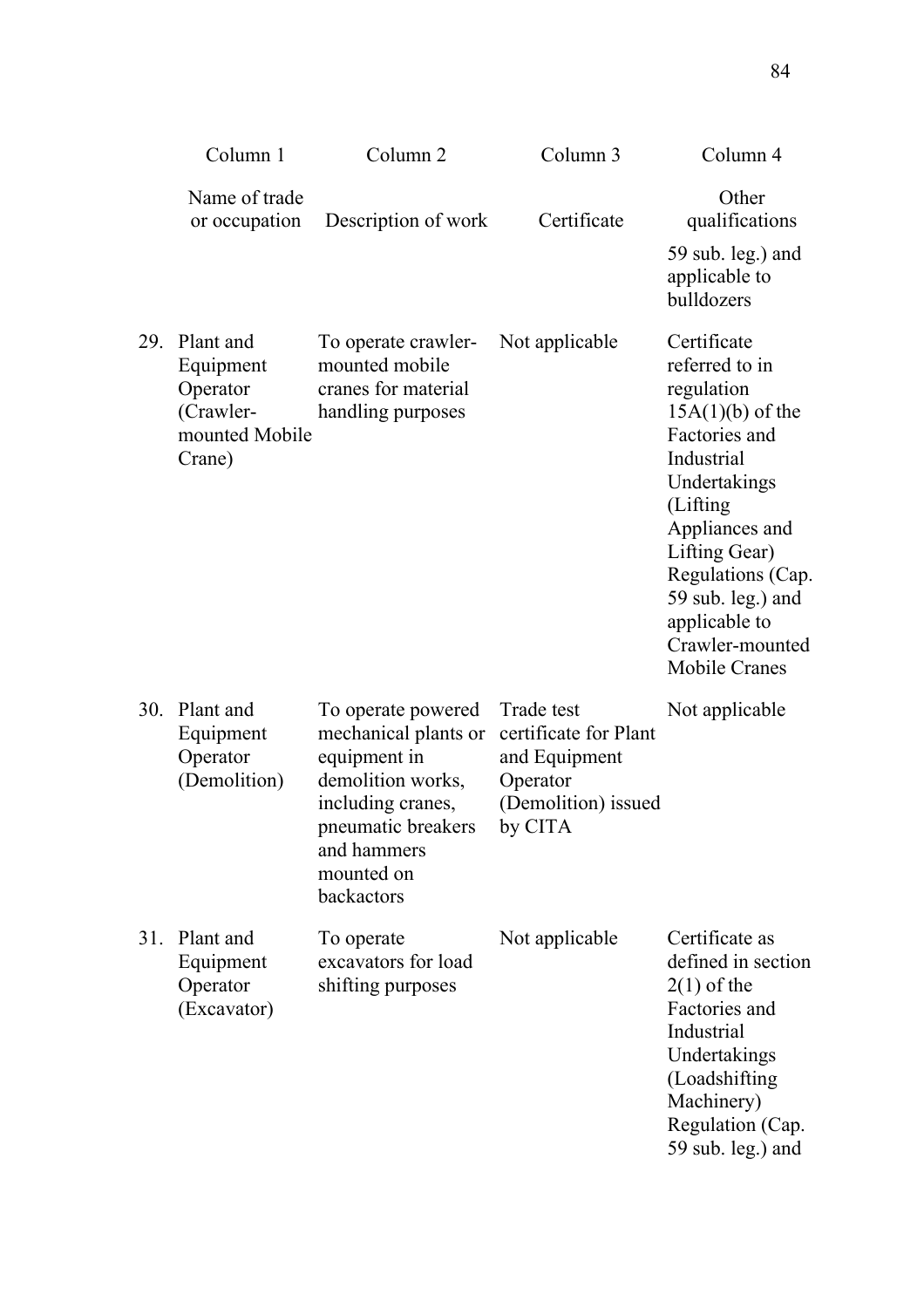|     | Column 1                                                                    | Column <sub>2</sub>                                                                                                                                                   | Column 3                                                                                           | Column 4                                                                                                                                                                                                                                                              |
|-----|-----------------------------------------------------------------------------|-----------------------------------------------------------------------------------------------------------------------------------------------------------------------|----------------------------------------------------------------------------------------------------|-----------------------------------------------------------------------------------------------------------------------------------------------------------------------------------------------------------------------------------------------------------------------|
|     | Name of trade<br>or occupation                                              | Description of work                                                                                                                                                   | Certificate                                                                                        | Other<br>qualifications<br>59 sub. leg.) and<br>applicable to<br>bulldozers                                                                                                                                                                                           |
| 29. | Plant and<br>Equipment<br>Operator<br>(Crawler-<br>mounted Mobile<br>Crane) | To operate crawler-<br>mounted mobile<br>cranes for material<br>handling purposes                                                                                     | Not applicable                                                                                     | Certificate<br>referred to in<br>regulation<br>$15A(1)(b)$ of the<br>Factories and<br>Industrial<br>Undertakings<br>(Lifting<br>Appliances and<br>Lifting Gear)<br>Regulations (Cap.<br>59 sub. leg.) and<br>applicable to<br>Crawler-mounted<br><b>Mobile Cranes</b> |
| 30. | Plant and<br>Equipment<br>Operator<br>(Demolition)                          | To operate powered<br>mechanical plants or<br>equipment in<br>demolition works,<br>including cranes,<br>pneumatic breakers<br>and hammers<br>mounted on<br>backactors | Trade test<br>certificate for Plant<br>and Equipment<br>Operator<br>(Demolition) issued<br>by CITA | Not applicable                                                                                                                                                                                                                                                        |
| 31. | Plant and<br>Equipment<br>Operator<br>(Excavator)                           | To operate<br>excavators for load<br>shifting purposes                                                                                                                | Not applicable                                                                                     | Certificate as<br>defined in section<br>$2(1)$ of the<br>Factories and<br>Industrial<br>Undertakings<br>(Loadshifting<br>Machinery)<br>Regulation (Cap.<br>59 sub. leg.) and                                                                                          |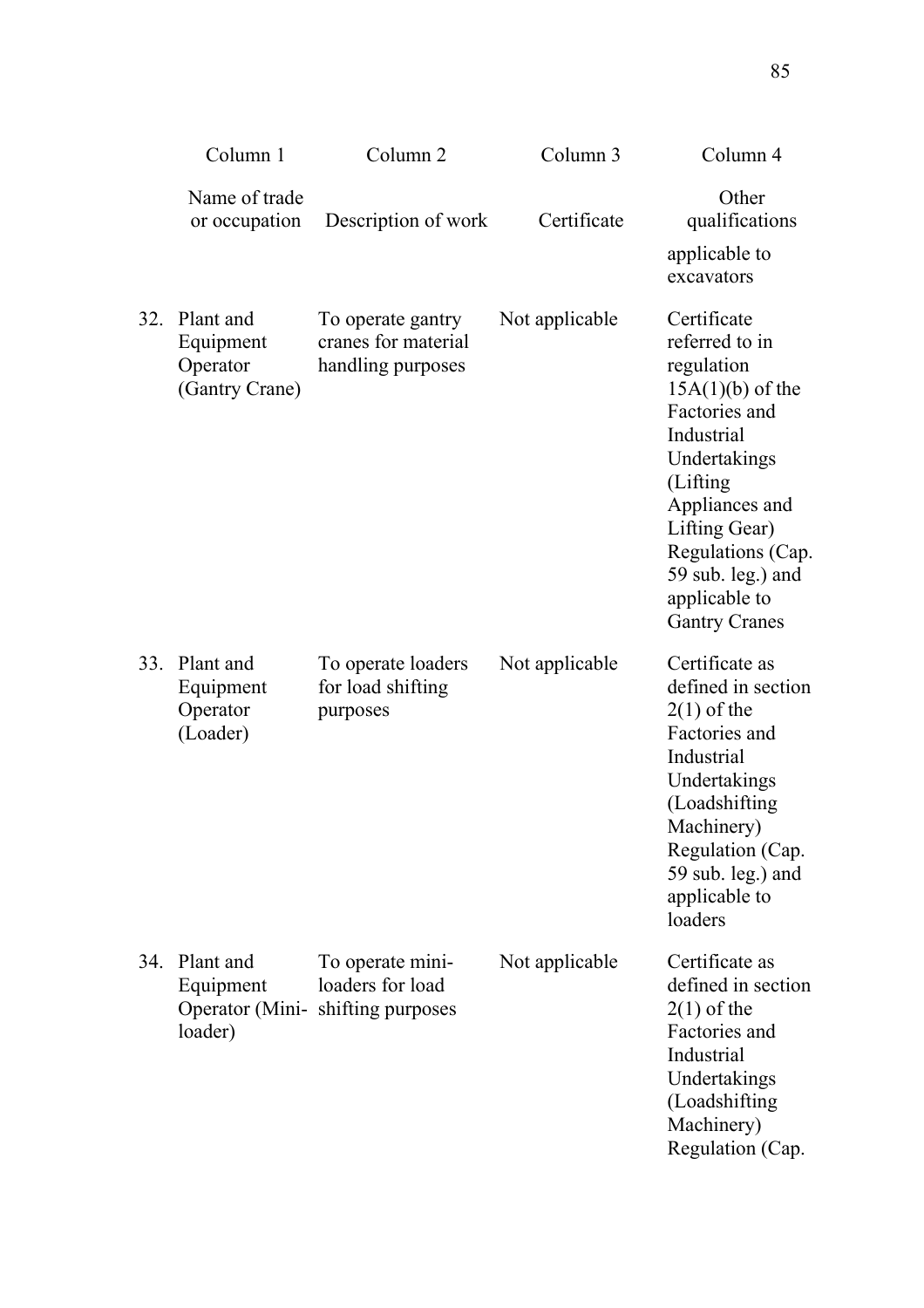|     | Column 1                                             | Column <sub>2</sub>                                                      | Column 3       | Column 4                                                                                                                                                                                                                                           |
|-----|------------------------------------------------------|--------------------------------------------------------------------------|----------------|----------------------------------------------------------------------------------------------------------------------------------------------------------------------------------------------------------------------------------------------------|
|     | Name of trade<br>or occupation                       | Description of work                                                      | Certificate    | Other<br>qualifications<br>applicable to<br>excavators                                                                                                                                                                                             |
| 32. | Plant and<br>Equipment<br>Operator<br>(Gantry Crane) | To operate gantry<br>cranes for material<br>handling purposes            | Not applicable | Certificate<br>referred to in<br>regulation<br>$15A(1)(b)$ of the<br>Factories and<br>Industrial<br>Undertakings<br>(Lifting<br>Appliances and<br>Lifting Gear)<br>Regulations (Cap.<br>59 sub. leg.) and<br>applicable to<br><b>Gantry Cranes</b> |
| 33. | Plant and<br>Equipment<br>Operator<br>(Loader)       | To operate loaders<br>for load shifting<br>purposes                      | Not applicable | Certificate as<br>defined in section<br>$2(1)$ of the<br>Factories and<br>Industrial<br>Undertakings<br>(Loadshifting<br>Machinery)<br>Regulation (Cap.<br>59 sub. leg.) and<br>applicable to<br>loaders                                           |
| 34. | Plant and<br>Equipment<br>loader)                    | To operate mini-<br>loaders for load<br>Operator (Mini-shifting purposes | Not applicable | Certificate as<br>defined in section<br>$2(1)$ of the<br>Factories and<br>Industrial<br>Undertakings<br>(Loadshifting<br>Machinery)<br>Regulation (Cap.                                                                                            |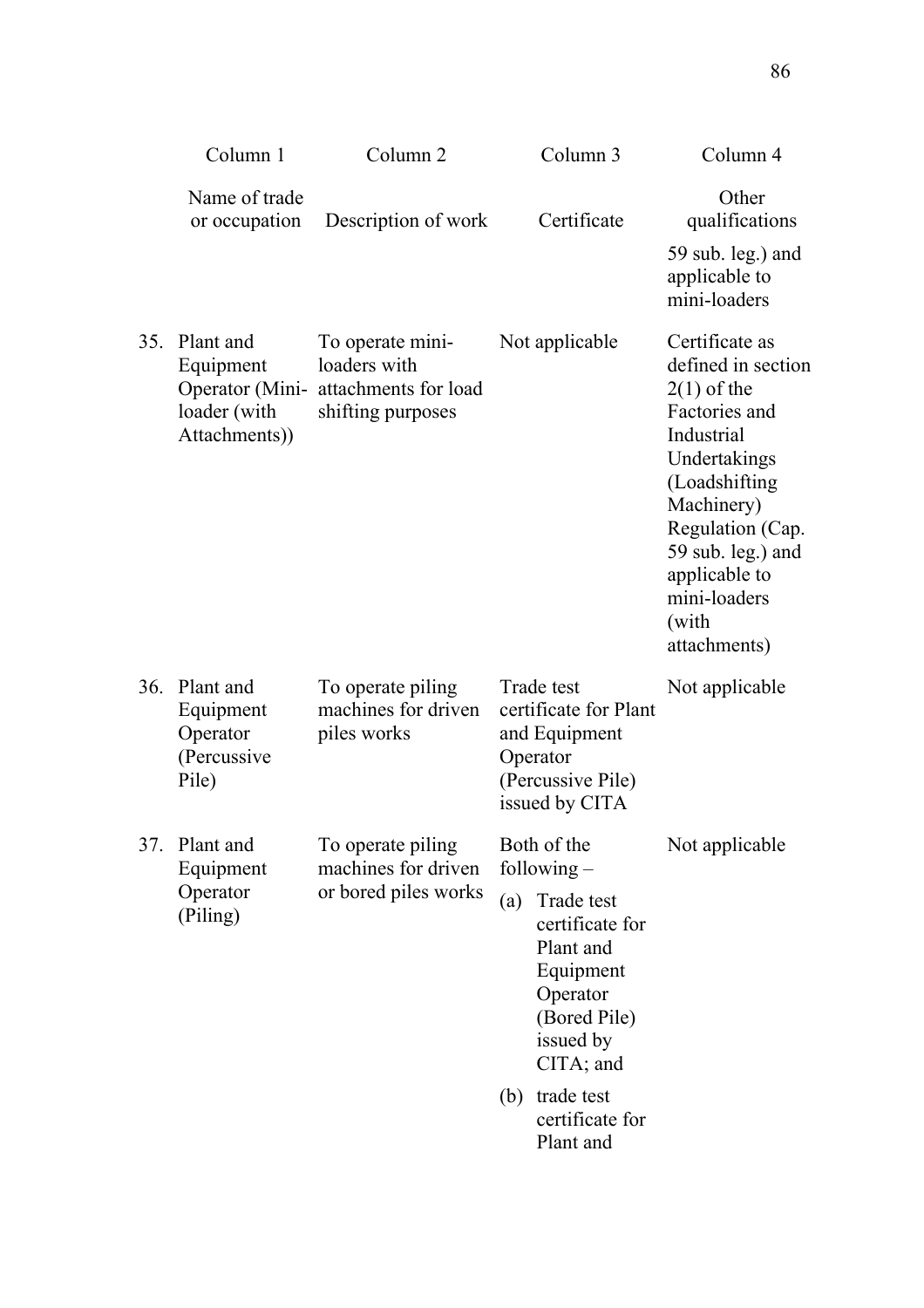|     | Column 1                                                   | Column <sub>2</sub>                                                                           | Column 3                                                                                                                                                                                                  | Column 4                                                                                                                                                                                                                               |
|-----|------------------------------------------------------------|-----------------------------------------------------------------------------------------------|-----------------------------------------------------------------------------------------------------------------------------------------------------------------------------------------------------------|----------------------------------------------------------------------------------------------------------------------------------------------------------------------------------------------------------------------------------------|
|     | Name of trade<br>or occupation                             | Description of work                                                                           | Certificate                                                                                                                                                                                               | Other<br>qualifications<br>59 sub. leg.) and<br>applicable to<br>mini-loaders                                                                                                                                                          |
| 35. | Plant and<br>Equipment<br>loader (with<br>Attachments))    | To operate mini-<br>loaders with<br>Operator (Mini- attachments for load<br>shifting purposes | Not applicable                                                                                                                                                                                            | Certificate as<br>defined in section<br>$2(1)$ of the<br>Factories and<br>Industrial<br>Undertakings<br>(Loadshifting<br>Machinery)<br>Regulation (Cap.<br>59 sub. leg.) and<br>applicable to<br>mini-loaders<br>(with<br>attachments) |
| 36. | Plant and<br>Equipment<br>Operator<br>(Percussive<br>Pile) | To operate piling<br>machines for driven<br>piles works                                       | Trade test<br>certificate for Plant<br>and Equipment<br>Operator<br>(Percussive Pile)<br>issued by CITA                                                                                                   | Not applicable                                                                                                                                                                                                                         |
| 37. | Plant and<br>Equipment<br>Operator<br>(Piling)             | To operate piling<br>machines for driven<br>or bored piles works                              | Both of the<br>following $-$<br>Trade test<br>(a)<br>certificate for<br>Plant and<br>Equipment<br>Operator<br>(Bored Pile)<br>issued by<br>CITA; and<br>trade test<br>(b)<br>certificate for<br>Plant and | Not applicable                                                                                                                                                                                                                         |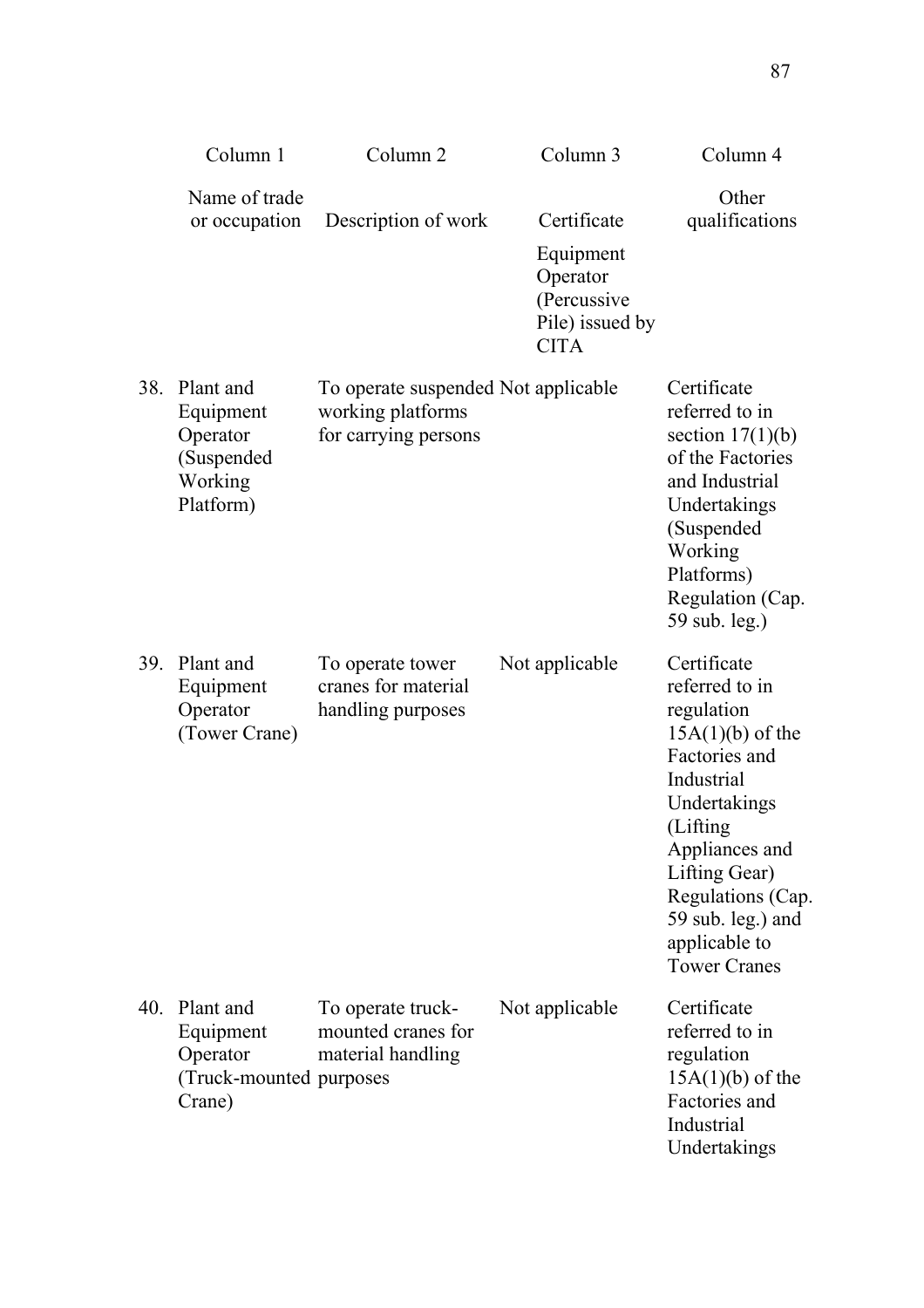|     | Column 1                                                                 | Column <sub>2</sub>                                                              | Column 3                                                                              | Column 4                                                                                                                                                                                                                                          |
|-----|--------------------------------------------------------------------------|----------------------------------------------------------------------------------|---------------------------------------------------------------------------------------|---------------------------------------------------------------------------------------------------------------------------------------------------------------------------------------------------------------------------------------------------|
|     | Name of trade<br>or occupation                                           | Description of work                                                              | Certificate<br>Equipment<br>Operator<br>(Percussive<br>Pile) issued by<br><b>CITA</b> | Other<br>qualifications                                                                                                                                                                                                                           |
| 38. | Plant and<br>Equipment<br>Operator<br>(Suspended<br>Working<br>Platform) | To operate suspended Not applicable<br>working platforms<br>for carrying persons |                                                                                       | Certificate<br>referred to in<br>section $17(1)(b)$<br>of the Factories<br>and Industrial<br>Undertakings<br>(Suspended<br>Working<br>Platforms)<br>Regulation (Cap.<br>59 sub. leg.)                                                             |
| 39. | Plant and<br>Equipment<br>Operator<br>(Tower Crane)                      | To operate tower<br>cranes for material<br>handling purposes                     | Not applicable                                                                        | Certificate<br>referred to in<br>regulation<br>$15A(1)(b)$ of the<br>Factories and<br>Industrial<br>Undertakings<br>(Lifting<br>Appliances and<br>Lifting Gear)<br>Regulations (Cap.<br>59 sub. leg.) and<br>applicable to<br><b>Tower Cranes</b> |
| 40. | Plant and<br>Equipment<br>Operator<br>(Truck-mounted purposes<br>Crane)  | To operate truck-<br>mounted cranes for<br>material handling                     | Not applicable                                                                        | Certificate<br>referred to in<br>regulation<br>$15A(1)(b)$ of the<br>Factories and<br>Industrial<br>Undertakings                                                                                                                                  |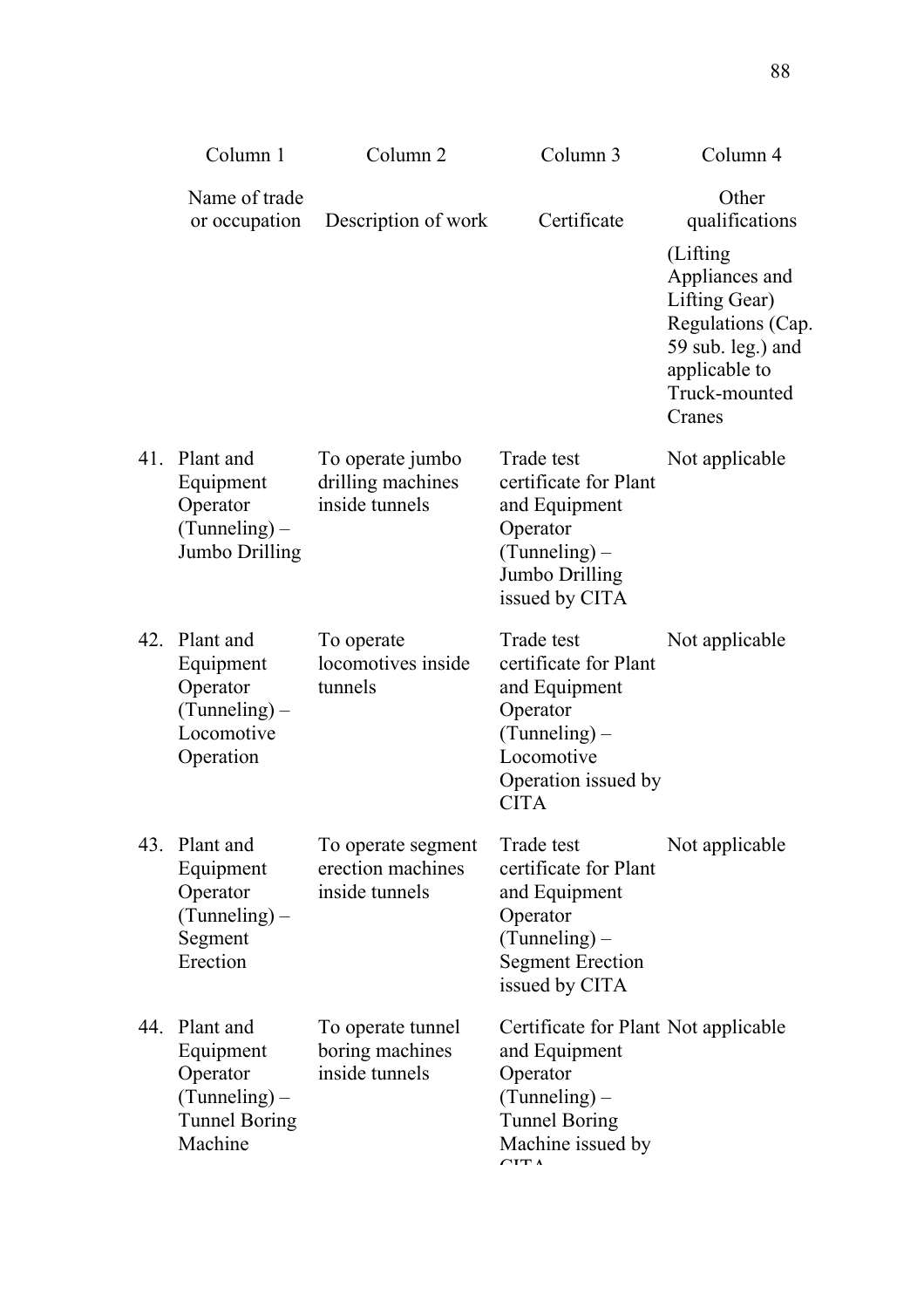|     | Column 1                                                                                 | Column <sub>2</sub>                                       | Column 3                                                                                                                                          | Column 4                                                                                                                                                      |
|-----|------------------------------------------------------------------------------------------|-----------------------------------------------------------|---------------------------------------------------------------------------------------------------------------------------------------------------|---------------------------------------------------------------------------------------------------------------------------------------------------------------|
|     | Name of trade<br>or occupation                                                           | Description of work                                       | Certificate                                                                                                                                       | Other<br>qualifications<br>(Lifting)<br>Appliances and<br>Lifting Gear)<br>Regulations (Cap.<br>59 sub. leg.) and<br>applicable to<br>Truck-mounted<br>Cranes |
| 41. | Plant and<br>Equipment<br>Operator<br>$(Tunneling)$ –<br>Jumbo Drilling                  | To operate jumbo<br>drilling machines<br>inside tunnels   | Trade test<br>certificate for Plant<br>and Equipment<br>Operator<br>$(Tunneling)$ –<br>Jumbo Drilling<br>issued by CITA                           | Not applicable                                                                                                                                                |
| 42. | Plant and<br>Equipment<br>Operator<br>$(Tunneling)$ –<br>Locomotive<br>Operation         | To operate<br>locomotives inside<br>tunnels               | Trade test<br>certificate for Plant<br>and Equipment<br>Operator<br>$(Tunneling)$ –<br>Locomotive<br>Operation issued by<br><b>CITA</b>           | Not applicable                                                                                                                                                |
| 43. | Plant and<br>Equipment<br>Operator<br>$(Tunneling)$ –<br>Segment<br>Erection             | To operate segment<br>erection machines<br>inside tunnels | Trade test<br>certificate for Plant<br>and Equipment<br>Operator<br>$(Tunneling)$ –<br><b>Segment Erection</b><br>issued by CITA                  | Not applicable                                                                                                                                                |
| 44. | Plant and<br>Equipment<br>Operator<br>$(Tunneling)$ –<br><b>Tunnel Boring</b><br>Machine | To operate tunnel<br>boring machines<br>inside tunnels    | Certificate for Plant Not applicable<br>and Equipment<br>Operator<br>$(Tunneling)$ –<br><b>Tunnel Boring</b><br>Machine issued by<br>$\sqrt{1}$ T |                                                                                                                                                               |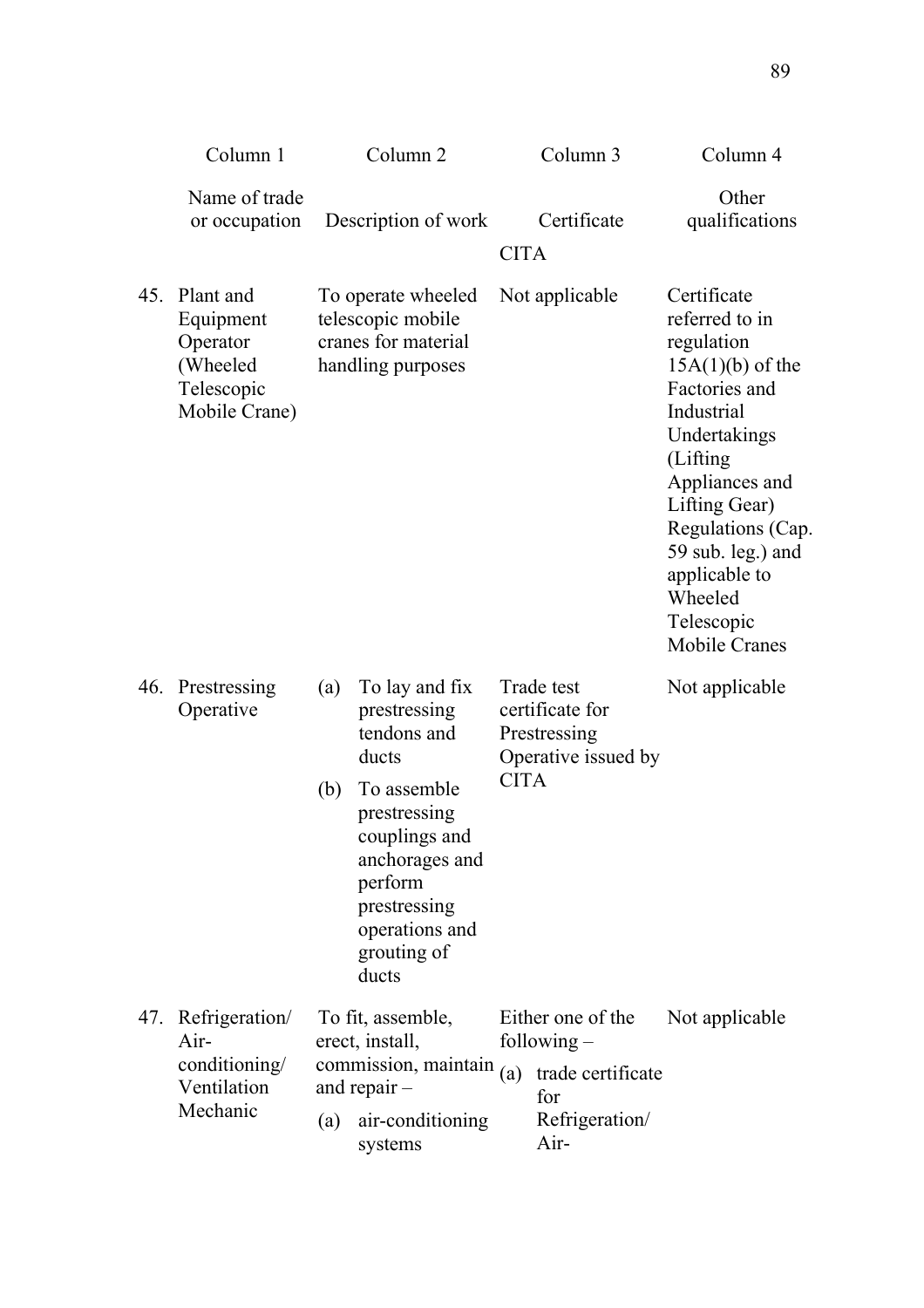|     | Column 1                                                                      |     | Column <sub>2</sub>                                                                                                                 |             | Column 3                                                                                 | Column 4                                                                                                                                                                                                                                                                     |
|-----|-------------------------------------------------------------------------------|-----|-------------------------------------------------------------------------------------------------------------------------------------|-------------|------------------------------------------------------------------------------------------|------------------------------------------------------------------------------------------------------------------------------------------------------------------------------------------------------------------------------------------------------------------------------|
|     | Name of trade<br>or occupation                                                |     | Description of work                                                                                                                 | <b>CITA</b> | Certificate                                                                              | Other<br>qualifications                                                                                                                                                                                                                                                      |
| 45. | Plant and<br>Equipment<br>Operator<br>(Wheeled<br>Telescopic<br>Mobile Crane) |     | To operate wheeled<br>telescopic mobile<br>cranes for material<br>handling purposes                                                 |             | Not applicable                                                                           | Certificate<br>referred to in<br>regulation<br>$15A(1)(b)$ of the<br>Factories and<br>Industrial<br>Undertakings<br>(Lifting)<br>Appliances and<br>Lifting Gear)<br>Regulations (Cap.<br>59 sub. leg.) and<br>applicable to<br>Wheeled<br>Telescopic<br><b>Mobile Cranes</b> |
| 46. | Prestressing<br>Operative                                                     | (a) | To lay and fix<br>prestressing<br>tendons and<br>ducts                                                                              |             | Trade test<br>certificate for<br>Prestressing<br>Operative issued by                     | Not applicable                                                                                                                                                                                                                                                               |
|     |                                                                               | (b) | To assemble<br>prestressing<br>couplings and<br>anchorages and<br>perform<br>prestressing<br>operations and<br>grouting of<br>ducts | <b>CITA</b> |                                                                                          |                                                                                                                                                                                                                                                                              |
| 47. | Refrigeration/<br>Air-<br>conditioning/<br>Ventilation<br>Mechanic            | (a) | To fit, assemble,<br>erect, install,<br>commission, maintain<br>and repair $-$<br>air-conditioning<br>systems                       | (a)         | Either one of the<br>following $-$<br>trade certificate<br>for<br>Refrigeration/<br>Air- | Not applicable                                                                                                                                                                                                                                                               |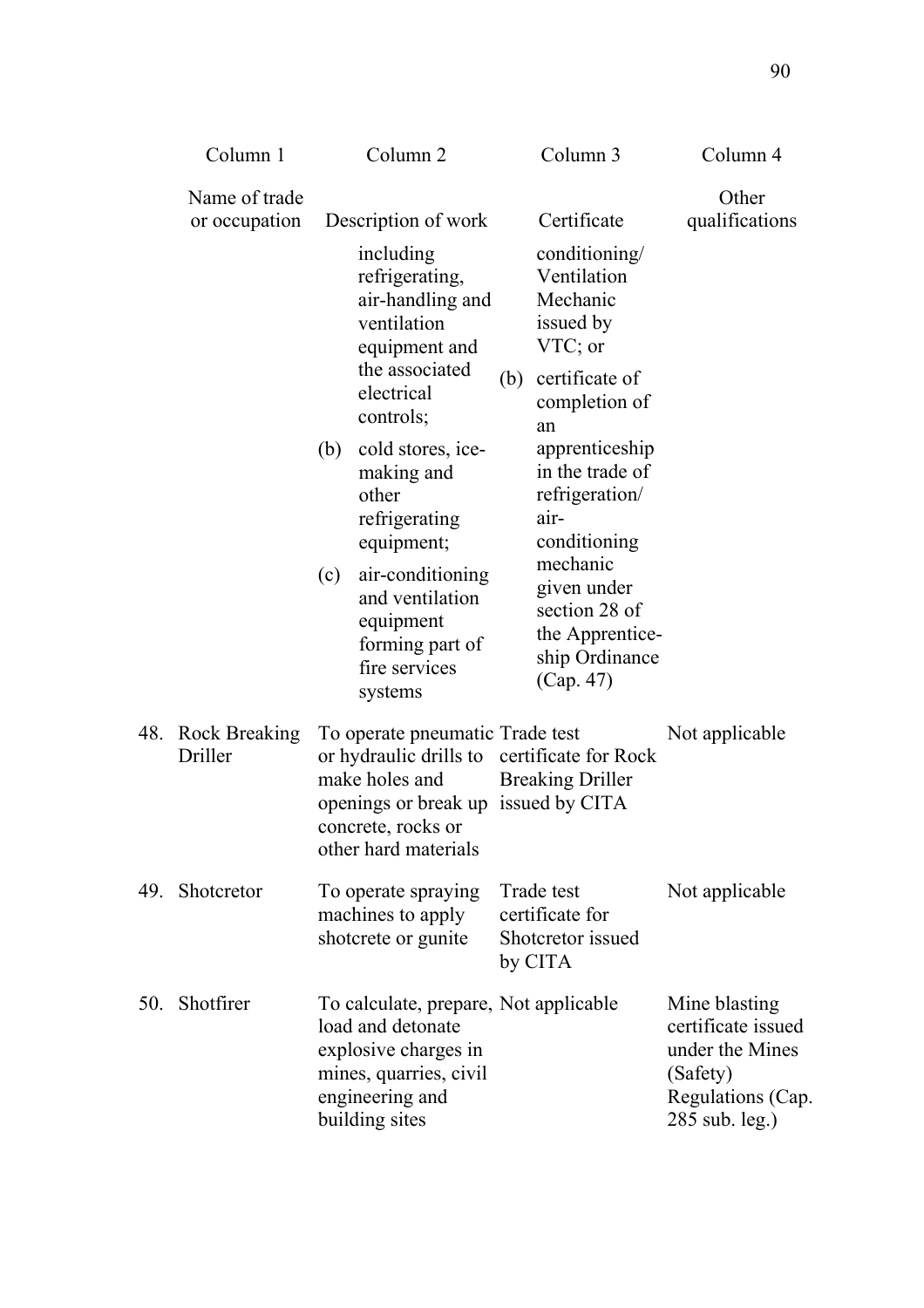|     | Column 1                        | Column <sub>2</sub>                                                                                                                                                                                                                                                                              | Column 3                                                                                                                                                                                                                                                                         | Column 4                                                                                                  |
|-----|---------------------------------|--------------------------------------------------------------------------------------------------------------------------------------------------------------------------------------------------------------------------------------------------------------------------------------------------|----------------------------------------------------------------------------------------------------------------------------------------------------------------------------------------------------------------------------------------------------------------------------------|-----------------------------------------------------------------------------------------------------------|
|     | Name of trade<br>or occupation  | Description of work<br>including<br>refrigerating,<br>air-handling and<br>ventilation<br>equipment and<br>the associated<br>electrical<br>controls;<br>cold stores, ice-<br>(b)<br>making and<br>other<br>refrigerating<br>equipment;<br>air-conditioning<br>(c)<br>and ventilation<br>equipment | Certificate<br>conditioning/<br>Ventilation<br>Mechanic<br>issued by<br>$VTC$ ; or<br>certificate of<br>(b)<br>completion of<br>an<br>apprenticeship<br>in the trade of<br>refrigeration/<br>air-<br>conditioning<br>mechanic<br>given under<br>section 28 of<br>the Apprentice- | Other<br>qualifications                                                                                   |
| 48. | <b>Rock Breaking</b><br>Driller | forming part of<br>fire services<br>systems<br>To operate pneumatic Trade test<br>or hydraulic drills to<br>make holes and<br>openings or break up issued by CITA<br>concrete, rocks or<br>other hard materials                                                                                  | ship Ordinance<br>(Cap. 47)<br>certificate for Rock<br><b>Breaking Driller</b>                                                                                                                                                                                                   | Not applicable                                                                                            |
| 49. | Shotcretor                      | To operate spraying<br>machines to apply<br>shotcrete or gunite                                                                                                                                                                                                                                  | Trade test<br>certificate for<br>Shotcretor issued<br>by CITA                                                                                                                                                                                                                    | Not applicable                                                                                            |
| 50. | Shotfirer                       | To calculate, prepare, Not applicable<br>load and detonate<br>explosive charges in<br>mines, quarries, civil<br>engineering and<br>building sites                                                                                                                                                |                                                                                                                                                                                                                                                                                  | Mine blasting<br>certificate issued<br>under the Mines<br>(Safety)<br>Regulations (Cap.<br>285 sub. leg.) |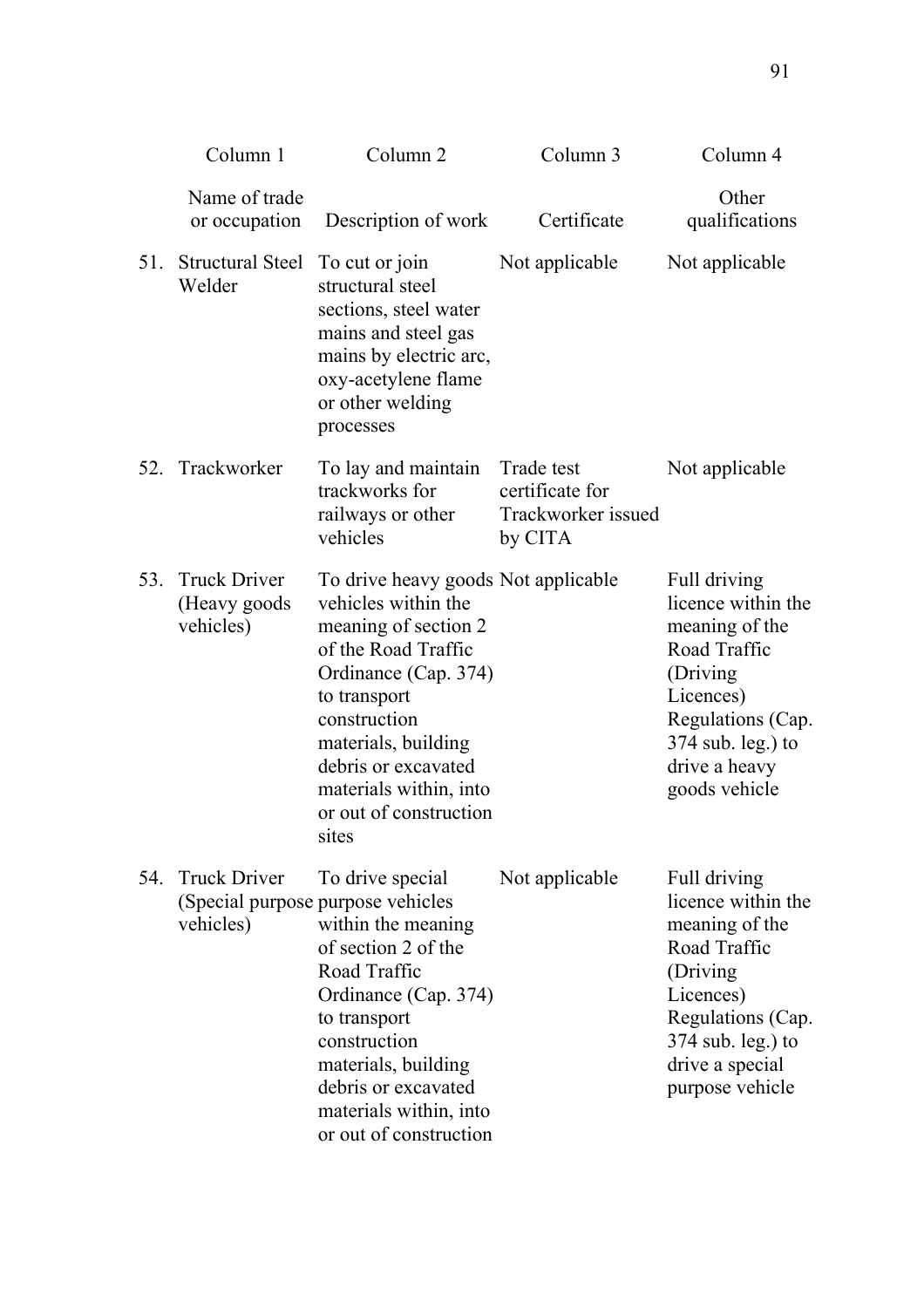|     | Column 1                                         | Column <sub>2</sub>                                                                                                                                                                                                                                                          | Column 3                                                       | Column 4                                                                                                                                                                        |
|-----|--------------------------------------------------|------------------------------------------------------------------------------------------------------------------------------------------------------------------------------------------------------------------------------------------------------------------------------|----------------------------------------------------------------|---------------------------------------------------------------------------------------------------------------------------------------------------------------------------------|
|     | Name of trade<br>or occupation                   | Description of work                                                                                                                                                                                                                                                          | Certificate                                                    | Other<br>qualifications                                                                                                                                                         |
| 51. | Structural Steel<br>Welder                       | To cut or join<br>structural steel<br>sections, steel water<br>mains and steel gas<br>mains by electric arc,<br>oxy-acetylene flame<br>or other welding<br>processes                                                                                                         | Not applicable                                                 | Not applicable                                                                                                                                                                  |
| 52. | Trackworker                                      | To lay and maintain<br>trackworks for<br>railways or other<br>vehicles                                                                                                                                                                                                       | Trade test<br>certificate for<br>Trackworker issued<br>by CITA | Not applicable                                                                                                                                                                  |
| 53. | <b>Truck Driver</b><br>(Heavy goods<br>vehicles) | To drive heavy goods Not applicable<br>vehicles within the<br>meaning of section 2<br>of the Road Traffic<br>Ordinance (Cap. 374)<br>to transport<br>construction<br>materials, building<br>debris or excavated<br>materials within, into<br>or out of construction<br>sites |                                                                | Full driving<br>licence within the<br>meaning of the<br>Road Traffic<br>(Driving)<br>Licences)<br>Regulations (Cap.<br>$374$ sub. leg.) to<br>drive a heavy<br>goods vehicle    |
| 54. | <b>Truck Driver</b><br>vehicles)                 | To drive special<br>(Special purpose purpose vehicles<br>within the meaning<br>of section 2 of the<br>Road Traffic<br>Ordinance (Cap. 374)<br>to transport<br>construction<br>materials, building<br>debris or excavated<br>materials within, into<br>or out of construction | Not applicable                                                 | Full driving<br>licence within the<br>meaning of the<br>Road Traffic<br>(Driving<br>Licences)<br>Regulations (Cap.<br>$374$ sub. leg.) to<br>drive a special<br>purpose vehicle |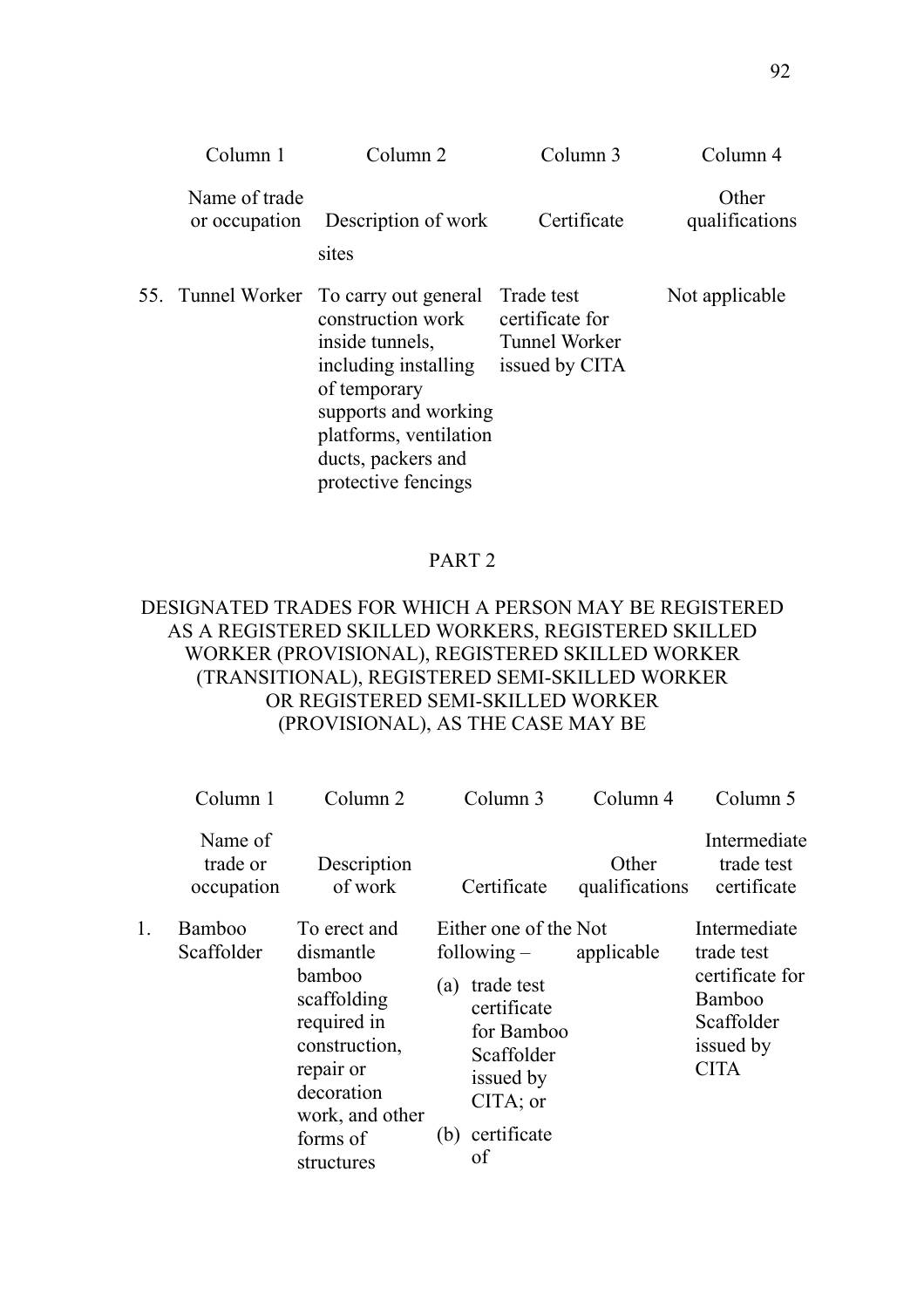| Column 1                       | Column <sub>2</sub>                                                                                                                                                                                                   | Column 3                                                                | Column 4                |
|--------------------------------|-----------------------------------------------------------------------------------------------------------------------------------------------------------------------------------------------------------------------|-------------------------------------------------------------------------|-------------------------|
| Name of trade<br>or occupation | Description of work<br>sites                                                                                                                                                                                          | Certificate                                                             | Other<br>qualifications |
|                                | 55. Tunnel Worker To carry out general<br>construction work<br>inside tunnels,<br>including installing<br>of temporary<br>supports and working<br>platforms, ventilation<br>ducts, packers and<br>protective fencings | Trade test<br>certificate for<br><b>Tunnel Worker</b><br>issued by CITA | Not applicable          |

# PART 2

# DESIGNATED TRADES FOR WHICH A PERSON MAY BE REGISTERED AS A REGISTERED SKILLED WORKERS, REGISTERED SKILLED WORKER (PROVISIONAL), REGISTERED SKILLED WORKER (TRANSITIONAL), REGISTERED SEMI-SKILLED WORKER OR REGISTERED SEMI-SKILLED WORKER (PROVISIONAL), AS THE CASE MAY BE

|    | Column 1                          | Column <sub>2</sub>                                                                                                                                        |            | Column 3                                                                                                                                      | Column 4                | Column 5                                                                                                 |
|----|-----------------------------------|------------------------------------------------------------------------------------------------------------------------------------------------------------|------------|-----------------------------------------------------------------------------------------------------------------------------------------------|-------------------------|----------------------------------------------------------------------------------------------------------|
|    | Name of<br>trade or<br>occupation | Description<br>of work                                                                                                                                     |            | Certificate                                                                                                                                   | Other<br>qualifications | Intermediate<br>trade test<br>certificate                                                                |
| 1. | Bamboo<br>Scaffolder              | To erect and<br>dismantle<br>bamboo<br>scaffolding<br>required in<br>construction,<br>repair or<br>decoration<br>work, and other<br>forms of<br>structures | (a)<br>(b) | Either one of the Not<br>$following -$<br>trade test<br>certificate<br>for Bamboo<br>Scaffolder<br>issued by<br>CITA; or<br>certificate<br>οf | applicable              | Intermediate<br>trade test<br>certificate for<br><b>Bamboo</b><br>Scaffolder<br>issued by<br><b>CITA</b> |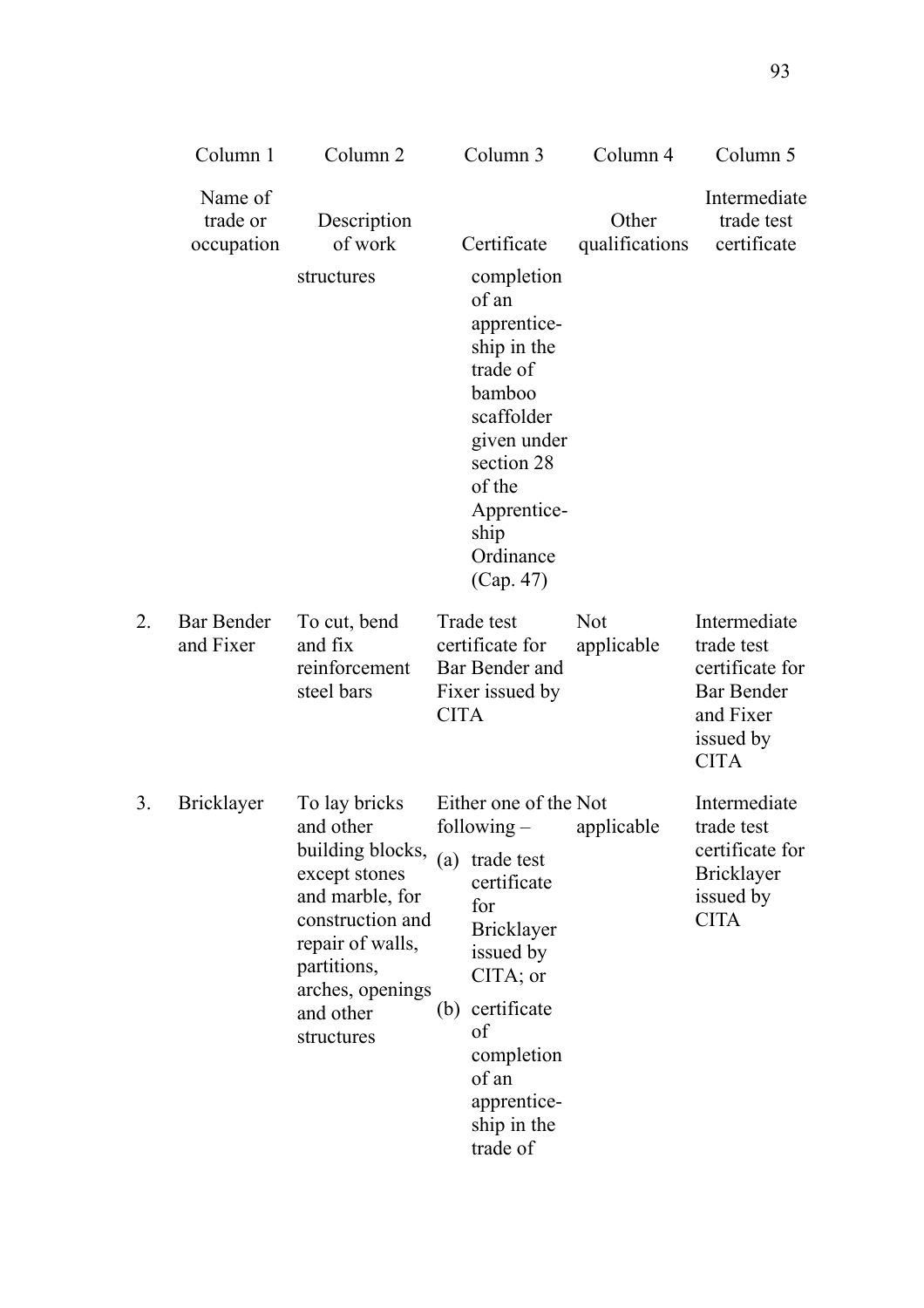|    | Column 1                          | Column <sub>2</sub>                                                                                                                                                                      |             | Column 3                                                                                                                                                                                                | Column 4                 | Column 5                                                                                                    |
|----|-----------------------------------|------------------------------------------------------------------------------------------------------------------------------------------------------------------------------------------|-------------|---------------------------------------------------------------------------------------------------------------------------------------------------------------------------------------------------------|--------------------------|-------------------------------------------------------------------------------------------------------------|
|    | Name of<br>trade or<br>occupation | Description<br>of work                                                                                                                                                                   |             | Certificate                                                                                                                                                                                             | Other<br>qualifications  | Intermediate<br>trade test<br>certificate                                                                   |
|    |                                   | structures                                                                                                                                                                               |             | completion<br>of an<br>apprentice-<br>ship in the<br>trade of<br>bamboo<br>scaffolder<br>given under<br>section 28<br>of the<br>Apprentice-<br>ship<br>Ordinance<br>(Cap. 47)                           |                          |                                                                                                             |
| 2. | <b>Bar Bender</b><br>and Fixer    | To cut, bend<br>and fix<br>reinforcement<br>steel bars                                                                                                                                   | <b>CITA</b> | Trade test<br>certificate for<br>Bar Bender and<br>Fixer issued by                                                                                                                                      | <b>Not</b><br>applicable | Intermediate<br>trade test<br>certificate for<br><b>Bar Bender</b><br>and Fixer<br>issued by<br><b>CITA</b> |
| 3. | <b>Bricklayer</b>                 | To lay bricks<br>and other<br>building blocks,<br>except stones<br>and marble, for<br>construction and<br>repair of walls,<br>partitions,<br>arches, openings<br>and other<br>structures | (a)<br>(b)  | Either one of the Not<br>following $-$<br>trade test<br>certificate<br>for<br>Bricklayer<br>issued by<br>CITA; or<br>certificate<br>of<br>completion<br>of an<br>apprentice-<br>ship in the<br>trade of | applicable               | Intermediate<br>trade test<br>certificate for<br><b>Bricklayer</b><br>issued by<br><b>CITA</b>              |

 $2.$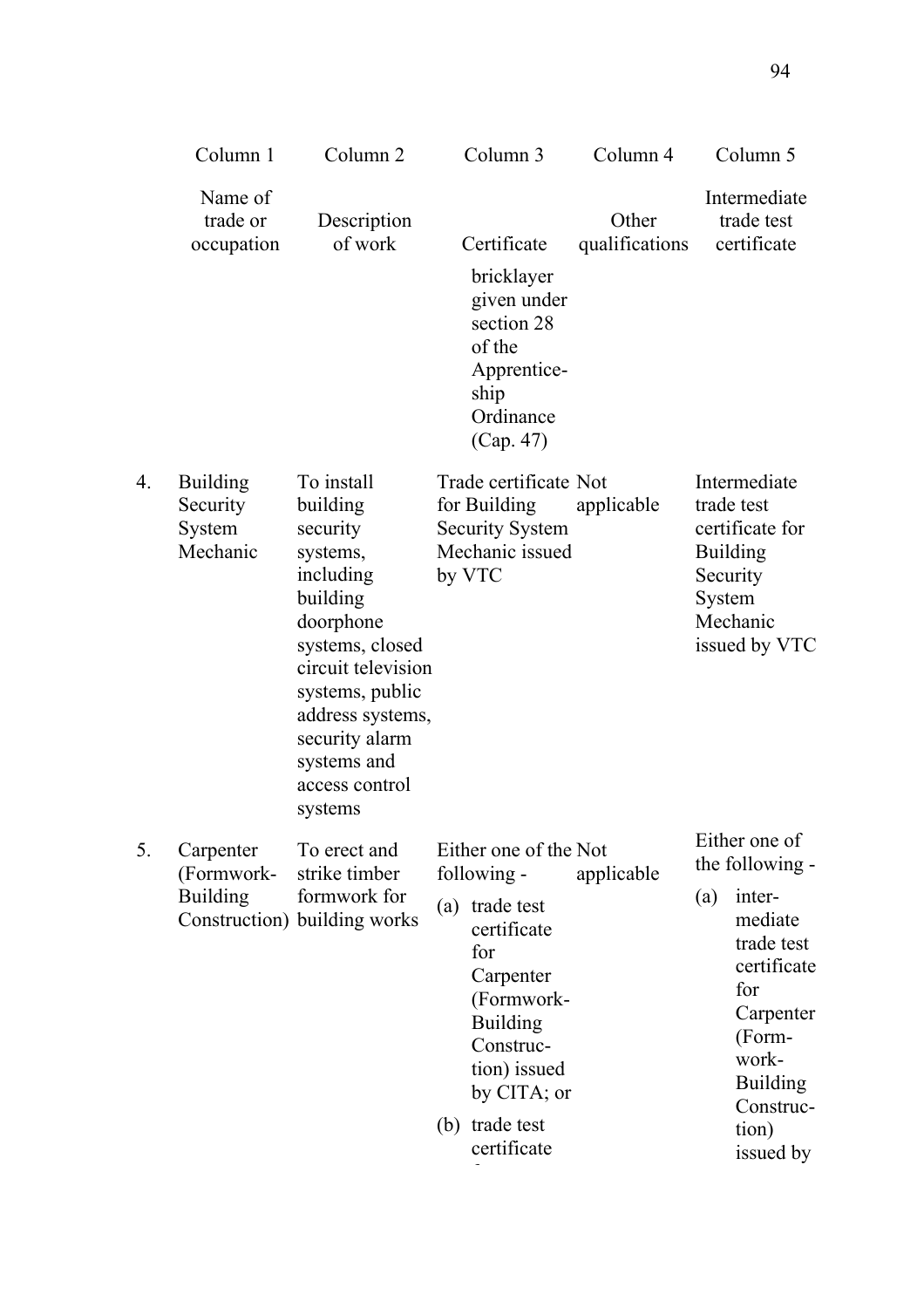|    | Column 1                                          | Column <sub>2</sub>                                                                                                                                                                                                                | Column 3                                                                                                                                                                                                      | Column 4                | Column 5                                                                                                                                                                               |
|----|---------------------------------------------------|------------------------------------------------------------------------------------------------------------------------------------------------------------------------------------------------------------------------------------|---------------------------------------------------------------------------------------------------------------------------------------------------------------------------------------------------------------|-------------------------|----------------------------------------------------------------------------------------------------------------------------------------------------------------------------------------|
|    | Name of<br>trade or<br>occupation                 | Description<br>of work                                                                                                                                                                                                             | Certificate<br>bricklayer<br>given under<br>section 28<br>of the<br>Apprentice-<br>ship<br>Ordinance<br>(Cap. 47)                                                                                             | Other<br>qualifications | Intermediate<br>trade test<br>certificate                                                                                                                                              |
| 4. | <b>Building</b><br>Security<br>System<br>Mechanic | To install<br>building<br>security<br>systems,<br>including<br>building<br>doorphone<br>systems, closed<br>circuit television<br>systems, public<br>address systems,<br>security alarm<br>systems and<br>access control<br>systems | Trade certificate Not<br>for Building<br><b>Security System</b><br>Mechanic issued<br>by VTC                                                                                                                  | applicable              | Intermediate<br>trade test<br>certificate for<br><b>Building</b><br>Security<br>System<br>Mechanic<br>issued by VTC                                                                    |
| 5. | Carpenter<br>(Formwork-<br><b>Building</b>        | To erect and<br>strike timber<br>formwork for<br>Construction) building works                                                                                                                                                      | Either one of the Not<br>following -<br>trade test<br>(a)<br>certificate<br>for<br>Carpenter<br>(Formwork-<br><b>Building</b><br>Construc-<br>tion) issued<br>by CITA; or<br>trade test<br>(b)<br>certificate | applicable              | Either one of<br>the following -<br>(a)<br>inter-<br>mediate<br>trade test<br>certificate<br>for<br>Carpenter<br>(Form-<br>work-<br><b>Building</b><br>Construc-<br>tion)<br>issued by |

 $4.$ 

 $5.$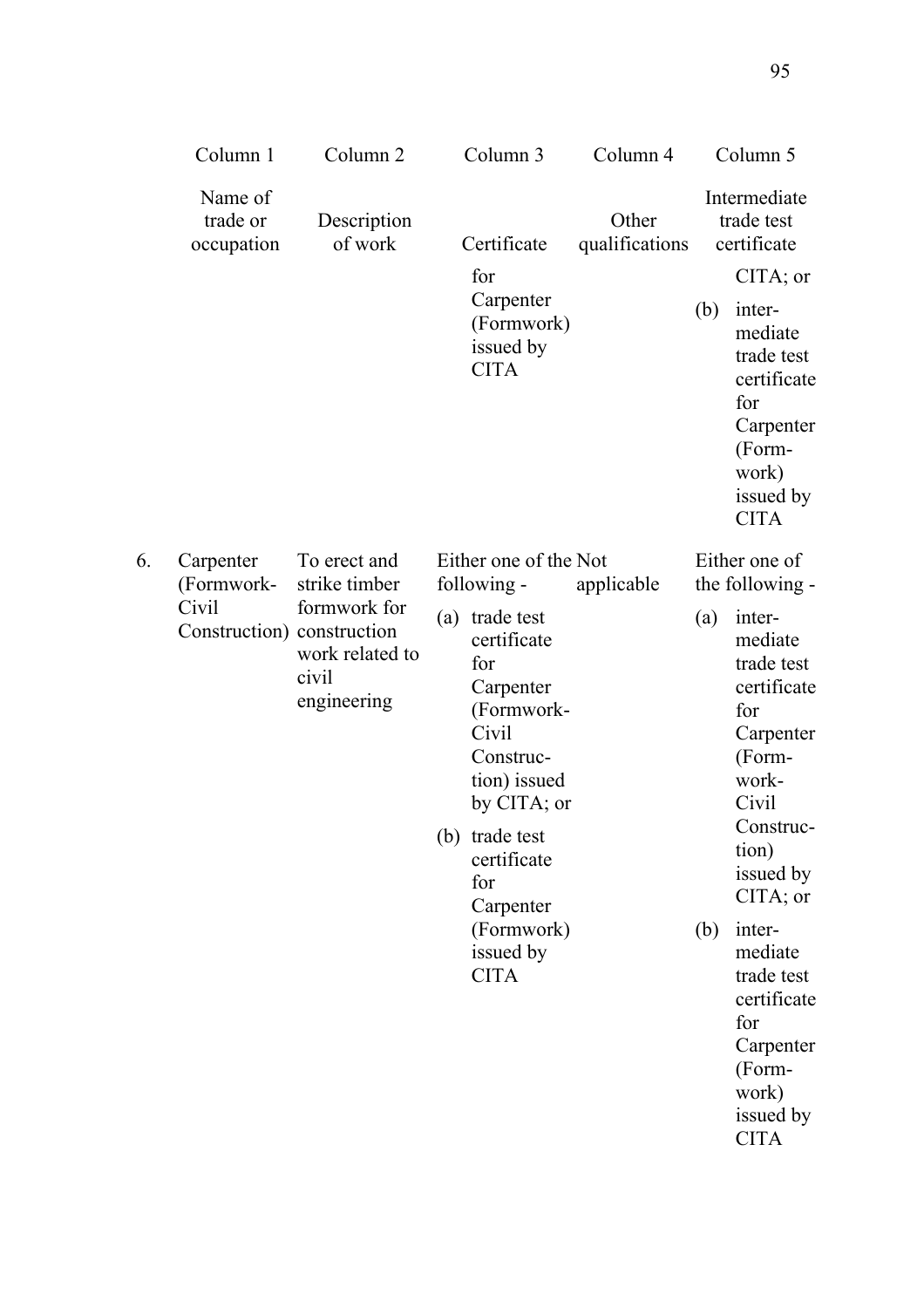|    | Column 1                                                       | Column <sub>2</sub>                                                                      | Column <sub>3</sub>                                                                                                                                                                                                                                         | Column 4                |            | Column 5                                                                                                                                                                                                                                                                                               |
|----|----------------------------------------------------------------|------------------------------------------------------------------------------------------|-------------------------------------------------------------------------------------------------------------------------------------------------------------------------------------------------------------------------------------------------------------|-------------------------|------------|--------------------------------------------------------------------------------------------------------------------------------------------------------------------------------------------------------------------------------------------------------------------------------------------------------|
|    | Name of<br>trade or<br>occupation                              | Description<br>of work                                                                   | Certificate                                                                                                                                                                                                                                                 | Other<br>qualifications |            | Intermediate<br>trade test<br>certificate                                                                                                                                                                                                                                                              |
|    |                                                                |                                                                                          | for<br>Carpenter<br>(Formwork)<br>issued by<br><b>CITA</b>                                                                                                                                                                                                  |                         | (b)        | CITA; or<br>inter-<br>mediate<br>trade test<br>certificate<br>for<br>Carpenter<br>(Form-<br>work)<br>issued by<br><b>CITA</b>                                                                                                                                                                          |
| 6. | Carpenter<br>(Formwork-<br>Civil<br>Construction) construction | To erect and<br>strike timber<br>formwork for<br>work related to<br>civil<br>engineering | Either one of the Not<br>following -<br>(a) trade test<br>certificate<br>for<br>Carpenter<br>(Formwork-<br>Civil<br>Construc-<br>tion) issued<br>by CITA; or<br>(b) trade test<br>certificate<br>for<br>Carpenter<br>(Formwork)<br>issued by<br><b>CITA</b> | applicable              | (a)<br>(b) | Either one of<br>the following -<br>inter-<br>mediate<br>trade test<br>certificate<br>for<br>Carpenter<br>(Form-<br>work-<br>Civil<br>Construc-<br>tion)<br>issued by<br>CITA; or<br>inter-<br>mediate<br>trade test<br>certificate<br>for<br>Carpenter<br>(Form-<br>work)<br>issued by<br><b>CITA</b> |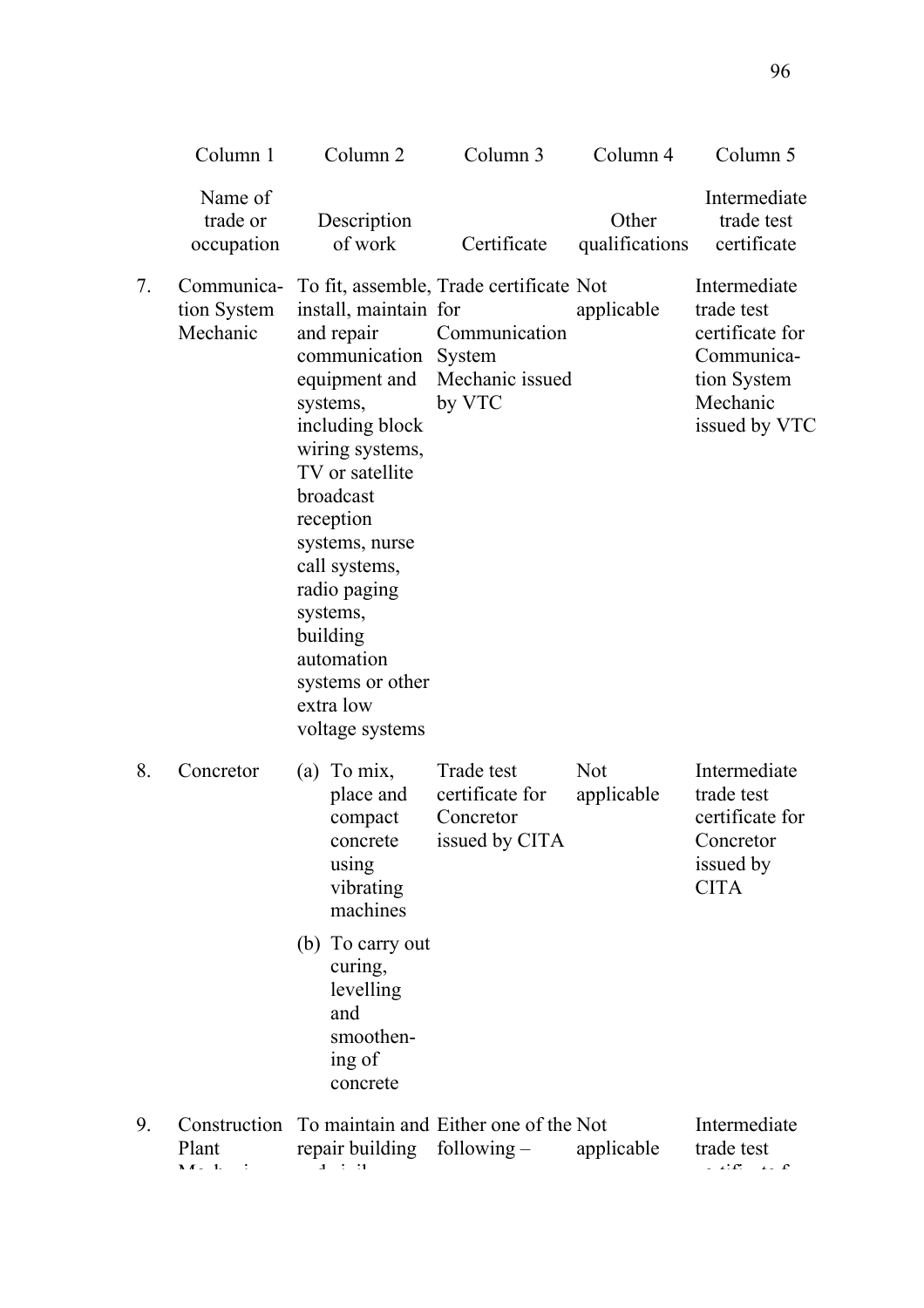|    | Column 1                          | Column <sub>2</sub>                                                                                                                                                                                                                                                                                     | Column 3                                                                                                       | Column 4                 | Column 5                                                                                                |  |
|----|-----------------------------------|---------------------------------------------------------------------------------------------------------------------------------------------------------------------------------------------------------------------------------------------------------------------------------------------------------|----------------------------------------------------------------------------------------------------------------|--------------------------|---------------------------------------------------------------------------------------------------------|--|
|    | Name of<br>trade or<br>occupation | Description<br>of work                                                                                                                                                                                                                                                                                  | Certificate                                                                                                    | Other<br>qualifications  | Intermediate<br>trade test<br>certificate                                                               |  |
| 7. | tion System<br>Mechanic           | install, maintain for<br>and repair<br>communication System<br>systems,<br>including block<br>wiring systems,<br>TV or satellite<br>broadcast<br>reception<br>systems, nurse<br>call systems,<br>radio paging<br>systems,<br>building<br>automation<br>systems or other<br>extra low<br>voltage systems | Communica- To fit, assemble, Trade certificate Not<br>Communication<br>equipment and Mechanic issued<br>by VTC | applicable               | Intermediate<br>trade test<br>certificate for<br>Communica-<br>tion System<br>Mechanic<br>issued by VTC |  |
| 8. | Concretor                         | (a) To $mix$ ,<br>place and<br>compact<br>concrete<br>using<br>vibrating<br>machines                                                                                                                                                                                                                    | Trade test<br>certificate for<br>Concretor<br>issued by CITA                                                   | <b>Not</b><br>applicable | Intermediate<br>trade test<br>certificate for<br>Concretor<br>issued by<br><b>CITA</b>                  |  |
|    |                                   | (b) To carry out<br>curing,<br>levelling<br>and<br>smoothen-<br>ing of<br>concrete                                                                                                                                                                                                                      |                                                                                                                |                          |                                                                                                         |  |
| 9. | Plant<br><b>M</b> <i>I</i> 1      | repair building following $-$                                                                                                                                                                                                                                                                           | Construction To maintain and Either one of the Not                                                             | applicable               | Intermediate<br>trade test<br>$\mathbf{r} \cdot \mathbf{r}$                                             |  |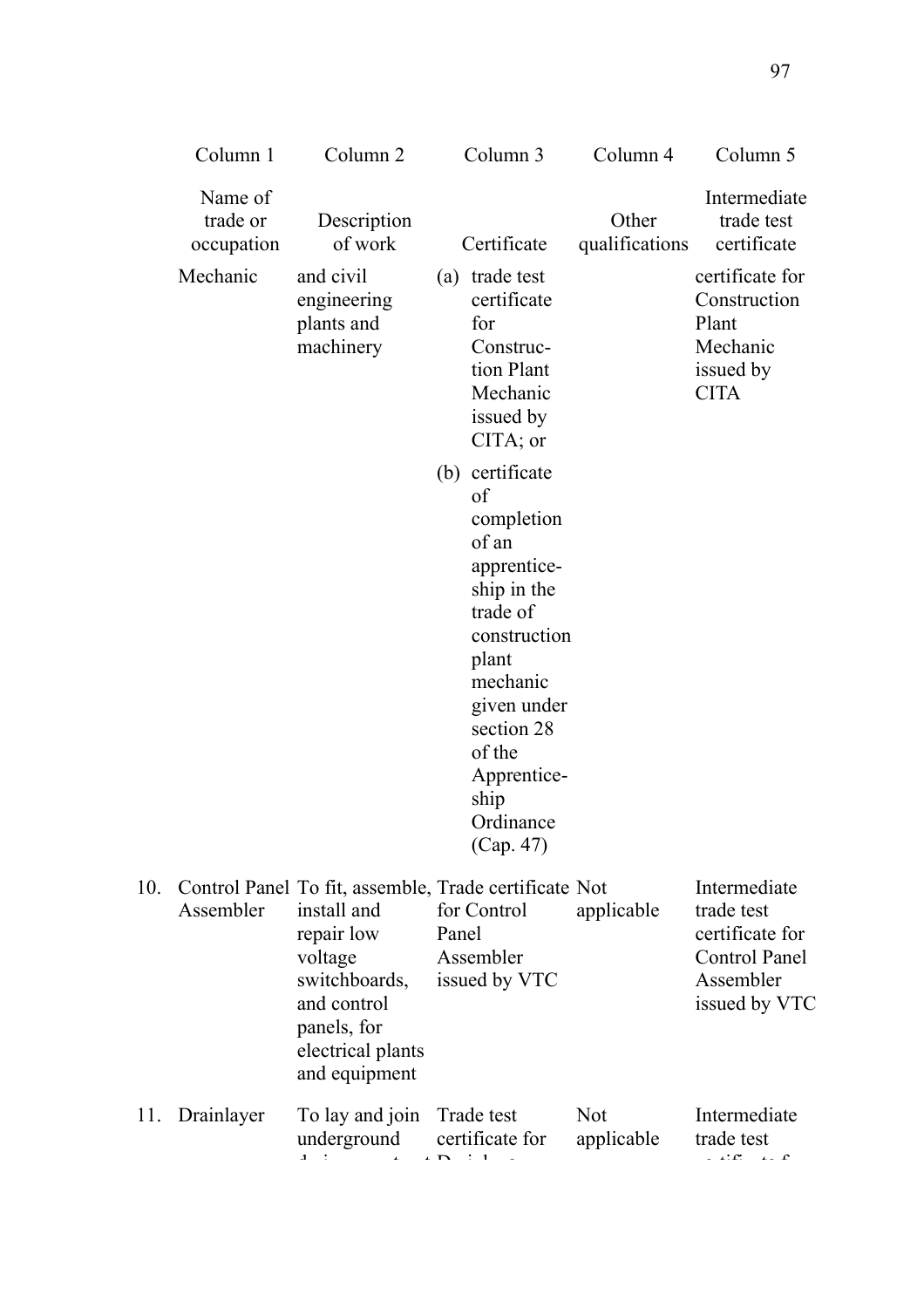|     | Column 1                          | Column <sub>2</sub>                                                                                                                                                                | Column 3                                                                                                                                                                                                            | Column 4                 | Column 5                                                                                            |
|-----|-----------------------------------|------------------------------------------------------------------------------------------------------------------------------------------------------------------------------------|---------------------------------------------------------------------------------------------------------------------------------------------------------------------------------------------------------------------|--------------------------|-----------------------------------------------------------------------------------------------------|
|     | Name of<br>trade or<br>occupation | Description<br>of work                                                                                                                                                             | Certificate                                                                                                                                                                                                         | Other<br>qualifications  | Intermediate<br>trade test<br>certificate                                                           |
|     | Mechanic                          | and civil<br>engineering<br>plants and<br>machinery                                                                                                                                | (a) trade test<br>certificate<br>for<br>Construc-<br>tion Plant<br>Mechanic<br>issued by<br>$CITA$ ; or                                                                                                             |                          | certificate for<br>Construction<br>Plant<br>Mechanic<br>issued by<br><b>CITA</b>                    |
|     |                                   |                                                                                                                                                                                    | (b) certificate<br>of<br>completion<br>of an<br>apprentice-<br>ship in the<br>trade of<br>construction<br>plant<br>mechanic<br>given under<br>section 28<br>of the<br>Apprentice-<br>ship<br>Ordinance<br>(Cap. 47) |                          |                                                                                                     |
| 10. | Assembler                         | Control Panel To fit, assemble, Trade certificate Not<br>install and<br>repair low<br>voltage<br>switchboards,<br>and control<br>panels, for<br>electrical plants<br>and equipment | for Control<br>Panel<br>Assembler<br>issued by VTC                                                                                                                                                                  | applicable               | Intermediate<br>trade test<br>certificate for<br><b>Control Panel</b><br>Assembler<br>issued by VTC |
| 11. | Drainlayer                        | To lay and join Trade test<br>underground                                                                                                                                          | certificate for                                                                                                                                                                                                     | <b>Not</b><br>applicable | Intermediate<br>trade test<br>ین ور                                                                 |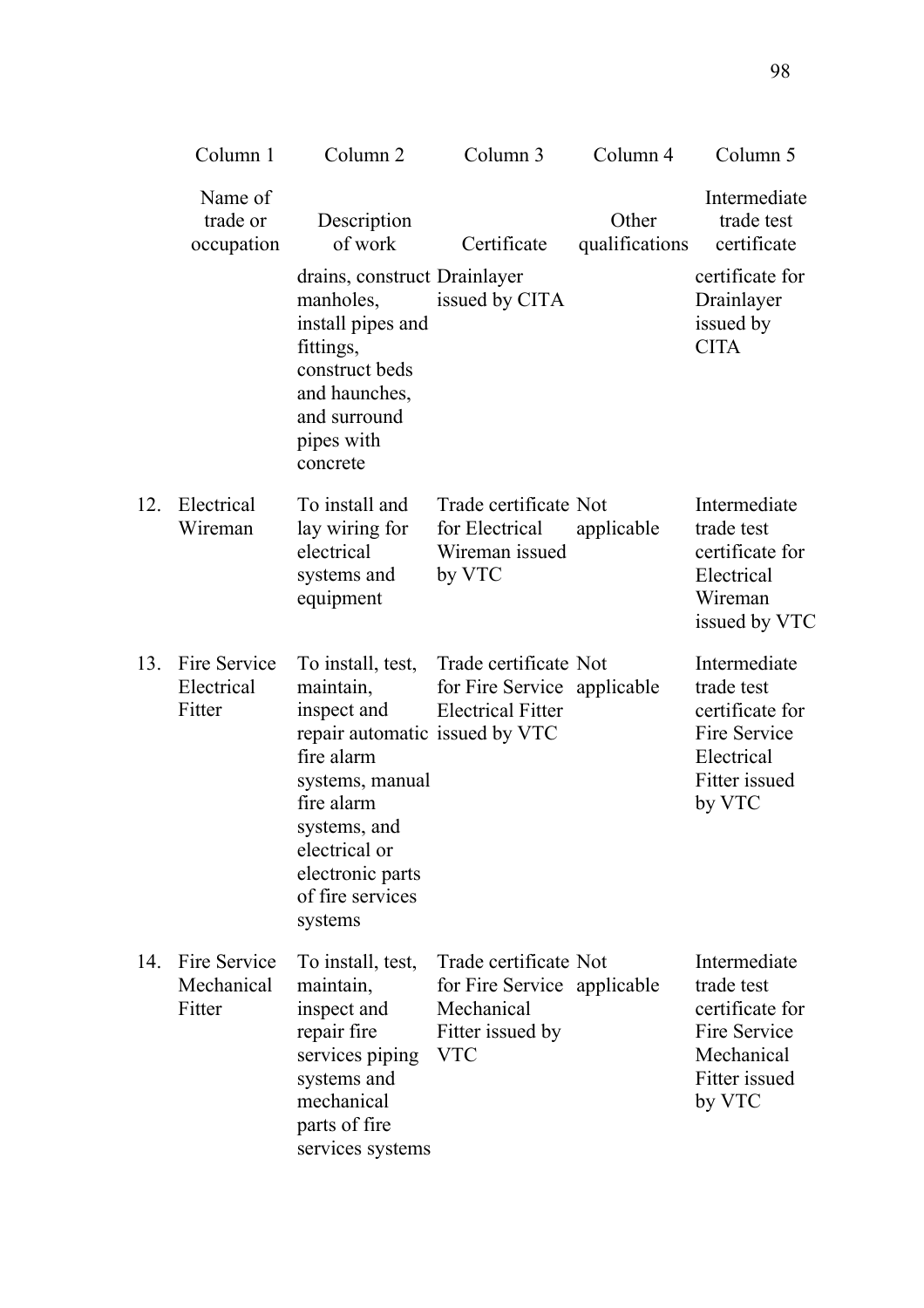|     | Column 1                             | Column <sub>2</sub>                                                                                                                                                                                                | Column 3                                                                                             | Column 4                | Column 5                                                                                               |
|-----|--------------------------------------|--------------------------------------------------------------------------------------------------------------------------------------------------------------------------------------------------------------------|------------------------------------------------------------------------------------------------------|-------------------------|--------------------------------------------------------------------------------------------------------|
|     | Name of<br>trade or<br>occupation    | Description<br>of work                                                                                                                                                                                             | Certificate                                                                                          | Other<br>qualifications | Intermediate<br>trade test<br>certificate                                                              |
|     |                                      | drains, construct Drainlayer<br>manholes,<br>install pipes and<br>fittings,<br>construct beds<br>and haunches,<br>and surround<br>pipes with<br>concrete                                                           | issued by CITA                                                                                       |                         | certificate for<br>Drainlayer<br>issued by<br><b>CITA</b>                                              |
| 12. | Electrical<br>Wireman                | To install and<br>lay wiring for<br>electrical<br>systems and<br>equipment                                                                                                                                         | Trade certificate Not<br>for Electrical<br>Wireman issued<br>by VTC                                  | applicable              | Intermediate<br>trade test<br>certificate for<br>Electrical<br>Wireman<br>issued by VTC                |
| 13. | Fire Service<br>Electrical<br>Fitter | To install, test,<br>maintain,<br>inspect and<br>repair automatic issued by VTC<br>fire alarm<br>systems, manual<br>fire alarm<br>systems, and<br>electrical or<br>electronic parts<br>of fire services<br>systems | Trade certificate Not<br>for Fire Service applicable<br><b>Electrical Fitter</b>                     |                         | Intermediate<br>trade test<br>certificate for<br>Fire Service<br>Electrical<br>Fitter issued<br>by VTC |
| 14. | Fire Service<br>Mechanical<br>Fitter | To install, test,<br>maintain,<br>inspect and<br>repair fire<br>services piping<br>systems and<br>mechanical<br>parts of fire<br>services systems                                                                  | Trade certificate Not<br>for Fire Service applicable<br>Mechanical<br>Fitter issued by<br><b>VTC</b> |                         | Intermediate<br>trade test<br>certificate for<br>Fire Service<br>Mechanical<br>Fitter issued<br>by VTC |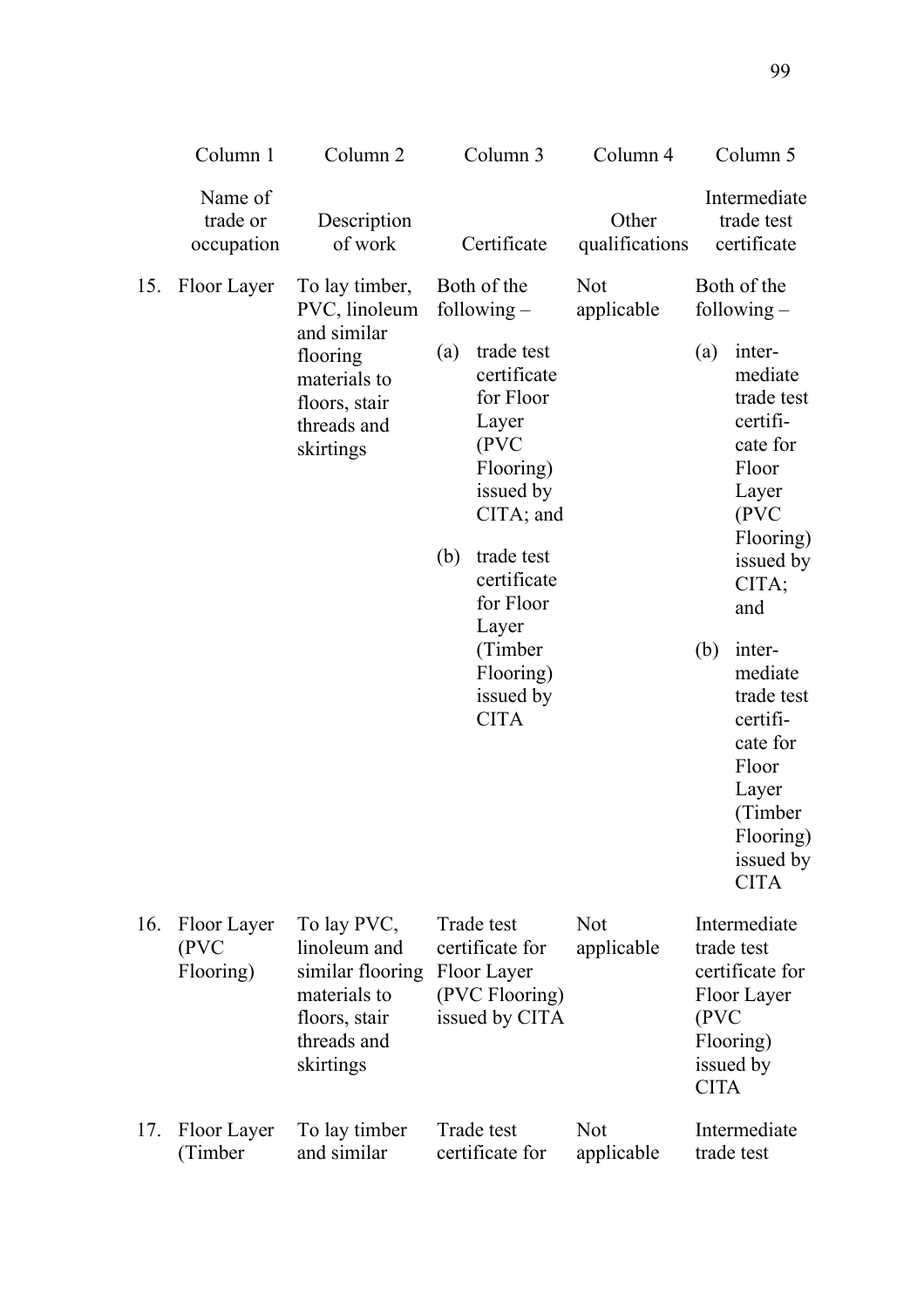|     | Column 1                          | Column <sub>2</sub>                                                                                          | Column 3   |                                                                                                                                                                               | Column 4                 | Column 5                                                                                                       |                                                                                                                                                  |
|-----|-----------------------------------|--------------------------------------------------------------------------------------------------------------|------------|-------------------------------------------------------------------------------------------------------------------------------------------------------------------------------|--------------------------|----------------------------------------------------------------------------------------------------------------|--------------------------------------------------------------------------------------------------------------------------------------------------|
|     | Name of<br>trade or<br>occupation | Description<br>of work                                                                                       |            | Certificate                                                                                                                                                                   | Other<br>qualifications  |                                                                                                                | Intermediate<br>trade test<br>certificate                                                                                                        |
| 15. | Floor Layer                       | To lay timber,<br>PVC, linoleum                                                                              |            | Both of the<br>following $-$                                                                                                                                                  | <b>Not</b><br>applicable |                                                                                                                | Both of the<br>following $-$                                                                                                                     |
|     |                                   | and similar<br>flooring<br>materials to<br>floors, stair<br>threads and<br>skirtings                         | (a)<br>(b) | trade test<br>certificate<br>for Floor<br>Layer<br>(PVC)<br>Flooring)<br>issued by<br>$CITA$ ; and<br>trade test<br>certificate<br>for Floor<br>Layer<br>(Timber<br>Flooring) |                          | (a)<br>(b)                                                                                                     | inter-<br>mediate<br>trade test<br>certifi-<br>cate for<br>Floor<br>Layer<br>(PVC<br>Flooring)<br>issued by<br>CITA;<br>and<br>inter-<br>mediate |
|     |                                   |                                                                                                              |            | issued by<br><b>CITA</b>                                                                                                                                                      |                          |                                                                                                                | trade test<br>certifi-<br>cate for<br>Floor<br>Layer<br>(Timber<br>Flooring)<br>issued by<br><b>CITA</b>                                         |
| 16. | Floor Layer<br>(PVC<br>Flooring)  | To lay PVC,<br>linoleum and<br>similar flooring<br>materials to<br>floors, stair<br>threads and<br>skirtings |            | Trade test<br>certificate for<br>Floor Layer<br>(PVC Flooring)<br>issued by CITA                                                                                              | <b>Not</b><br>applicable | Intermediate<br>trade test<br>certificate for<br>Floor Layer<br>(PVC)<br>Flooring)<br>issued by<br><b>CITA</b> |                                                                                                                                                  |
| 17. | Floor Layer<br>(Timber            | To lay timber<br>and similar                                                                                 |            | Trade test<br>certificate for                                                                                                                                                 | <b>Not</b><br>applicable |                                                                                                                | Intermediate<br>trade test                                                                                                                       |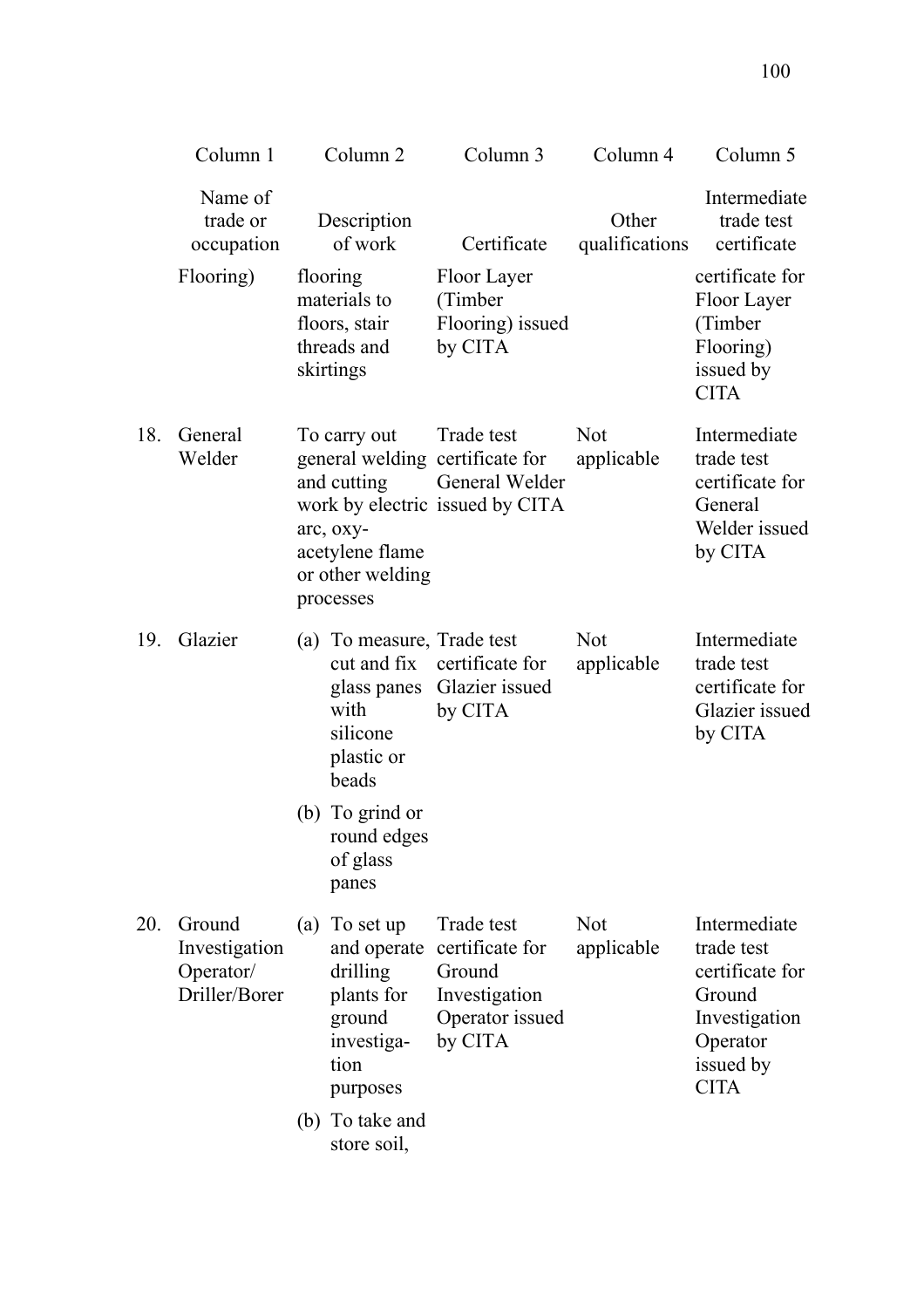|     | Column 1                                              | Column <sub>2</sub>                                                                                | Column 3                                                                                           | Column 4                 | Column 5                                                                                                         |
|-----|-------------------------------------------------------|----------------------------------------------------------------------------------------------------|----------------------------------------------------------------------------------------------------|--------------------------|------------------------------------------------------------------------------------------------------------------|
|     | Name of<br>trade or<br>occupation                     | Description<br>of work                                                                             | Certificate                                                                                        | Other<br>qualifications  | Intermediate<br>trade test<br>certificate                                                                        |
|     | Flooring)                                             | flooring<br>materials to<br>floors, stair<br>threads and<br>skirtings                              | Floor Layer<br>(Timber<br>Flooring) issued<br>by CITA                                              |                          | certificate for<br>Floor Layer<br>(Timber<br>Flooring)<br>issued by<br><b>CITA</b>                               |
| 18. | General<br>Welder                                     | To carry out<br>and cutting<br>arc, oxy-<br>acetylene flame<br>or other welding<br>processes       | Trade test<br>general welding certificate for<br>General Welder<br>work by electric issued by CITA | <b>Not</b><br>applicable | Intermediate<br>trade test<br>certificate for<br>General<br>Welder issued<br>by CITA                             |
| 19. | Glazier                                               | (a) To measure, Trade test<br>cut and fix<br>with<br>silicone<br>plastic or<br>beads               | certificate for<br>glass panes Glazier issued<br>by CITA                                           | <b>Not</b><br>applicable | Intermediate<br>trade test<br>certificate for<br>Glazier issued<br>by CITA                                       |
|     |                                                       | (b) To grind or<br>round edges<br>of glass<br>panes                                                |                                                                                                    |                          |                                                                                                                  |
| 20. | Ground<br>Investigation<br>Operator/<br>Driller/Borer | (a) To set up<br>and operate<br>drilling<br>plants for<br>ground<br>investiga-<br>tion<br>purposes | Trade test<br>certificate for<br>Ground<br>Investigation<br>Operator issued<br>by CITA             | <b>Not</b><br>applicable | Intermediate<br>trade test<br>certificate for<br>Ground<br>Investigation<br>Operator<br>issued by<br><b>CITA</b> |
|     |                                                       | (b) To take and<br>store soil,                                                                     |                                                                                                    |                          |                                                                                                                  |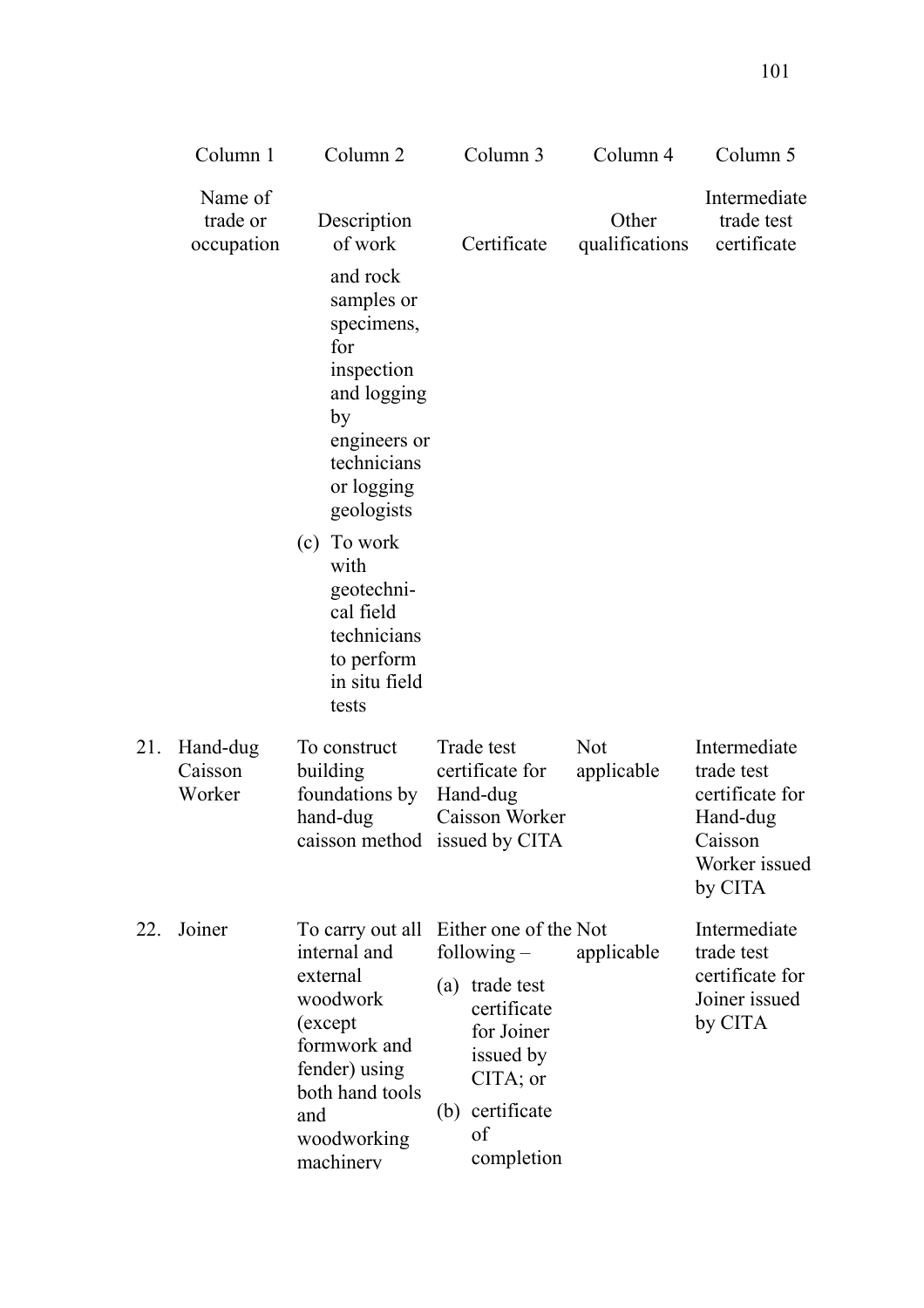|     | Column 1                          | Column <sub>2</sub>                                                                                                                       |     | Column 3                                                         | Column 4                 | Column 5                                                                                         |
|-----|-----------------------------------|-------------------------------------------------------------------------------------------------------------------------------------------|-----|------------------------------------------------------------------|--------------------------|--------------------------------------------------------------------------------------------------|
|     | Name of<br>trade or<br>occupation | Description<br>of work                                                                                                                    |     | Certificate                                                      | Other<br>qualifications  | Intermediate<br>trade test<br>certificate                                                        |
|     |                                   | and rock<br>samples or<br>specimens,<br>for<br>inspection<br>and logging<br>by<br>engineers or<br>technicians<br>or logging<br>geologists |     |                                                                  |                          |                                                                                                  |
|     |                                   | (c) To work<br>with<br>geotechni-<br>cal field<br>technicians<br>to perform<br>in situ field<br>tests                                     |     |                                                                  |                          |                                                                                                  |
| 21. | Hand-dug<br>Caisson<br>Worker     | To construct<br>building<br>foundations by<br>hand-dug<br>caisson method issued by CITA                                                   |     | Trade test<br>certificate for<br>Hand-dug<br>Caisson Worker      | <b>Not</b><br>applicable | Intermediate<br>trade test<br>certificate for<br>Hand-dug<br>Caisson<br>Worker issued<br>by CITA |
| 22. | Joiner                            | To carry out all Either one of the Not<br>internal and                                                                                    |     | following $-$                                                    | applicable               | Intermediate<br>trade test                                                                       |
|     |                                   | external<br>woodwork<br>(except<br>formwork and<br>fender) using<br>both hand tools                                                       | (a) | trade test<br>certificate<br>for Joiner<br>issued by<br>CITA; or |                          | certificate for<br>Joiner issued<br>by CITA                                                      |
|     |                                   | and<br>woodworking<br>machinerv                                                                                                           |     | (b) certificate<br>of<br>completion                              |                          |                                                                                                  |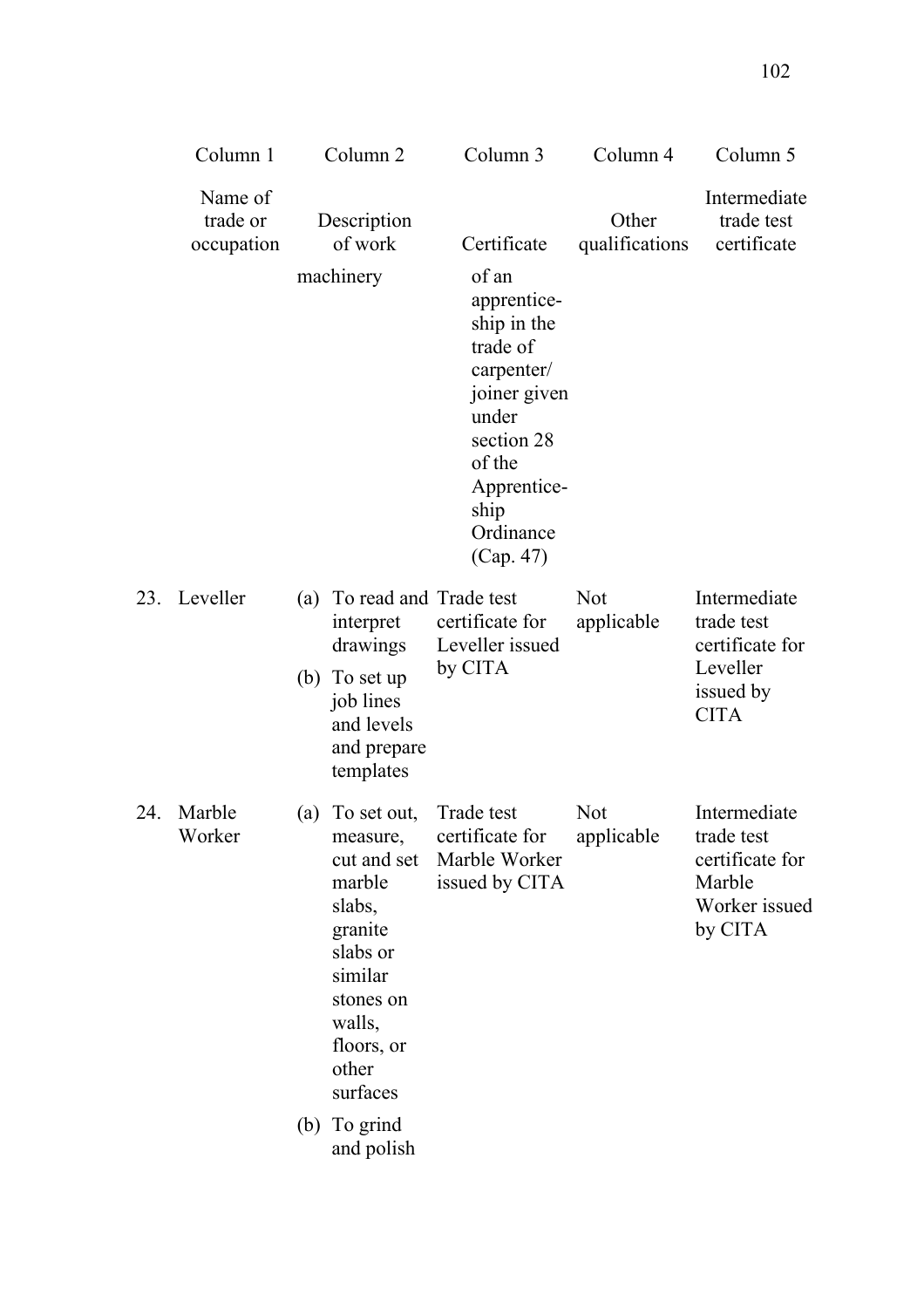|     | Column 1                          |     | Column <sub>2</sub>                                                                                                                                    | Column 3                                                                                                                                                        | Column 4                 | Column 5                                                                              |
|-----|-----------------------------------|-----|--------------------------------------------------------------------------------------------------------------------------------------------------------|-----------------------------------------------------------------------------------------------------------------------------------------------------------------|--------------------------|---------------------------------------------------------------------------------------|
|     | Name of<br>trade or<br>occupation |     | Description<br>of work                                                                                                                                 | Certificate                                                                                                                                                     | Other<br>qualifications  | Intermediate<br>trade test<br>certificate                                             |
|     |                                   |     | machinery                                                                                                                                              | of an<br>apprentice-<br>ship in the<br>trade of<br>carpenter/<br>joiner given<br>under<br>section 28<br>of the<br>Apprentice-<br>ship<br>Ordinance<br>(Cap. 47) |                          |                                                                                       |
| 23. | Leveller                          | (a) | To read and Trade test<br>interpret<br>drawings<br>(b) To set up<br>job lines<br>and levels<br>and prepare<br>templates                                | certificate for<br>Leveller issued<br>by CITA                                                                                                                   | <b>Not</b><br>applicable | Intermediate<br>trade test<br>certificate for<br>Leveller<br>issued by<br><b>CITA</b> |
| 24. | Marble<br>Worker                  | (a) | To set out,<br>measure,<br>cut and set<br>marble<br>slabs,<br>granite<br>slabs or<br>similar<br>stones on<br>walls,<br>floors, or<br>other<br>surfaces | Trade test<br>certificate for<br>Marble Worker<br>issued by CITA                                                                                                | <b>Not</b><br>applicable | Intermediate<br>trade test<br>certificate for<br>Marble<br>Worker issued<br>by CITA   |
|     |                                   |     | (b) To grind<br>and polish                                                                                                                             |                                                                                                                                                                 |                          |                                                                                       |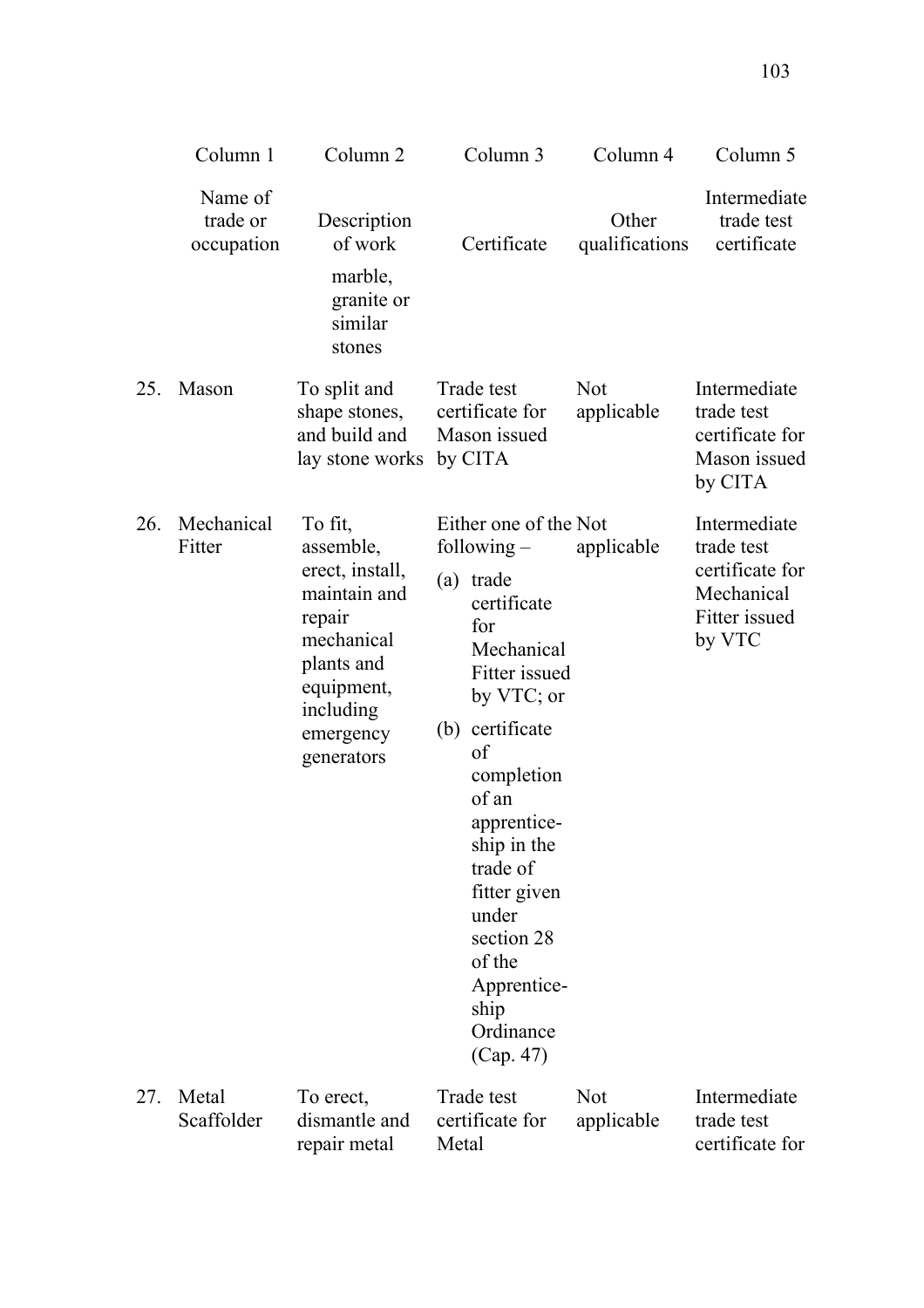|     | Column 1                          | Column <sub>2</sub>                                                                                                                                 | Column 3                                                                                                                                                                                                                                                                                                           | Column 4                 | Column 5                                                                               |
|-----|-----------------------------------|-----------------------------------------------------------------------------------------------------------------------------------------------------|--------------------------------------------------------------------------------------------------------------------------------------------------------------------------------------------------------------------------------------------------------------------------------------------------------------------|--------------------------|----------------------------------------------------------------------------------------|
|     | Name of<br>trade or<br>occupation | Description<br>of work<br>marble,<br>granite or<br>similar<br>stones                                                                                | Certificate                                                                                                                                                                                                                                                                                                        | Other<br>qualifications  | Intermediate<br>trade test<br>certificate                                              |
| 25. | Mason                             | To split and<br>shape stones,<br>and build and<br>lay stone works                                                                                   | Trade test<br>certificate for<br>Mason issued<br>by CITA                                                                                                                                                                                                                                                           | <b>Not</b><br>applicable | Intermediate<br>trade test<br>certificate for<br>Mason issued<br>by CITA               |
| 26. | Mechanical<br>Fitter              | To fit,<br>assemble,<br>erect, install,<br>maintain and<br>repair<br>mechanical<br>plants and<br>equipment,<br>including<br>emergency<br>generators | Either one of the Not<br>following $-$<br>(a) trade<br>certificate<br>for<br>Mechanical<br>Fitter issued<br>by VTC; or<br>(b) certificate<br>of<br>completion<br>of an<br>apprentice-<br>ship in the<br>trade of<br>fitter given<br>under<br>section 28<br>of the<br>Apprentice-<br>ship<br>Ordinance<br>(Cap. 47) | applicable               | Intermediate<br>trade test<br>certificate for<br>Mechanical<br>Fitter issued<br>by VTC |
| 27. | Metal<br>Scaffolder               | To erect,<br>dismantle and<br>repair metal                                                                                                          | Trade test<br>certificate for<br>Metal                                                                                                                                                                                                                                                                             | <b>Not</b><br>applicable | Intermediate<br>trade test<br>certificate for                                          |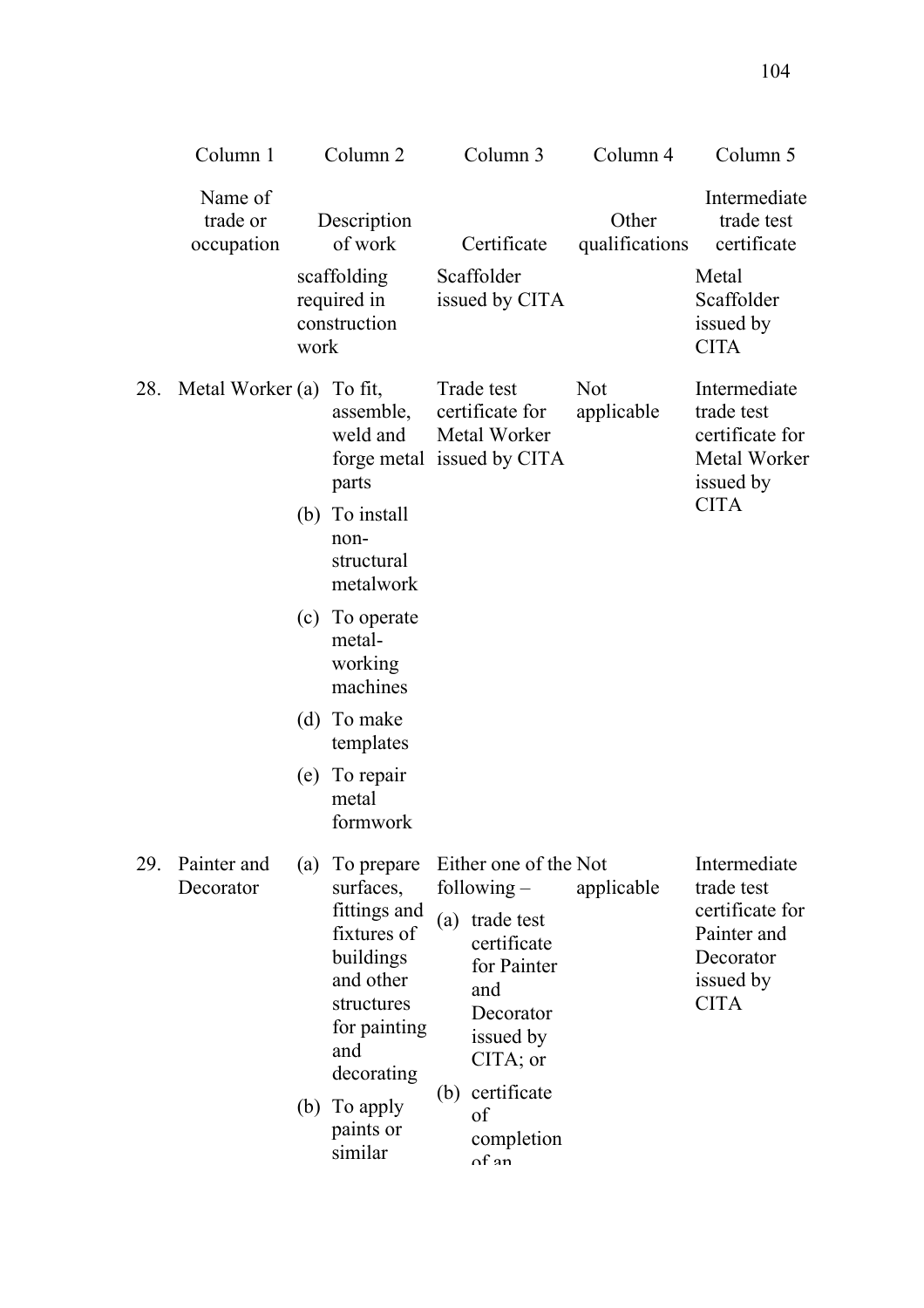|     | Column 1                          |            | Column <sub>2</sub>                                                                                                                                                     |     | Column 3                                                                                                                                                                           | Column 4                 | Column 5                                                                                              |
|-----|-----------------------------------|------------|-------------------------------------------------------------------------------------------------------------------------------------------------------------------------|-----|------------------------------------------------------------------------------------------------------------------------------------------------------------------------------------|--------------------------|-------------------------------------------------------------------------------------------------------|
|     | Name of<br>trade or<br>occupation | work       | Description<br>of work<br>scaffolding<br>required in<br>construction                                                                                                    |     | Certificate<br>Scaffolder<br>issued by CITA                                                                                                                                        | Other<br>qualifications  | Intermediate<br>trade test<br>certificate<br>Metal<br>Scaffolder<br>issued by<br><b>CITA</b>          |
| 28. | Metal Worker (a)                  |            | To fit,<br>assemble,<br>weld and<br>forge metal issued by CITA<br>parts<br>(b) To install<br>non-<br>structural<br>metalwork                                            |     | Trade test<br>certificate for<br>Metal Worker                                                                                                                                      | <b>Not</b><br>applicable | Intermediate<br>trade test<br>certificate for<br>Metal Worker<br>issued by<br><b>CITA</b>             |
|     |                                   |            | (c) To operate<br>metal-<br>working<br>machines                                                                                                                         |     |                                                                                                                                                                                    |                          |                                                                                                       |
|     |                                   |            | (d) To make<br>templates                                                                                                                                                |     |                                                                                                                                                                                    |                          |                                                                                                       |
|     |                                   |            | (e) To repair<br>metal<br>formwork                                                                                                                                      |     |                                                                                                                                                                                    |                          |                                                                                                       |
| 29. | Painter and<br>Decorator          | (a)<br>(b) | To prepare<br>surfaces,<br>fittings and<br>fixtures of<br>buildings<br>and other<br>structures<br>for painting<br>and<br>decorating<br>To apply<br>paints or<br>similar | (a) | Either one of the Not<br>following $-$<br>trade test<br>certificate<br>for Painter<br>and<br>Decorator<br>issued by<br>$CITA$ ; or<br>(b) certificate<br>of<br>completion<br>nf an | applicable               | Intermediate<br>trade test<br>certificate for<br>Painter and<br>Decorator<br>issued by<br><b>CITA</b> |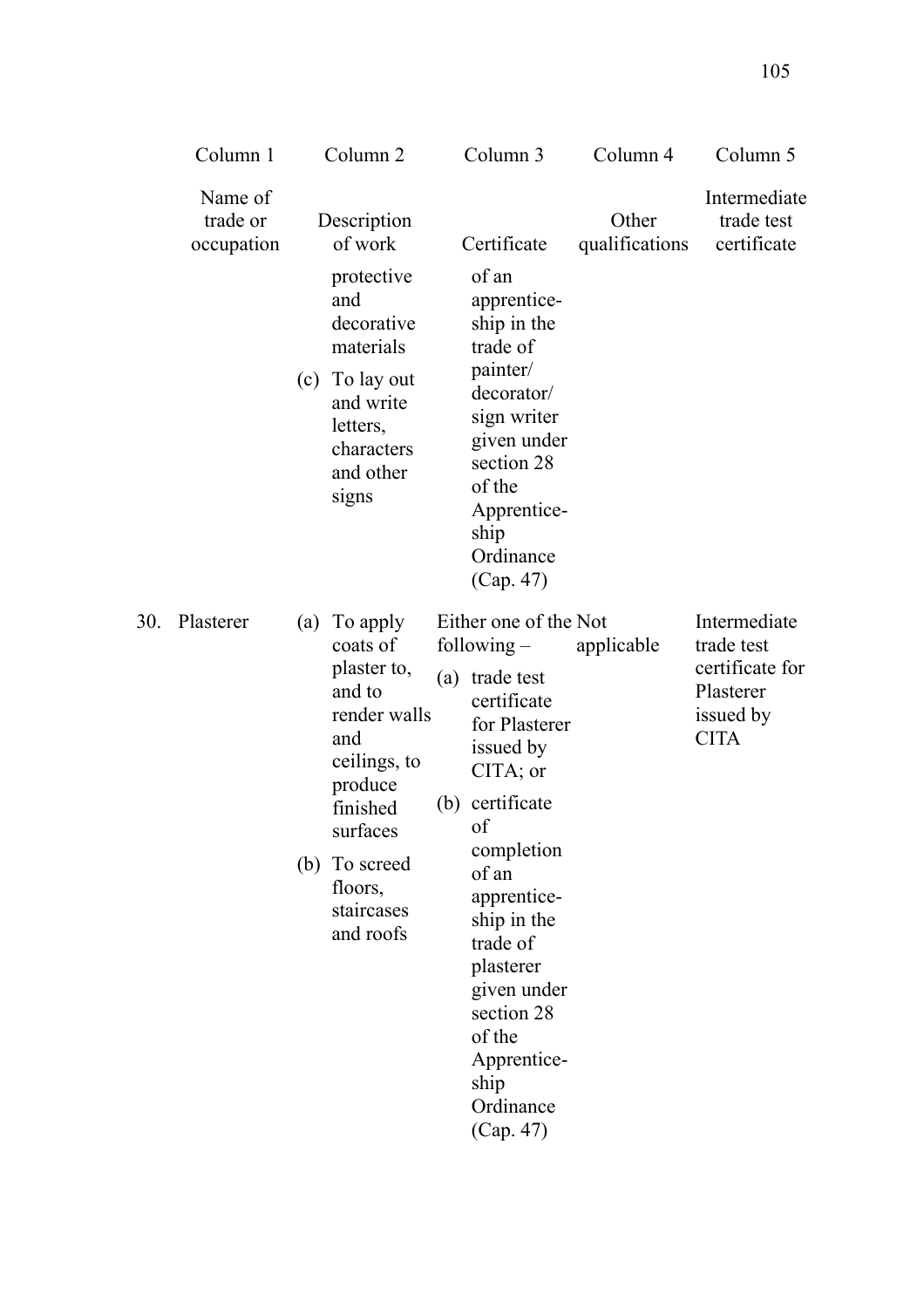|     | Column 1                          |     | Column <sub>2</sub>                                                                                                                                                            |     | Column 3                                                                                                                                                                                                                                                                                                                  | Column 4                | Column 5                                                                               |
|-----|-----------------------------------|-----|--------------------------------------------------------------------------------------------------------------------------------------------------------------------------------|-----|---------------------------------------------------------------------------------------------------------------------------------------------------------------------------------------------------------------------------------------------------------------------------------------------------------------------------|-------------------------|----------------------------------------------------------------------------------------|
|     | Name of<br>trade or<br>occupation |     | Description<br>of work<br>protective<br>and<br>decorative<br>materials<br>(c) To lay out<br>and write<br>letters,<br>characters<br>and other<br>signs                          |     | Certificate<br>of an<br>apprentice-<br>ship in the<br>trade of<br>painter/<br>decorator/<br>sign writer<br>given under<br>section 28<br>of the<br>Apprentice-<br>ship<br>Ordinance                                                                                                                                        | Other<br>qualifications | Intermediate<br>trade test<br>certificate                                              |
| 30. | Plasterer                         | (a) | To apply<br>coats of<br>plaster to,<br>and to<br>render walls<br>and<br>ceilings, to<br>produce<br>finished<br>surfaces<br>(b) To screed<br>floors,<br>staircases<br>and roofs | (b) | (Cap. 47)<br>Either one of the Not<br>following $-$<br>(a) trade test<br>certificate<br>for Plasterer<br>issued by<br>CITA; or<br>certificate<br>of<br>completion<br>of an<br>apprentice-<br>ship in the<br>trade of<br>plasterer<br>given under<br>section 28<br>of the<br>Apprentice-<br>ship<br>Ordinance<br>(Cap. 47) | applicable              | Intermediate<br>trade test<br>certificate for<br>Plasterer<br>issued by<br><b>CITA</b> |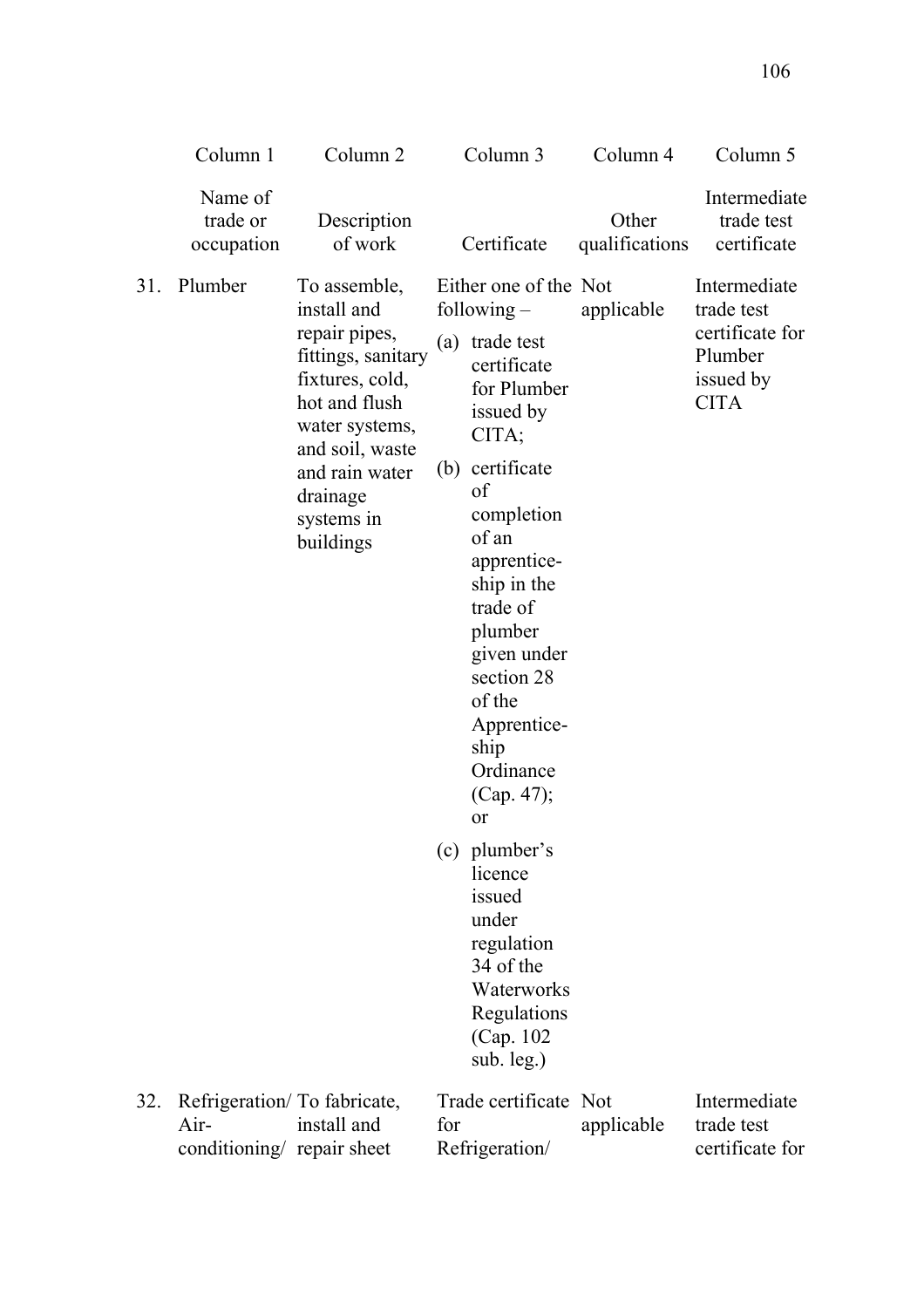|     | Column 1                                                          | Column <sub>2</sub>                                                                                                                                                                                  |     | Column 3                                                                                                                                                                                                                                                                                                                                                                                                                                        | Column 4                | Column 5                                                                             |
|-----|-------------------------------------------------------------------|------------------------------------------------------------------------------------------------------------------------------------------------------------------------------------------------------|-----|-------------------------------------------------------------------------------------------------------------------------------------------------------------------------------------------------------------------------------------------------------------------------------------------------------------------------------------------------------------------------------------------------------------------------------------------------|-------------------------|--------------------------------------------------------------------------------------|
|     | Name of<br>trade or<br>occupation                                 | Description<br>of work                                                                                                                                                                               |     | Certificate                                                                                                                                                                                                                                                                                                                                                                                                                                     | Other<br>qualifications | Intermediate<br>trade test<br>certificate                                            |
| 31. | Plumber                                                           | To assemble,<br>install and<br>repair pipes,<br>fittings, sanitary<br>fixtures, cold,<br>hot and flush<br>water systems,<br>and soil, waste<br>and rain water<br>drainage<br>systems in<br>buildings | (a) | Either one of the Not<br>following $-$<br>trade test<br>certificate<br>for Plumber<br>issued by<br>CITA;<br>(b) certificate<br>of<br>completion<br>of an<br>apprentice-<br>ship in the<br>trade of<br>plumber<br>given under<br>section 28<br>of the<br>Apprentice-<br>ship<br>Ordinance<br>(Cap. 47);<br>or<br>(c) plumber's<br>licence<br>issued<br>under<br>regulation<br>34 of the<br>Waterworks<br>Regulations<br>(Cap. 102)<br>sub. leg.) | applicable              | Intermediate<br>trade test<br>certificate for<br>Plumber<br>issued by<br><b>CITA</b> |
| 32. | Refrigeration/To fabricate,<br>Air-<br>conditioning/ repair sheet | install and                                                                                                                                                                                          | for | Trade certificate Not<br>Refrigeration/                                                                                                                                                                                                                                                                                                                                                                                                         | applicable              | Intermediate<br>trade test<br>certificate for                                        |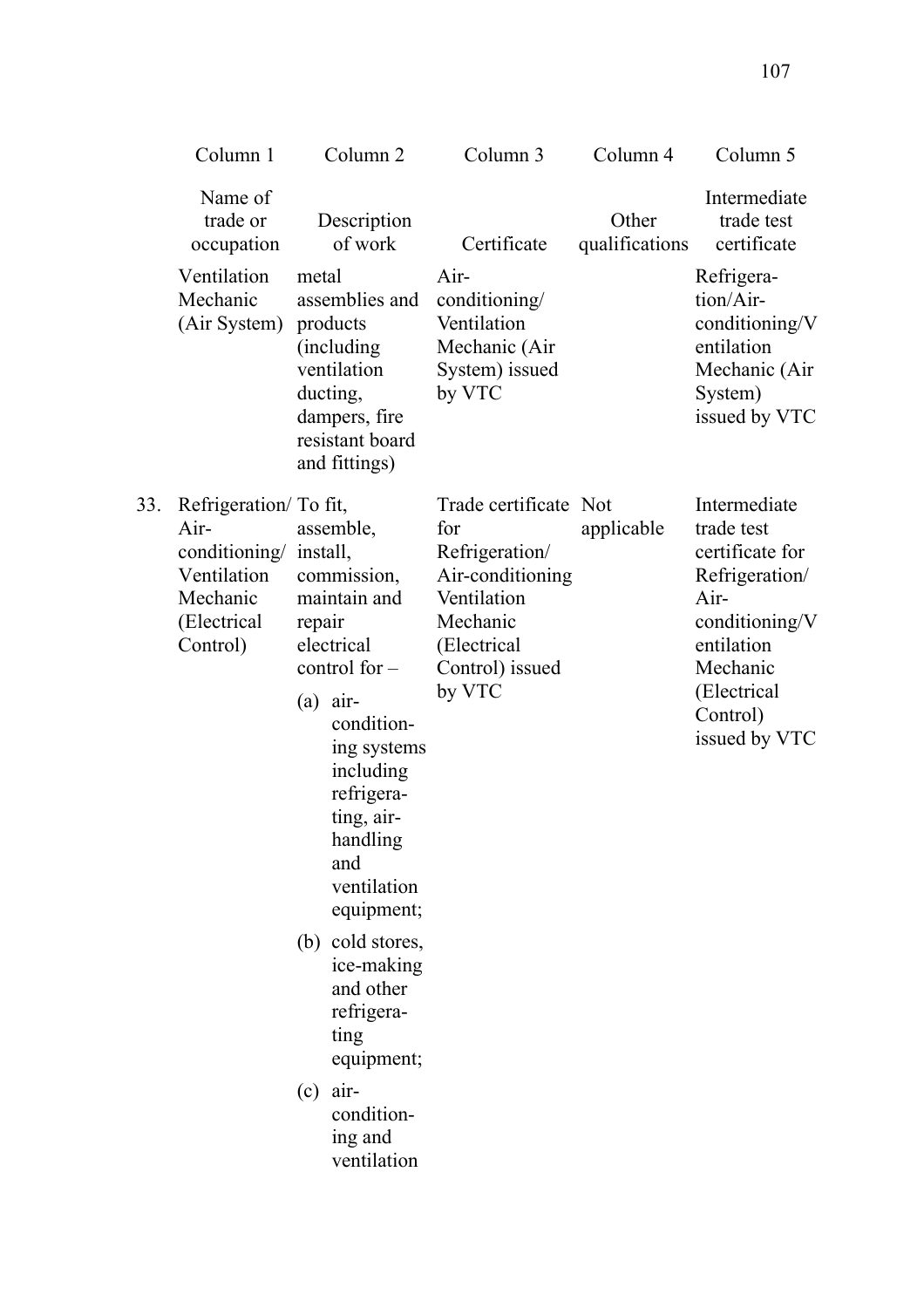|     | Column 1                                                                                              | Column <sub>2</sub>                                                                                                                                                                                                                                                                                                                                                          | Column 3                                                                                                                                  | Column 4                | Column 5                                                                                                                                                          |
|-----|-------------------------------------------------------------------------------------------------------|------------------------------------------------------------------------------------------------------------------------------------------------------------------------------------------------------------------------------------------------------------------------------------------------------------------------------------------------------------------------------|-------------------------------------------------------------------------------------------------------------------------------------------|-------------------------|-------------------------------------------------------------------------------------------------------------------------------------------------------------------|
|     | Name of<br>trade or<br>occupation                                                                     | Description<br>of work                                                                                                                                                                                                                                                                                                                                                       | Certificate                                                                                                                               | Other<br>qualifications | Intermediate<br>trade test<br>certificate                                                                                                                         |
|     | Ventilation<br>Mechanic<br>(Air System)                                                               | metal<br>assemblies and<br>products<br>(including)<br>ventilation<br>ducting,<br>dampers, fire<br>resistant board<br>and fittings)                                                                                                                                                                                                                                           | Air-<br>conditioning/<br>Ventilation<br>Mechanic (Air<br>System) issued<br>by VTC                                                         |                         | Refrigera-<br>tion/Air-<br>conditioning/V<br>entilation<br>Mechanic (Air<br>System)<br>issued by VTC                                                              |
| 33. | Refrigeration/ To fit,<br>Air-<br>conditioning/<br>Ventilation<br>Mechanic<br>(Electrical<br>Control) | assemble,<br>install,<br>commission,<br>maintain and<br>repair<br>electrical<br>control for $-$<br>$(a)$ air-<br>condition-<br>ing systems<br>including<br>refrigera-<br>ting, air-<br>handling<br>and<br>ventilation<br>equipment;<br>(b) cold stores,<br>ice-making<br>and other<br>refrigera-<br>ting<br>equipment;<br>$(c)$ air-<br>condition-<br>ing and<br>ventilation | Trade certificate Not<br>for<br>Refrigeration/<br>Air-conditioning<br>Ventilation<br>Mechanic<br>(Electrical<br>Control) issued<br>by VTC | applicable              | Intermediate<br>trade test<br>certificate for<br>Refrigeration/<br>$Air-$<br>conditioning/V<br>entilation<br>Mechanic<br>(Electrical<br>Control)<br>issued by VTC |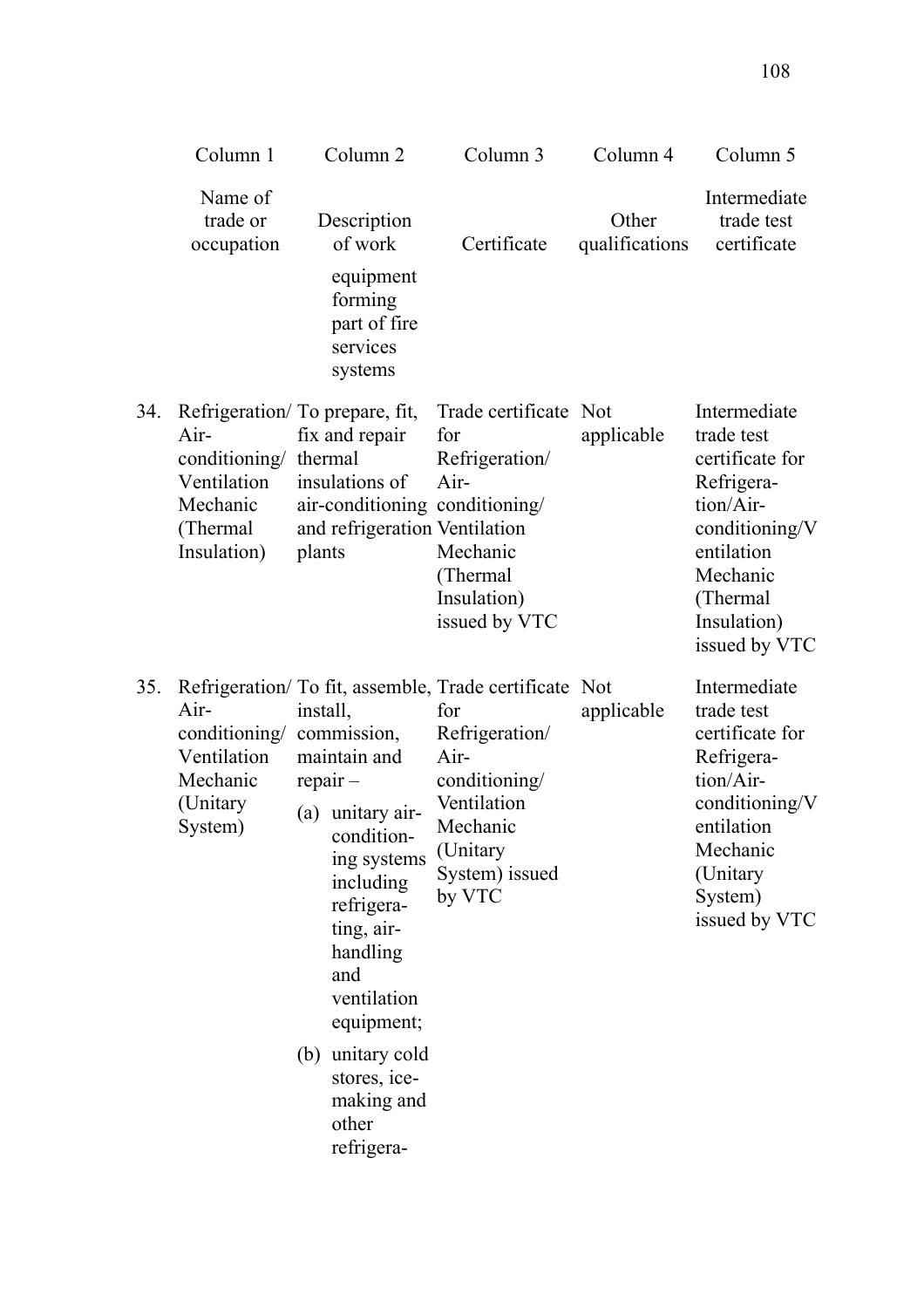|     | Column 1                                                                             | Column <sub>2</sub>                                                                                                                                                                                                                                       | Column 3                                                                                                                                                                   | Column 4                | Column 5                                                                                                                                                          |
|-----|--------------------------------------------------------------------------------------|-----------------------------------------------------------------------------------------------------------------------------------------------------------------------------------------------------------------------------------------------------------|----------------------------------------------------------------------------------------------------------------------------------------------------------------------------|-------------------------|-------------------------------------------------------------------------------------------------------------------------------------------------------------------|
|     | Name of<br>trade or<br>occupation                                                    | Description<br>of work<br>equipment<br>forming<br>part of fire<br>services<br>systems                                                                                                                                                                     | Certificate                                                                                                                                                                | Other<br>qualifications | Intermediate<br>trade test<br>certificate                                                                                                                         |
| 34. | Air-<br>conditioning/ thermal<br>Ventilation<br>Mechanic<br>(Thermal)<br>Insulation) | Refrigeration/To prepare, fit,<br>fix and repair<br>insulations of<br>air-conditioning conditioning/<br>and refrigeration Ventilation<br>plants                                                                                                           | Trade certificate Not<br>for<br>Refrigeration/<br>Air-<br>Mechanic<br>(Thermal)<br>Insulation)<br>issued by VTC                                                            | applicable              | Intermediate<br>trade test<br>certificate for<br>Refrigera-<br>tion/Air-<br>conditioning/V<br>entilation<br>Mechanic<br>(Thermal)<br>Insulation)<br>issued by VTC |
| 35. | Air-<br>conditioning/ commission,<br>Ventilation<br>Mechanic<br>(Unitary<br>System)  | install.<br>maintain and<br>$repair -$<br>(a) unitary air-<br>condition-<br>ing systems<br>including<br>refrigera-<br>ting, air-<br>handling<br>and<br>ventilation<br>equipment;<br>(b) unitary cold<br>stores, ice-<br>making and<br>other<br>refrigera- | Refrigeration/To fit, assemble, Trade certificate Not<br>for<br>Refrigeration/<br>Air-<br>conditioning/<br>Ventilation<br>Mechanic<br>(Unitary<br>System) issued<br>by VTC | applicable              | Intermediate<br>trade test<br>certificate for<br>Refrigera-<br>tion/Air-<br>conditioning/V<br>entilation<br>Mechanic<br>(Unitary<br>System)<br>issued by VTC      |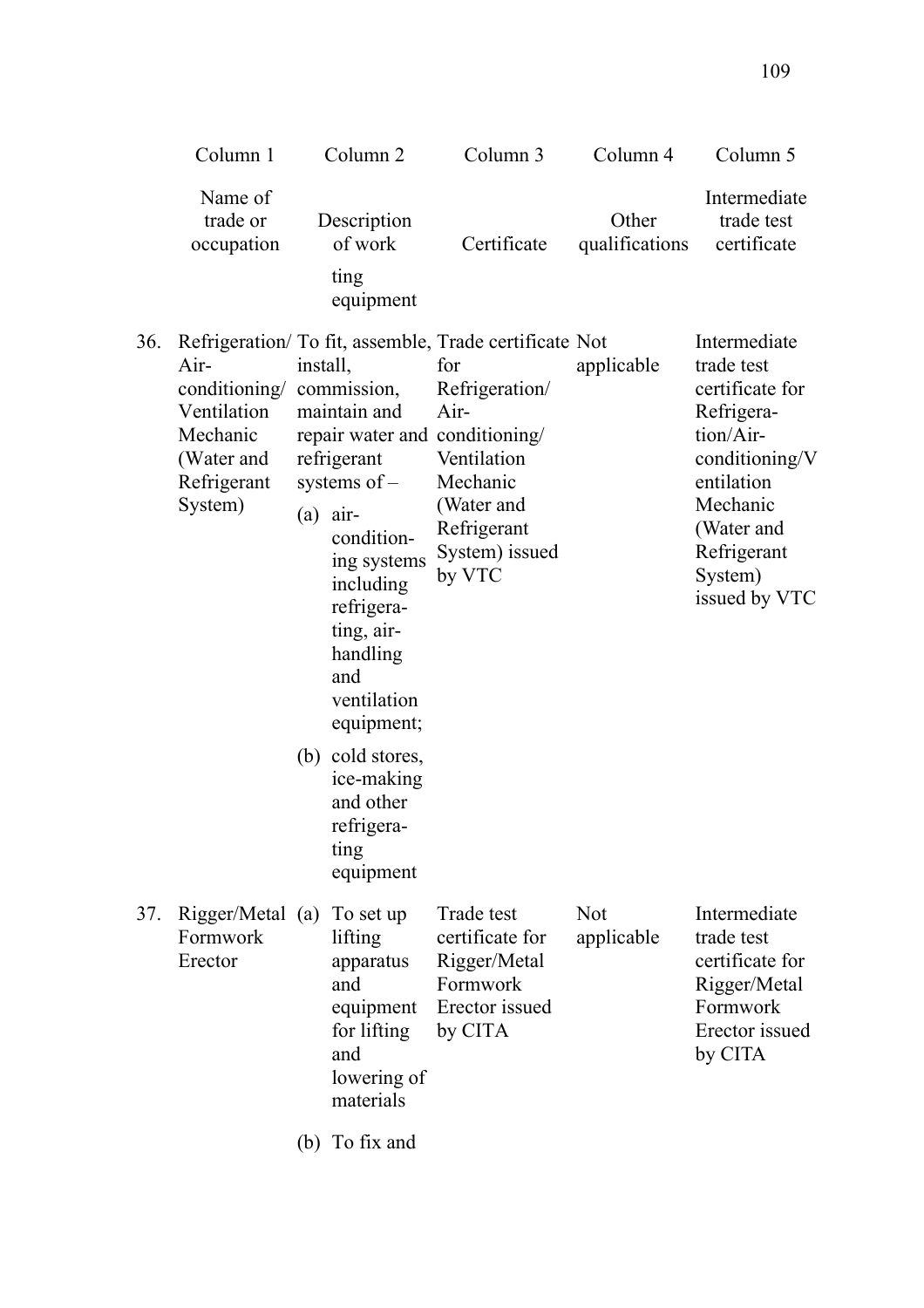|     | Column 1                                                                                 |                        | Column <sub>2</sub>                                                                                                                                                                                                  | Column 3                                                                                                                                                                                                      | Column 4                 | Column 5                                                                                                                                                                      |
|-----|------------------------------------------------------------------------------------------|------------------------|----------------------------------------------------------------------------------------------------------------------------------------------------------------------------------------------------------------------|---------------------------------------------------------------------------------------------------------------------------------------------------------------------------------------------------------------|--------------------------|-------------------------------------------------------------------------------------------------------------------------------------------------------------------------------|
|     | Name of<br>trade or<br>occupation                                                        |                        | Description<br>of work<br>ting<br>equipment                                                                                                                                                                          | Certificate                                                                                                                                                                                                   | Other<br>qualifications  | Intermediate<br>trade test<br>certificate                                                                                                                                     |
| 36. | Air-<br>conditioning/<br>Ventilation<br>Mechanic<br>(Water and<br>Refrigerant<br>System) | install,<br>$(a)$ air- | commission,<br>maintain and<br>refrigerant<br>systems of $-$<br>condition-<br>ing systems<br>including<br>refrigera-<br>ting, air-<br>handling<br>and<br>ventilation<br>equipment;<br>(b) cold stores,<br>ice-making | Refrigeration/ To fit, assemble, Trade certificate Not<br>for<br>Refrigeration/<br>Air-<br>repair water and conditioning/<br>Ventilation<br>Mechanic<br>(Water and<br>Refrigerant<br>System) issued<br>by VTC | applicable               | Intermediate<br>trade test<br>certificate for<br>Refrigera-<br>tion/Air-<br>conditioning/V<br>entilation<br>Mechanic<br>(Water and<br>Refrigerant<br>System)<br>issued by VTC |
|     |                                                                                          |                        | and other<br>refrigera-<br>ting<br>equipment                                                                                                                                                                         |                                                                                                                                                                                                               |                          |                                                                                                                                                                               |
| 37. | Rigger/Metal (a)<br>Formwork<br>Erector                                                  |                        | To set up<br>lifting<br>apparatus<br>and<br>equipment<br>for lifting<br>and<br>lowering of<br>materials                                                                                                              | Trade test<br>certificate for<br>Rigger/Metal<br>Formwork<br>Erector issued<br>by CITA                                                                                                                        | <b>Not</b><br>applicable | Intermediate<br>trade test<br>certificate for<br>Rigger/Metal<br>Formwork<br>Erector issued<br>by CITA                                                                        |
|     |                                                                                          | (b)                    | To fix and                                                                                                                                                                                                           |                                                                                                                                                                                                               |                          |                                                                                                                                                                               |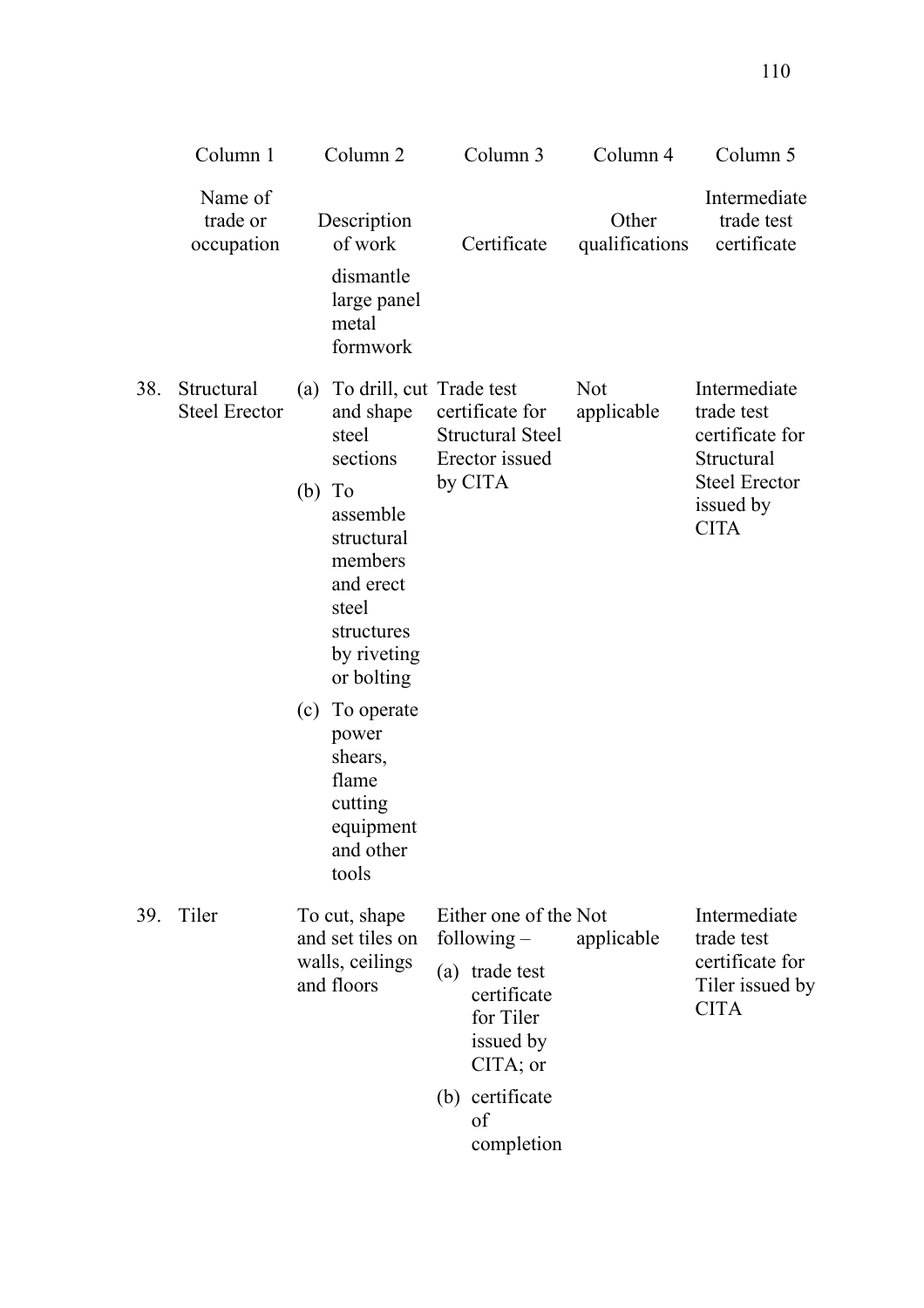|     | Column 1                           |                               | Column <sub>2</sub>                                                                                                                                                                                             |     | Column 3                                                                | Column 4                 | Column 5                                                                                                        |
|-----|------------------------------------|-------------------------------|-----------------------------------------------------------------------------------------------------------------------------------------------------------------------------------------------------------------|-----|-------------------------------------------------------------------------|--------------------------|-----------------------------------------------------------------------------------------------------------------|
|     | Name of<br>trade or<br>occupation  |                               | Description<br>of work<br>dismantle<br>large panel<br>metal<br>formwork                                                                                                                                         |     | Certificate                                                             | Other<br>qualifications  | Intermediate<br>trade test<br>certificate                                                                       |
| 38. | Structural<br><b>Steel Erector</b> | (a)<br>$(b)$ To               | To drill, cut Trade test<br>and shape<br>steel<br>sections<br>assemble<br>structural<br>members<br>and erect<br>steel<br>structures<br>by riveting<br>or bolting<br>(c) To operate<br>power<br>shears,<br>flame |     | certificate for<br><b>Structural Steel</b><br>Erector issued<br>by CITA | <b>Not</b><br>applicable | Intermediate<br>trade test<br>certificate for<br>Structural<br><b>Steel Erector</b><br>issued by<br><b>CITA</b> |
|     |                                    |                               | cutting<br>equipment<br>and other<br>tools                                                                                                                                                                      |     |                                                                         |                          |                                                                                                                 |
| 39. | Tiler                              |                               | To cut, shape<br>and set tiles on                                                                                                                                                                               |     | Either one of the Not<br>following $-$                                  | applicable               | Intermediate<br>trade test                                                                                      |
|     |                                    | walls, ceilings<br>and floors |                                                                                                                                                                                                                 | (a) | trade test<br>certificate<br>for Tiler<br>issued by<br>$CITA$ ; or      |                          | certificate for<br>Tiler issued by<br><b>CITA</b>                                                               |
|     |                                    |                               |                                                                                                                                                                                                                 |     | (b) certificate<br>of<br>completion                                     |                          |                                                                                                                 |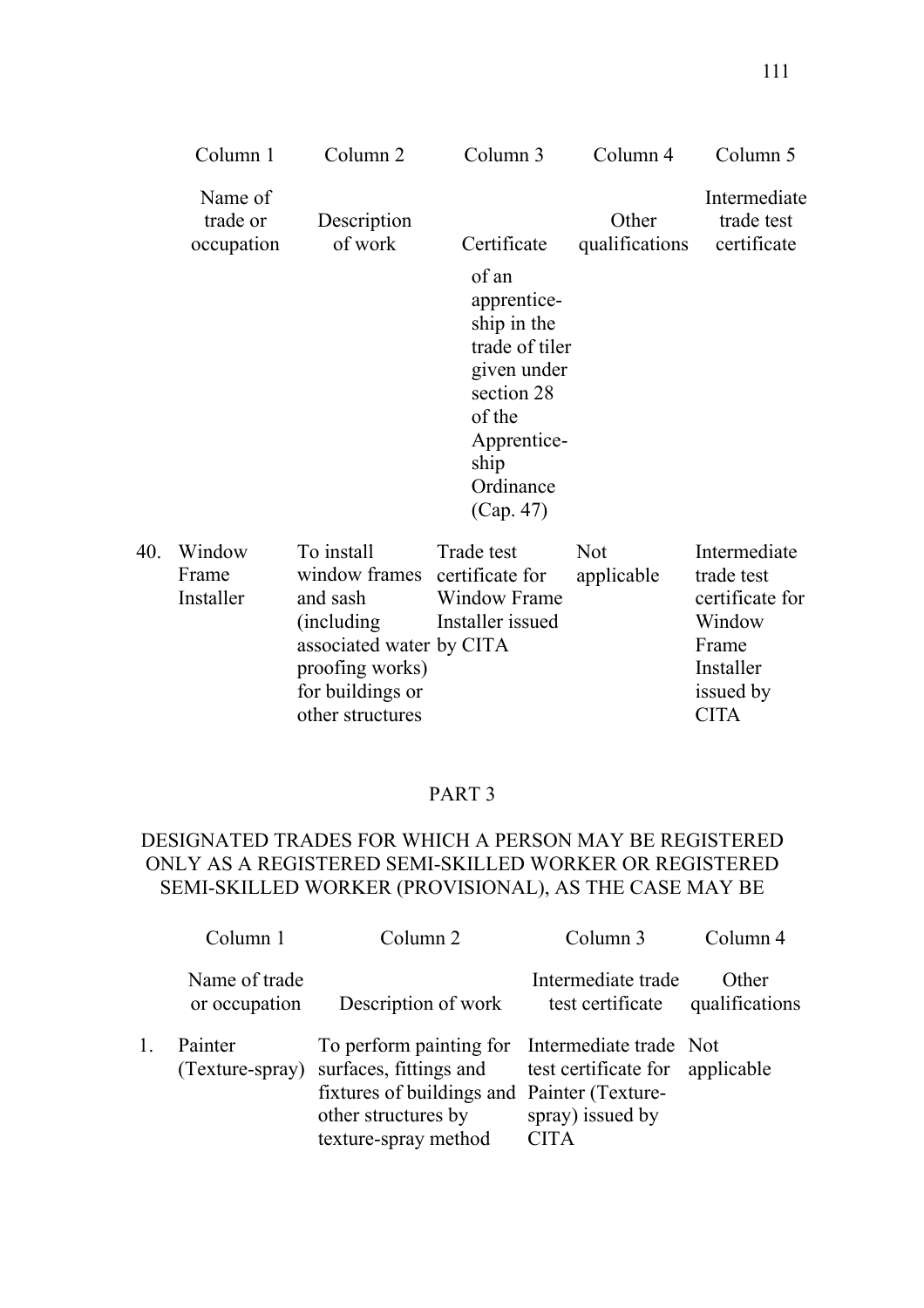|     | Column 1                          | Column <sub>2</sub>                                                                                                                                           | Column 3                                                                                                                                      | Column <sub>4</sub>      | Column 5                                                                                                  |
|-----|-----------------------------------|---------------------------------------------------------------------------------------------------------------------------------------------------------------|-----------------------------------------------------------------------------------------------------------------------------------------------|--------------------------|-----------------------------------------------------------------------------------------------------------|
|     | Name of<br>trade or<br>occupation | Description<br>of work                                                                                                                                        | Certificate                                                                                                                                   | Other<br>qualifications  | Intermediate<br>trade test<br>certificate                                                                 |
|     |                                   |                                                                                                                                                               | of an<br>apprentice-<br>ship in the<br>trade of tiler<br>given under<br>section 28<br>of the<br>Apprentice-<br>ship<br>Ordinance<br>(Cap. 47) |                          |                                                                                                           |
| 40. | Window<br>Frame<br>Installer      | To install<br>window frames certificate for<br>and sash<br>(including)<br>associated water by CITA<br>proofing works)<br>for buildings or<br>other structures | Trade test<br><b>Window Frame</b><br>Installer issued                                                                                         | <b>Not</b><br>applicable | Intermediate<br>trade test<br>certificate for<br>Window<br>Frame<br>Installer<br>issued by<br><b>CITA</b> |

# PART 3

# DESIGNATED TRADES FOR WHICH A PERSON MAY BE REGISTERED ONLY AS A REGISTERED SEMI-SKILLED WORKER OR REGISTERED SEMI-SKILLED WORKER (PROVISIONAL), AS THE CASE MAY BE

| Column 1                       | Column <sub>2</sub>                                                                                                                                                                                    | Column 3                               | Column 4                |
|--------------------------------|--------------------------------------------------------------------------------------------------------------------------------------------------------------------------------------------------------|----------------------------------------|-------------------------|
| Name of trade<br>or occupation | Description of work                                                                                                                                                                                    | Intermediate trade<br>test certificate | Other<br>qualifications |
| Painter<br>(Texture-spray)     | To perform painting for Intermediate trade Not<br>surfaces, fittings and test certificate for applicable<br>fixtures of buildings and Painter (Texture-<br>other structures by<br>texture-spray method | spray) issued by<br><b>CITA</b>        |                         |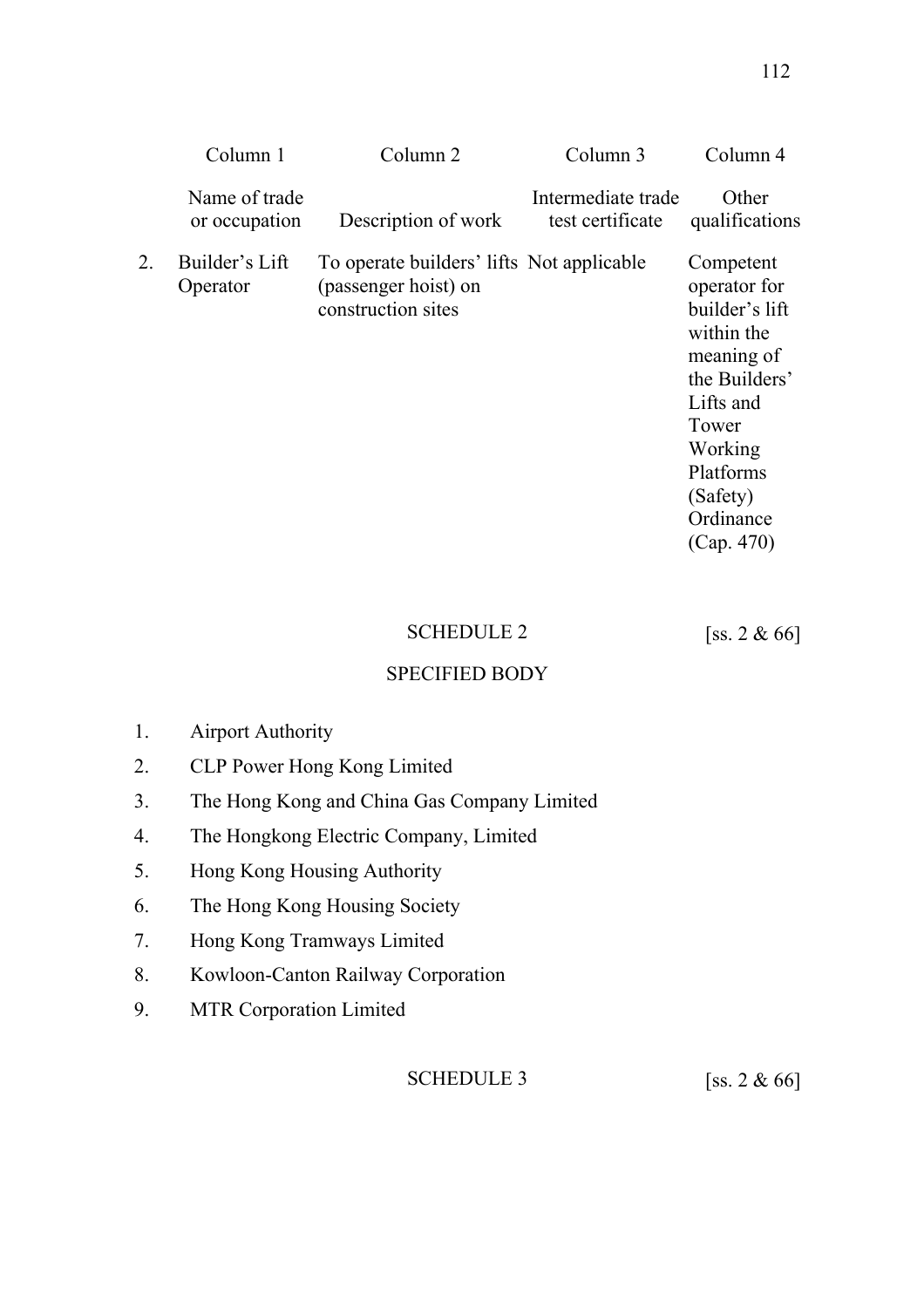|    | Column 1                       | Column 2                                                                                | Column 3                               | Column 4                                                                                                                                                                      |
|----|--------------------------------|-----------------------------------------------------------------------------------------|----------------------------------------|-------------------------------------------------------------------------------------------------------------------------------------------------------------------------------|
|    | Name of trade<br>or occupation | Description of work                                                                     | Intermediate trade<br>test certificate | Other<br>qualifications                                                                                                                                                       |
| 2. | Builder's Lift<br>Operator     | To operate builders' lifts Not applicable<br>(passenger hoist) on<br>construction sites |                                        | Competent<br>operator for<br>builder's lift<br>within the<br>meaning of<br>the Builders'<br>Lifts and<br>Tower<br>Working<br>Platforms<br>(Safety)<br>Ordinance<br>(Cap. 470) |
|    |                                |                                                                                         |                                        |                                                                                                                                                                               |

# SCHEDULE 2 [ss. 2 & 66]

SPECIFIED BODY

# 1. Airport Authority

- 2. CLP Power Hong Kong Limited
- 3. The Hong Kong and China Gas Company Limited
- 4. The Hongkong Electric Company, Limited
- 5. Hong Kong Housing Authority
- 6. The Hong Kong Housing Society
- 7. Hong Kong Tramways Limited
- 8. Kowloon-Canton Railway Corporation
- 9. MTR Corporation Limited

SCHEDULE 3  $[ss. 2 \& 66]$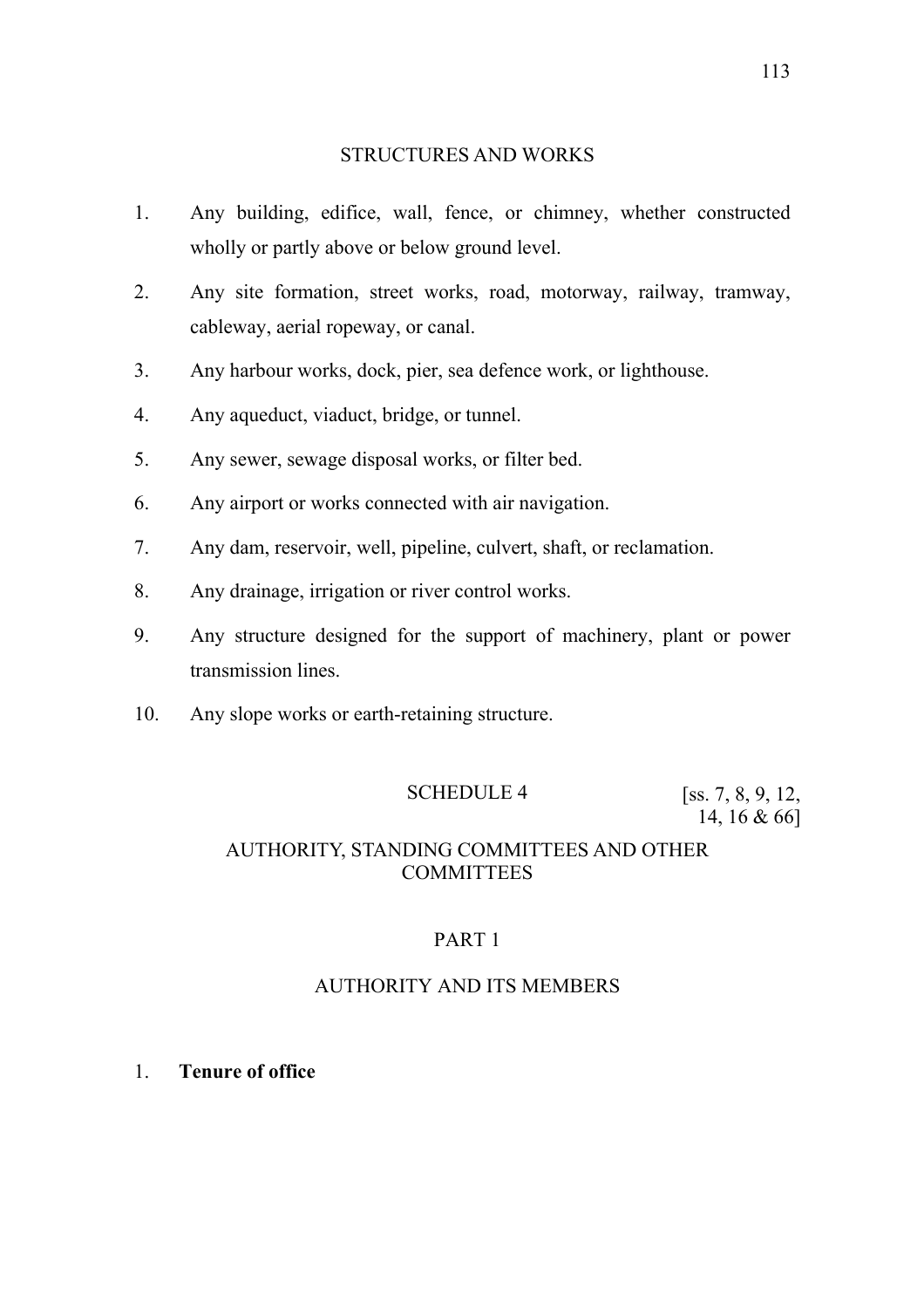#### STRUCTURES AND WORKS

- 1. Any building, edifice, wall, fence, or chimney, whether constructed wholly or partly above or below ground level.
- 2. Any site formation, street works, road, motorway, railway, tramway, cableway, aerial ropeway, or canal.
- 3. Any harbour works, dock, pier, sea defence work, or lighthouse.
- 4. Any aqueduct, viaduct, bridge, or tunnel.
- 5. Any sewer, sewage disposal works, or filter bed.
- 6. Any airport or works connected with air navigation.
- 7. Any dam, reservoir, well, pipeline, culvert, shaft, or reclamation.
- 8. Any drainage, irrigation or river control works.
- 9. Any structure designed for the support of machinery, plant or power transmission lines.
- 10. Any slope works or earth-retaining structure.

## SCHEDULE 4 [ss. 7, 8, 9, 12,

14, 16 & 66]

## AUTHORITY, STANDING COMMITTEES AND OTHER **COMMITTEES**

## PART 1

## AUTHORITY AND ITS MEMBERS

1. **Tenure of office**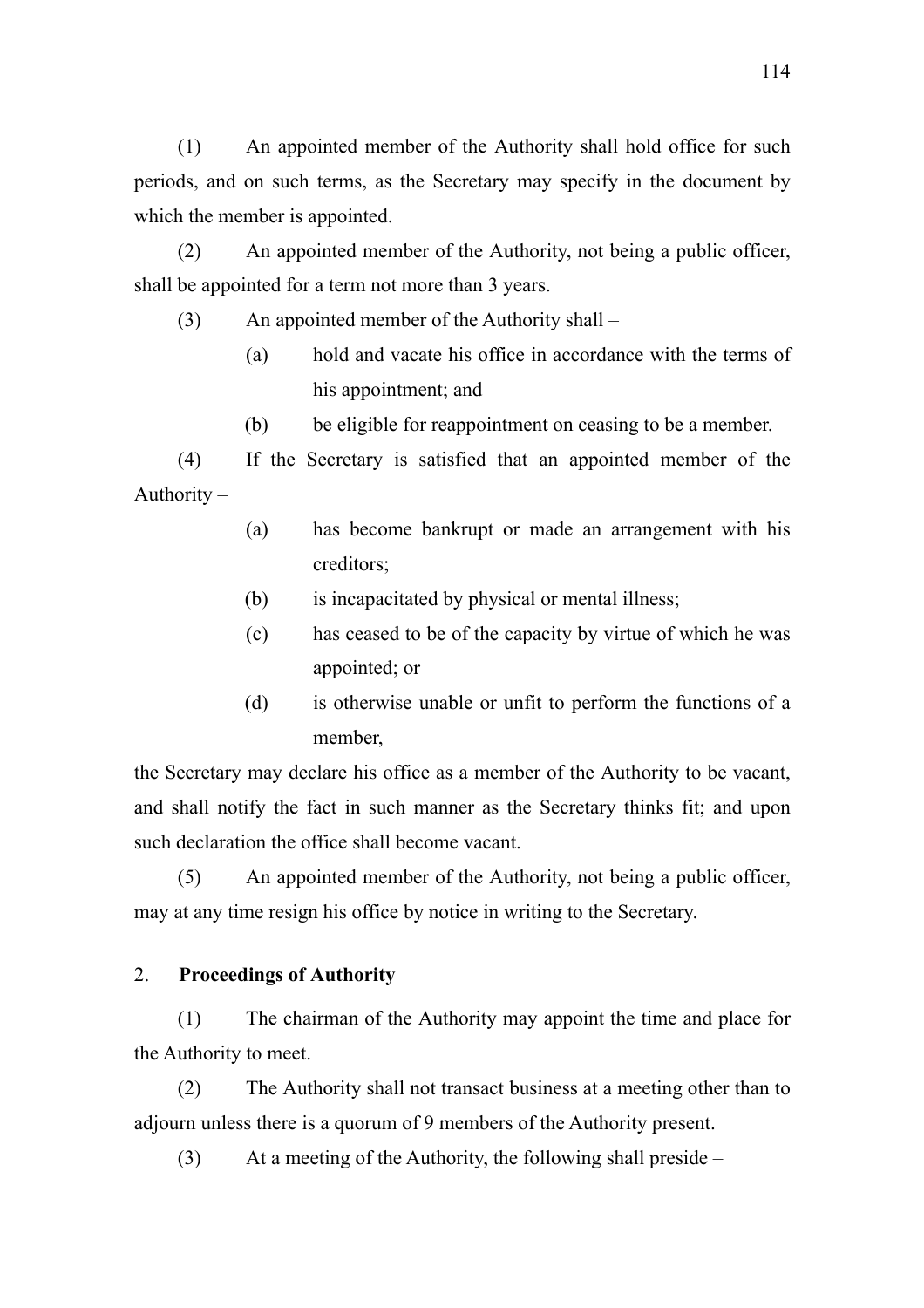(1) An appointed member of the Authority shall hold office for such periods, and on such terms, as the Secretary may specify in the document by which the member is appointed.

(2) An appointed member of the Authority, not being a public officer, shall be appointed for a term not more than 3 years.

- (3) An appointed member of the Authority shall
	- (a) hold and vacate his office in accordance with the terms of his appointment; and
	- (b) be eligible for reappointment on ceasing to be a member.

(4) If the Secretary is satisfied that an appointed member of the Authority –

- (a) has become bankrupt or made an arrangement with his creditors;
- (b) is incapacitated by physical or mental illness;
- (c) has ceased to be of the capacity by virtue of which he was appointed; or
- (d) is otherwise unable or unfit to perform the functions of a member,

the Secretary may declare his office as a member of the Authority to be vacant, and shall notify the fact in such manner as the Secretary thinks fit; and upon such declaration the office shall become vacant.

(5) An appointed member of the Authority, not being a public officer, may at any time resign his office by notice in writing to the Secretary.

# 2. **Proceedings of Authority**

(1) The chairman of the Authority may appoint the time and place for the Authority to meet.

(2) The Authority shall not transact business at a meeting other than to adjourn unless there is a quorum of 9 members of the Authority present.

(3) At a meeting of the Authority, the following shall preside –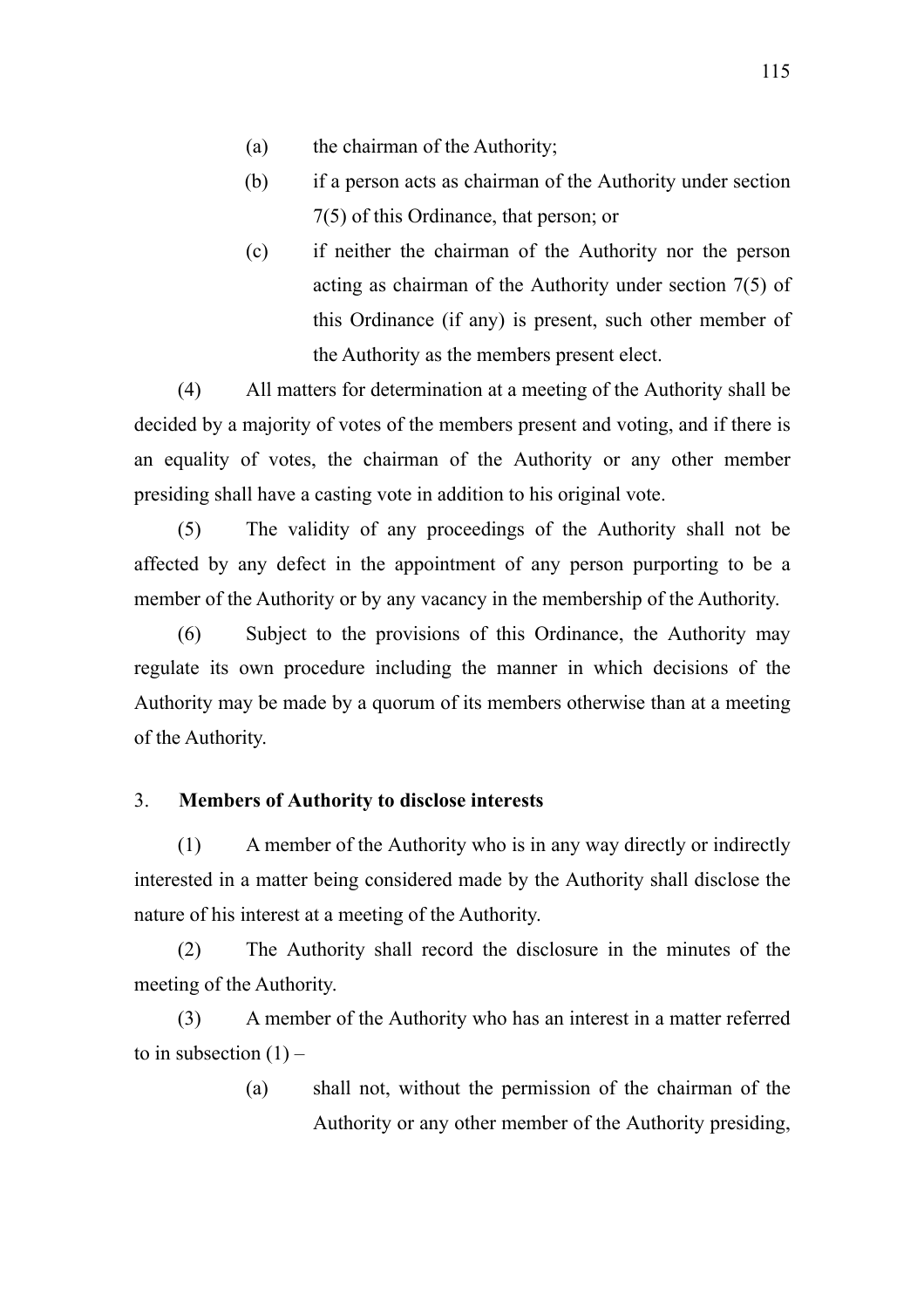- (a) the chairman of the Authority;
- (b) if a person acts as chairman of the Authority under section 7(5) of this Ordinance, that person; or
- (c) if neither the chairman of the Authority nor the person acting as chairman of the Authority under section 7(5) of this Ordinance (if any) is present, such other member of the Authority as the members present elect.

(4) All matters for determination at a meeting of the Authority shall be decided by a majority of votes of the members present and voting, and if there is an equality of votes, the chairman of the Authority or any other member presiding shall have a casting vote in addition to his original vote.

(5) The validity of any proceedings of the Authority shall not be affected by any defect in the appointment of any person purporting to be a member of the Authority or by any vacancy in the membership of the Authority.

(6) Subject to the provisions of this Ordinance, the Authority may regulate its own procedure including the manner in which decisions of the Authority may be made by a quorum of its members otherwise than at a meeting of the Authority.

# 3. **Members of Authority to disclose interests**

(1) A member of the Authority who is in any way directly or indirectly interested in a matter being considered made by the Authority shall disclose the nature of his interest at a meeting of the Authority.

(2) The Authority shall record the disclosure in the minutes of the meeting of the Authority.

(3) A member of the Authority who has an interest in a matter referred to in subsection  $(1)$  –

> (a) shall not, without the permission of the chairman of the Authority or any other member of the Authority presiding,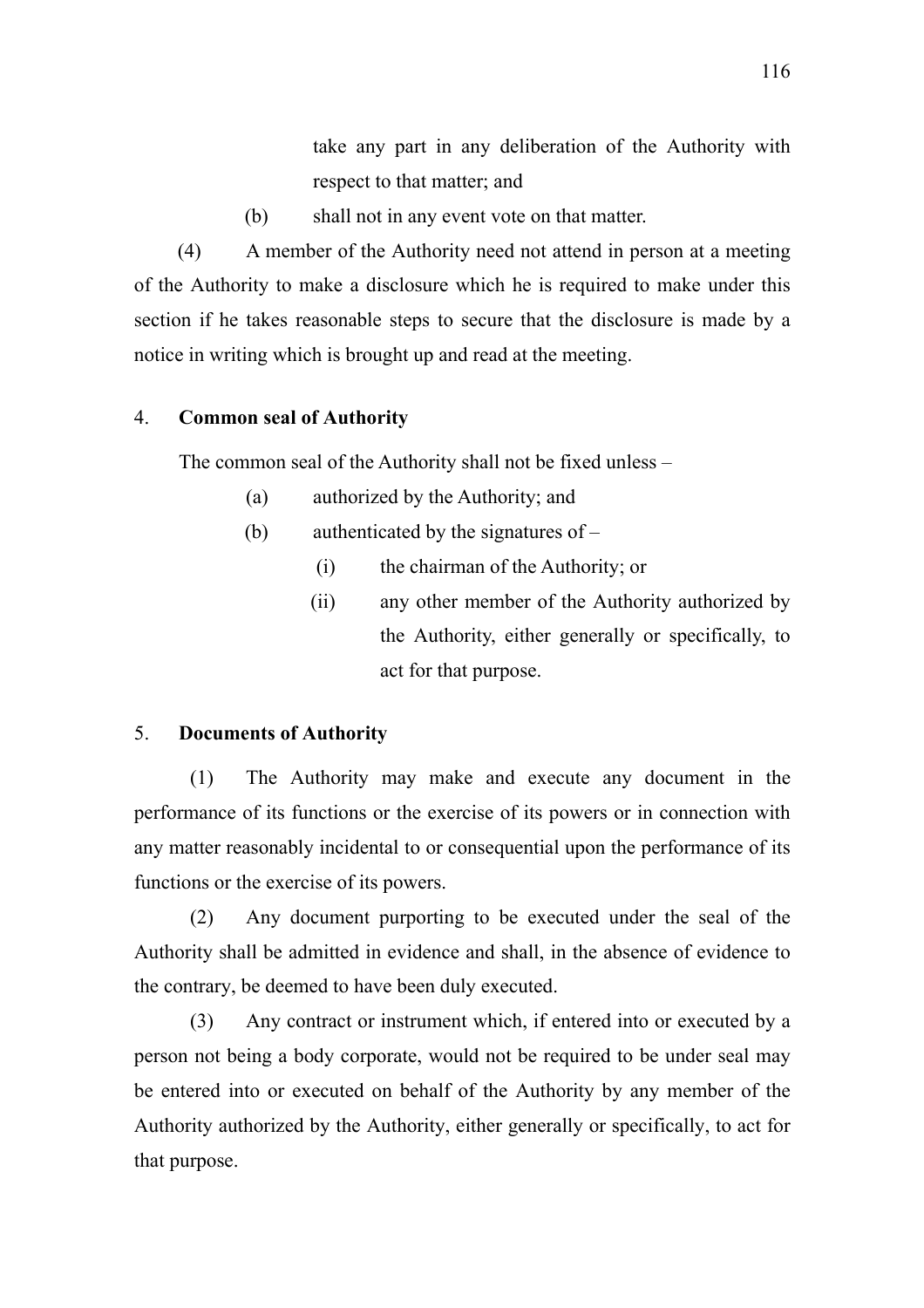take any part in any deliberation of the Authority with respect to that matter; and

(b) shall not in any event vote on that matter.

(4) A member of the Authority need not attend in person at a meeting of the Authority to make a disclosure which he is required to make under this section if he takes reasonable steps to secure that the disclosure is made by a notice in writing which is brought up and read at the meeting.

## 4. **Common seal of Authority**

The common seal of the Authority shall not be fixed unless –

- (a) authorized by the Authority; and
- (b) authenticated by the signatures of
	- (i) the chairman of the Authority; or
	- (ii) any other member of the Authority authorized by the Authority, either generally or specifically, to act for that purpose.

## 5. **Documents of Authority**

 (1) The Authority may make and execute any document in the performance of its functions or the exercise of its powers or in connection with any matter reasonably incidental to or consequential upon the performance of its functions or the exercise of its powers.

 (2) Any document purporting to be executed under the seal of the Authority shall be admitted in evidence and shall, in the absence of evidence to the contrary, be deemed to have been duly executed.

 (3) Any contract or instrument which, if entered into or executed by a person not being a body corporate, would not be required to be under seal may be entered into or executed on behalf of the Authority by any member of the Authority authorized by the Authority, either generally or specifically, to act for that purpose.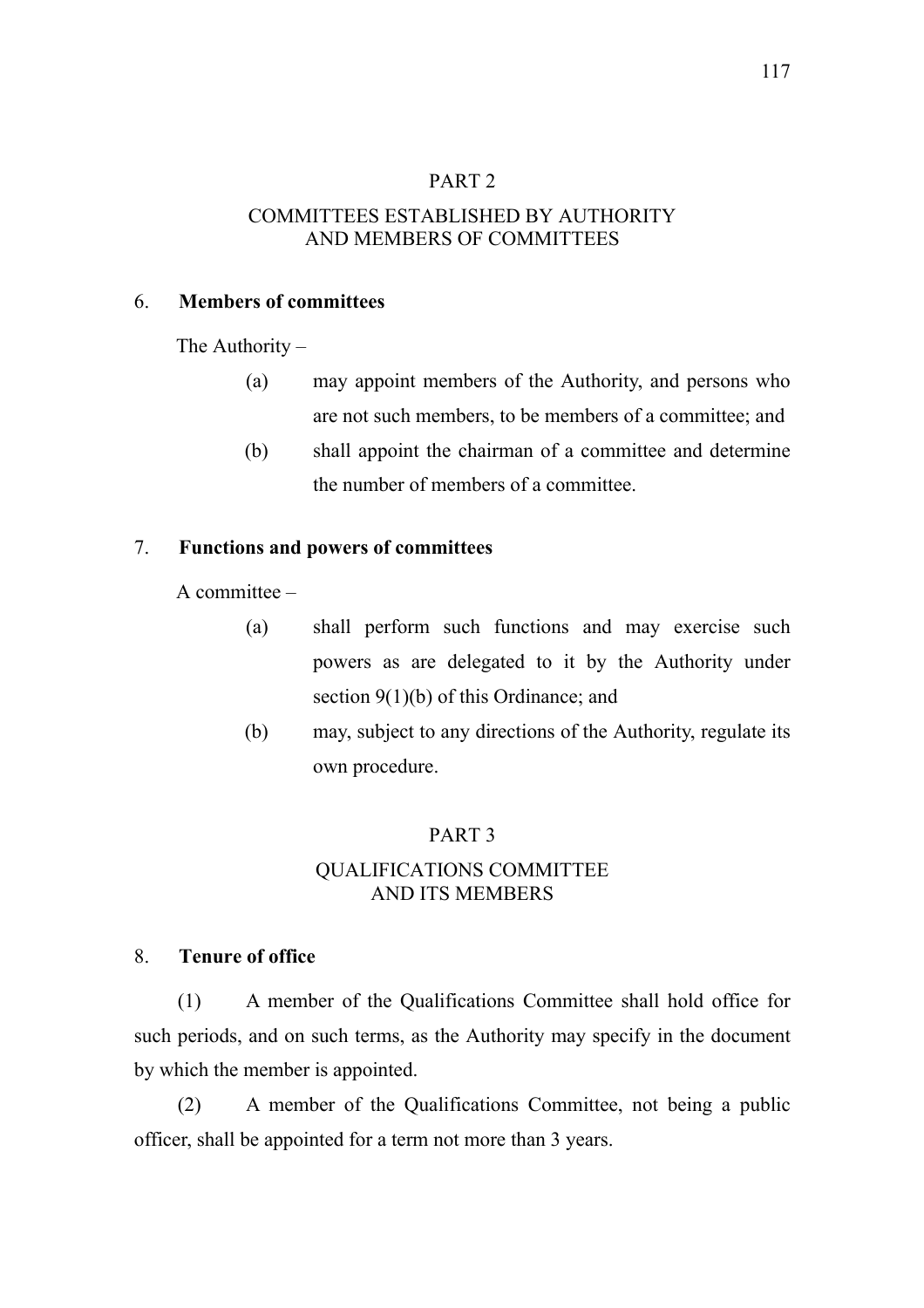## PART 2

# COMMITTEES ESTABLISHED BY AUTHORITY AND MEMBERS OF COMMITTEES

## 6. **Members of committees**

The Authority –

- (a) may appoint members of the Authority, and persons who are not such members, to be members of a committee; and
- (b) shall appoint the chairman of a committee and determine the number of members of a committee.

### 7. **Functions and powers of committees**

A committee –

- (a) shall perform such functions and may exercise such powers as are delegated to it by the Authority under section 9(1)(b) of this Ordinance; and
- (b) may, subject to any directions of the Authority, regulate its own procedure.

### PART 3

## QUALIFICATIONS COMMITTEE AND ITS MEMBERS

#### 8. **Tenure of office**

(1) A member of the Qualifications Committee shall hold office for such periods, and on such terms, as the Authority may specify in the document by which the member is appointed.

(2) A member of the Qualifications Committee, not being a public officer, shall be appointed for a term not more than 3 years.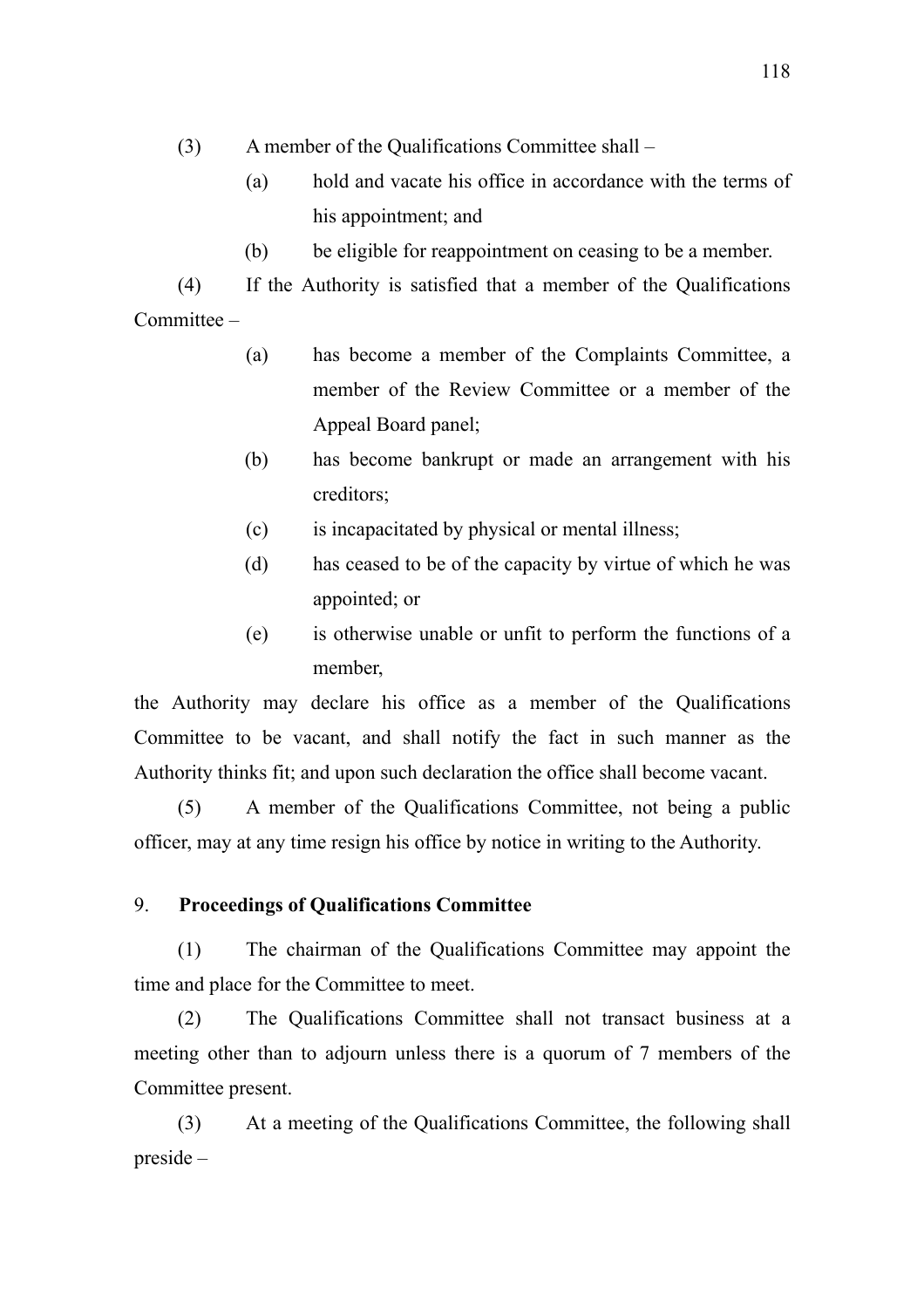- (3) A member of the Qualifications Committee shall
	- (a) hold and vacate his office in accordance with the terms of his appointment; and
	- (b) be eligible for reappointment on ceasing to be a member.

(4) If the Authority is satisfied that a member of the Qualifications Committee –

- (a) has become a member of the Complaints Committee, a member of the Review Committee or a member of the Appeal Board panel;
- (b) has become bankrupt or made an arrangement with his creditors;
- (c) is incapacitated by physical or mental illness;
- (d) has ceased to be of the capacity by virtue of which he was appointed; or
- (e) is otherwise unable or unfit to perform the functions of a member,

the Authority may declare his office as a member of the Qualifications Committee to be vacant, and shall notify the fact in such manner as the Authority thinks fit; and upon such declaration the office shall become vacant.

(5) A member of the Qualifications Committee, not being a public officer, may at any time resign his office by notice in writing to the Authority.

## 9. **Proceedings of Qualifications Committee**

(1) The chairman of the Qualifications Committee may appoint the time and place for the Committee to meet.

(2) The Qualifications Committee shall not transact business at a meeting other than to adjourn unless there is a quorum of 7 members of the Committee present.

(3) At a meeting of the Qualifications Committee, the following shall preside –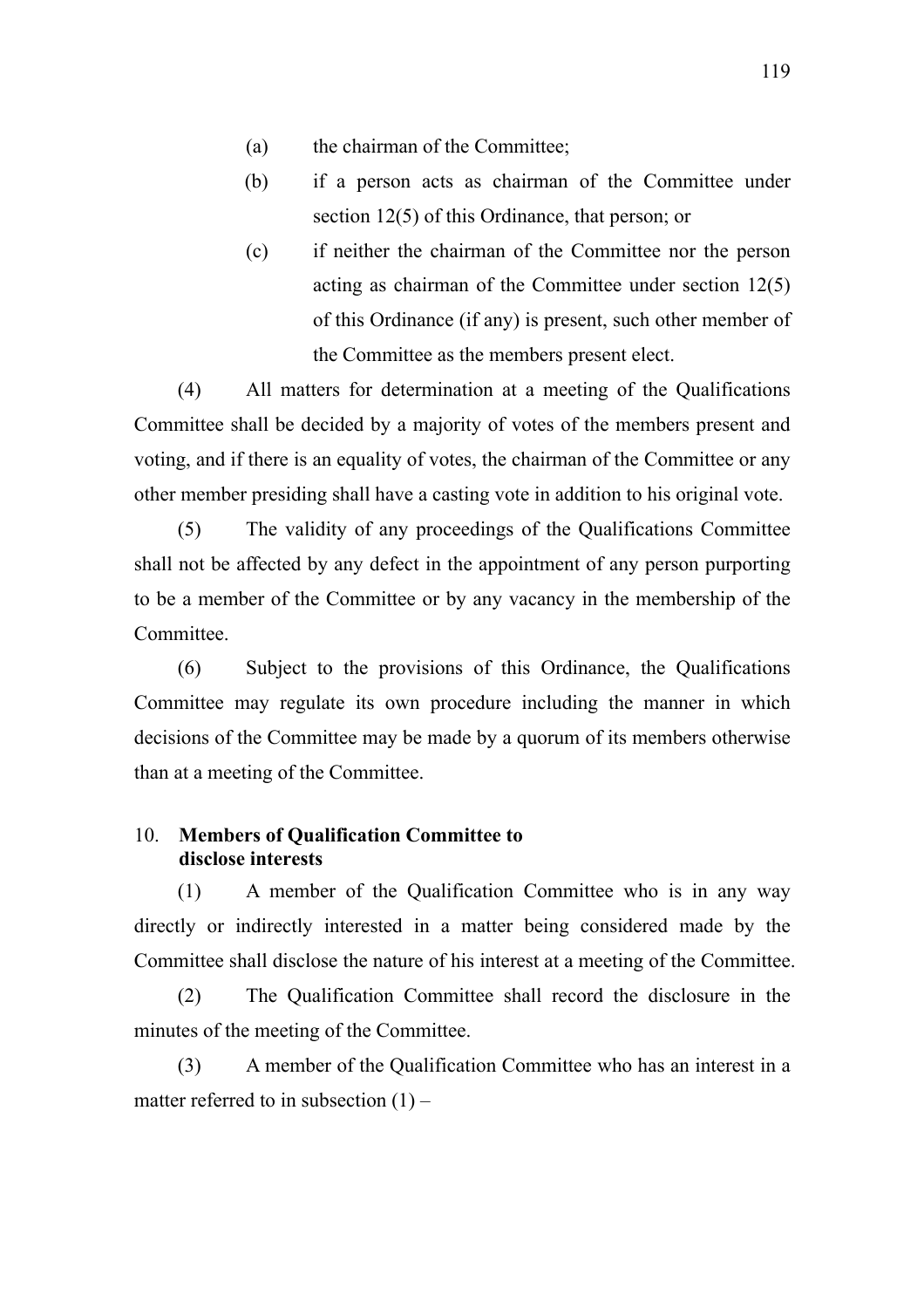- (a) the chairman of the Committee;
- (b) if a person acts as chairman of the Committee under section 12(5) of this Ordinance, that person; or
- (c) if neither the chairman of the Committee nor the person acting as chairman of the Committee under section 12(5) of this Ordinance (if any) is present, such other member of the Committee as the members present elect.

(4) All matters for determination at a meeting of the Qualifications Committee shall be decided by a majority of votes of the members present and voting, and if there is an equality of votes, the chairman of the Committee or any other member presiding shall have a casting vote in addition to his original vote.

(5) The validity of any proceedings of the Qualifications Committee shall not be affected by any defect in the appointment of any person purporting to be a member of the Committee or by any vacancy in the membership of the Committee.

(6) Subject to the provisions of this Ordinance, the Qualifications Committee may regulate its own procedure including the manner in which decisions of the Committee may be made by a quorum of its members otherwise than at a meeting of the Committee.

## 10. **Members of Qualification Committee to disclose interests**

(1) A member of the Qualification Committee who is in any way directly or indirectly interested in a matter being considered made by the Committee shall disclose the nature of his interest at a meeting of the Committee.

(2) The Qualification Committee shall record the disclosure in the minutes of the meeting of the Committee.

(3) A member of the Qualification Committee who has an interest in a matter referred to in subsection  $(1)$  –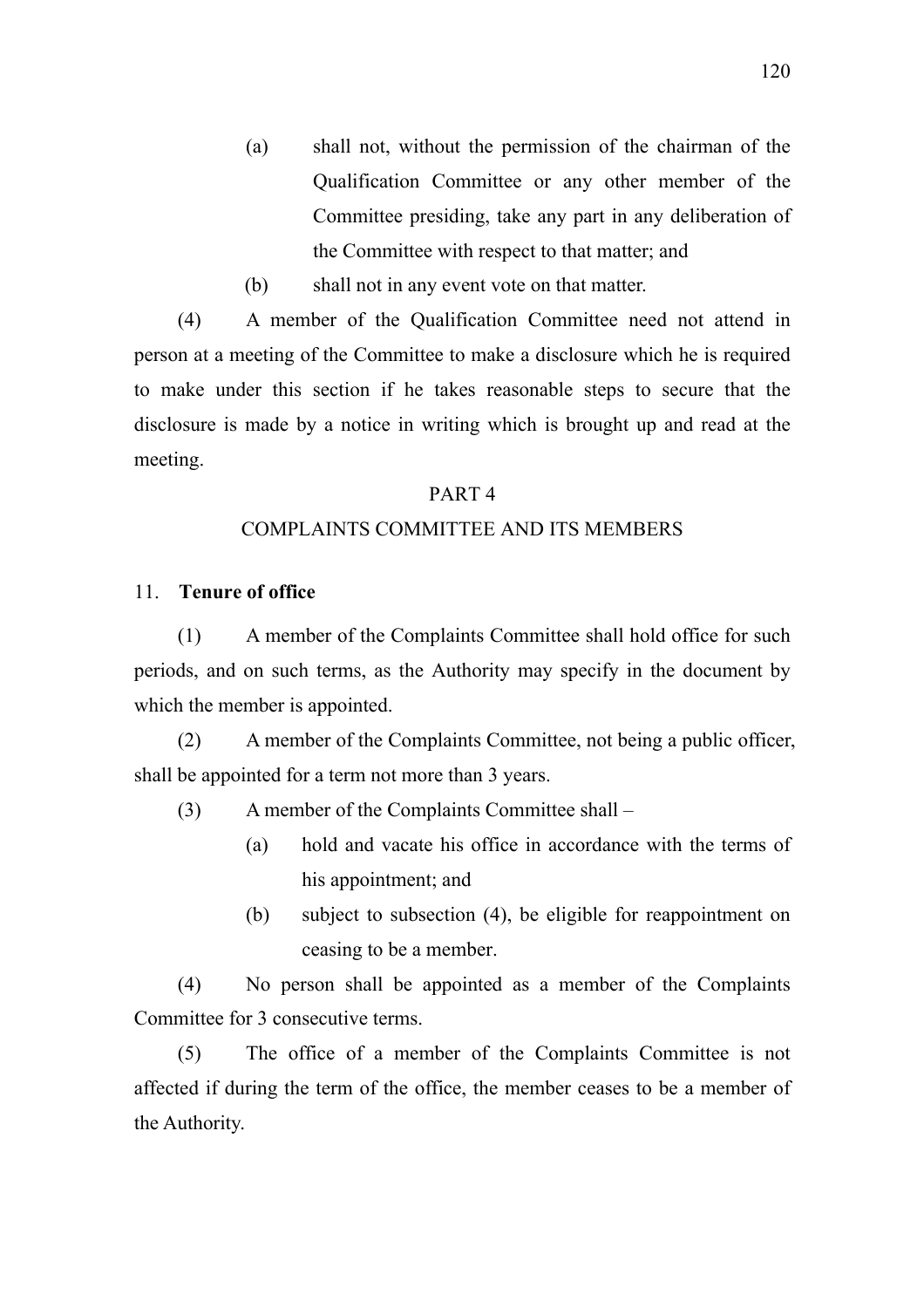- (a) shall not, without the permission of the chairman of the Qualification Committee or any other member of the Committee presiding, take any part in any deliberation of the Committee with respect to that matter; and
- (b) shall not in any event vote on that matter.

(4) A member of the Qualification Committee need not attend in person at a meeting of the Committee to make a disclosure which he is required to make under this section if he takes reasonable steps to secure that the disclosure is made by a notice in writing which is brought up and read at the meeting.

#### PART 4

#### COMPLAINTS COMMITTEE AND ITS MEMBERS

## 11. **Tenure of office**

(1) A member of the Complaints Committee shall hold office for such periods, and on such terms, as the Authority may specify in the document by which the member is appointed.

(2) A member of the Complaints Committee, not being a public officer, shall be appointed for a term not more than 3 years.

- (3) A member of the Complaints Committee shall
	- (a) hold and vacate his office in accordance with the terms of his appointment; and
	- (b) subject to subsection (4), be eligible for reappointment on ceasing to be a member.

(4) No person shall be appointed as a member of the Complaints Committee for 3 consecutive terms.

(5) The office of a member of the Complaints Committee is not affected if during the term of the office, the member ceases to be a member of the Authority.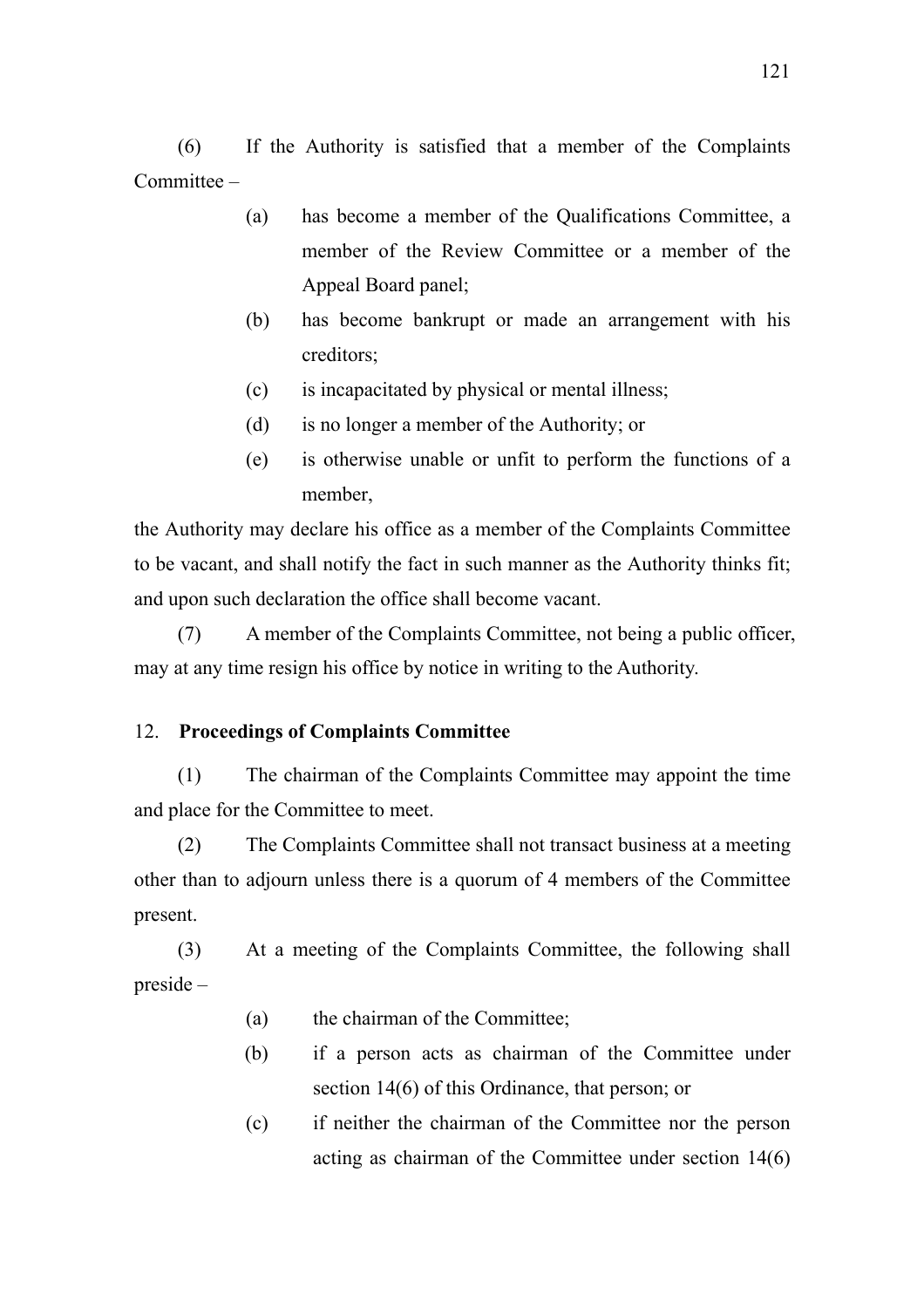(6) If the Authority is satisfied that a member of the Complaints Committee –

- (a) has become a member of the Qualifications Committee, a member of the Review Committee or a member of the Appeal Board panel;
- (b) has become bankrupt or made an arrangement with his creditors;
- (c) is incapacitated by physical or mental illness;
- (d) is no longer a member of the Authority; or
- (e) is otherwise unable or unfit to perform the functions of a member,

the Authority may declare his office as a member of the Complaints Committee to be vacant, and shall notify the fact in such manner as the Authority thinks fit; and upon such declaration the office shall become vacant.

(7) A member of the Complaints Committee, not being a public officer, may at any time resign his office by notice in writing to the Authority.

# 12. **Proceedings of Complaints Committee**

(1) The chairman of the Complaints Committee may appoint the time and place for the Committee to meet.

(2) The Complaints Committee shall not transact business at a meeting other than to adjourn unless there is a quorum of 4 members of the Committee present.

(3) At a meeting of the Complaints Committee, the following shall preside –

- (a) the chairman of the Committee;
- (b) if a person acts as chairman of the Committee under section 14(6) of this Ordinance, that person; or
- (c) if neither the chairman of the Committee nor the person acting as chairman of the Committee under section 14(6)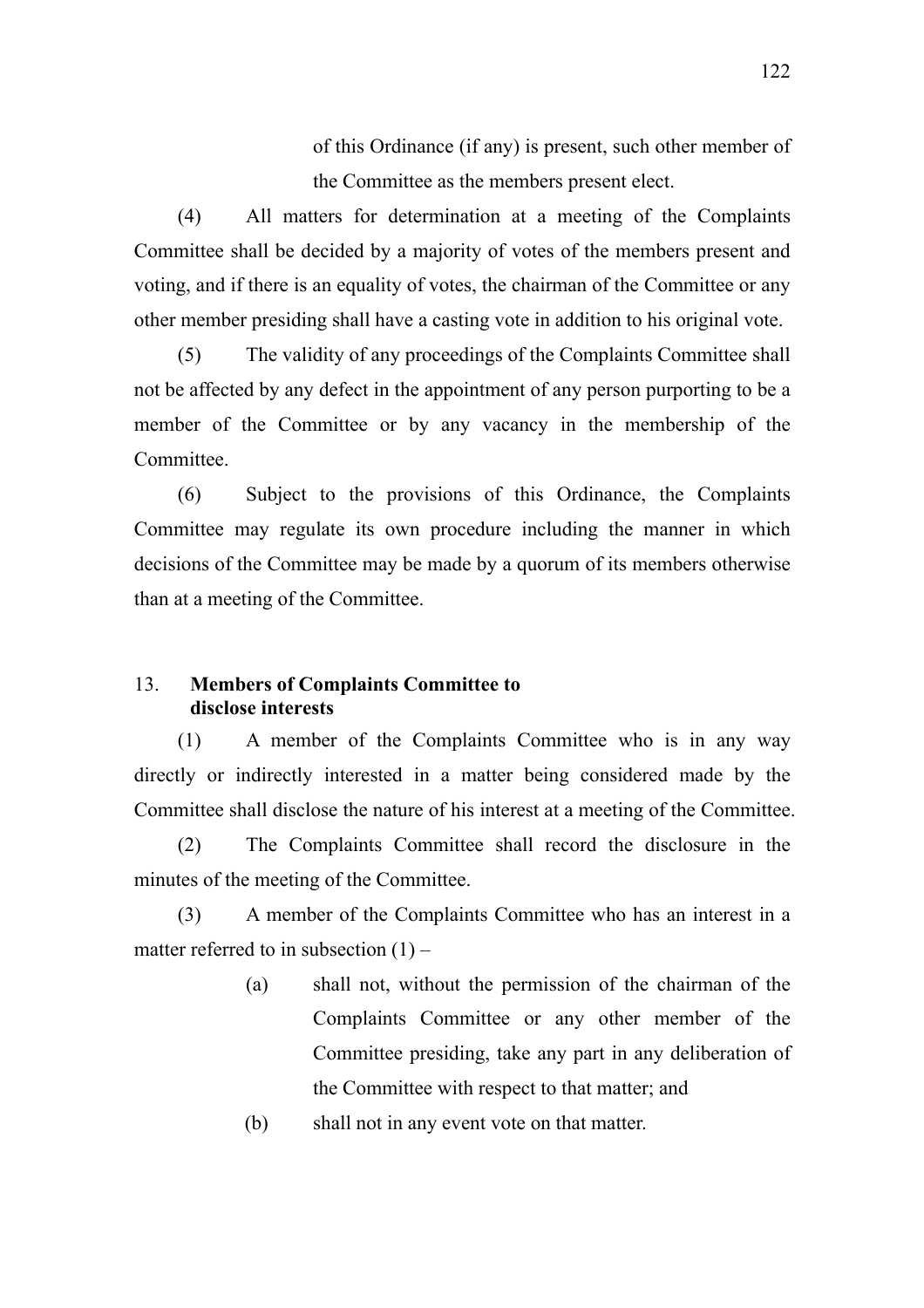of this Ordinance (if any) is present, such other member of the Committee as the members present elect.

(4) All matters for determination at a meeting of the Complaints Committee shall be decided by a majority of votes of the members present and voting, and if there is an equality of votes, the chairman of the Committee or any other member presiding shall have a casting vote in addition to his original vote.

(5) The validity of any proceedings of the Complaints Committee shall not be affected by any defect in the appointment of any person purporting to be a member of the Committee or by any vacancy in the membership of the **Committee** 

(6) Subject to the provisions of this Ordinance, the Complaints Committee may regulate its own procedure including the manner in which decisions of the Committee may be made by a quorum of its members otherwise than at a meeting of the Committee.

# 13. **Members of Complaints Committee to disclose interests**

(1) A member of the Complaints Committee who is in any way directly or indirectly interested in a matter being considered made by the Committee shall disclose the nature of his interest at a meeting of the Committee.

(2) The Complaints Committee shall record the disclosure in the minutes of the meeting of the Committee.

(3) A member of the Complaints Committee who has an interest in a matter referred to in subsection  $(1)$  –

- (a) shall not, without the permission of the chairman of the Complaints Committee or any other member of the Committee presiding, take any part in any deliberation of the Committee with respect to that matter; and
- (b) shall not in any event vote on that matter.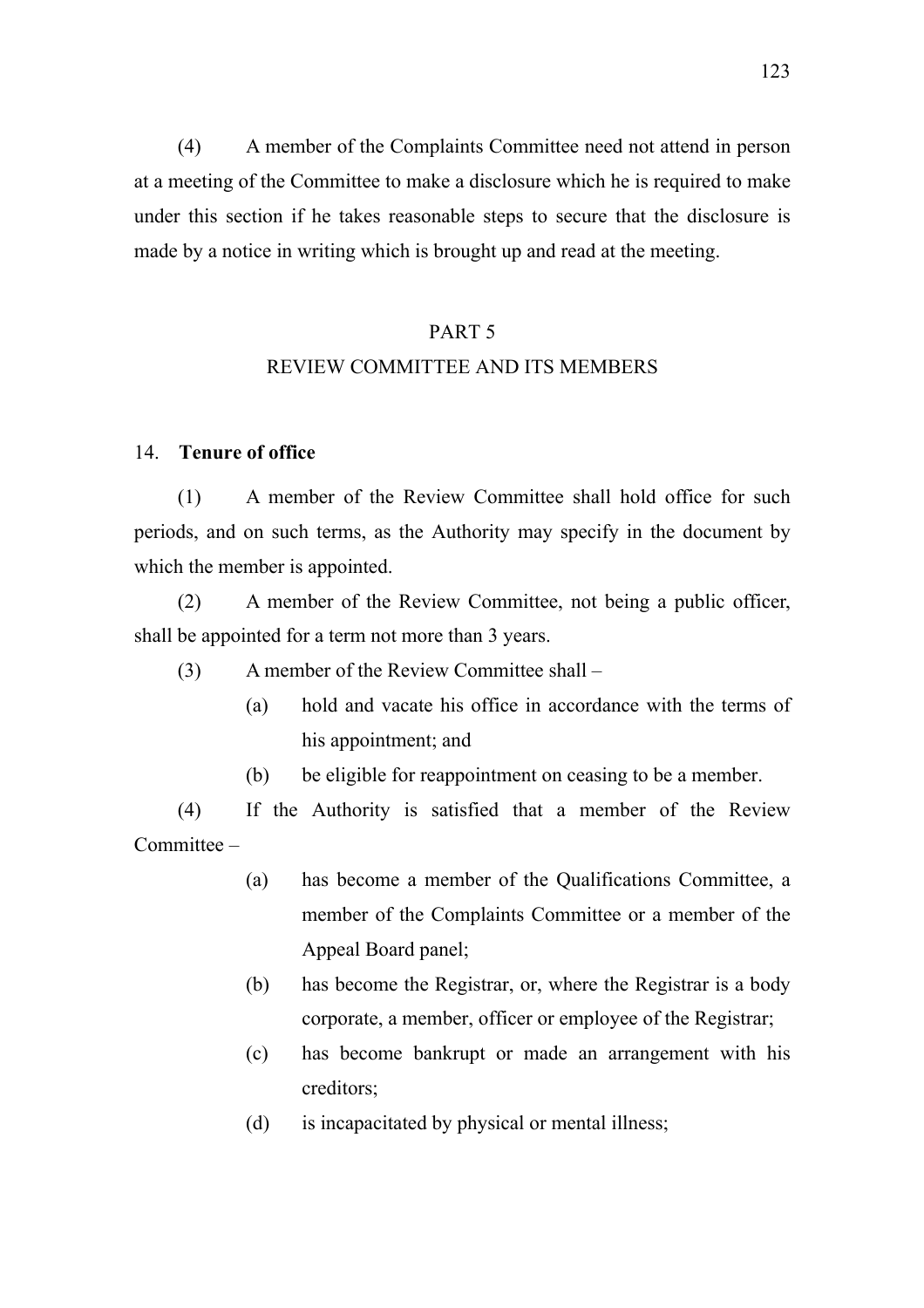(4) A member of the Complaints Committee need not attend in person at a meeting of the Committee to make a disclosure which he is required to make under this section if he takes reasonable steps to secure that the disclosure is made by a notice in writing which is brought up and read at the meeting.

### PART 5

# REVIEW COMMITTEE AND ITS MEMBERS

## 14. **Tenure of office**

(1) A member of the Review Committee shall hold office for such periods, and on such terms, as the Authority may specify in the document by which the member is appointed.

(2) A member of the Review Committee, not being a public officer, shall be appointed for a term not more than 3 years.

- (3) A member of the Review Committee shall
	- (a) hold and vacate his office in accordance with the terms of his appointment; and
	- (b) be eligible for reappointment on ceasing to be a member.

(4) If the Authority is satisfied that a member of the Review Committee –

- (a) has become a member of the Qualifications Committee, a member of the Complaints Committee or a member of the Appeal Board panel;
- (b) has become the Registrar, or, where the Registrar is a body corporate, a member, officer or employee of the Registrar;
- (c) has become bankrupt or made an arrangement with his creditors;
- (d) is incapacitated by physical or mental illness;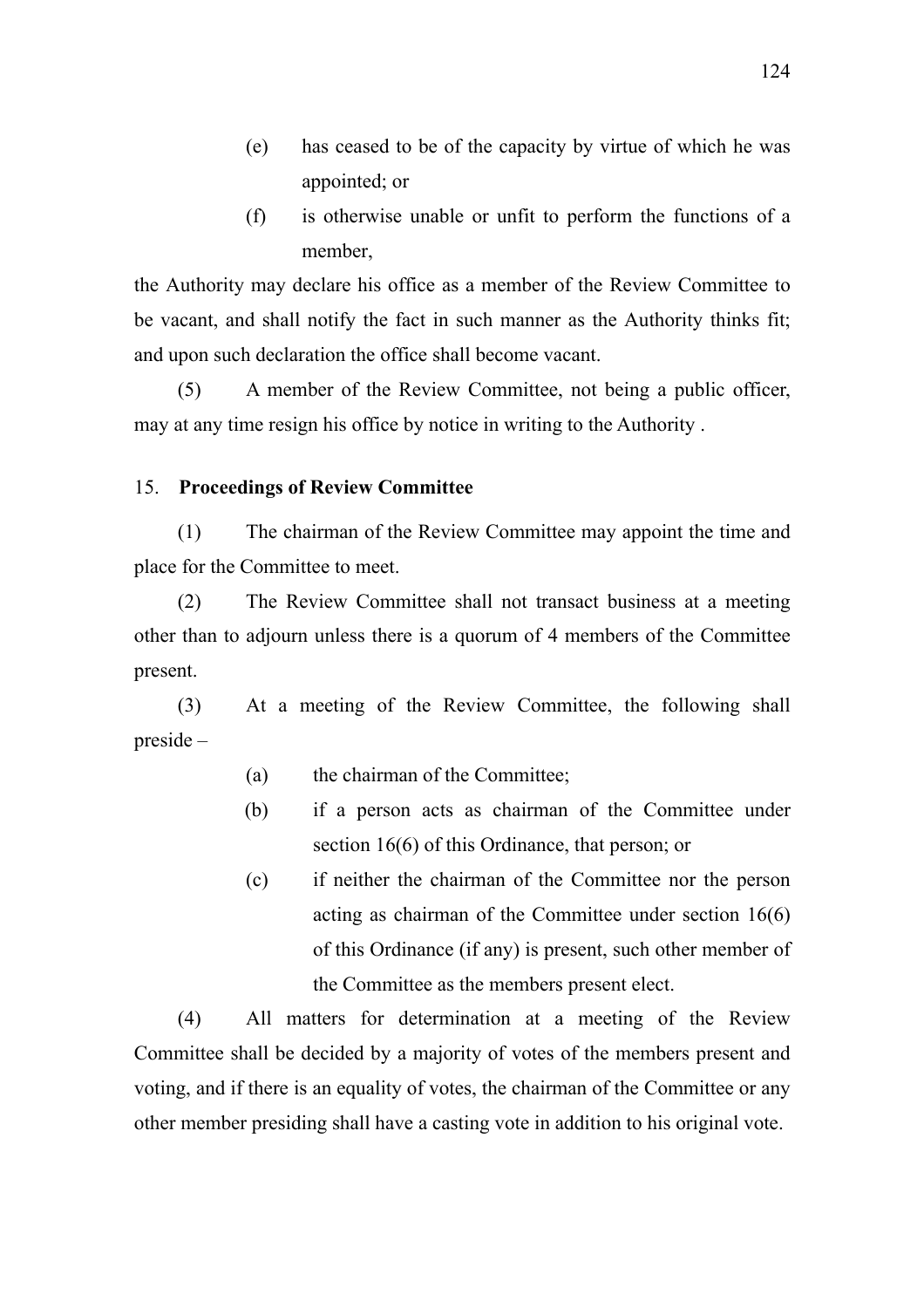- (e) has ceased to be of the capacity by virtue of which he was appointed; or
- (f) is otherwise unable or unfit to perform the functions of a member,

the Authority may declare his office as a member of the Review Committee to be vacant, and shall notify the fact in such manner as the Authority thinks fit; and upon such declaration the office shall become vacant.

(5) A member of the Review Committee, not being a public officer, may at any time resign his office by notice in writing to the Authority .

### 15. **Proceedings of Review Committee**

(1) The chairman of the Review Committee may appoint the time and place for the Committee to meet.

(2) The Review Committee shall not transact business at a meeting other than to adjourn unless there is a quorum of 4 members of the Committee present.

(3) At a meeting of the Review Committee, the following shall preside –

- (a) the chairman of the Committee;
- (b) if a person acts as chairman of the Committee under section 16(6) of this Ordinance, that person; or
- (c) if neither the chairman of the Committee nor the person acting as chairman of the Committee under section 16(6) of this Ordinance (if any) is present, such other member of the Committee as the members present elect.

(4) All matters for determination at a meeting of the Review Committee shall be decided by a majority of votes of the members present and voting, and if there is an equality of votes, the chairman of the Committee or any other member presiding shall have a casting vote in addition to his original vote.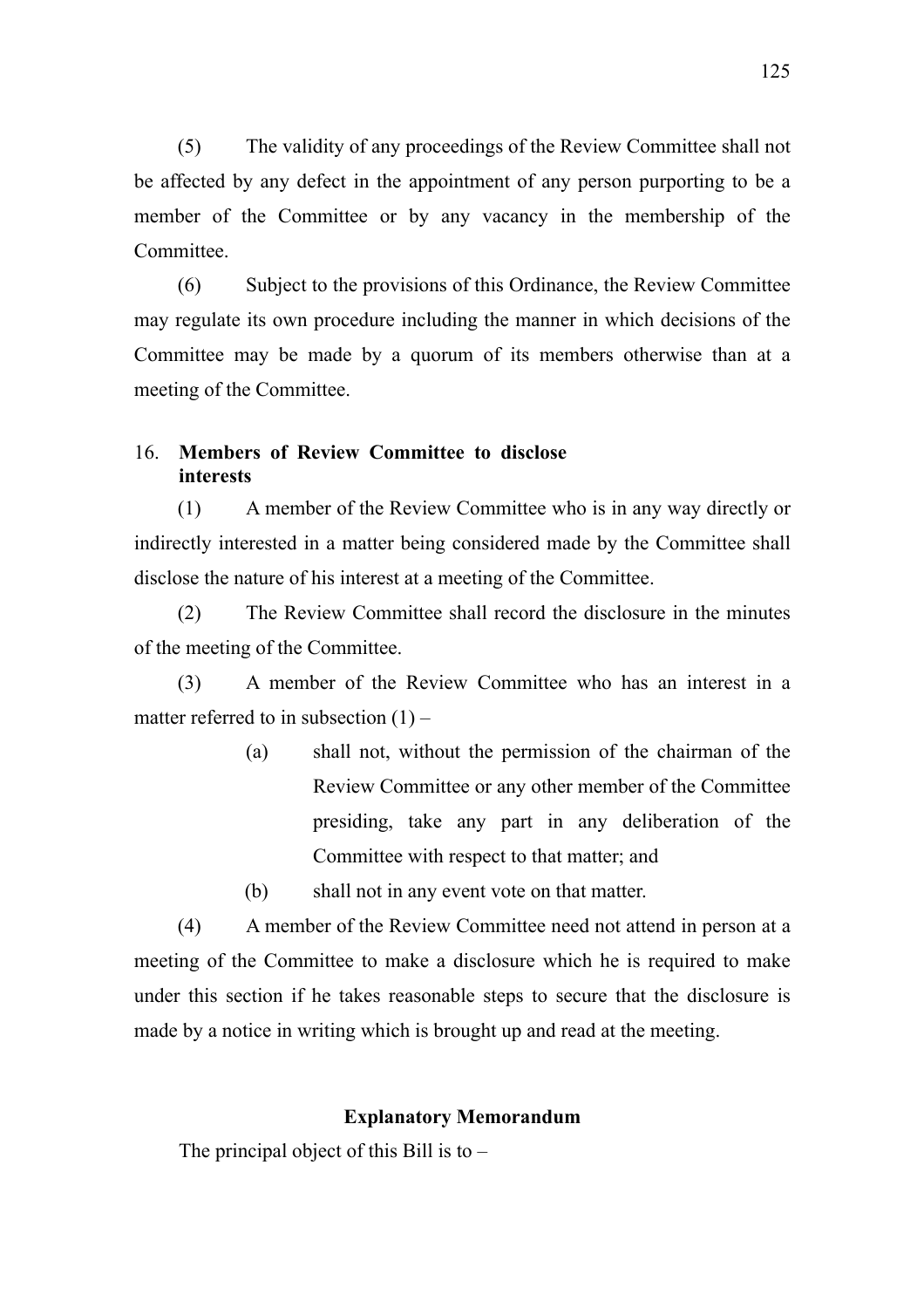(5) The validity of any proceedings of the Review Committee shall not be affected by any defect in the appointment of any person purporting to be a member of the Committee or by any vacancy in the membership of the Committee.

(6) Subject to the provisions of this Ordinance, the Review Committee may regulate its own procedure including the manner in which decisions of the Committee may be made by a quorum of its members otherwise than at a meeting of the Committee.

## 16. **Members of Review Committee to disclose interests**

(1) A member of the Review Committee who is in any way directly or indirectly interested in a matter being considered made by the Committee shall disclose the nature of his interest at a meeting of the Committee.

(2) The Review Committee shall record the disclosure in the minutes of the meeting of the Committee.

(3) A member of the Review Committee who has an interest in a matter referred to in subsection  $(1)$  –

> (a) shall not, without the permission of the chairman of the Review Committee or any other member of the Committee presiding, take any part in any deliberation of the Committee with respect to that matter; and

(b) shall not in any event vote on that matter.

(4) A member of the Review Committee need not attend in person at a meeting of the Committee to make a disclosure which he is required to make under this section if he takes reasonable steps to secure that the disclosure is made by a notice in writing which is brought up and read at the meeting.

## **Explanatory Memorandum**

The principal object of this Bill is to  $-$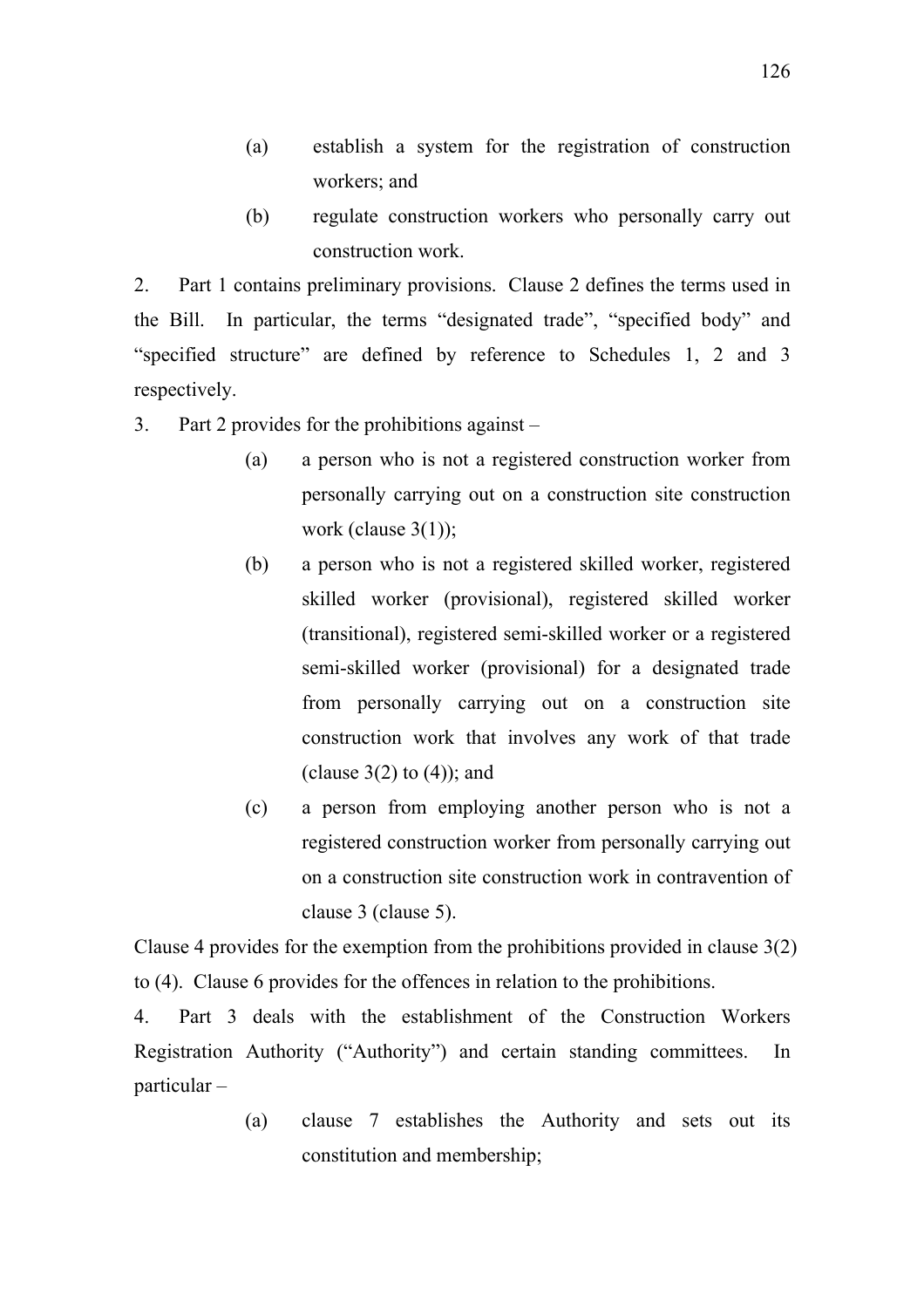- (a) establish a system for the registration of construction workers; and
- (b) regulate construction workers who personally carry out construction work.

2. Part 1 contains preliminary provisions. Clause 2 defines the terms used in the Bill. In particular, the terms "designated trade", "specified body" and "specified structure" are defined by reference to Schedules 1, 2 and 3 respectively.

3. Part 2 provides for the prohibitions against –

- (a) a person who is not a registered construction worker from personally carrying out on a construction site construction work (clause  $3(1)$ );
- (b) a person who is not a registered skilled worker, registered skilled worker (provisional), registered skilled worker (transitional), registered semi-skilled worker or a registered semi-skilled worker (provisional) for a designated trade from personally carrying out on a construction site construction work that involves any work of that trade (clause  $3(2)$  to  $(4)$ ); and
- (c) a person from employing another person who is not a registered construction worker from personally carrying out on a construction site construction work in contravention of clause 3 (clause 5).

Clause 4 provides for the exemption from the prohibitions provided in clause 3(2) to (4). Clause 6 provides for the offences in relation to the prohibitions.

4. Part 3 deals with the establishment of the Construction Workers Registration Authority ("Authority") and certain standing committees. In particular –

> (a) clause 7 establishes the Authority and sets out its constitution and membership;

126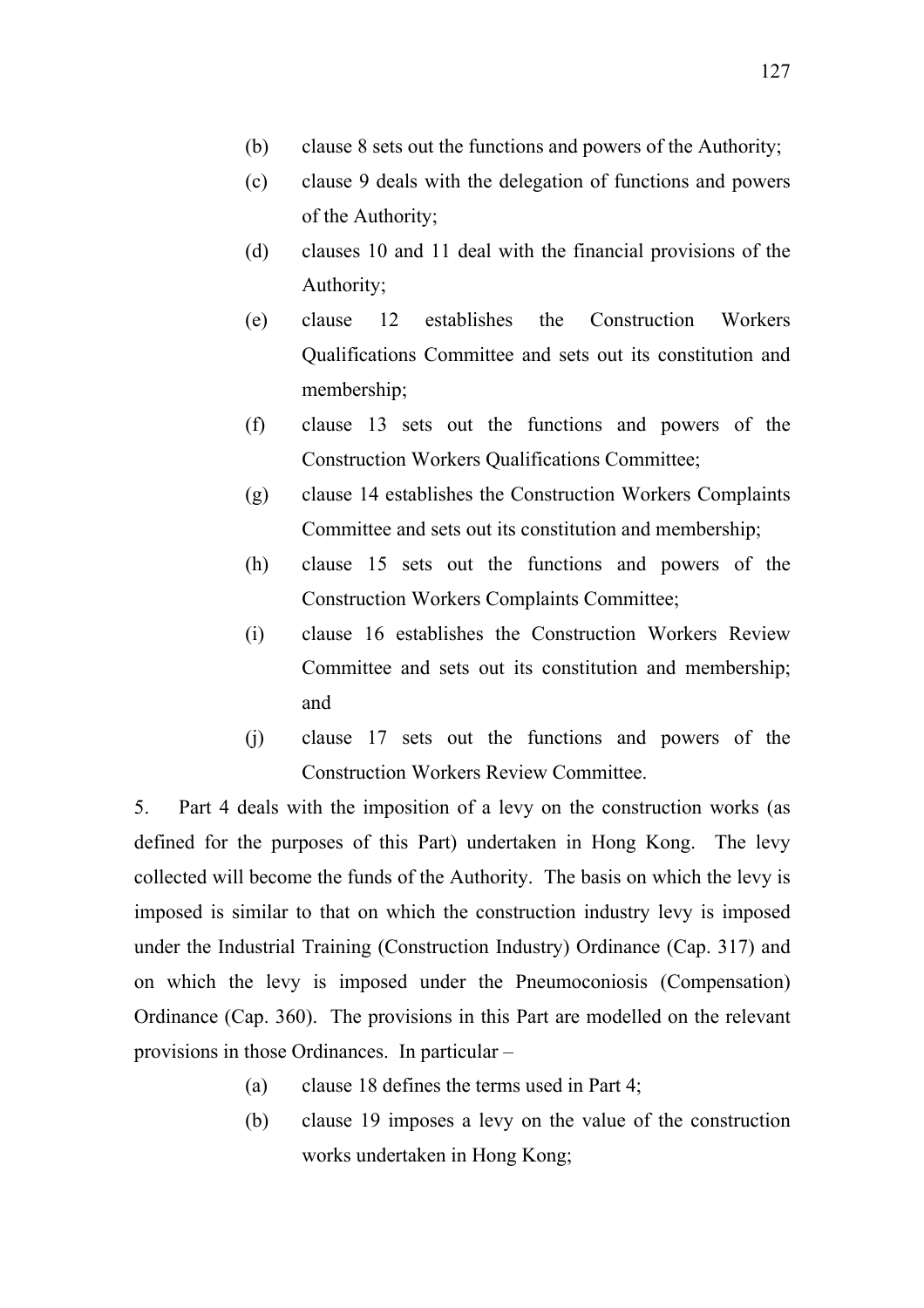- (b) clause 8 sets out the functions and powers of the Authority;
- (c) clause 9 deals with the delegation of functions and powers of the Authority;
- (d) clauses 10 and 11 deal with the financial provisions of the Authority;
- (e) clause 12 establishes the Construction Workers Qualifications Committee and sets out its constitution and membership;
- (f) clause 13 sets out the functions and powers of the Construction Workers Qualifications Committee;
- (g) clause 14 establishes the Construction Workers Complaints Committee and sets out its constitution and membership;
- (h) clause 15 sets out the functions and powers of the Construction Workers Complaints Committee;
- (i) clause 16 establishes the Construction Workers Review Committee and sets out its constitution and membership; and
- (j) clause 17 sets out the functions and powers of the Construction Workers Review Committee.

5. Part 4 deals with the imposition of a levy on the construction works (as defined for the purposes of this Part) undertaken in Hong Kong. The levy collected will become the funds of the Authority. The basis on which the levy is imposed is similar to that on which the construction industry levy is imposed under the Industrial Training (Construction Industry) Ordinance (Cap. 317) and on which the levy is imposed under the Pneumoconiosis (Compensation) Ordinance (Cap. 360). The provisions in this Part are modelled on the relevant provisions in those Ordinances. In particular –

- (a) clause 18 defines the terms used in Part 4;
- (b) clause 19 imposes a levy on the value of the construction works undertaken in Hong Kong;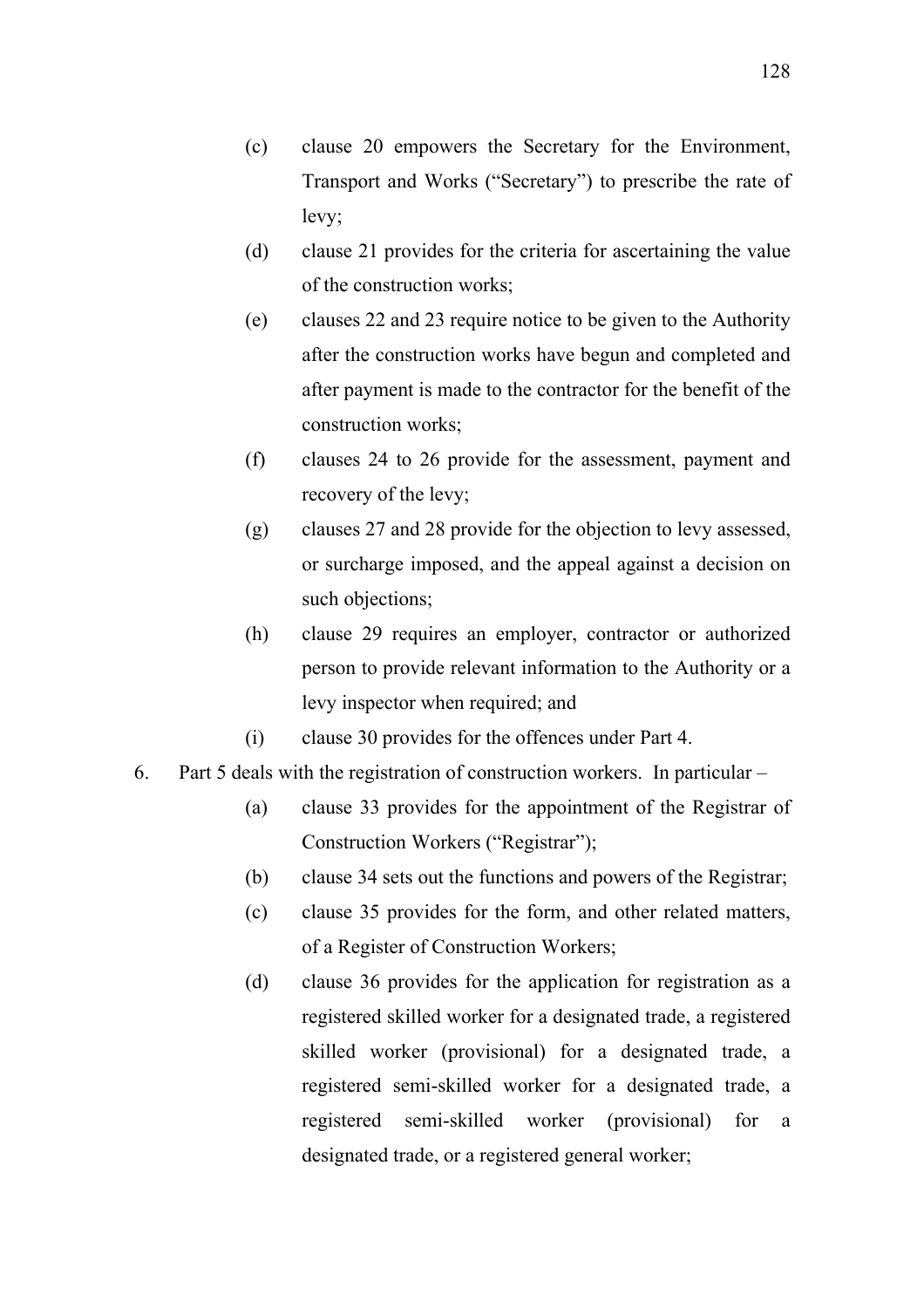- (d) clause 21 provides for the criteria for ascertaining the value of the construction works;
- (e) clauses 22 and 23 require notice to be given to the Authority after the construction works have begun and completed and after payment is made to the contractor for the benefit of the construction works;
- (f) clauses 24 to 26 provide for the assessment, payment and recovery of the levy;
- (g) clauses 27 and 28 provide for the objection to levy assessed, or surcharge imposed, and the appeal against a decision on such objections;
- (h) clause 29 requires an employer, contractor or authorized person to provide relevant information to the Authority or a levy inspector when required; and
- (i) clause 30 provides for the offences under Part 4.
- 6. Part 5 deals with the registration of construction workers. In particular
	- (a) clause 33 provides for the appointment of the Registrar of Construction Workers ("Registrar");
	- (b) clause 34 sets out the functions and powers of the Registrar;
	- (c) clause 35 provides for the form, and other related matters, of a Register of Construction Workers;
	- (d) clause 36 provides for the application for registration as a registered skilled worker for a designated trade, a registered skilled worker (provisional) for a designated trade, a registered semi-skilled worker for a designated trade, a registered semi-skilled worker (provisional) for a designated trade, or a registered general worker;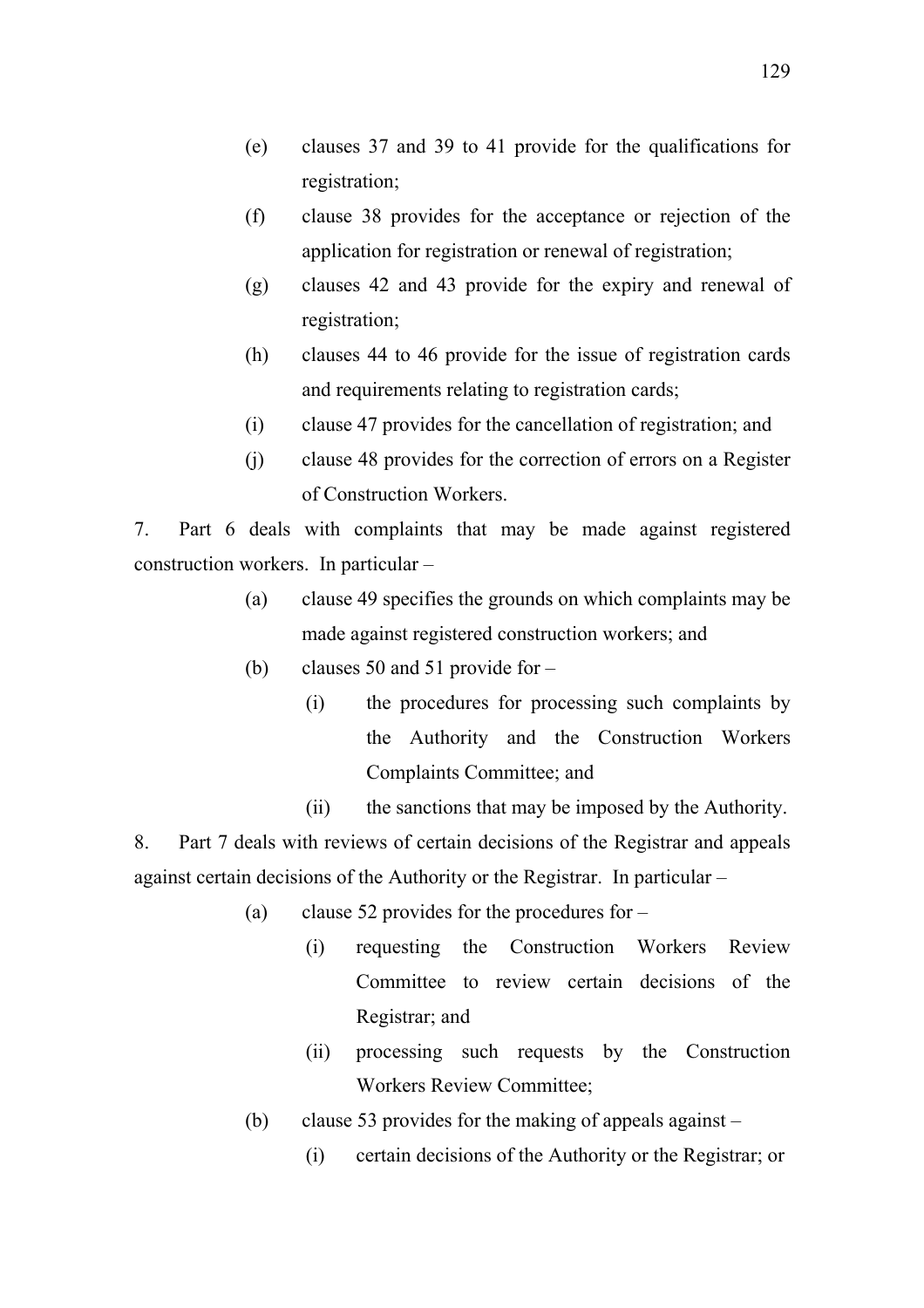- (e) clauses 37 and 39 to 41 provide for the qualifications for registration;
- (f) clause 38 provides for the acceptance or rejection of the application for registration or renewal of registration;
- (g) clauses 42 and 43 provide for the expiry and renewal of registration;
- (h) clauses 44 to 46 provide for the issue of registration cards and requirements relating to registration cards;
- (i) clause 47 provides for the cancellation of registration; and
- (j) clause 48 provides for the correction of errors on a Register of Construction Workers.

7. Part 6 deals with complaints that may be made against registered construction workers. In particular –

- (a) clause 49 specifies the grounds on which complaints may be made against registered construction workers; and
- (b) clauses 50 and 51 provide for
	- (i) the procedures for processing such complaints by the Authority and the Construction Workers Complaints Committee; and
	- (ii) the sanctions that may be imposed by the Authority.

8. Part 7 deals with reviews of certain decisions of the Registrar and appeals against certain decisions of the Authority or the Registrar. In particular –

- (a) clause 52 provides for the procedures for
	- (i) requesting the Construction Workers Review Committee to review certain decisions of the Registrar; and
	- (ii) processing such requests by the Construction Workers Review Committee;
- (b) clause 53 provides for the making of appeals against
	- (i) certain decisions of the Authority or the Registrar; or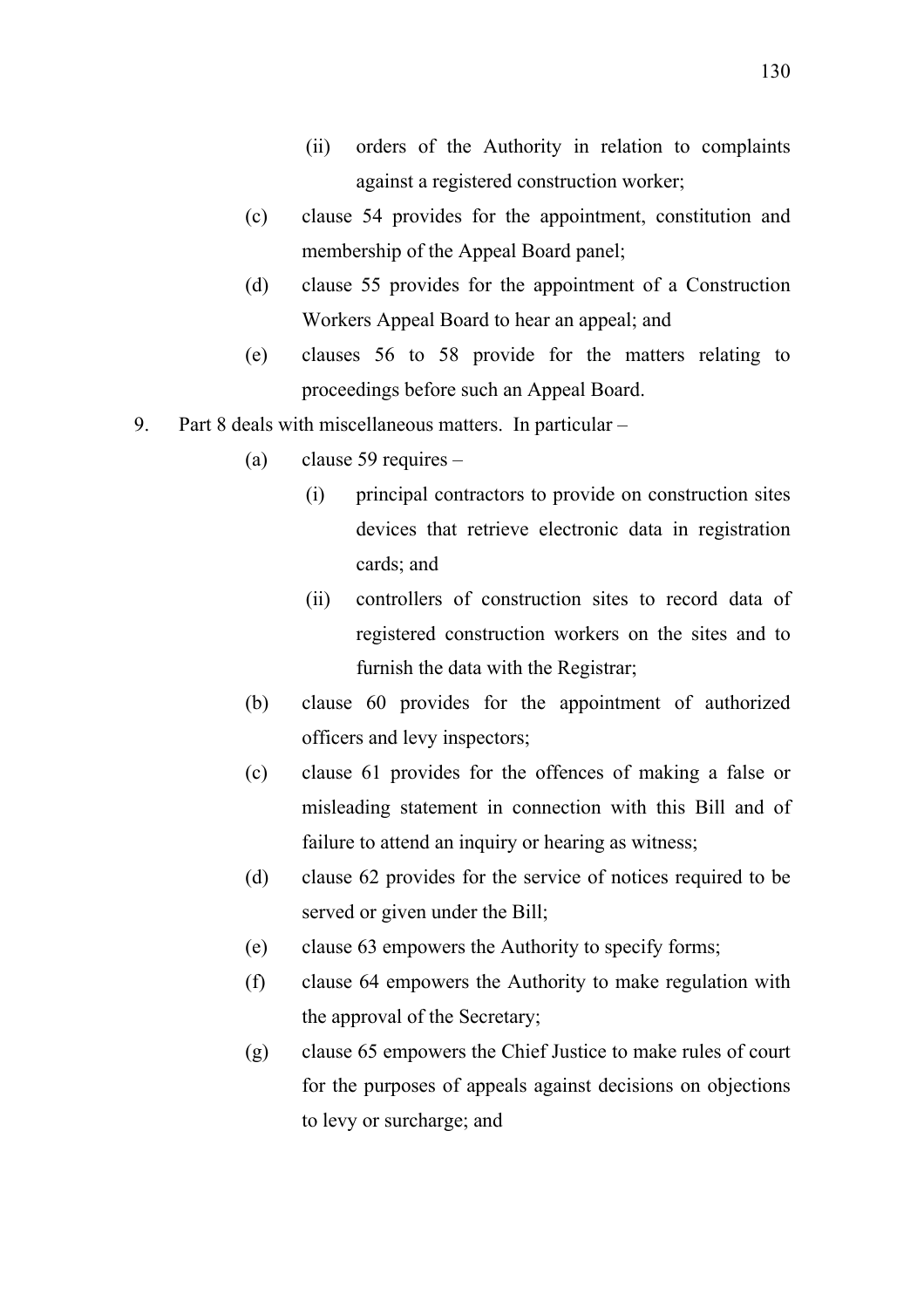- (ii) orders of the Authority in relation to complaints against a registered construction worker;
- (c) clause 54 provides for the appointment, constitution and membership of the Appeal Board panel;
- (d) clause 55 provides for the appointment of a Construction Workers Appeal Board to hear an appeal; and
- (e) clauses 56 to 58 provide for the matters relating to proceedings before such an Appeal Board.
- 9. Part 8 deals with miscellaneous matters. In particular
	- (a) clause 59 requires
		- (i) principal contractors to provide on construction sites devices that retrieve electronic data in registration cards; and
		- (ii) controllers of construction sites to record data of registered construction workers on the sites and to furnish the data with the Registrar;
	- (b) clause 60 provides for the appointment of authorized officers and levy inspectors;
	- (c) clause 61 provides for the offences of making a false or misleading statement in connection with this Bill and of failure to attend an inquiry or hearing as witness;
	- (d) clause 62 provides for the service of notices required to be served or given under the Bill;
	- (e) clause 63 empowers the Authority to specify forms;
	- (f) clause 64 empowers the Authority to make regulation with the approval of the Secretary;
	- (g) clause 65 empowers the Chief Justice to make rules of court for the purposes of appeals against decisions on objections to levy or surcharge; and